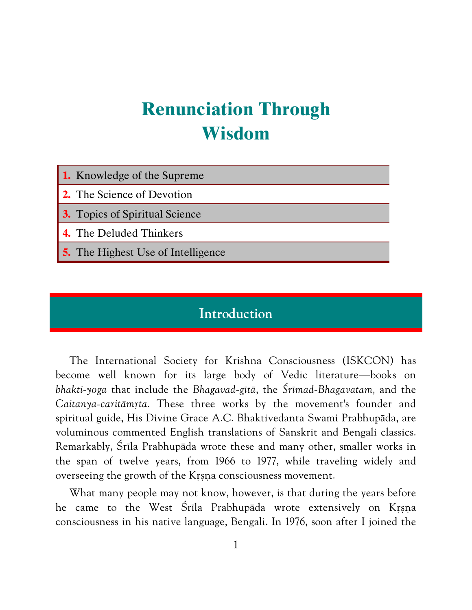# **Renunciation Through Wisdom**

 **1.** Knowledge of the Supreme

 **2.** The Science of Devotion

 **3.** Topics of Spiritual Science

 **4.** The Deluded Thinkers

**5.** The Highest Use of Intelligence

## **Introduction**

The International Society for Krishna Consciousness (ISKCON) has become well known for its large body of Vedic literature—books on *bhakti-yoga* that include the *Bhagavad-gétä*, the *Çrémad-Bhagavatam,* and the Caitanya-caritāmrta. These three works by the movement's founder and spiritual guide, His Divine Grace A.C. Bhaktivedanta Swami Prabhupäda, are voluminous commented English translations of Sanskrit and Bengali classics. Remarkably, Śrīla Prabhupāda wrote these and many other, smaller works in the span of twelve years, from 1966 to 1977, while traveling widely and overseeing the growth of the Krsna consciousness movement.

What many people may not know, however, is that during the years before he came to the West Śrīla Prabhupāda wrote extensively on Krsņa consciousness in his native language, Bengali. In 1976, soon after I joined the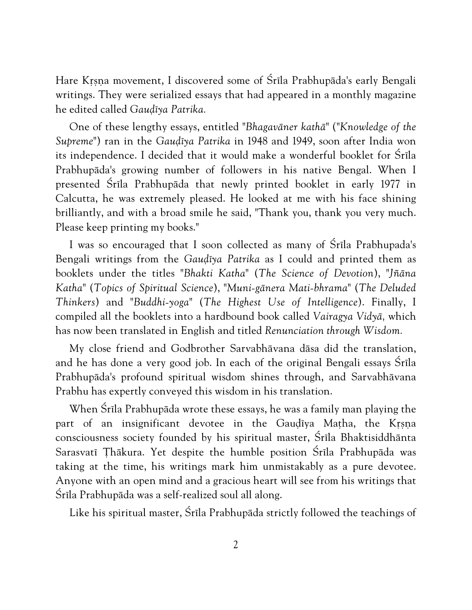Hare Krsna movement, I discovered some of Śrīla Prabhupāda's early Bengali writings. They were serialized essays that had appeared in a monthly magazine he edited called *Gaudiya Patrika*.

One of these lengthy essays, entitled "*Bhagaväner kathä*" ("*Knowledge of the Supreme*") ran in the *Gaudīya Patrika* in 1948 and 1949, soon after India won its independence. I decided that it would make a wonderful booklet for Śrīla Prabhupäda's growing number of followers in his native Bengal. When I presented Śrīla Prabhupāda that newly printed booklet in early 1977 in Calcutta, he was extremely pleased. He looked at me with his face shining brilliantly, and with a broad smile he said, "Thank you, thank you very much. Please keep printing my books."

I was so encouraged that I soon collected as many of Śrīla Prabhupada's Bengali writings from the *Gaudīya Patrika* as I could and printed them as booklets under the titles "*Bhakti Katha*" (*The Science of Devotion*), "*Jïäna Katha*" (*Topics of Spiritual Science*), "*Muni-gänera Mati-bhrama*" (*The Deluded Thinkers*) and "*Buddhi-yoga*" (*The Highest Use of Intelligence*). Finally, I compiled all the booklets into a hardbound book called *Vairagya Vidyä,* which has now been translated in English and titled *Renunciation through Wisdom.*

My close friend and Godbrother Sarvabhävana däsa did the translation, and he has done a very good job. In each of the original Bengali essays Śrīla Prabhupäda's profound spiritual wisdom shines through, and Sarvabhävana Prabhu has expertly conveyed this wisdom in his translation.

When Śrīla Prabhupāda wrote these essays, he was a family man playing the part of an insignificant devotee in the Gaudīya Matha, the Krsna consciousness society founded by his spiritual master, Śrīla Bhaktisiddhānta Sarasvatī Țhākura. Yet despite the humble position Śrīla Prabhupāda was taking at the time, his writings mark him unmistakably as a pure devotee. Anyone with an open mind and a gracious heart will see from his writings that Śrīla Prabhupāda was a self-realized soul all along.

Like his spiritual master, Śrīla Prabhupāda strictly followed the teachings of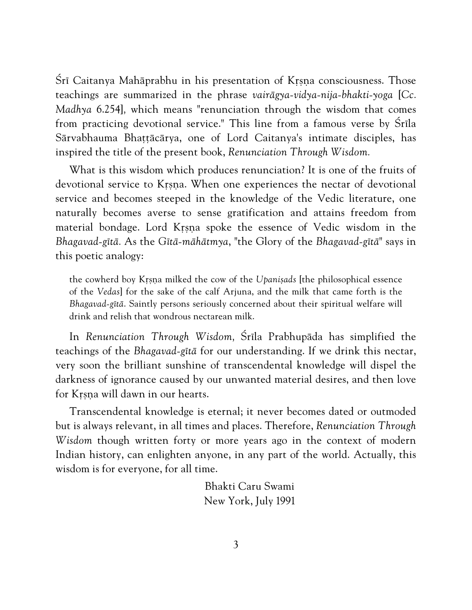Śrī Caitanya Mahāprabhu in his presentation of Krsna consciousness. Those teachings are summarized in the phrase *vairägya-vidya-nija-bhakti-yoga* [*Cc. Madhya* 6.254]*,* which means "renunciation through the wisdom that comes from practicing devotional service." This line from a famous verse by Śrīla Sārvabhauma Bhattācārya, one of Lord Caitanya's intimate disciples, has inspired the title of the present book, *Renunciation Through Wisdom.*

What is this wisdom which produces renunciation? It is one of the fruits of devotional service to Krsna. When one experiences the nectar of devotional service and becomes steeped in the knowledge of the Vedic literature, one naturally becomes averse to sense gratification and attains freedom from material bondage. Lord Krsna spoke the essence of Vedic wisdom in the *Bhagavad-gétä.* As the *Gétä-mähätmya*, "the Glory of the *Bhagavad-gétä*" says in this poetic analogy:

the cowherd boy Krsna milked the cow of the *Upanisads* [the philosophical essence of the *Vedas*] for the sake of the calf Arjuna, and the milk that came forth is the *Bhagavad-gétä*. Saintly persons seriously concerned about their spiritual welfare will drink and relish that wondrous nectarean milk.

In Renunciation Through Wisdom, Srila Prabhupāda has simplified the teachings of the *Bhagavad-gétä* for our understanding. If we drink this nectar, very soon the brilliant sunshine of transcendental knowledge will dispel the darkness of ignorance caused by our unwanted material desires, and then love for Krsna will dawn in our hearts.

Transcendental knowledge is eternal; it never becomes dated or outmoded but is always relevant, in all times and places. Therefore, *Renunciation Through Wisdom* though written forty or more years ago in the context of modern Indian history, can enlighten anyone, in any part of the world. Actually, this wisdom is for everyone, for all time.

> Bhakti Caru Swami New York, July 1991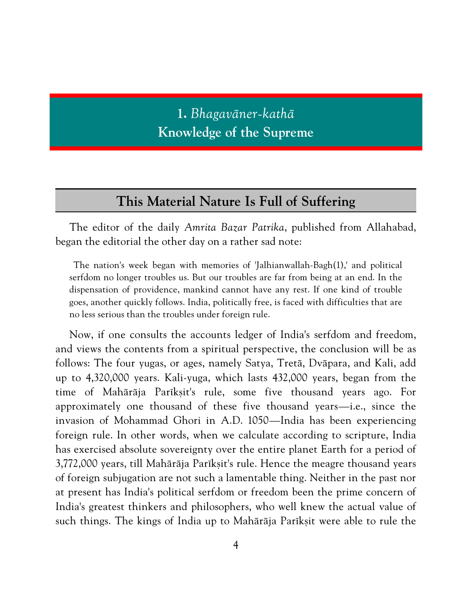## **1.** *Bhagaväner-kathä* **Knowledge of the Supreme**

## **This Material Nature Is Full of Suffering**

The editor of the daily *Amrita Bazar Patrika*, published from Allahabad, began the editorial the other day on a rather sad note:

 The nation's week began with memories of 'Jalhianwallah-Bagh(1),' and political serfdom no longer troubles us. But our troubles are far from being at an end. In the dispensation of providence, mankind cannot have any rest. If one kind of trouble goes, another quickly follows. India, politically free, is faced with difficulties that are no less serious than the troubles under foreign rule.

Now, if one consults the accounts ledger of India's serfdom and freedom, and views the contents from a spiritual perspective, the conclusion will be as follows: The four yugas, or ages, namely Satya, Tretä, Dväpara, and Kali, add up to 4,320,000 years. Kali-yuga, which lasts 432,000 years, began from the time of Mahārāja Parīkṣit's rule, some five thousand years ago. For approximately one thousand of these five thousand years—i.e., since the invasion of Mohammad Ghori in A.D. 1050—India has been experiencing foreign rule. In other words, when we calculate according to scripture, India has exercised absolute sovereignty over the entire planet Earth for a period of 3,772,000 years, till Mahārāja Parīkṣit's rule. Hence the meagre thousand years of foreign subjugation are not such a lamentable thing. Neither in the past nor at present has India's political serfdom or freedom been the prime concern of India's greatest thinkers and philosophers, who well knew the actual value of such things. The kings of India up to Mahārāja Parīksit were able to rule the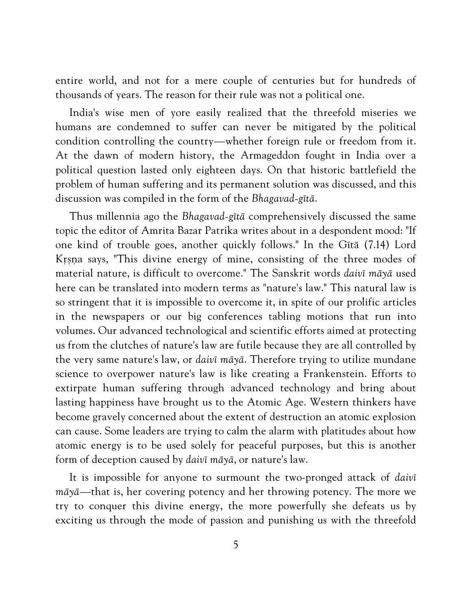entire world, and not for a mere couple of centuries but for hundreds of thousands of years. The reason for their rule was not a political one.

India's wise men of yore easily realized that the threefold miseries we humans are condemned to suffer can never be mitigated by the political condition controlling the country—whether foreign rule or freedom from it. At the dawn of modern history, the Armageddon fought in India over a political question lasted only eighteen days. On that historic battlefield the problem of human suffering and its permanent solution was discussed, and this discussion was compiled in the form of the *Bhagavad-gétä*.

Thus millennia ago the *Bhagavad-gétä* comprehensively discussed the same topic the editor of Amrita Bazar Patrika writes about in a despondent mood: "If one kind of trouble goes, another quickly follows." In the Gita (7.14) Lord Krsna says, "This divine energy of mine, consisting of the three modes of material nature, is difficult to overcome." The Sanskrit words *daivé mäyä* used here can be translated into modern terms as "nature's law." This natural law is so stringent that it is impossible to overcome it, in spite of our prolific articles in the newspapers or our big conferences tabling motions that run into volumes. Our advanced technological and scientific efforts aimed at protecting us from the clutches of nature's law are futile because they are all controlled by the very same nature's law, or *daivé mäyä*. Therefore trying to utilize mundane science to overpower nature's law is like creating a Frankenstein. Efforts to extirpate human suffering through advanced technology and bring about lasting happiness have brought us to the Atomic Age. Western thinkers have become gravely concerned about the extent of destruction an atomic explosion can cause. Some leaders are trying to calm the alarm with platitudes about how atomic energy is to be used solely for peaceful purposes, but this is another form of deception caused by *daivé mäyä*, or nature's law.

It is impossible for anyone to surmount the two-pronged attack of *daivé mäyä*—that is, her covering potency and her throwing potency. The more we try to conquer this divine energy, the more powerfully she defeats us by exciting us through the mode of passion and punishing us with the threefold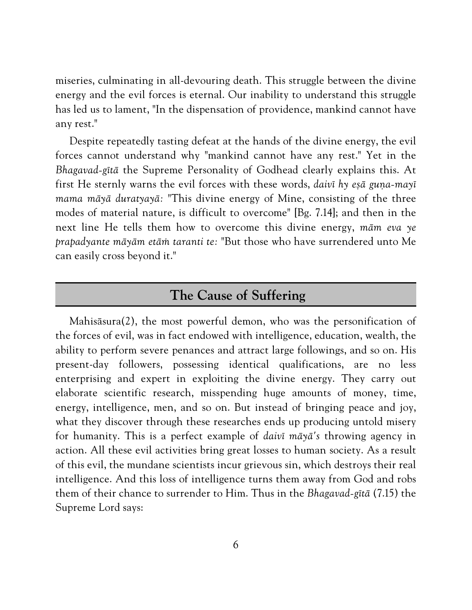miseries, culminating in all-devouring death. This struggle between the divine energy and the evil forces is eternal. Our inability to understand this struggle has led us to lament, "In the dispensation of providence, mankind cannot have any rest."

Despite repeatedly tasting defeat at the hands of the divine energy, the evil forces cannot understand why "mankind cannot have any rest." Yet in the *Bhagavad-gétä* the Supreme Personality of Godhead clearly explains this. At first He sternly warns the evil forces with these words, *daivi hy esa guna-mayi mama mäyä duratyayä:* "This divine energy of Mine, consisting of the three modes of material nature, is difficult to overcome" [Bg. 7.14]; and then in the next line He tells them how to overcome this divine energy, *mäm eva ye prapadyante mäyäm etäà taranti te:* "But those who have surrendered unto Me can easily cross beyond it."

#### **The Cause of Suffering**

Mahisäsura(2), the most powerful demon, who was the personification of the forces of evil, was in fact endowed with intelligence, education, wealth, the ability to perform severe penances and attract large followings, and so on. His present-day followers, possessing identical qualifications, are no less enterprising and expert in exploiting the divine energy. They carry out elaborate scientific research, misspending huge amounts of money, time, energy, intelligence, men, and so on. But instead of bringing peace and joy, what they discover through these researches ends up producing untold misery for humanity. This is a perfect example of *daivé mäyä's* throwing agency in action. All these evil activities bring great losses to human society. As a result of this evil, the mundane scientists incur grievous sin, which destroys their real intelligence. And this loss of intelligence turns them away from God and robs them of their chance to surrender to Him. Thus in the *Bhagavad-gétä* (7.15) the Supreme Lord says: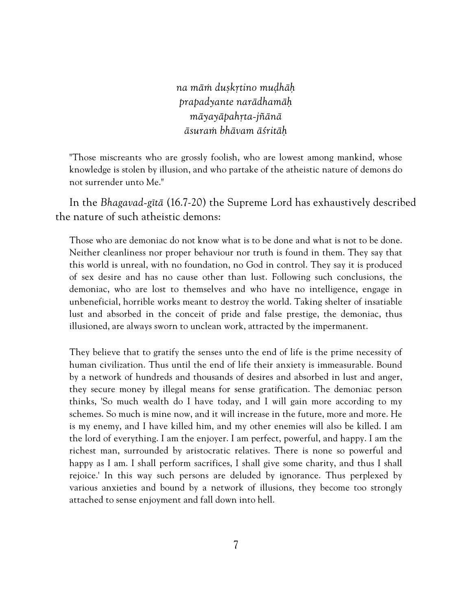*na mäà duñkåtino muòhäù prapadyante narädhamäù mäyayäpahåta-jïänä äsuraà bhävam äçritäù*

"Those miscreants who are grossly foolish, who are lowest among mankind, whose knowledge is stolen by illusion, and who partake of the atheistic nature of demons do not surrender unto Me."

In the *Bhagavad-gétä* (16.7-20) the Supreme Lord has exhaustively described the nature of such atheistic demons:

Those who are demoniac do not know what is to be done and what is not to be done. Neither cleanliness nor proper behaviour nor truth is found in them. They say that this world is unreal, with no foundation, no God in control. They say it is produced of sex desire and has no cause other than lust. Following such conclusions, the demoniac, who are lost to themselves and who have no intelligence, engage in unbeneficial, horrible works meant to destroy the world. Taking shelter of insatiable lust and absorbed in the conceit of pride and false prestige, the demoniac, thus illusioned, are always sworn to unclean work, attracted by the impermanent.

They believe that to gratify the senses unto the end of life is the prime necessity of human civilization. Thus until the end of life their anxiety is immeasurable. Bound by a network of hundreds and thousands of desires and absorbed in lust and anger, they secure money by illegal means for sense gratification. The demoniac person thinks, 'So much wealth do I have today, and I will gain more according to my schemes. So much is mine now, and it will increase in the future, more and more. He is my enemy, and I have killed him, and my other enemies will also be killed. I am the lord of everything. I am the enjoyer. I am perfect, powerful, and happy. I am the richest man, surrounded by aristocratic relatives. There is none so powerful and happy as I am. I shall perform sacrifices, I shall give some charity, and thus I shall rejoice.' In this way such persons are deluded by ignorance. Thus perplexed by various anxieties and bound by a network of illusions, they become too strongly attached to sense enjoyment and fall down into hell.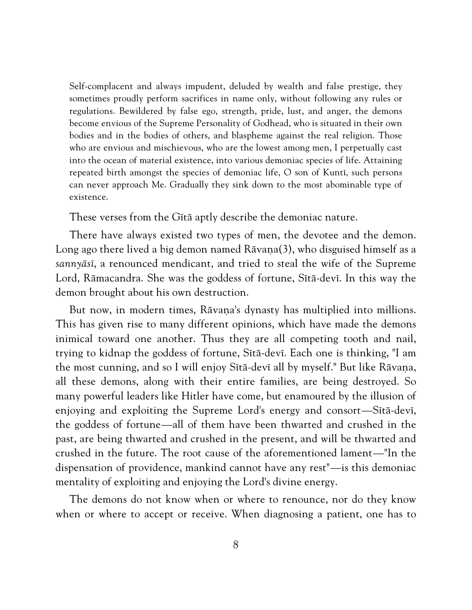Self-complacent and always impudent, deluded by wealth and false prestige, they sometimes proudly perform sacrifices in name only, without following any rules or regulations. Bewildered by false ego, strength, pride, lust, and anger, the demons become envious of the Supreme Personality of Godhead, who is situated in their own bodies and in the bodies of others, and blaspheme against the real religion. Those who are envious and mischievous, who are the lowest among men, I perpetually cast into the ocean of material existence, into various demoniac species of life. Attaining repeated birth amongst the species of demoniac life,  $O$  son of Kunti, such persons can never approach Me. Gradually they sink down to the most abominable type of existence.

These verses from the Gītā aptly describe the demoniac nature.

There have always existed two types of men, the devotee and the demon. Long ago there lived a big demon named  $Rāvana(3)$ , who disguised himself as a *sannyäsé*, a renounced mendicant, and tried to steal the wife of the Supreme Lord, Rāmacandra. She was the goddess of fortune, Sītā-devī. In this way the demon brought about his own destruction.

But now, in modern times, Rāvaņa's dynasty has multiplied into millions. This has given rise to many different opinions, which have made the demons inimical toward one another. Thus they are all competing tooth and nail, trying to kidnap the goddess of fortune, Sītā-devī. Each one is thinking, "I am the most cunning, and so I will enjoy Sītā-devī all by myself." But like Rāvana, all these demons, along with their entire families, are being destroyed. So many powerful leaders like Hitler have come, but enamoured by the illusion of enjoying and exploiting the Supreme Lord's energy and consort—Sita-devi, the goddess of fortune—all of them have been thwarted and crushed in the past, are being thwarted and crushed in the present, and will be thwarted and crushed in the future. The root cause of the aforementioned lament—"In the dispensation of providence, mankind cannot have any rest"—is this demoniac mentality of exploiting and enjoying the Lord's divine energy.

The demons do not know when or where to renounce, nor do they know when or where to accept or receive. When diagnosing a patient, one has to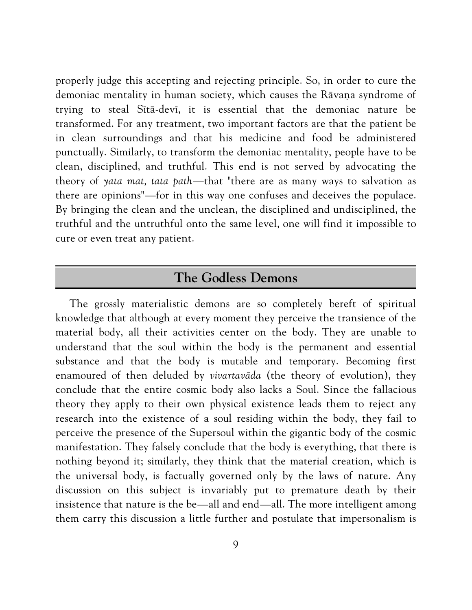properly judge this accepting and rejecting principle. So, in order to cure the demoniac mentality in human society, which causes the Rāvana syndrome of trying to steal Sita-devi, it is essential that the demoniac nature be transformed. For any treatment, two important factors are that the patient be in clean surroundings and that his medicine and food be administered punctually. Similarly, to transform the demoniac mentality, people have to be clean, disciplined, and truthful. This end is not served by advocating the theory of *yata mat, tata path*—that "there are as many ways to salvation as there are opinions"—for in this way one confuses and deceives the populace. By bringing the clean and the unclean, the disciplined and undisciplined, the truthful and the untruthful onto the same level, one will find it impossible to cure or even treat any patient.

## **The Godless Demons**

The grossly materialistic demons are so completely bereft of spiritual knowledge that although at every moment they perceive the transience of the material body, all their activities center on the body. They are unable to understand that the soul within the body is the permanent and essential substance and that the body is mutable and temporary. Becoming first enamoured of then deluded by *vivartaväda* (the theory of evolution), they conclude that the entire cosmic body also lacks a Soul. Since the fallacious theory they apply to their own physical existence leads them to reject any research into the existence of a soul residing within the body, they fail to perceive the presence of the Supersoul within the gigantic body of the cosmic manifestation. They falsely conclude that the body is everything, that there is nothing beyond it; similarly, they think that the material creation, which is the universal body, is factually governed only by the laws of nature. Any discussion on this subject is invariably put to premature death by their insistence that nature is the be—all and end—all. The more intelligent among them carry this discussion a little further and postulate that impersonalism is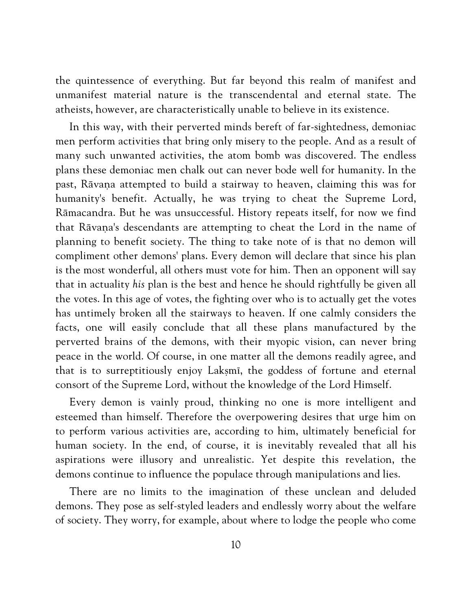the quintessence of everything. But far beyond this realm of manifest and unmanifest material nature is the transcendental and eternal state. The atheists, however, are characteristically unable to believe in its existence.

In this way, with their perverted minds bereft of far-sightedness, demoniac men perform activities that bring only misery to the people. And as a result of many such unwanted activities, the atom bomb was discovered. The endless plans these demoniac men chalk out can never bode well for humanity. In the past, Rāvaņa attempted to build a stairway to heaven, claiming this was for humanity's benefit. Actually, he was trying to cheat the Supreme Lord, Rämacandra. But he was unsuccessful. History repeats itself, for now we find that Rāvaṇa's descendants are attempting to cheat the Lord in the name of planning to benefit society. The thing to take note of is that no demon will compliment other demons' plans. Every demon will declare that since his plan is the most wonderful, all others must vote for him. Then an opponent will say that in actuality *his* plan is the best and hence he should rightfully be given all the votes. In this age of votes, the fighting over who is to actually get the votes has untimely broken all the stairways to heaven. If one calmly considers the facts, one will easily conclude that all these plans manufactured by the perverted brains of the demons, with their myopic vision, can never bring peace in the world. Of course, in one matter all the demons readily agree, and that is to surreptitiously enjoy Laksmi, the goddess of fortune and eternal consort of the Supreme Lord, without the knowledge of the Lord Himself.

Every demon is vainly proud, thinking no one is more intelligent and esteemed than himself. Therefore the overpowering desires that urge him on to perform various activities are, according to him, ultimately beneficial for human society. In the end, of course, it is inevitably revealed that all his aspirations were illusory and unrealistic. Yet despite this revelation, the demons continue to influence the populace through manipulations and lies.

There are no limits to the imagination of these unclean and deluded demons. They pose as self-styled leaders and endlessly worry about the welfare of society. They worry, for example, about where to lodge the people who come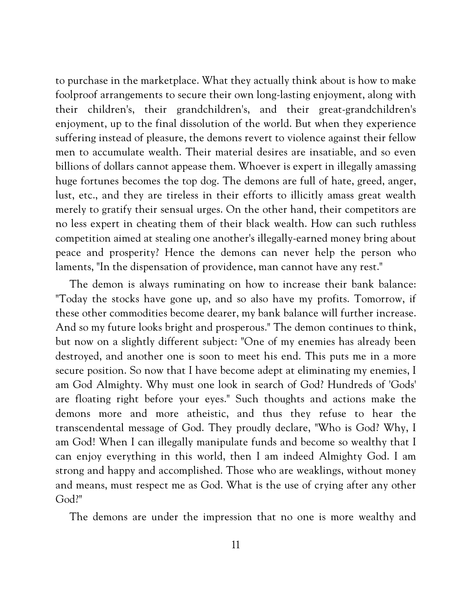to purchase in the marketplace. What they actually think about is how to make foolproof arrangements to secure their own long-lasting enjoyment, along with their children's, their grandchildren's, and their great-grandchildren's enjoyment, up to the final dissolution of the world. But when they experience suffering instead of pleasure, the demons revert to violence against their fellow men to accumulate wealth. Their material desires are insatiable, and so even billions of dollars cannot appease them. Whoever is expert in illegally amassing huge fortunes becomes the top dog. The demons are full of hate, greed, anger, lust, etc., and they are tireless in their efforts to illicitly amass great wealth merely to gratify their sensual urges. On the other hand, their competitors are no less expert in cheating them of their black wealth. How can such ruthless competition aimed at stealing one another's illegally-earned money bring about peace and prosperity? Hence the demons can never help the person who laments, "In the dispensation of providence, man cannot have any rest."

The demon is always ruminating on how to increase their bank balance: "Today the stocks have gone up, and so also have my profits. Tomorrow, if these other commodities become dearer, my bank balance will further increase. And so my future looks bright and prosperous." The demon continues to think, but now on a slightly different subject: "One of my enemies has already been destroyed, and another one is soon to meet his end. This puts me in a more secure position. So now that I have become adept at eliminating my enemies, I am God Almighty. Why must one look in search of God? Hundreds of 'Gods' are floating right before your eyes." Such thoughts and actions make the demons more and more atheistic, and thus they refuse to hear the transcendental message of God. They proudly declare, "Who is God? Why, I am God! When I can illegally manipulate funds and become so wealthy that I can enjoy everything in this world, then I am indeed Almighty God. I am strong and happy and accomplished. Those who are weaklings, without money and means, must respect me as God. What is the use of crying after any other God?"

The demons are under the impression that no one is more wealthy and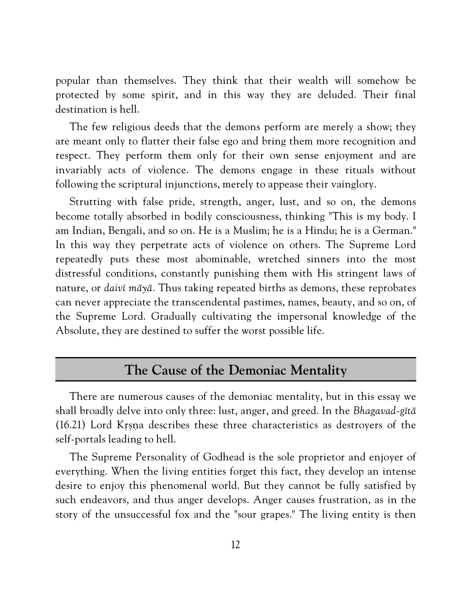popular than themselves. They think that their wealth will somehow be protected by some spirit, and in this way they are deluded. Their final destination is hell.

The few religious deeds that the demons perform are merely a show; they are meant only to flatter their false ego and bring them more recognition and respect. They perform them only for their own sense enjoyment and are invariably acts of violence. The demons engage in these rituals without following the scriptural injunctions, merely to appease their vainglory.

Strutting with false pride, strength, anger, lust, and so on, the demons become totally absorbed in bodily consciousness, thinking "This is my body. I am Indian, Bengali, and so on. He is a Muslim; he is a Hindu; he is a German." In this way they perpetrate acts of violence on others. The Supreme Lord repeatedly puts these most abominable, wretched sinners into the most distressful conditions, constantly punishing them with His stringent laws of nature, or *daivé mäyä*. Thus taking repeated births as demons, these reprobates can never appreciate the transcendental pastimes, names, beauty, and so on, of the Supreme Lord. Gradually cultivating the impersonal knowledge of the Absolute, they are destined to suffer the worst possible life.

#### **The Cause of the Demoniac Mentality**

There are numerous causes of the demoniac mentality, but in this essay we shall broadly delve into only three: lust, anger, and greed. In the *Bhagavad-gétä*  $(16.21)$  Lord Krsna describes these three characteristics as destroyers of the self-portals leading to hell.

The Supreme Personality of Godhead is the sole proprietor and enjoyer of everything. When the living entities forget this fact, they develop an intense desire to enjoy this phenomenal world. But they cannot be fully satisfied by such endeavors, and thus anger develops. Anger causes frustration, as in the story of the unsuccessful fox and the "sour grapes." The living entity is then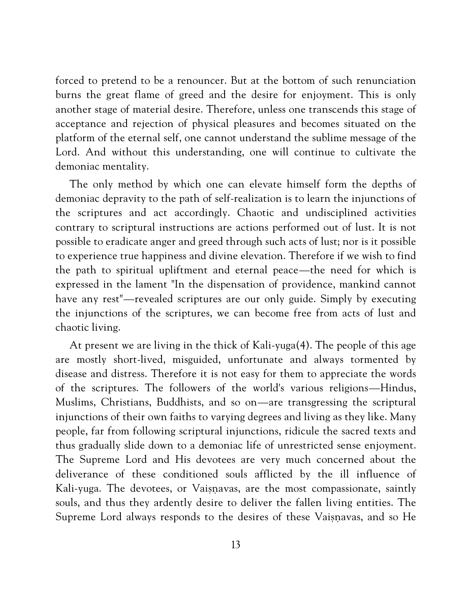forced to pretend to be a renouncer. But at the bottom of such renunciation burns the great flame of greed and the desire for enjoyment. This is only another stage of material desire. Therefore, unless one transcends this stage of acceptance and rejection of physical pleasures and becomes situated on the platform of the eternal self, one cannot understand the sublime message of the Lord. And without this understanding, one will continue to cultivate the demoniac mentality.

The only method by which one can elevate himself form the depths of demoniac depravity to the path of self-realization is to learn the injunctions of the scriptures and act accordingly. Chaotic and undisciplined activities contrary to scriptural instructions are actions performed out of lust. It is not possible to eradicate anger and greed through such acts of lust; nor is it possible to experience true happiness and divine elevation. Therefore if we wish to find the path to spiritual upliftment and eternal peace—the need for which is expressed in the lament "In the dispensation of providence, mankind cannot have any rest"—revealed scriptures are our only guide. Simply by executing the injunctions of the scriptures, we can become free from acts of lust and chaotic living.

At present we are living in the thick of Kali-yuga(4). The people of this age are mostly short-lived, misguided, unfortunate and always tormented by disease and distress. Therefore it is not easy for them to appreciate the words of the scriptures. The followers of the world's various religions—Hindus, Muslims, Christians, Buddhists, and so on—are transgressing the scriptural injunctions of their own faiths to varying degrees and living as they like. Many people, far from following scriptural injunctions, ridicule the sacred texts and thus gradually slide down to a demoniac life of unrestricted sense enjoyment. The Supreme Lord and His devotees are very much concerned about the deliverance of these conditioned souls afflicted by the ill influence of Kali-yuga. The devotees, or Vaisnavas, are the most compassionate, saintly souls, and thus they ardently desire to deliver the fallen living entities. The Supreme Lord always responds to the desires of these Vaisnavas, and so He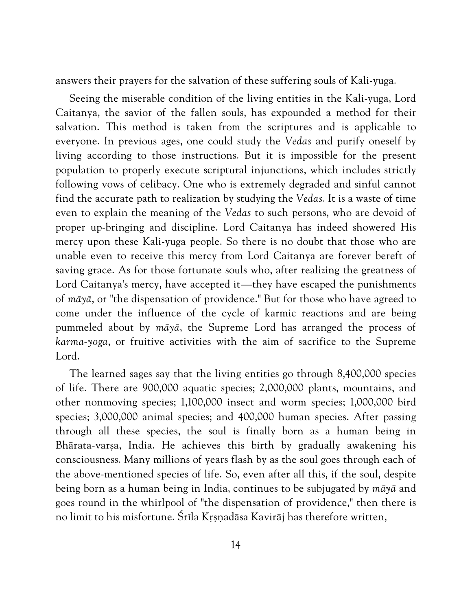answers their prayers for the salvation of these suffering souls of Kali-yuga.

Seeing the miserable condition of the living entities in the Kali-yuga, Lord Caitanya, the savior of the fallen souls, has expounded a method for their salvation. This method is taken from the scriptures and is applicable to everyone. In previous ages, one could study the *Vedas* and purify oneself by living according to those instructions. But it is impossible for the present population to properly execute scriptural injunctions, which includes strictly following vows of celibacy. One who is extremely degraded and sinful cannot find the accurate path to realization by studying the *Vedas*. It is a waste of time even to explain the meaning of the *Vedas* to such persons, who are devoid of proper up-bringing and discipline. Lord Caitanya has indeed showered His mercy upon these Kali-yuga people. So there is no doubt that those who are unable even to receive this mercy from Lord Caitanya are forever bereft of saving grace. As for those fortunate souls who, after realizing the greatness of Lord Caitanya's mercy, have accepted it—they have escaped the punishments of *mäyä*, or "the dispensation of providence." But for those who have agreed to come under the influence of the cycle of karmic reactions and are being pummeled about by *mäyä*, the Supreme Lord has arranged the process of *karma-yoga*, or fruitive activities with the aim of sacrifice to the Supreme Lord.

The learned sages say that the living entities go through 8,400,000 species of life. There are 900,000 aquatic species; 2,000,000 plants, mountains, and other nonmoving species; 1,100,000 insect and worm species; 1,000,000 bird species; 3,000,000 animal species; and 400,000 human species. After passing through all these species, the soul is finally born as a human being in Bhārata-varṣa, India. He achieves this birth by gradually awakening his consciousness. Many millions of years flash by as the soul goes through each of the above-mentioned species of life. So, even after all this, if the soul, despite being born as a human being in India, continues to be subjugated by *mäyä* and goes round in the whirlpool of "the dispensation of providence," then there is no limit to his misfortune. Śrīla Krsnadāsa Kavirāj has therefore written,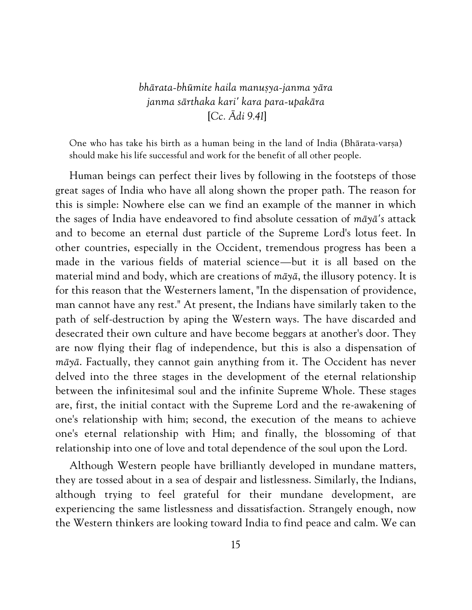#### *bhärata-bhümite haila manuñya-janma yära janma särthaka kari' kara para-upakära* [*Cc. Ädi 9.41*]

One who has take his birth as a human being in the land of India (Bhārata-varṣa) should make his life successful and work for the benefit of all other people.

Human beings can perfect their lives by following in the footsteps of those great sages of India who have all along shown the proper path. The reason for this is simple: Nowhere else can we find an example of the manner in which the sages of India have endeavored to find absolute cessation of *mäyä's* attack and to become an eternal dust particle of the Supreme Lord's lotus feet. In other countries, especially in the Occident, tremendous progress has been a made in the various fields of material science—but it is all based on the material mind and body, which are creations of *mäyä*, the illusory potency. It is for this reason that the Westerners lament, "In the dispensation of providence, man cannot have any rest." At present, the Indians have similarly taken to the path of self-destruction by aping the Western ways. The have discarded and desecrated their own culture and have become beggars at another's door. They are now flying their flag of independence, but this is also a dispensation of *mäyä*. Factually, they cannot gain anything from it. The Occident has never delved into the three stages in the development of the eternal relationship between the infinitesimal soul and the infinite Supreme Whole. These stages are, first, the initial contact with the Supreme Lord and the re-awakening of one's relationship with him; second, the execution of the means to achieve one's eternal relationship with Him; and finally, the blossoming of that relationship into one of love and total dependence of the soul upon the Lord.

Although Western people have brilliantly developed in mundane matters, they are tossed about in a sea of despair and listlessness. Similarly, the Indians, although trying to feel grateful for their mundane development, are experiencing the same listlessness and dissatisfaction. Strangely enough, now the Western thinkers are looking toward India to find peace and calm. We can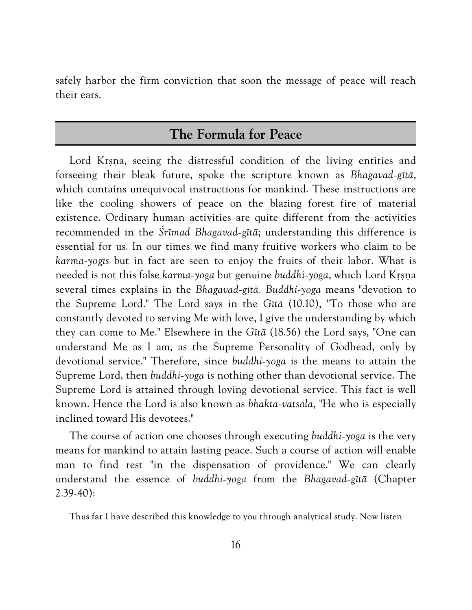safely harbor the firm conviction that soon the message of peace will reach their ears.

## **The Formula for Peace**

Lord Krsna, seeing the distressful condition of the living entities and forseeing their bleak future, spoke the scripture known as *Bhagavad-gétä*, which contains unequivocal instructions for mankind. These instructions are like the cooling showers of peace on the blazing forest fire of material existence. Ordinary human activities are quite different from the activities recommended in the *Çrémad Bhagavad-gétä*; understanding this difference is essential for us. In our times we find many fruitive workers who claim to be *karma-yogés* but in fact are seen to enjoy the fruits of their labor. What is needed is not this false *karma-yoga* but genuine *buddhi-yoga*, which Lord Krsna several times explains in the *Bhagavad-gétä*. *Buddhi-yoga* means "devotion to the Supreme Lord." The Lord says in the *Gétä* (10.10), "To those who are constantly devoted to serving Me with love, I give the understanding by which they can come to Me." Elsewhere in the *Gétä* (18.56) the Lord says, "One can understand Me as I am, as the Supreme Personality of Godhead, only by devotional service." Therefore, since *buddhi-yoga* is the means to attain the Supreme Lord, then *buddhi-yoga* is nothing other than devotional service. The Supreme Lord is attained through loving devotional service. This fact is well known. Hence the Lord is also known as *bhakta-vatsala*, "He who is especially inclined toward His devotees."

The course of action one chooses through executing *buddhi-yoga* is the very means for mankind to attain lasting peace. Such a course of action will enable man to find rest "in the dispensation of providence." We can clearly understand the essence of *buddhi-yoga* from the *Bhagavad-gétä* (Chapter 2.39-40):

Thus far I have described this knowledge to you through analytical study. Now listen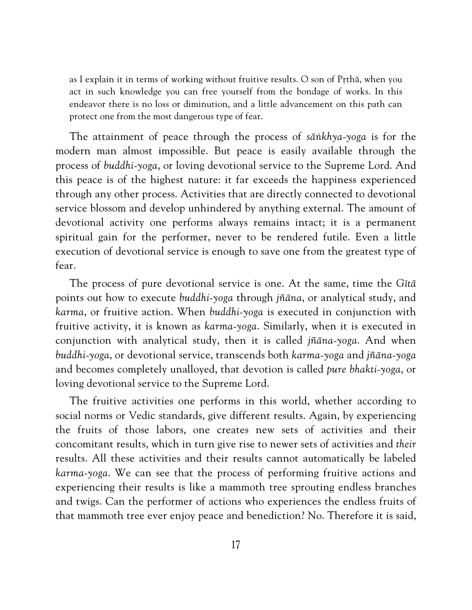as I explain it in terms of working without fruitive results. O son of Prthā, when you act in such knowledge you can free yourself from the bondage of works. In this endeavor there is no loss or diminution, and a little advancement on this path can protect one from the most dangerous type of fear.

The attainment of peace through the process of *säìkhya-yoga* is for the modern man almost impossible. But peace is easily available through the process of *buddhi-yoga*, or loving devotional service to the Supreme Lord. And this peace is of the highest nature: it far exceeds the happiness experienced through any other process. Activities that are directly connected to devotional service blossom and develop unhindered by anything external. The amount of devotional activity one performs always remains intact; it is a permanent spiritual gain for the performer, never to be rendered futile. Even a little execution of devotional service is enough to save one from the greatest type of fear.

The process of pure devotional service is one. At the same, time the *Gétä* points out how to execute *buddhi-yoga* through *jïäna*, or analytical study, and *karma*, or fruitive action. When *buddhi-yoga* is executed in conjunction with fruitive activity, it is known as *karma-yoga*. Similarly, when it is executed in conjunction with analytical study, then it is called *jïäna-yoga*. And when *buddhi-yoga*, or devotional service, transcends both *karma-yoga* and *jïäna-yoga* and becomes completely unalloyed, that devotion is called *pure bhakti-yoga*, or loving devotional service to the Supreme Lord.

The fruitive activities one performs in this world, whether according to social norms or Vedic standards, give different results. Again, by experiencing the fruits of those labors, one creates new sets of activities and their concomitant results, which in turn give rise to newer sets of activities and *their* results. All these activities and their results cannot automatically be labeled *karma-yoga*. We can see that the process of performing fruitive actions and experiencing their results is like a mammoth tree sprouting endless branches and twigs. Can the performer of actions who experiences the endless fruits of that mammoth tree ever enjoy peace and benediction? No. Therefore it is said,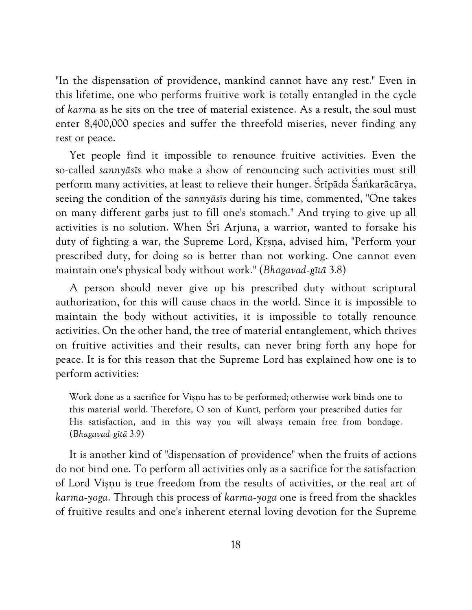"In the dispensation of providence, mankind cannot have any rest." Even in this lifetime, one who performs fruitive work is totally entangled in the cycle of *karma* as he sits on the tree of material existence. As a result, the soul must enter 8,400,000 species and suffer the threefold miseries, never finding any rest or peace.

Yet people find it impossible to renounce fruitive activities. Even the so-called *sannyäsés* who make a show of renouncing such activities must still perform many activities, at least to relieve their hunger. Śrīpāda Śaṅkarācārya, seeing the condition of the *sannyäsés* during his time, commented, "One takes on many different garbs just to fill one's stomach." And trying to give up all activities is no solution. When Śrī Arjuna, a warrior, wanted to forsake his duty of fighting a war, the Supreme Lord, Krsna, advised him, "Perform your prescribed duty, for doing so is better than not working. One cannot even maintain one's physical body without work." (*Bhagavad-gétä* 3.8)

A person should never give up his prescribed duty without scriptural authorization, for this will cause chaos in the world. Since it is impossible to maintain the body without activities, it is impossible to totally renounce activities. On the other hand, the tree of material entanglement, which thrives on fruitive activities and their results, can never bring forth any hope for peace. It is for this reason that the Supreme Lord has explained how one is to perform activities:

Work done as a sacrifice for Vișņu has to be performed; otherwise work binds one to this material world. Therefore,  $O$  son of Kunti, perform your prescribed duties for His satisfaction, and in this way you will always remain free from bondage. (*Bhagavad-gétä* 3.9)

It is another kind of "dispensation of providence" when the fruits of actions do not bind one. To perform all activities only as a sacrifice for the satisfaction of Lord Visnu is true freedom from the results of activities, or the real art of *karma-yoga*. Through this process of *karma-yoga* one is freed from the shackles of fruitive results and one's inherent eternal loving devotion for the Supreme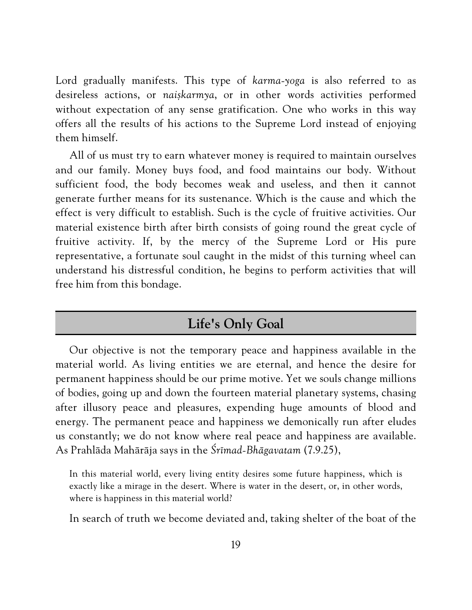Lord gradually manifests. This type of *karma-yoga* is also referred to as desireless actions, or *naiskarmya*, or in other words activities performed without expectation of any sense gratification. One who works in this way offers all the results of his actions to the Supreme Lord instead of enjoying them himself.

All of us must try to earn whatever money is required to maintain ourselves and our family. Money buys food, and food maintains our body. Without sufficient food, the body becomes weak and useless, and then it cannot generate further means for its sustenance. Which is the cause and which the effect is very difficult to establish. Such is the cycle of fruitive activities. Our material existence birth after birth consists of going round the great cycle of fruitive activity. If, by the mercy of the Supreme Lord or His pure representative, a fortunate soul caught in the midst of this turning wheel can understand his distressful condition, he begins to perform activities that will free him from this bondage.

## **Life's Only Goal**

Our objective is not the temporary peace and happiness available in the material world. As living entities we are eternal, and hence the desire for permanent happiness should be our prime motive. Yet we souls change millions of bodies, going up and down the fourteen material planetary systems, chasing after illusory peace and pleasures, expending huge amounts of blood and energy. The permanent peace and happiness we demonically run after eludes us constantly; we do not know where real peace and happiness are available. As Prahläda Mahäräja says in the *Çrémad-Bhägavatam* (7.9.25),

In this material world, every living entity desires some future happiness, which is exactly like a mirage in the desert. Where is water in the desert, or, in other words, where is happiness in this material world?

In search of truth we become deviated and, taking shelter of the boat of the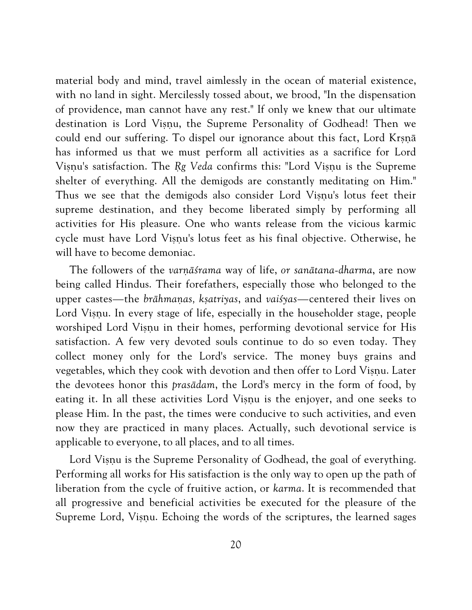material body and mind, travel aimlessly in the ocean of material existence, with no land in sight. Mercilessly tossed about, we brood, "In the dispensation of providence, man cannot have any rest." If only we knew that our ultimate destination is Lord Visnu, the Supreme Personality of Godhead! Then we could end our suffering. To dispel our ignorance about this fact, Lord Krsna has informed us that we must perform all activities as a sacrifice for Lord Visnu's satisfaction. The *Rg Veda* confirms this: "Lord Visnu is the Supreme shelter of everything. All the demigods are constantly meditating on Him." Thus we see that the demigods also consider Lord Visnu's lotus feet their supreme destination, and they become liberated simply by performing all activities for His pleasure. One who wants release from the vicious karmic cycle must have Lord Visnu's lotus feet as his final objective. Otherwise, he will have to become demoniac.

The followers of the *varnāśrama* way of life, *or sanātana-dharma*, are now being called Hindus. Their forefathers, especially those who belonged to the upper castes—the *brāhmanas*, ksatriyas, and *vais* yas—centered their lives on Lord Visnu. In every stage of life, especially in the householder stage, people worshiped Lord Visnu in their homes, performing devotional service for His satisfaction. A few very devoted souls continue to do so even today. They collect money only for the Lord's service. The money buys grains and vegetables, which they cook with devotion and then offer to Lord Visnu. Later the devotees honor this *prasädam*, the Lord's mercy in the form of food, by eating it. In all these activities Lord Visnu is the enjoyer, and one seeks to please Him. In the past, the times were conducive to such activities, and even now they are practiced in many places. Actually, such devotional service is applicable to everyone, to all places, and to all times.

Lord Visnu is the Supreme Personality of Godhead, the goal of everything. Performing all works for His satisfaction is the only way to open up the path of liberation from the cycle of fruitive action, or *karma*. It is recommended that all progressive and beneficial activities be executed for the pleasure of the Supreme Lord, Visnu. Echoing the words of the scriptures, the learned sages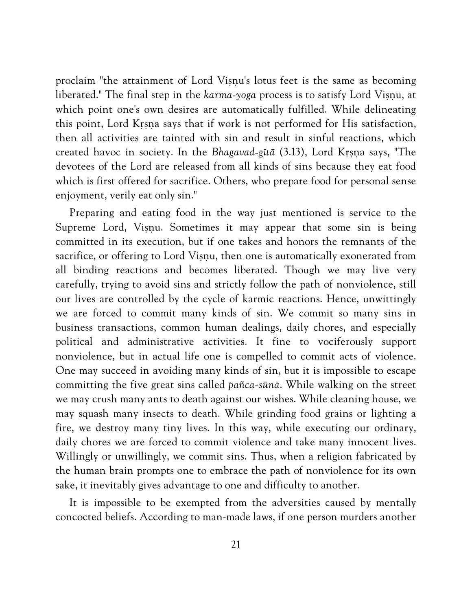proclaim "the attainment of Lord Visnu's lotus feet is the same as becoming liberated." The final step in the *karma-yoga* process is to satisfy Lord Visnu, at which point one's own desires are automatically fulfilled. While delineating this point, Lord Krsna says that if work is not performed for His satisfaction, then all activities are tainted with sin and result in sinful reactions, which created havoc in society. In the *Bhagavad-gitā* (3.13), Lord Krsna says, "The devotees of the Lord are released from all kinds of sins because they eat food which is first offered for sacrifice. Others, who prepare food for personal sense enjoyment, verily eat only sin."

Preparing and eating food in the way just mentioned is service to the Supreme Lord, Visnu. Sometimes it may appear that some sin is being committed in its execution, but if one takes and honors the remnants of the sacrifice, or offering to Lord Visnu, then one is automatically exonerated from all binding reactions and becomes liberated. Though we may live very carefully, trying to avoid sins and strictly follow the path of nonviolence, still our lives are controlled by the cycle of karmic reactions. Hence, unwittingly we are forced to commit many kinds of sin. We commit so many sins in business transactions, common human dealings, daily chores, and especially political and administrative activities. It fine to vociferously support nonviolence, but in actual life one is compelled to commit acts of violence. One may succeed in avoiding many kinds of sin, but it is impossible to escape committing the five great sins called *païca-sünä*. While walking on the street we may crush many ants to death against our wishes. While cleaning house, we may squash many insects to death. While grinding food grains or lighting a fire, we destroy many tiny lives. In this way, while executing our ordinary, daily chores we are forced to commit violence and take many innocent lives. Willingly or unwillingly, we commit sins. Thus, when a religion fabricated by the human brain prompts one to embrace the path of nonviolence for its own sake, it inevitably gives advantage to one and difficulty to another.

It is impossible to be exempted from the adversities caused by mentally concocted beliefs. According to man-made laws, if one person murders another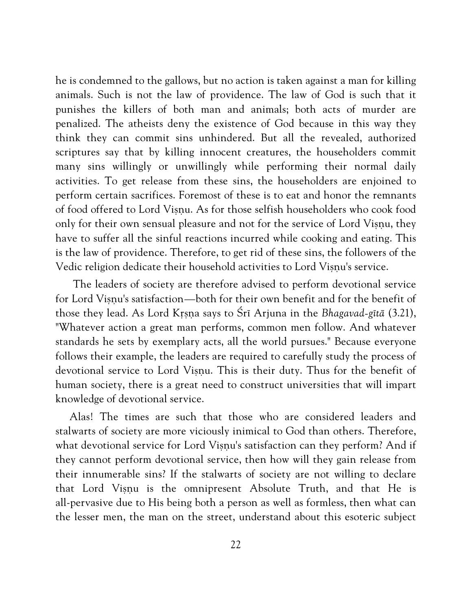he is condemned to the gallows, but no action is taken against a man for killing animals. Such is not the law of providence. The law of God is such that it punishes the killers of both man and animals; both acts of murder are penalized. The atheists deny the existence of God because in this way they think they can commit sins unhindered. But all the revealed, authorized scriptures say that by killing innocent creatures, the householders commit many sins willingly or unwillingly while performing their normal daily activities. To get release from these sins, the householders are enjoined to perform certain sacrifices. Foremost of these is to eat and honor the remnants of food offered to Lord Viñëu. As for those selfish householders who cook food only for their own sensual pleasure and not for the service of Lord Visnu, they have to suffer all the sinful reactions incurred while cooking and eating. This is the law of providence. Therefore, to get rid of these sins, the followers of the Vedic religion dedicate their household activities to Lord Visnu's service.

 The leaders of society are therefore advised to perform devotional service for Lord Visnu's satisfaction—both for their own benefit and for the benefit of those they lead. As Lord Krsna says to Śrī Arjuna in the *Bhagavad-gītā* (3.21), "Whatever action a great man performs, common men follow. And whatever standards he sets by exemplary acts, all the world pursues." Because everyone follows their example, the leaders are required to carefully study the process of devotional service to Lord Visnu. This is their duty. Thus for the benefit of human society, there is a great need to construct universities that will impart knowledge of devotional service.

Alas! The times are such that those who are considered leaders and stalwarts of society are more viciously inimical to God than others. Therefore, what devotional service for Lord Visnu's satisfaction can they perform? And if they cannot perform devotional service, then how will they gain release from their innumerable sins? If the stalwarts of society are not willing to declare that Lord Visnu is the omnipresent Absolute Truth, and that He is all-pervasive due to His being both a person as well as formless, then what can the lesser men, the man on the street, understand about this esoteric subject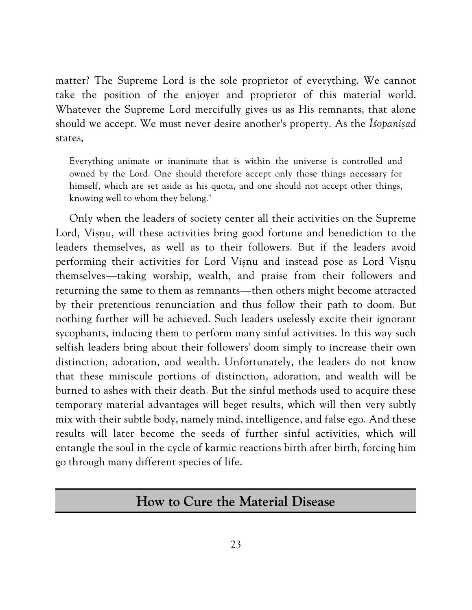matter? The Supreme Lord is the sole proprietor of everything. We cannot take the position of the enjoyer and proprietor of this material world. Whatever the Supreme Lord mercifully gives us as His remnants, that alone should we accept. We must never desire another's property. As the *Isopanisad* states,

Everything animate or inanimate that is within the universe is controlled and owned by the Lord. One should therefore accept only those things necessary for himself, which are set aside as his quota, and one should not accept other things, knowing well to whom they belong."

Only when the leaders of society center all their activities on the Supreme Lord, Visnu, will these activities bring good fortune and benediction to the leaders themselves, as well as to their followers. But if the leaders avoid performing their activities for Lord Vișnu and instead pose as Lord Vișnu themselves—taking worship, wealth, and praise from their followers and returning the same to them as remnants—then others might become attracted by their pretentious renunciation and thus follow their path to doom. But nothing further will be achieved. Such leaders uselessly excite their ignorant sycophants, inducing them to perform many sinful activities. In this way such selfish leaders bring about their followers' doom simply to increase their own distinction, adoration, and wealth. Unfortunately, the leaders do not know that these miniscule portions of distinction, adoration, and wealth will be burned to ashes with their death. But the sinful methods used to acquire these temporary material advantages will beget results, which will then very subtly mix with their subtle body, namely mind, intelligence, and false ego. And these results will later become the seeds of further sinful activities, which will entangle the soul in the cycle of karmic reactions birth after birth, forcing him go through many different species of life.

## **How to Cure the Material Disease**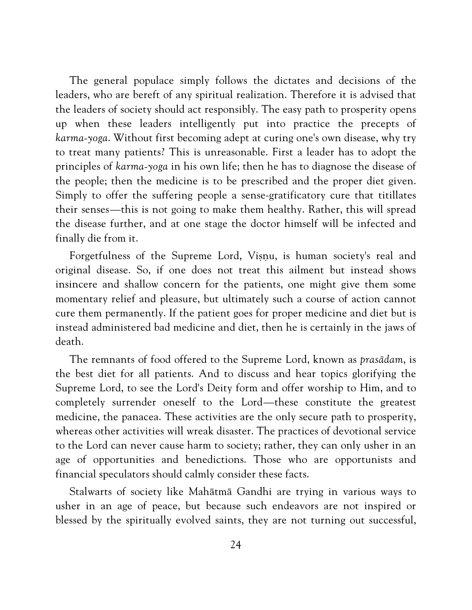The general populace simply follows the dictates and decisions of the leaders, who are bereft of any spiritual realization. Therefore it is advised that the leaders of society should act responsibly. The easy path to prosperity opens up when these leaders intelligently put into practice the precepts of *karma-yoga*. Without first becoming adept at curing one's own disease, why try to treat many patients? This is unreasonable. First a leader has to adopt the principles of *karma-yoga* in his own life; then he has to diagnose the disease of the people; then the medicine is to be prescribed and the proper diet given. Simply to offer the suffering people a sense-gratificatory cure that titillates their senses—this is not going to make them healthy. Rather, this will spread the disease further, and at one stage the doctor himself will be infected and finally die from it.

Forgetfulness of the Supreme Lord, Visnu, is human society's real and original disease. So, if one does not treat this ailment but instead shows insincere and shallow concern for the patients, one might give them some momentary relief and pleasure, but ultimately such a course of action cannot cure them permanently. If the patient goes for proper medicine and diet but is instead administered bad medicine and diet, then he is certainly in the jaws of death.

The remnants of food offered to the Supreme Lord, known as *prasädam*, is the best diet for all patients. And to discuss and hear topics glorifying the Supreme Lord, to see the Lord's Deity form and offer worship to Him, and to completely surrender oneself to the Lord—these constitute the greatest medicine, the panacea. These activities are the only secure path to prosperity, whereas other activities will wreak disaster. The practices of devotional service to the Lord can never cause harm to society; rather, they can only usher in an age of opportunities and benedictions. Those who are opportunists and financial speculators should calmly consider these facts.

Stalwarts of society like Mahätmä Gandhi are trying in various ways to usher in an age of peace, but because such endeavors are not inspired or blessed by the spiritually evolved saints, they are not turning out successful,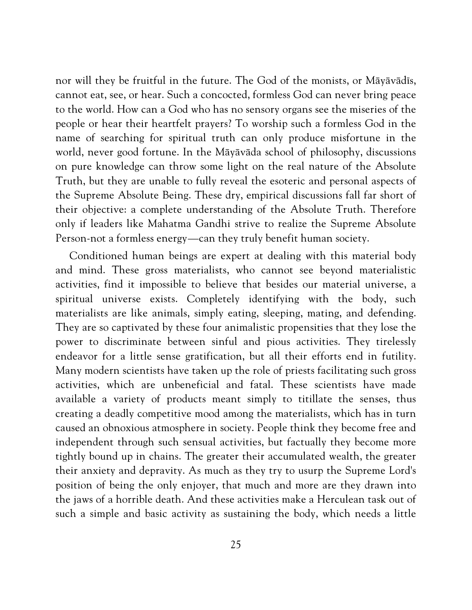nor will they be fruitful in the future. The God of the monists, or Mäyävädés, cannot eat, see, or hear. Such a concocted, formless God can never bring peace to the world. How can a God who has no sensory organs see the miseries of the people or hear their heartfelt prayers? To worship such a formless God in the name of searching for spiritual truth can only produce misfortune in the world, never good fortune. In the Mäyäväda school of philosophy, discussions on pure knowledge can throw some light on the real nature of the Absolute Truth, but they are unable to fully reveal the esoteric and personal aspects of the Supreme Absolute Being. These dry, empirical discussions fall far short of their objective: a complete understanding of the Absolute Truth. Therefore only if leaders like Mahatma Gandhi strive to realize the Supreme Absolute Person-not a formless energy—can they truly benefit human society.

Conditioned human beings are expert at dealing with this material body and mind. These gross materialists, who cannot see beyond materialistic activities, find it impossible to believe that besides our material universe, a spiritual universe exists. Completely identifying with the body, such materialists are like animals, simply eating, sleeping, mating, and defending. They are so captivated by these four animalistic propensities that they lose the power to discriminate between sinful and pious activities. They tirelessly endeavor for a little sense gratification, but all their efforts end in futility. Many modern scientists have taken up the role of priests facilitating such gross activities, which are unbeneficial and fatal. These scientists have made available a variety of products meant simply to titillate the senses, thus creating a deadly competitive mood among the materialists, which has in turn caused an obnoxious atmosphere in society. People think they become free and independent through such sensual activities, but factually they become more tightly bound up in chains. The greater their accumulated wealth, the greater their anxiety and depravity. As much as they try to usurp the Supreme Lord's position of being the only enjoyer, that much and more are they drawn into the jaws of a horrible death. And these activities make a Herculean task out of such a simple and basic activity as sustaining the body, which needs a little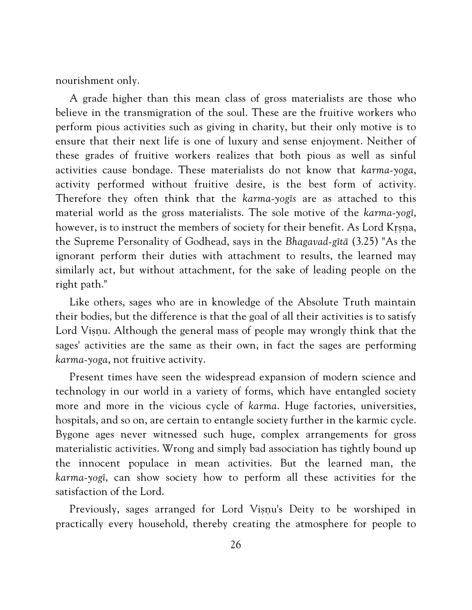nourishment only.

A grade higher than this mean class of gross materialists are those who believe in the transmigration of the soul. These are the fruitive workers who perform pious activities such as giving in charity, but their only motive is to ensure that their next life is one of luxury and sense enjoyment. Neither of these grades of fruitive workers realizes that both pious as well as sinful activities cause bondage. These materialists do not know that *karma-yoga*, activity performed without fruitive desire, is the best form of activity. Therefore they often think that the *karma-yogés* are as attached to this material world as the gross materialists. The sole motive of the *karma-yogé*, however, is to instruct the members of society for their benefit. As Lord Krsna, the Supreme Personality of Godhead, says in the *Bhagavad-gétä* (3.25) "As the ignorant perform their duties with attachment to results, the learned may similarly act, but without attachment, for the sake of leading people on the right path."

Like others, sages who are in knowledge of the Absolute Truth maintain their bodies, but the difference is that the goal of all their activities is to satisfy Lord Visnu. Although the general mass of people may wrongly think that the sages' activities are the same as their own, in fact the sages are performing *karma-yoga*, not fruitive activity.

Present times have seen the widespread expansion of modern science and technology in our world in a variety of forms, which have entangled society more and more in the vicious cycle of *karma*. Huge factories, universities, hospitals, and so on, are certain to entangle society further in the karmic cycle. Bygone ages never witnessed such huge, complex arrangements for gross materialistic activities. Wrong and simply bad association has tightly bound up the innocent populace in mean activities. But the learned man, the *karma-yogé*, can show society how to perform all these activities for the satisfaction of the Lord.

Previously, sages arranged for Lord Visnu's Deity to be worshiped in practically every household, thereby creating the atmosphere for people to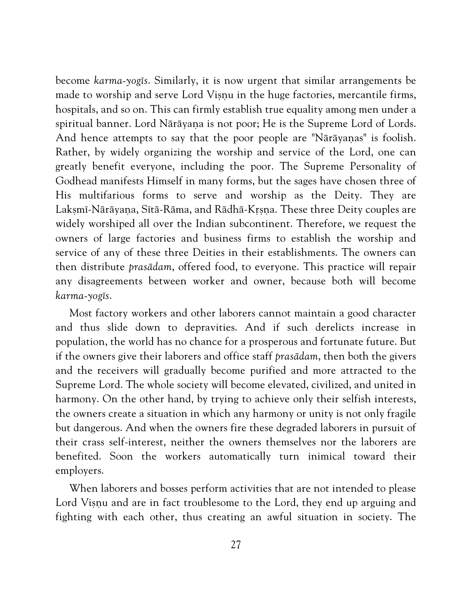become *karma-yogés*. Similarly, it is now urgent that similar arrangements be made to worship and serve Lord Visnu in the huge factories, mercantile firms, hospitals, and so on. This can firmly establish true equality among men under a spiritual banner. Lord Nārāyana is not poor; He is the Supreme Lord of Lords. And hence attempts to say that the poor people are "Narayanas" is foolish. Rather, by widely organizing the worship and service of the Lord, one can greatly benefit everyone, including the poor. The Supreme Personality of Godhead manifests Himself in many forms, but the sages have chosen three of His multifarious forms to serve and worship as the Deity. They are Laksmī-Nārāyaṇa, Sītā-Rāma, and Rādhā-Kŗṣṇa. These three Deity couples are widely worshiped all over the Indian subcontinent. Therefore, we request the owners of large factories and business firms to establish the worship and service of any of these three Deities in their establishments. The owners can then distribute *prasädam*, offered food, to everyone. This practice will repair any disagreements between worker and owner, because both will become *karma-yogés*.

Most factory workers and other laborers cannot maintain a good character and thus slide down to depravities. And if such derelicts increase in population, the world has no chance for a prosperous and fortunate future. But if the owners give their laborers and office staff *prasädam*, then both the givers and the receivers will gradually become purified and more attracted to the Supreme Lord. The whole society will become elevated, civilized, and united in harmony. On the other hand, by trying to achieve only their selfish interests, the owners create a situation in which any harmony or unity is not only fragile but dangerous. And when the owners fire these degraded laborers in pursuit of their crass self-interest, neither the owners themselves nor the laborers are benefited. Soon the workers automatically turn inimical toward their employers.

When laborers and bosses perform activities that are not intended to please Lord Visnu and are in fact troublesome to the Lord, they end up arguing and fighting with each other, thus creating an awful situation in society. The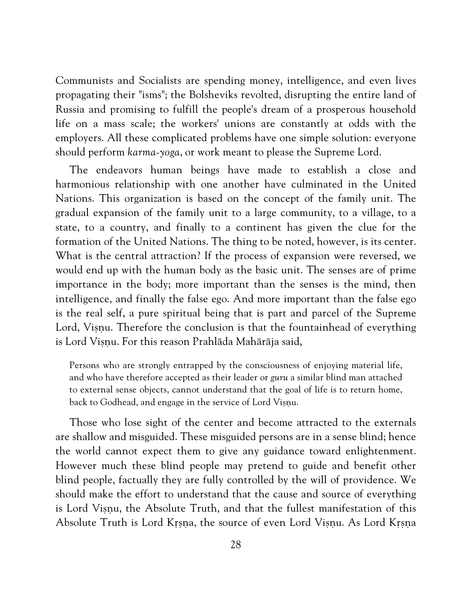Communists and Socialists are spending money, intelligence, and even lives propagating their "isms"; the Bolsheviks revolted, disrupting the entire land of Russia and promising to fulfill the people's dream of a prosperous household life on a mass scale; the workers' unions are constantly at odds with the employers. All these complicated problems have one simple solution: everyone should perform *karma-yoga*, or work meant to please the Supreme Lord.

The endeavors human beings have made to establish a close and harmonious relationship with one another have culminated in the United Nations. This organization is based on the concept of the family unit. The gradual expansion of the family unit to a large community, to a village, to a state, to a country, and finally to a continent has given the clue for the formation of the United Nations. The thing to be noted, however, is its center. What is the central attraction? If the process of expansion were reversed, we would end up with the human body as the basic unit. The senses are of prime importance in the body; more important than the senses is the mind, then intelligence, and finally the false ego. And more important than the false ego is the real self, a pure spiritual being that is part and parcel of the Supreme Lord, Visnu. Therefore the conclusion is that the fountainhead of everything is Lord Vișņu. For this reason Prahlāda Mahārāja said,

Persons who are strongly entrapped by the consciousness of enjoying material life, and who have therefore accepted as their leader or *guru* a similar blind man attached to external sense objects, cannot understand that the goal of life is to return home, back to Godhead, and engage in the service of Lord Visnu.

Those who lose sight of the center and become attracted to the externals are shallow and misguided. These misguided persons are in a sense blind; hence the world cannot expect them to give any guidance toward enlightenment. However much these blind people may pretend to guide and benefit other blind people, factually they are fully controlled by the will of providence. We should make the effort to understand that the cause and source of everything is Lord Visnu, the Absolute Truth, and that the fullest manifestation of this Absolute Truth is Lord Krsna, the source of even Lord Visnu. As Lord Krsna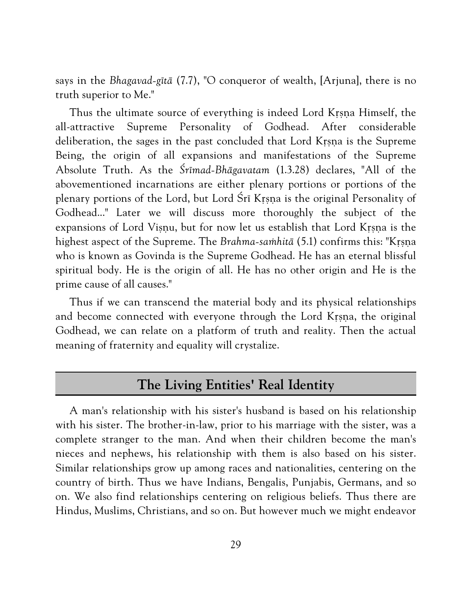says in the *Bhagavad-gétä* (7.7), "O conqueror of wealth, [Arjuna], there is no truth superior to Me."

Thus the ultimate source of everything is indeed Lord Krsna Himself, the all-attractive Supreme Personality of Godhead. After considerable deliberation, the sages in the past concluded that Lord Krsna is the Supreme Being, the origin of all expansions and manifestations of the Supreme Absolute Truth. As the *Çrémad-Bhägavatam* (1.3.28) declares, "All of the abovementioned incarnations are either plenary portions or portions of the plenary portions of the Lord, but Lord Śrī Krsna is the original Personality of Godhead..." Later we will discuss more thoroughly the subject of the expansions of Lord Visnu, but for now let us establish that Lord Krsna is the highest aspect of the Supreme. The *Brahma-samhitā* (5.1) confirms this: "Krsna who is known as Govinda is the Supreme Godhead. He has an eternal blissful spiritual body. He is the origin of all. He has no other origin and He is the prime cause of all causes."

Thus if we can transcend the material body and its physical relationships and become connected with everyone through the Lord Krsna, the original Godhead, we can relate on a platform of truth and reality. Then the actual meaning of fraternity and equality will crystalize.

#### **The Living Entities' Real Identity**

A man's relationship with his sister's husband is based on his relationship with his sister. The brother-in-law, prior to his marriage with the sister, was a complete stranger to the man. And when their children become the man's nieces and nephews, his relationship with them is also based on his sister. Similar relationships grow up among races and nationalities, centering on the country of birth. Thus we have Indians, Bengalis, Punjabis, Germans, and so on. We also find relationships centering on religious beliefs. Thus there are Hindus, Muslims, Christians, and so on. But however much we might endeavor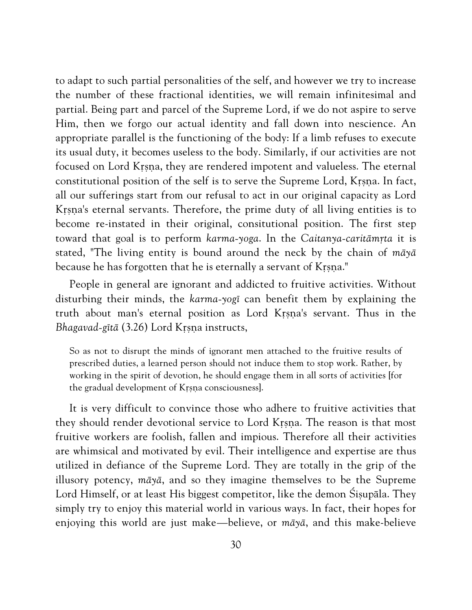to adapt to such partial personalities of the self, and however we try to increase the number of these fractional identities, we will remain infinitesimal and partial. Being part and parcel of the Supreme Lord, if we do not aspire to serve Him, then we forgo our actual identity and fall down into nescience. An appropriate parallel is the functioning of the body: If a limb refuses to execute its usual duty, it becomes useless to the body. Similarly, if our activities are not focused on Lord Krsna, they are rendered impotent and valueless. The eternal constitutional position of the self is to serve the Supreme Lord, Krsna. In fact, all our sufferings start from our refusal to act in our original capacity as Lord Krsna's eternal servants. Therefore, the prime duty of all living entities is to become re-instated in their original, consitutional position. The first step toward that goal is to perform *karma-yoga*. In the *Caitanya-caritāmrta* it is stated, "The living entity is bound around the neck by the chain of *mäyä* because he has forgotten that he is eternally a servant of Krsna."

People in general are ignorant and addicted to fruitive activities. Without disturbing their minds, the *karma-yogé* can benefit them by explaining the truth about man's eternal position as Lord Krsna's servant. Thus in the *Bhagavad-gītā* (3.26) Lord Krsna instructs,

So as not to disrupt the minds of ignorant men attached to the fruitive results of prescribed duties, a learned person should not induce them to stop work. Rather, by working in the spirit of devotion, he should engage them in all sorts of activities [for the gradual development of Krsna consciousness].

It is very difficult to convince those who adhere to fruitive activities that they should render devotional service to Lord Krsna. The reason is that most fruitive workers are foolish, fallen and impious. Therefore all their activities are whimsical and motivated by evil. Their intelligence and expertise are thus utilized in defiance of the Supreme Lord. They are totally in the grip of the illusory potency, *mäyä*, and so they imagine themselves to be the Supreme Lord Himself, or at least His biggest competitor, like the demon Śisupāla. They simply try to enjoy this material world in various ways. In fact, their hopes for enjoying this world are just make—believe, or *mäyä*, and this make-believe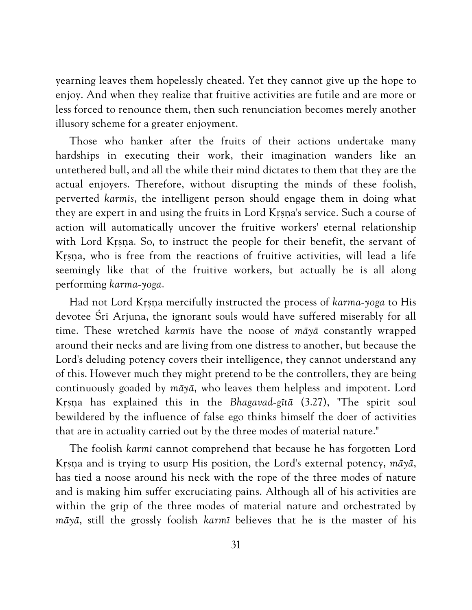yearning leaves them hopelessly cheated. Yet they cannot give up the hope to enjoy. And when they realize that fruitive activities are futile and are more or less forced to renounce them, then such renunciation becomes merely another illusory scheme for a greater enjoyment.

Those who hanker after the fruits of their actions undertake many hardships in executing their work, their imagination wanders like an untethered bull, and all the while their mind dictates to them that they are the actual enjoyers. Therefore, without disrupting the minds of these foolish, perverted *karmés*, the intelligent person should engage them in doing what they are expert in and using the fruits in Lord Krsna's service. Such a course of action will automatically uncover the fruitive workers' eternal relationship with Lord Krsna. So, to instruct the people for their benefit, the servant of Krsna, who is free from the reactions of fruitive activities, will lead a life seemingly like that of the fruitive workers, but actually he is all along performing *karma-yoga*.

Had not Lord Krsna mercifully instructed the process of *karma-yoga* to His devotee Sri Arjuna, the ignorant souls would have suffered miserably for all time. These wretched *karmés* have the noose of *mäyä* constantly wrapped around their necks and are living from one distress to another, but because the Lord's deluding potency covers their intelligence, they cannot understand any of this. However much they might pretend to be the controllers, they are being continuously goaded by *mäyä*, who leaves them helpless and impotent. Lord Krsna has explained this in the *Bhagavad-gītā* (3.27), "The spirit soul bewildered by the influence of false ego thinks himself the doer of activities that are in actuality carried out by the three modes of material nature."

The foolish *karmé* cannot comprehend that because he has forgotten Lord Krsna and is trying to usurp His position, the Lord's external potency, *māyā*, has tied a noose around his neck with the rope of the three modes of nature and is making him suffer excruciating pains. Although all of his activities are within the grip of the three modes of material nature and orchestrated by *mäyä*, still the grossly foolish *karmé* believes that he is the master of his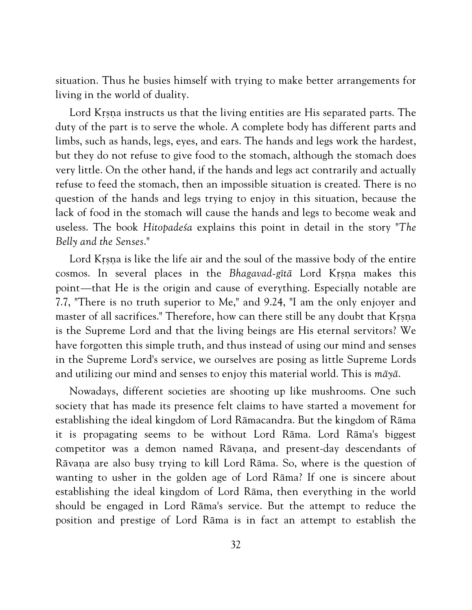situation. Thus he busies himself with trying to make better arrangements for living in the world of duality.

Lord Krsna instructs us that the living entities are His separated parts. The duty of the part is to serve the whole. A complete body has different parts and limbs, such as hands, legs, eyes, and ears. The hands and legs work the hardest, but they do not refuse to give food to the stomach, although the stomach does very little. On the other hand, if the hands and legs act contrarily and actually refuse to feed the stomach, then an impossible situation is created. There is no question of the hands and legs trying to enjoy in this situation, because the lack of food in the stomach will cause the hands and legs to become weak and useless. The book *Hitopadeça* explains this point in detail in the story "*The Belly and the Senses*."

Lord Krsna is like the life air and the soul of the massive body of the entire cosmos. In several places in the *Bhagavad-gītā* Lord Krsna makes this point—that He is the origin and cause of everything. Especially notable are 7.7, "There is no truth superior to Me," and 9.24, "I am the only enjoyer and master of all sacrifices." Therefore, how can there still be any doubt that Krsna is the Supreme Lord and that the living beings are His eternal servitors? We have forgotten this simple truth, and thus instead of using our mind and senses in the Supreme Lord's service, we ourselves are posing as little Supreme Lords and utilizing our mind and senses to enjoy this material world. This is *mäyä*.

Nowadays, different societies are shooting up like mushrooms. One such society that has made its presence felt claims to have started a movement for establishing the ideal kingdom of Lord Rämacandra. But the kingdom of Räma it is propagating seems to be without Lord Räma. Lord Räma's biggest competitor was a demon named Rāvana, and present-day descendants of Rāvaņa are also busy trying to kill Lord Rāma. So, where is the question of wanting to usher in the golden age of Lord Räma? If one is sincere about establishing the ideal kingdom of Lord Räma, then everything in the world should be engaged in Lord Räma's service. But the attempt to reduce the position and prestige of Lord Räma is in fact an attempt to establish the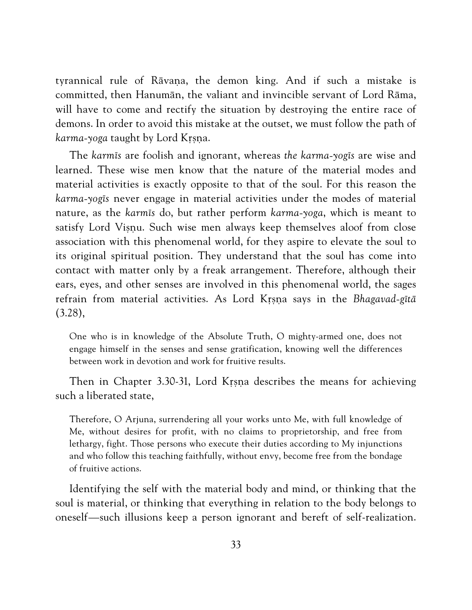tyrannical rule of Rāvana, the demon king. And if such a mistake is committed, then Hanumän, the valiant and invincible servant of Lord Räma, will have to come and rectify the situation by destroying the entire race of demons. In order to avoid this mistake at the outset, we must follow the path of *karma-yoga* taught by Lord Krsna.

The *karmés* are foolish and ignorant, whereas *the karma-yogés* are wise and learned. These wise men know that the nature of the material modes and material activities is exactly opposite to that of the soul. For this reason the *karma-yogés* never engage in material activities under the modes of material nature, as the *karmés* do, but rather perform *karma-yoga*, which is meant to satisfy Lord Visnu. Such wise men always keep themselves aloof from close association with this phenomenal world, for they aspire to elevate the soul to its original spiritual position. They understand that the soul has come into contact with matter only by a freak arrangement. Therefore, although their ears, eyes, and other senses are involved in this phenomenal world, the sages refrain from material activities. As Lord Krsna says in the *Bhagavad-gītā* (3.28),

One who is in knowledge of the Absolute Truth, O mighty-armed one, does not engage himself in the senses and sense gratification, knowing well the differences between work in devotion and work for fruitive results.

Then in Chapter 3.30-31, Lord Krsna describes the means for achieving such a liberated state,

Therefore, O Arjuna, surrendering all your works unto Me, with full knowledge of Me, without desires for profit, with no claims to proprietorship, and free from lethargy, fight. Those persons who execute their duties according to My injunctions and who follow this teaching faithfully, without envy, become free from the bondage of fruitive actions.

Identifying the self with the material body and mind, or thinking that the soul is material, or thinking that everything in relation to the body belongs to oneself—such illusions keep a person ignorant and bereft of self-realization.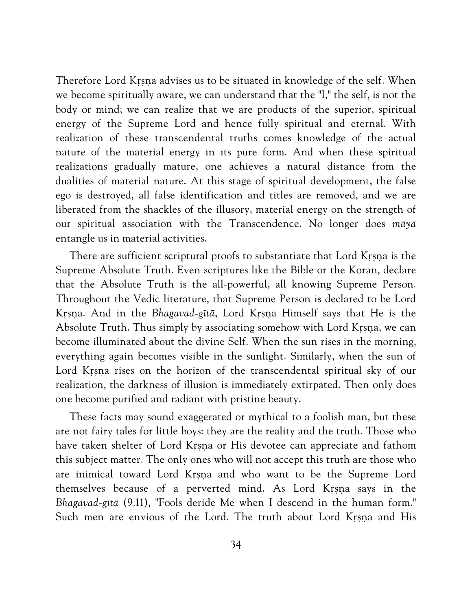Therefore Lord Krsna advises us to be situated in knowledge of the self. When we become spiritually aware, we can understand that the "I," the self, is not the body or mind; we can realize that we are products of the superior, spiritual energy of the Supreme Lord and hence fully spiritual and eternal. With realization of these transcendental truths comes knowledge of the actual nature of the material energy in its pure form. And when these spiritual realizations gradually mature, one achieves a natural distance from the dualities of material nature. At this stage of spiritual development, the false ego is destroyed, all false identification and titles are removed, and we are liberated from the shackles of the illusory, material energy on the strength of our spiritual association with the Transcendence. No longer does *mäyä* entangle us in material activities.

There are sufficient scriptural proofs to substantiate that Lord Krsna is the Supreme Absolute Truth. Even scriptures like the Bible or the Koran, declare that the Absolute Truth is the all-powerful, all knowing Supreme Person. Throughout the Vedic literature, that Supreme Person is declared to be Lord Krsna. And in the *Bhagavad-gītā*, Lord Krsna Himself says that He is the Absolute Truth. Thus simply by associating somehow with Lord Krsna, we can become illuminated about the divine Self. When the sun rises in the morning, everything again becomes visible in the sunlight. Similarly, when the sun of Lord Krsna rises on the horizon of the transcendental spiritual sky of our realization, the darkness of illusion is immediately extirpated. Then only does one become purified and radiant with pristine beauty.

These facts may sound exaggerated or mythical to a foolish man, but these are not fairy tales for little boys: they are the reality and the truth. Those who have taken shelter of Lord Krsna or His devotee can appreciate and fathom this subject matter. The only ones who will not accept this truth are those who are inimical toward Lord Krsna and who want to be the Supreme Lord themselves because of a perverted mind. As Lord Krsna says in the *Bhagavad-gétä* (9.11), "Fools deride Me when I descend in the human form." Such men are envious of the Lord. The truth about Lord Krsna and His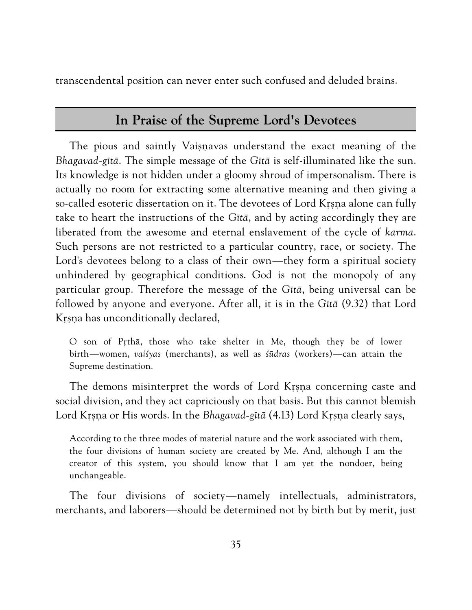transcendental position can never enter such confused and deluded brains.

## **In Praise of the Supreme Lord's Devotees**

The pious and saintly Vaisnavas understand the exact meaning of the *Bhagavad-gétä*. The simple message of the *Gétä* is self-illuminated like the sun. Its knowledge is not hidden under a gloomy shroud of impersonalism. There is actually no room for extracting some alternative meaning and then giving a so-called esoteric dissertation on it. The devotees of Lord Krsna alone can fully take to heart the instructions of the *Gétä*, and by acting accordingly they are liberated from the awesome and eternal enslavement of the cycle of *karma*. Such persons are not restricted to a particular country, race, or society. The Lord's devotees belong to a class of their own—they form a spiritual society unhindered by geographical conditions. God is not the monopoly of any particular group. Therefore the message of the *Gétä*, being universal can be followed by anyone and everyone. After all, it is in the *Gétä* (9.32) that Lord Krsna has unconditionally declared,

O son of Prthā, those who take shelter in Me, though they be of lower birth—women, *vaiçyas* (merchants), as well as *çüdras* (workers)—can attain the Supreme destination.

The demons misinterpret the words of Lord Krsna concerning caste and social division, and they act capriciously on that basis. But this cannot blemish Lord Krsna or His words. In the *Bhagavad-gītā* (4.13) Lord Krsna clearly says,

According to the three modes of material nature and the work associated with them, the four divisions of human society are created by Me. And, although I am the creator of this system, you should know that I am yet the nondoer, being unchangeable.

The four divisions of society—namely intellectuals, administrators, merchants, and laborers—should be determined not by birth but by merit, just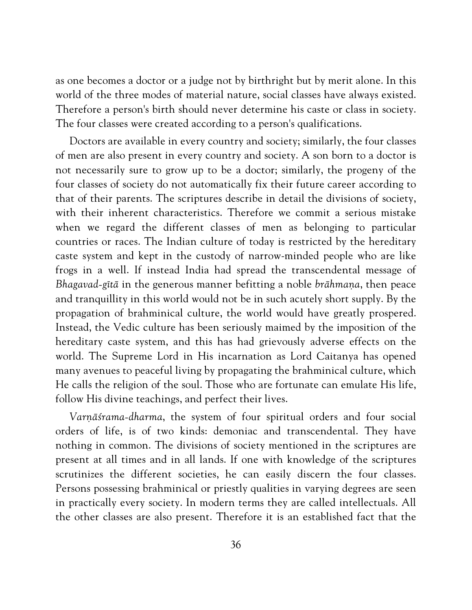as one becomes a doctor or a judge not by birthright but by merit alone. In this world of the three modes of material nature, social classes have always existed. Therefore a person's birth should never determine his caste or class in society. The four classes were created according to a person's qualifications.

Doctors are available in every country and society; similarly, the four classes of men are also present in every country and society. A son born to a doctor is not necessarily sure to grow up to be a doctor; similarly, the progeny of the four classes of society do not automatically fix their future career according to that of their parents. The scriptures describe in detail the divisions of society, with their inherent characteristics. Therefore we commit a serious mistake when we regard the different classes of men as belonging to particular countries or races. The Indian culture of today is restricted by the hereditary caste system and kept in the custody of narrow-minded people who are like frogs in a well. If instead India had spread the transcendental message of *Bhagavad-gitā* in the generous manner befitting a noble *brāhmana*, then peace and tranquillity in this world would not be in such acutely short supply. By the propagation of brahminical culture, the world would have greatly prospered. Instead, the Vedic culture has been seriously maimed by the imposition of the hereditary caste system, and this has had grievously adverse effects on the world. The Supreme Lord in His incarnation as Lord Caitanya has opened many avenues to peaceful living by propagating the brahminical culture, which He calls the religion of the soul. Those who are fortunate can emulate His life, follow His divine teachings, and perfect their lives.

*Varnāśrama-dharma*, the system of four spiritual orders and four social orders of life, is of two kinds: demoniac and transcendental. They have nothing in common. The divisions of society mentioned in the scriptures are present at all times and in all lands. If one with knowledge of the scriptures scrutinizes the different societies, he can easily discern the four classes. Persons possessing brahminical or priestly qualities in varying degrees are seen in practically every society. In modern terms they are called intellectuals. All the other classes are also present. Therefore it is an established fact that the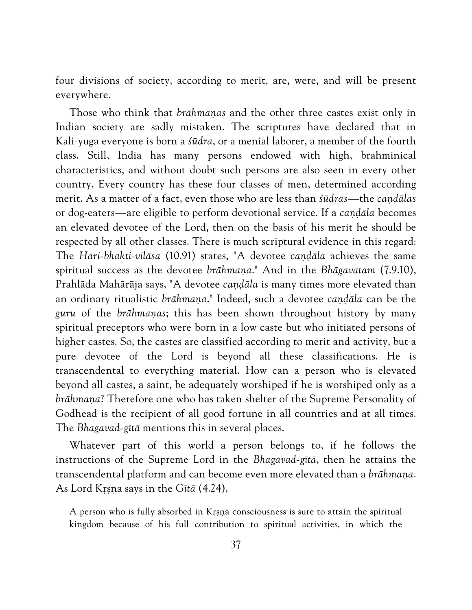four divisions of society, according to merit, are, were, and will be present everywhere.

Those who think that *brāhmanas* and the other three castes exist only in Indian society are sadly mistaken. The scriptures have declared that in Kali-yuga everyone is born a *çüdra*, or a menial laborer, a member of the fourth class. Still, India has many persons endowed with high, brahminical characteristics, and without doubt such persons are also seen in every other country. Every country has these four classes of men, determined according merit. As a matter of a fact, even those who are less than *sūdras*—the *candālas* or dog-eaters—are eligible to perform devotional service. If a *candala* becomes an elevated devotee of the Lord, then on the basis of his merit he should be respected by all other classes. There is much scriptural evidence in this regard: The *Hari-bhakti-vilāsa* (10.91) states, "A devotee *candāla* achieves the same spiritual success as the devotee *brāhmaņa*." And in the *Bhāgavatam* (7.9.10), Prahlāda Mahārāja says, "A devotee *candāla* is many times more elevated than an ordinary ritualistic *brāhmana*." Indeed, such a devotee *candāla* can be the *guru* of the *brāhmanas*; this has been shown throughout history by many spiritual preceptors who were born in a low caste but who initiated persons of higher castes. So, the castes are classified according to merit and activity, but a pure devotee of the Lord is beyond all these classifications. He is transcendental to everything material. How can a person who is elevated beyond all castes, a saint, be adequately worshiped if he is worshiped only as a *brāhmana*? Therefore one who has taken shelter of the Supreme Personality of Godhead is the recipient of all good fortune in all countries and at all times. The *Bhagavad-gétä* mentions this in several places.

Whatever part of this world a person belongs to, if he follows the instructions of the Supreme Lord in the *Bhagavad-gétä*, then he attains the transcendental platform and can become even more elevated than a *brāhmana*. As Lord Krsna says in the *Gītā* (4.24),

A person who is fully absorbed in Krsna consciousness is sure to attain the spiritual kingdom because of his full contribution to spiritual activities, in which the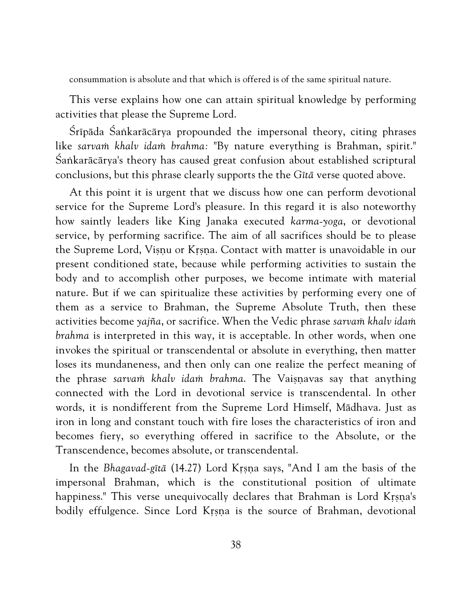consummation is absolute and that which is offered is of the same spiritual nature.

This verse explains how one can attain spiritual knowledge by performing activities that please the Supreme Lord.

Śrīpāda Śaṅkarācārya propounded the impersonal theory, citing phrases like *sarvam khalv idam brahma:* "By nature everything is Brahman, spirit." Sankarācārya's theory has caused great confusion about established scriptural conclusions, but this phrase clearly supports the the *Gétä* verse quoted above.

At this point it is urgent that we discuss how one can perform devotional service for the Supreme Lord's pleasure. In this regard it is also noteworthy how saintly leaders like King Janaka executed *karma-yoga*, or devotional service, by performing sacrifice. The aim of all sacrifices should be to please the Supreme Lord, Visnu or Krsna. Contact with matter is unavoidable in our present conditioned state, because while performing activities to sustain the body and to accomplish other purposes, we become intimate with material nature. But if we can spiritualize these activities by performing every one of them as a service to Brahman, the Supreme Absolute Truth, then these activities become *yajña*, or sacrifice. When the Vedic phrase *sarvam khalv idam brahma* is interpreted in this way, it is acceptable. In other words, when one invokes the spiritual or transcendental or absolute in everything, then matter loses its mundaneness, and then only can one realize the perfect meaning of the phrase *sarvam khalv idam brahma*. The Vaisnavas say that anything connected with the Lord in devotional service is transcendental. In other words, it is nondifferent from the Supreme Lord Himself, Mädhava. Just as iron in long and constant touch with fire loses the characteristics of iron and becomes fiery, so everything offered in sacrifice to the Absolute, or the Transcendence, becomes absolute, or transcendental.

In the *Bhagavad-gītā* (14.27) Lord Krsna says, "And I am the basis of the impersonal Brahman, which is the constitutional position of ultimate happiness." This verse unequivocally declares that Brahman is Lord Krsna's bodily effulgence. Since Lord Krsna is the source of Brahman, devotional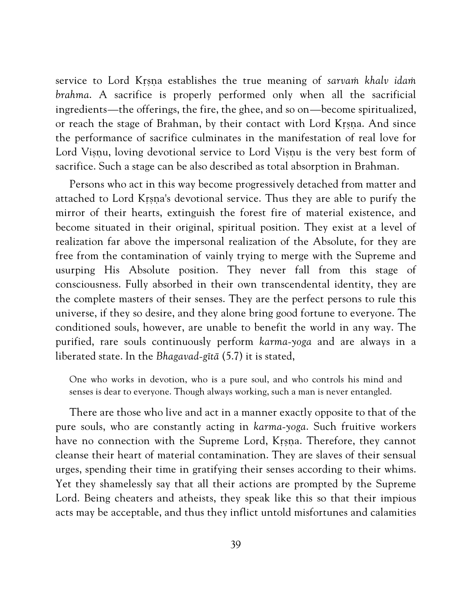service to Lord Krsna establishes the true meaning of *sarvam khalv idam brahma*. A sacrifice is properly performed only when all the sacrificial ingredients—the offerings, the fire, the ghee, and so on—become spiritualized, or reach the stage of Brahman, by their contact with Lord Krsna. And since the performance of sacrifice culminates in the manifestation of real love for Lord Visnu, loving devotional service to Lord Visnu is the very best form of sacrifice. Such a stage can be also described as total absorption in Brahman.

Persons who act in this way become progressively detached from matter and attached to Lord Krsna's devotional service. Thus they are able to purify the mirror of their hearts, extinguish the forest fire of material existence, and become situated in their original, spiritual position. They exist at a level of realization far above the impersonal realization of the Absolute, for they are free from the contamination of vainly trying to merge with the Supreme and usurping His Absolute position. They never fall from this stage of consciousness. Fully absorbed in their own transcendental identity, they are the complete masters of their senses. They are the perfect persons to rule this universe, if they so desire, and they alone bring good fortune to everyone. The conditioned souls, however, are unable to benefit the world in any way. The purified, rare souls continuously perform *karma-yoga* and are always in a liberated state. In the *Bhagavad-gétä* (5.7) it is stated,

One who works in devotion, who is a pure soul, and who controls his mind and senses is dear to everyone. Though always working, such a man is never entangled.

There are those who live and act in a manner exactly opposite to that of the pure souls, who are constantly acting in *karma-yoga*. Such fruitive workers have no connection with the Supreme Lord, Krsna. Therefore, they cannot cleanse their heart of material contamination. They are slaves of their sensual urges, spending their time in gratifying their senses according to their whims. Yet they shamelessly say that all their actions are prompted by the Supreme Lord. Being cheaters and atheists, they speak like this so that their impious acts may be acceptable, and thus they inflict untold misfortunes and calamities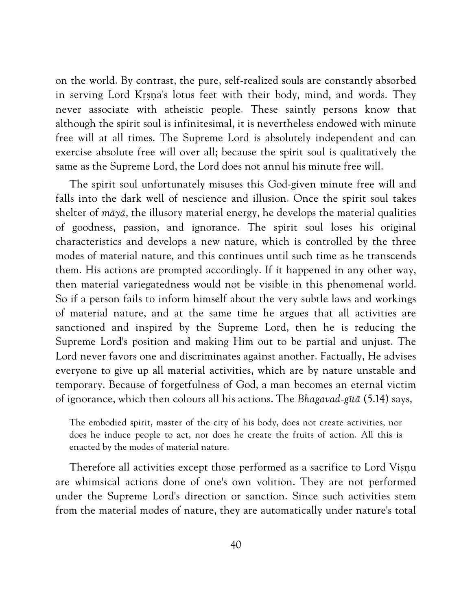on the world. By contrast, the pure, self-realized souls are constantly absorbed in serving Lord Krsna's lotus feet with their body, mind, and words. They never associate with atheistic people. These saintly persons know that although the spirit soul is infinitesimal, it is nevertheless endowed with minute free will at all times. The Supreme Lord is absolutely independent and can exercise absolute free will over all; because the spirit soul is qualitatively the same as the Supreme Lord, the Lord does not annul his minute free will.

The spirit soul unfortunately misuses this God-given minute free will and falls into the dark well of nescience and illusion. Once the spirit soul takes shelter of *mäyä*, the illusory material energy, he develops the material qualities of goodness, passion, and ignorance. The spirit soul loses his original characteristics and develops a new nature, which is controlled by the three modes of material nature, and this continues until such time as he transcends them. His actions are prompted accordingly. If it happened in any other way, then material variegatedness would not be visible in this phenomenal world. So if a person fails to inform himself about the very subtle laws and workings of material nature, and at the same time he argues that all activities are sanctioned and inspired by the Supreme Lord, then he is reducing the Supreme Lord's position and making Him out to be partial and unjust. The Lord never favors one and discriminates against another. Factually, He advises everyone to give up all material activities, which are by nature unstable and temporary. Because of forgetfulness of God, a man becomes an eternal victim of ignorance, which then colours all his actions. The *Bhagavad-gétä* (5.14) says,

The embodied spirit, master of the city of his body, does not create activities, nor does he induce people to act, nor does he create the fruits of action. All this is enacted by the modes of material nature.

Therefore all activities except those performed as a sacrifice to Lord Viṣṇu are whimsical actions done of one's own volition. They are not performed under the Supreme Lord's direction or sanction. Since such activities stem from the material modes of nature, they are automatically under nature's total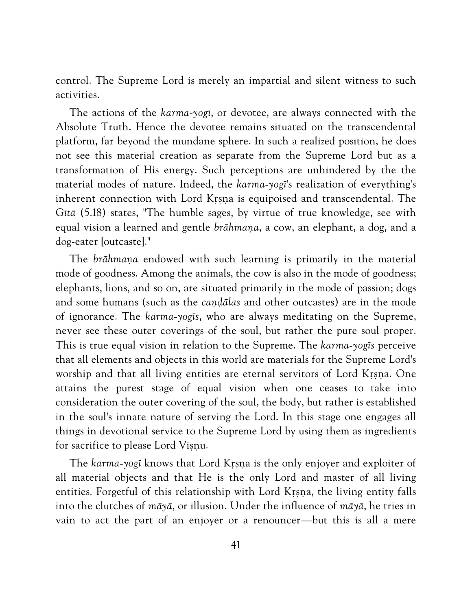control. The Supreme Lord is merely an impartial and silent witness to such activities.

The actions of the *karma-yogé*, or devotee, are always connected with the Absolute Truth. Hence the devotee remains situated on the transcendental platform, far beyond the mundane sphere. In such a realized position, he does not see this material creation as separate from the Supreme Lord but as a transformation of His energy. Such perceptions are unhindered by the the material modes of nature. Indeed, the *karma-yogé*'s realization of everything's inherent connection with Lord Krsna is equipoised and transcendental. The *Gétä* (5.18) states, "The humble sages, by virtue of true knowledge, see with equal vision a learned and gentle *brāhmana*, a cow, an elephant, a dog, and a dog-eater [outcaste]."

The *brāhmana* endowed with such learning is primarily in the material mode of goodness. Among the animals, the cow is also in the mode of goodness; elephants, lions, and so on, are situated primarily in the mode of passion; dogs and some humans (such as the *candalas* and other outcastes) are in the mode of ignorance. The *karma-yogés*, who are always meditating on the Supreme, never see these outer coverings of the soul, but rather the pure soul proper. This is true equal vision in relation to the Supreme. The *karma-yogés* perceive that all elements and objects in this world are materials for the Supreme Lord's worship and that all living entities are eternal servitors of Lord Krsna. One attains the purest stage of equal vision when one ceases to take into consideration the outer covering of the soul, the body, but rather is established in the soul's innate nature of serving the Lord. In this stage one engages all things in devotional service to the Supreme Lord by using them as ingredients for sacrifice to please Lord Visnu.

The *karma-yogi* knows that Lord Krsna is the only enjoyer and exploiter of all material objects and that He is the only Lord and master of all living entities. Forgetful of this relationship with Lord Krsna, the living entity falls into the clutches of *mäyä*, or illusion. Under the influence of *mäyä*, he tries in vain to act the part of an enjoyer or a renouncer—but this is all a mere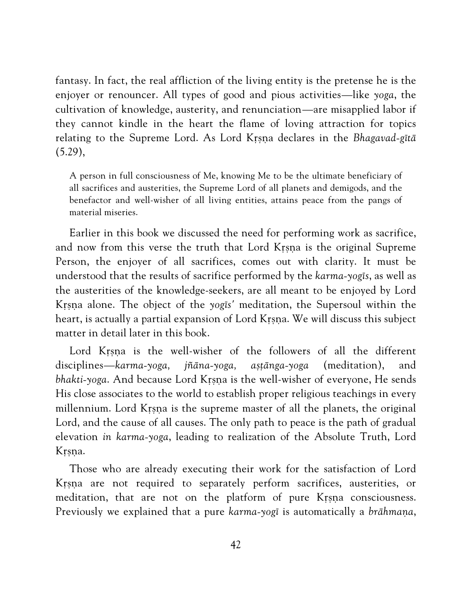fantasy. In fact, the real affliction of the living entity is the pretense he is the enjoyer or renouncer. All types of good and pious activities—like *yoga*, the cultivation of knowledge, austerity, and renunciation—are misapplied labor if they cannot kindle in the heart the flame of loving attraction for topics relating to the Supreme Lord. As Lord Krsna declares in the *Bhagavad-gītā* (5.29),

A person in full consciousness of Me, knowing Me to be the ultimate beneficiary of all sacrifices and austerities, the Supreme Lord of all planets and demigods, and the benefactor and well-wisher of all living entities, attains peace from the pangs of material miseries.

Earlier in this book we discussed the need for performing work as sacrifice, and now from this verse the truth that Lord Krsna is the original Supreme Person, the enjoyer of all sacrifices, comes out with clarity. It must be understood that the results of sacrifice performed by the *karma-yogés*, as well as the austerities of the knowledge-seekers, are all meant to be enjoyed by Lord Krsna alone. The object of the *yog*ts' meditation, the Supersoul within the heart, is actually a partial expansion of Lord Krsna. We will discuss this subject matter in detail later in this book.

Lord Krsna is the well-wisher of the followers of all the different disciplines—*karma-yoga, jñāna-yoga, aṣṭānga-yoga* (meditation), and *bhakti-yoga*. And because Lord Krsna is the well-wisher of everyone, He sends His close associates to the world to establish proper religious teachings in every millennium. Lord Krsna is the supreme master of all the planets, the original Lord, and the cause of all causes. The only path to peace is the path of gradual elevation *in karma-yoga*, leading to realization of the Absolute Truth, Lord Krsna.

Those who are already executing their work for the satisfaction of Lord Krsna are not required to separately perform sacrifices, austerities, or meditation, that are not on the platform of pure Krsna consciousness. Previously we explained that a pure *karma-yogi* is automatically a *brāhmana*,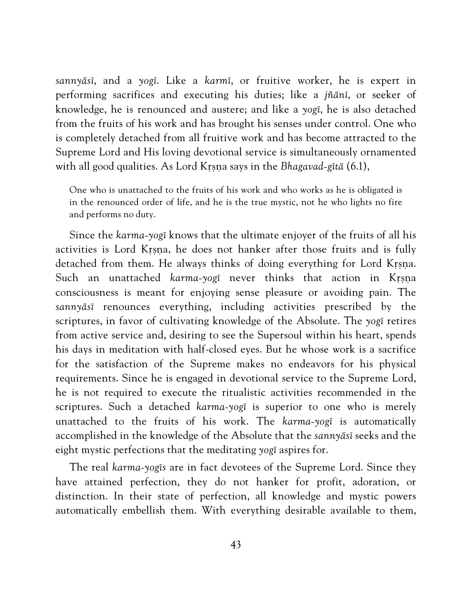*sannyäsé*, and a *yogé*. Like a *karmé*, or fruitive worker, he is expert in performing sacrifices and executing his duties; like a *jïäné*, or seeker of knowledge, he is renounced and austere; and like a *yogé*, he is also detached from the fruits of his work and has brought his senses under control. One who is completely detached from all fruitive work and has become attracted to the Supreme Lord and His loving devotional service is simultaneously ornamented with all good qualities. As Lord Krsna says in the *Bhagavad-gītā* (6.1),

One who is unattached to the fruits of his work and who works as he is obligated is in the renounced order of life, and he is the true mystic, not he who lights no fire and performs no duty.

Since the *karma-yogé* knows that the ultimate enjoyer of the fruits of all his activities is Lord Krsna, he does not hanker after those fruits and is fully detached from them. He always thinks of doing everything for Lord Krsna. Such an unattached *karma-yogi* never thinks that action in Krsna consciousness is meant for enjoying sense pleasure or avoiding pain. The *sannyäsé* renounces everything, including activities prescribed by the scriptures, in favor of cultivating knowledge of the Absolute. The *yogé* retires from active service and, desiring to see the Supersoul within his heart, spends his days in meditation with half-closed eyes. But he whose work is a sacrifice for the satisfaction of the Supreme makes no endeavors for his physical requirements. Since he is engaged in devotional service to the Supreme Lord, he is not required to execute the ritualistic activities recommended in the scriptures. Such a detached *karma-yogé* is superior to one who is merely unattached to the fruits of his work. The *karma-yogé* is automatically accomplished in the knowledge of the Absolute that the *sannyäsé* seeks and the eight mystic perfections that the meditating *yogé* aspires for.

The real *karma-yogés* are in fact devotees of the Supreme Lord. Since they have attained perfection, they do not hanker for profit, adoration, or distinction. In their state of perfection, all knowledge and mystic powers automatically embellish them. With everything desirable available to them,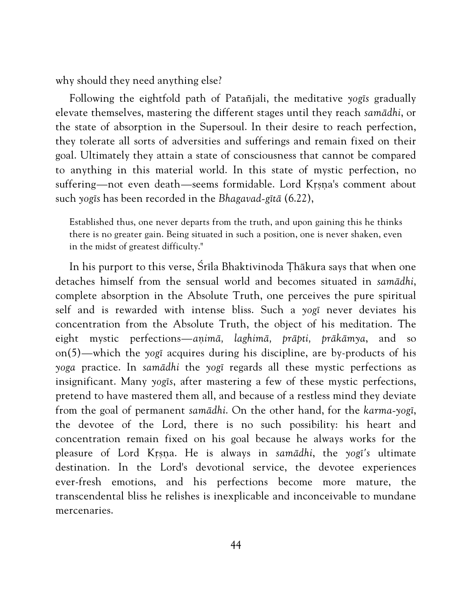why should they need anything else?

Following the eightfold path of Patañjali, the meditative *yog* is gradually elevate themselves, mastering the different stages until they reach *samädhi*, or the state of absorption in the Supersoul. In their desire to reach perfection, they tolerate all sorts of adversities and sufferings and remain fixed on their goal. Ultimately they attain a state of consciousness that cannot be compared to anything in this material world. In this state of mystic perfection, no suffering—not even death—seems formidable. Lord Krsna's comment about such *yogés* has been recorded in the *Bhagavad-gétä* (6.22),

Established thus, one never departs from the truth, and upon gaining this he thinks there is no greater gain. Being situated in such a position, one is never shaken, even in the midst of greatest difficulty."

In his purport to this verse, Śrīla Bhaktivinoda Thākura says that when one detaches himself from the sensual world and becomes situated in *samädhi*, complete absorption in the Absolute Truth, one perceives the pure spiritual self and is rewarded with intense bliss. Such a *yogé* never deviates his concentration from the Absolute Truth, the object of his meditation. The eight mystic perfections—animā, laghimā, prāpti, prākāmya, and so on(5)—which the *yogé* acquires during his discipline, are by-products of his *yoga* practice. In *samädhi* the *yogé* regards all these mystic perfections as insignificant. Many *yog*ts, after mastering a few of these mystic perfections, pretend to have mastered them all, and because of a restless mind they deviate from the goal of permanent *samädhi*. On the other hand, for the *karma-yogé*, the devotee of the Lord, there is no such possibility: his heart and concentration remain fixed on his goal because he always works for the pleasure of Lord Kåñëa. He is always in *samädhi*, the *yogé's* ultimate destination. In the Lord's devotional service, the devotee experiences ever-fresh emotions, and his perfections become more mature, the transcendental bliss he relishes is inexplicable and inconceivable to mundane mercenaries.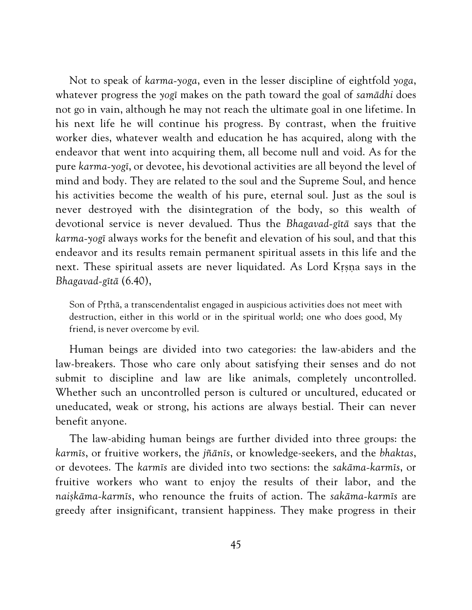Not to speak of *karma-yoga*, even in the lesser discipline of eightfold *yoga*, whatever progress the *yogé* makes on the path toward the goal of *samädhi* does not go in vain, although he may not reach the ultimate goal in one lifetime. In his next life he will continue his progress. By contrast, when the fruitive worker dies, whatever wealth and education he has acquired, along with the endeavor that went into acquiring them, all become null and void. As for the pure *karma-yogé*, or devotee, his devotional activities are all beyond the level of mind and body. They are related to the soul and the Supreme Soul, and hence his activities become the wealth of his pure, eternal soul. Just as the soul is never destroyed with the disintegration of the body, so this wealth of devotional service is never devalued. Thus the *Bhagavad-gétä* says that the *karma-yogé* always works for the benefit and elevation of his soul, and that this endeavor and its results remain permanent spiritual assets in this life and the next. These spiritual assets are never liquidated. As Lord Krsna says in the *Bhagavad-gétä* (6.40),

Son of Prthā, a transcendentalist engaged in auspicious activities does not meet with destruction, either in this world or in the spiritual world; one who does good, My friend, is never overcome by evil.

Human beings are divided into two categories: the law-abiders and the law-breakers. Those who care only about satisfying their senses and do not submit to discipline and law are like animals, completely uncontrolled. Whether such an uncontrolled person is cultured or uncultured, educated or uneducated, weak or strong, his actions are always bestial. Their can never benefit anyone.

The law-abiding human beings are further divided into three groups: the *karmés*, or fruitive workers, the *jïänés*, or knowledge-seekers, and the *bhaktas*, or devotees. The *karmés* are divided into two sections: the *sakäma-karmés*, or fruitive workers who want to enjoy the results of their labor, and the *naiñkäma-karmés*, who renounce the fruits of action. The *sakäma-karmés* are greedy after insignificant, transient happiness. They make progress in their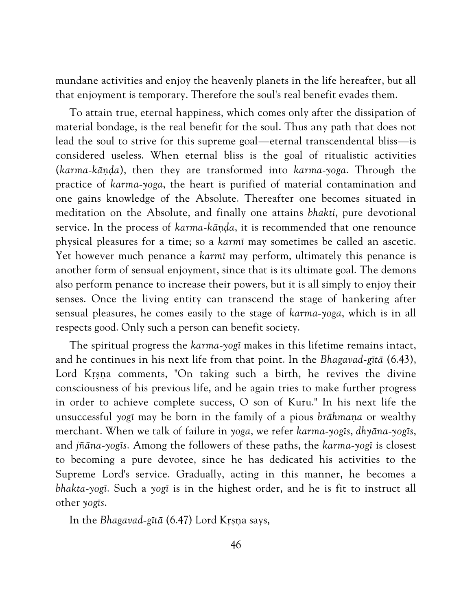mundane activities and enjoy the heavenly planets in the life hereafter, but all that enjoyment is temporary. Therefore the soul's real benefit evades them.

To attain true, eternal happiness, which comes only after the dissipation of material bondage, is the real benefit for the soul. Thus any path that does not lead the soul to strive for this supreme goal—eternal transcendental bliss—is considered useless. When eternal bliss is the goal of ritualistic activities (*karma-kānda*), then they are transformed into *karma-yoga*. Through the practice of *karma-yoga*, the heart is purified of material contamination and one gains knowledge of the Absolute. Thereafter one becomes situated in meditation on the Absolute, and finally one attains *bhakti*, pure devotional service. In the process of *karma-kānda*, it is recommended that one renounce physical pleasures for a time; so a *karmé* may sometimes be called an ascetic. Yet however much penance a *karmé* may perform, ultimately this penance is another form of sensual enjoyment, since that is its ultimate goal. The demons also perform penance to increase their powers, but it is all simply to enjoy their senses. Once the living entity can transcend the stage of hankering after sensual pleasures, he comes easily to the stage of *karma-yoga*, which is in all respects good. Only such a person can benefit society.

The spiritual progress the *karma-yogé* makes in this lifetime remains intact, and he continues in his next life from that point. In the *Bhagavad-gītā* (6.43), Lord Krsna comments, "On taking such a birth, he revives the divine consciousness of his previous life, and he again tries to make further progress in order to achieve complete success, O son of Kuru." In his next life the unsuccessful *yog*<sub>*i*</sub> may be born in the family of a pious *brāhmana* or wealthy merchant. When we talk of failure in *yoga*, we refer *karma-yogés*, *dhyäna-yogés*, and *jïäna-yogés*. Among the followers of these paths, the *karma-yogé* is closest to becoming a pure devotee, since he has dedicated his activities to the Supreme Lord's service. Gradually, acting in this manner, he becomes a *bhakta-yogé*. Such a *yogé* is in the highest order, and he is fit to instruct all other *yogés*.

In the *Bhagavad-gītā* (6.47) Lord Krsņa says,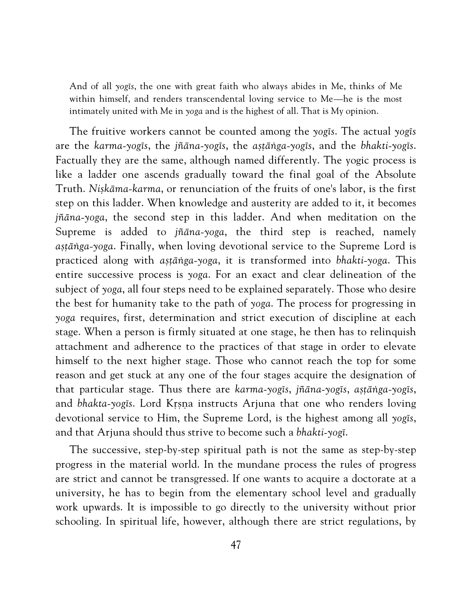And of all *yogés*, the one with great faith who always abides in Me, thinks of Me within himself, and renders transcendental loving service to Me—he is the most intimately united with Me in *yoga* and is the highest of all. That is My opinion.

The fruitive workers cannot be counted among the *yogés*. The actual *yogés* are the *karma-yogés*, the *jïäna-yogés*, the *añöäìga-yogés*, and the *bhakti-yogés*. Factually they are the same, although named differently. The yogic process is like a ladder one ascends gradually toward the final goal of the Absolute Truth. *Niṣkāma-karma*, or renunciation of the fruits of one's labor, is the first step on this ladder. When knowledge and austerity are added to it, it becomes *jïäna-yoga*, the second step in this ladder. And when meditation on the Supreme is added to *jïäna-yoga*, the third step is reached, namely *añöäìga-yoga*. Finally, when loving devotional service to the Supreme Lord is practiced along with *añöäìga-yoga*, it is transformed into *bhakti-yoga*. This entire successive process is *yoga*. For an exact and clear delineation of the subject of *yoga*, all four steps need to be explained separately. Those who desire the best for humanity take to the path of *yoga*. The process for progressing in *yoga* requires, first, determination and strict execution of discipline at each stage. When a person is firmly situated at one stage, he then has to relinquish attachment and adherence to the practices of that stage in order to elevate himself to the next higher stage. Those who cannot reach the top for some reason and get stuck at any one of the four stages acquire the designation of that particular stage. Thus there are *karma-yogis*, *jñāna-yogis*, *aștānga-yogis*, and *bhakta-yogis*. Lord Krsna instructs Arjuna that one who renders loving devotional service to Him, the Supreme Lord, is the highest among all *yogés*, and that Arjuna should thus strive to become such a *bhakti-yogé*.

The successive, step-by-step spiritual path is not the same as step-by-step progress in the material world. In the mundane process the rules of progress are strict and cannot be transgressed. If one wants to acquire a doctorate at a university, he has to begin from the elementary school level and gradually work upwards. It is impossible to go directly to the university without prior schooling. In spiritual life, however, although there are strict regulations, by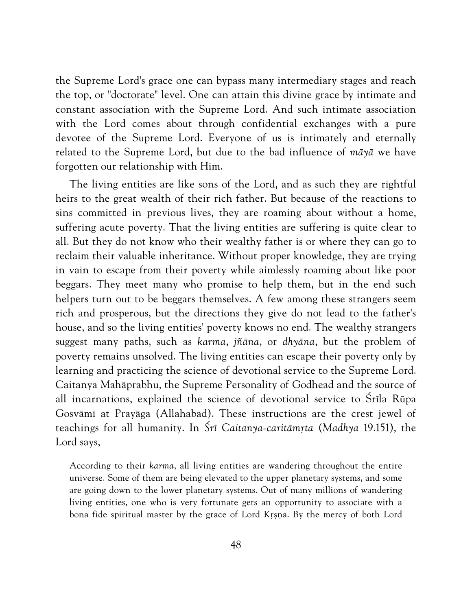the Supreme Lord's grace one can bypass many intermediary stages and reach the top, or "doctorate" level. One can attain this divine grace by intimate and constant association with the Supreme Lord. And such intimate association with the Lord comes about through confidential exchanges with a pure devotee of the Supreme Lord. Everyone of us is intimately and eternally related to the Supreme Lord, but due to the bad influence of *mäyä* we have forgotten our relationship with Him.

The living entities are like sons of the Lord, and as such they are rightful heirs to the great wealth of their rich father. But because of the reactions to sins committed in previous lives, they are roaming about without a home, suffering acute poverty. That the living entities are suffering is quite clear to all. But they do not know who their wealthy father is or where they can go to reclaim their valuable inheritance. Without proper knowledge, they are trying in vain to escape from their poverty while aimlessly roaming about like poor beggars. They meet many who promise to help them, but in the end such helpers turn out to be beggars themselves. A few among these strangers seem rich and prosperous, but the directions they give do not lead to the father's house, and so the living entities' poverty knows no end. The wealthy strangers suggest many paths, such as *karma*, *jïäna*, or *dhyäna*, but the problem of poverty remains unsolved. The living entities can escape their poverty only by learning and practicing the science of devotional service to the Supreme Lord. Caitanya Mahäprabhu, the Supreme Personality of Godhead and the source of all incarnations, explained the science of devotional service to Śrīla Rūpa Gosvāmī at Prayāga (Allahabad). These instructions are the crest jewel of teachings for all humanity. In *Śrī Caitanya-caritāmrta* (*Madhya* 19.151), the Lord says,

According to their *karma*, all living entities are wandering throughout the entire universe. Some of them are being elevated to the upper planetary systems, and some are going down to the lower planetary systems. Out of many millions of wandering living entities, one who is very fortunate gets an opportunity to associate with a bona fide spiritual master by the grace of Lord Krsna. By the mercy of both Lord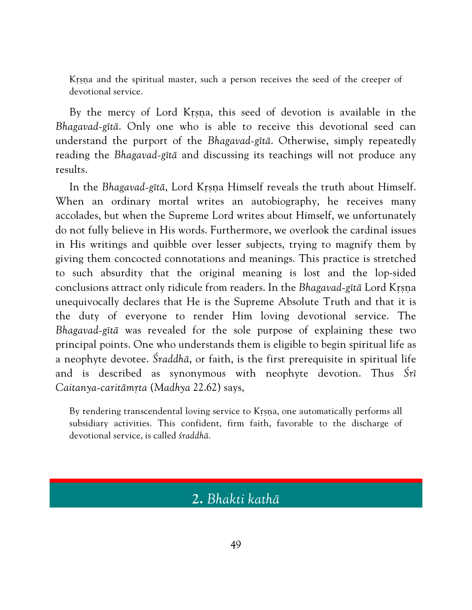Krsna and the spiritual master, such a person receives the seed of the creeper of devotional service.

By the mercy of Lord Krsna, this seed of devotion is available in the *Bhagavad-gétä*. Only one who is able to receive this devotional seed can understand the purport of the *Bhagavad-gétä*. Otherwise, simply repeatedly reading the *Bhagavad-gétä* and discussing its teachings will not produce any results.

In the *Bhagavad-gītā*, Lord Krsna Himself reveals the truth about Himself. When an ordinary mortal writes an autobiography, he receives many accolades, but when the Supreme Lord writes about Himself, we unfortunately do not fully believe in His words. Furthermore, we overlook the cardinal issues in His writings and quibble over lesser subjects, trying to magnify them by giving them concocted connotations and meanings. This practice is stretched to such absurdity that the original meaning is lost and the lop-sided conclusions attract only ridicule from readers. In the *Bhagavad-gītā* Lord Krsna unequivocally declares that He is the Supreme Absolute Truth and that it is the duty of everyone to render Him loving devotional service. The *Bhagavad-gétä* was revealed for the sole purpose of explaining these two principal points. One who understands them is eligible to begin spiritual life as a neophyte devotee. *Çraddhä*, or faith, is the first prerequisite in spiritual life and is described as synonymous with neophyte devotion. Thus *Śrī Caitanya-caritämåta* (*Madhya* 22.62) says,

By rendering transcendental loving service to Krsna, one automatically performs all subsidiary activities. This confident, firm faith, favorable to the discharge of devotional service, is called *çraddhä*.

# **2.** *Bhakti kathä*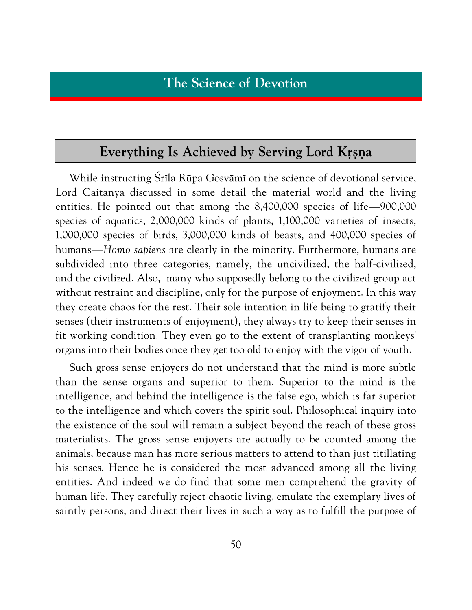### **The Science of Devotion**

### Everything Is Achieved by Serving Lord Krsna

While instructing Śrīla Rūpa Gosvāmī on the science of devotional service, Lord Caitanya discussed in some detail the material world and the living entities. He pointed out that among the 8,400,000 species of life—900,000 species of aquatics, 2,000,000 kinds of plants, 1,100,000 varieties of insects, 1,000,000 species of birds, 3,000,000 kinds of beasts, and 400,000 species of humans—*Homo sapiens* are clearly in the minority. Furthermore, humans are subdivided into three categories, namely, the uncivilized, the half-civilized, and the civilized. Also, many who supposedly belong to the civilized group act without restraint and discipline, only for the purpose of enjoyment. In this way they create chaos for the rest. Their sole intention in life being to gratify their senses (their instruments of enjoyment), they always try to keep their senses in fit working condition. They even go to the extent of transplanting monkeys' organs into their bodies once they get too old to enjoy with the vigor of youth.

Such gross sense enjoyers do not understand that the mind is more subtle than the sense organs and superior to them. Superior to the mind is the intelligence, and behind the intelligence is the false ego, which is far superior to the intelligence and which covers the spirit soul. Philosophical inquiry into the existence of the soul will remain a subject beyond the reach of these gross materialists. The gross sense enjoyers are actually to be counted among the animals, because man has more serious matters to attend to than just titillating his senses. Hence he is considered the most advanced among all the living entities. And indeed we do find that some men comprehend the gravity of human life. They carefully reject chaotic living, emulate the exemplary lives of saintly persons, and direct their lives in such a way as to fulfill the purpose of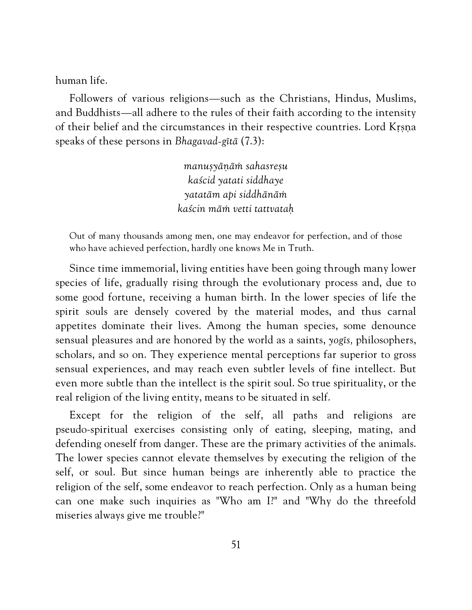human life.

Followers of various religions—such as the Christians, Hindus, Muslims, and Buddhists—all adhere to the rules of their faith according to the intensity of their belief and the circumstances in their respective countries. Lord Krsna speaks of these persons in *Bhagavad-gétä* (7.3):

> *manusyānām sahasresu kaçcid yatati siddhaye yatatäm api siddhänäà kaçcin mäà vetti tattvataù*

Out of many thousands among men, one may endeavor for perfection, and of those who have achieved perfection, hardly one knows Me in Truth.

Since time immemorial, living entities have been going through many lower species of life, gradually rising through the evolutionary process and, due to some good fortune, receiving a human birth. In the lower species of life the spirit souls are densely covered by the material modes, and thus carnal appetites dominate their lives. Among the human species, some denounce sensual pleasures and are honored by the world as a saints, *yogés,* philosophers, scholars, and so on. They experience mental perceptions far superior to gross sensual experiences, and may reach even subtler levels of fine intellect. But even more subtle than the intellect is the spirit soul. So true spirituality, or the real religion of the living entity, means to be situated in self.

Except for the religion of the self, all paths and religions are pseudo-spiritual exercises consisting only of eating, sleeping, mating, and defending oneself from danger. These are the primary activities of the animals. The lower species cannot elevate themselves by executing the religion of the self, or soul. But since human beings are inherently able to practice the religion of the self, some endeavor to reach perfection. Only as a human being can one make such inquiries as "Who am I?" and "Why do the threefold miseries always give me trouble?"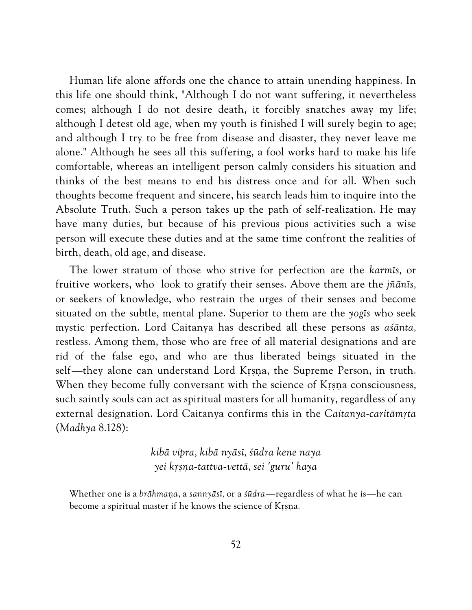Human life alone affords one the chance to attain unending happiness. In this life one should think, "Although I do not want suffering, it nevertheless comes; although I do not desire death, it forcibly snatches away my life; although I detest old age, when my youth is finished I will surely begin to age; and although I try to be free from disease and disaster, they never leave me alone." Although he sees all this suffering, a fool works hard to make his life comfortable, whereas an intelligent person calmly considers his situation and thinks of the best means to end his distress once and for all. When such thoughts become frequent and sincere, his search leads him to inquire into the Absolute Truth. Such a person takes up the path of self-realization. He may have many duties, but because of his previous pious activities such a wise person will execute these duties and at the same time confront the realities of birth, death, old age, and disease.

The lower stratum of those who strive for perfection are the *karmés,* or fruitive workers, who look to gratify their senses. Above them are the *jïänés,* or seekers of knowledge, who restrain the urges of their senses and become situated on the subtle, mental plane. Superior to them are the *yogés* who seek mystic perfection. Lord Caitanya has described all these persons as *açänta,* restless. Among them, those who are free of all material designations and are rid of the false ego, and who are thus liberated beings situated in the self—they alone can understand Lord Krsna, the Supreme Person, in truth. When they become fully conversant with the science of Krsna consciousness, such saintly souls can act as spiritual masters for all humanity, regardless of any external designation. Lord Caitanya confirms this in the *Caitanya-caritāmyta* (*Madhya* 8.128):

> *kibä vipra, kibä nyäsé, çüdra kene naya yei kåñëa-tattva-vettä, sei 'guru' haya*

Whether one is a *brāhmana*, a *sannyāsī*, or a *sūdra*—regardless of what he is—he can become a spiritual master if he knows the science of Krsna.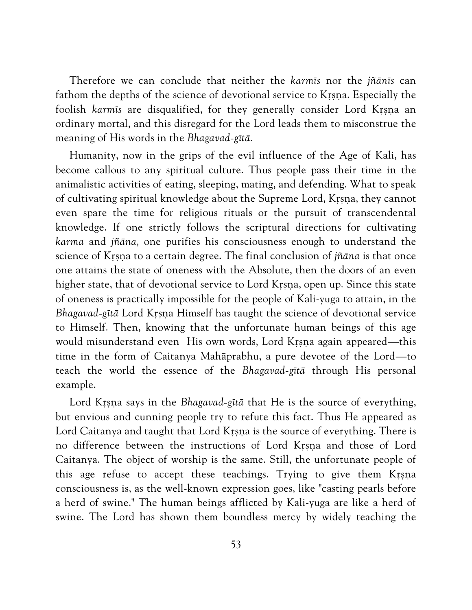Therefore we can conclude that neither the *karmés* nor the *jïänés* can fathom the depths of the science of devotional service to Krsna. Especially the foolish *karmis* are disqualified, for they generally consider Lord Krsna an ordinary mortal, and this disregard for the Lord leads them to misconstrue the meaning of His words in the *Bhagavad-gétä.*

Humanity, now in the grips of the evil influence of the Age of Kali, has become callous to any spiritual culture. Thus people pass their time in the animalistic activities of eating, sleeping, mating, and defending. What to speak of cultivating spiritual knowledge about the Supreme Lord, Krsna, they cannot even spare the time for religious rituals or the pursuit of transcendental knowledge. If one strictly follows the scriptural directions for cultivating *karma* and *jïäna,* one purifies his consciousness enough to understand the science of Krsna to a certain degree. The final conclusion of *jñāna* is that once one attains the state of oneness with the Absolute, then the doors of an even higher state, that of devotional service to Lord Krsna, open up. Since this state of oneness is practically impossible for the people of Kali-yuga to attain, in the *Bhagavad-gītā* Lord Krsna Himself has taught the science of devotional service to Himself. Then, knowing that the unfortunate human beings of this age would misunderstand even His own words, Lord Krsna again appeared—this time in the form of Caitanya Mahäprabhu, a pure devotee of the Lord—to teach the world the essence of the *Bhagavad-gétä* through His personal example.

Lord Krsna says in the *Bhagavad-gītā* that He is the source of everything, but envious and cunning people try to refute this fact. Thus He appeared as Lord Caitanya and taught that Lord Krsna is the source of everything. There is no difference between the instructions of Lord Krsna and those of Lord Caitanya. The object of worship is the same. Still, the unfortunate people of this age refuse to accept these teachings. Trying to give them Krsna consciousness is, as the well-known expression goes, like "casting pearls before a herd of swine." The human beings afflicted by Kali-yuga are like a herd of swine. The Lord has shown them boundless mercy by widely teaching the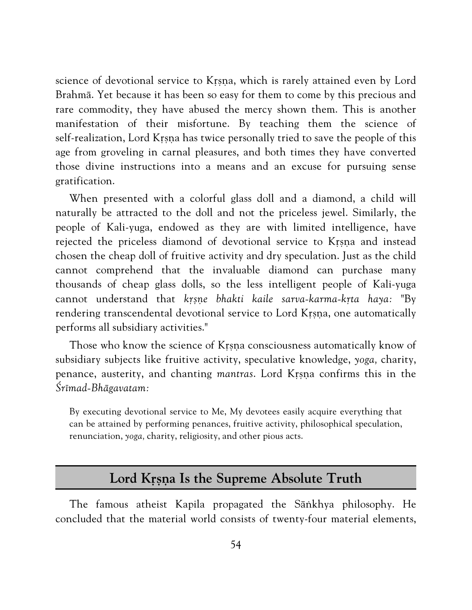science of devotional service to Krsna, which is rarely attained even by Lord Brahmä. Yet because it has been so easy for them to come by this precious and rare commodity, they have abused the mercy shown them. This is another manifestation of their misfortune. By teaching them the science of self-realization, Lord Krsna has twice personally tried to save the people of this age from groveling in carnal pleasures, and both times they have converted those divine instructions into a means and an excuse for pursuing sense gratification.

When presented with a colorful glass doll and a diamond, a child will naturally be attracted to the doll and not the priceless jewel. Similarly, the people of Kali-yuga, endowed as they are with limited intelligence, have rejected the priceless diamond of devotional service to Krsna and instead chosen the cheap doll of fruitive activity and dry speculation. Just as the child cannot comprehend that the invaluable diamond can purchase many thousands of cheap glass dolls, so the less intelligent people of Kali-yuga cannot understand that *krsne bhakti kaile sarva-karma-krta haya:* "By rendering transcendental devotional service to Lord Krsna, one automatically performs all subsidiary activities."

Those who know the science of Krsna consciousness automatically know of subsidiary subjects like fruitive activity, speculative knowledge, *yoga,* charity, penance, austerity, and chanting *mantras*. Lord Krsna confirms this in the *Çrémad-Bhägavatam:*

By executing devotional service to Me, My devotees easily acquire everything that can be attained by performing penances, fruitive activity, philosophical speculation, renunciation, *yoga,* charity, religiosity, and other pious acts.

## Lord Krsņa Is the Supreme Absolute Truth

The famous atheist Kapila propagated the Sānkhya philosophy. He concluded that the material world consists of twenty-four material elements,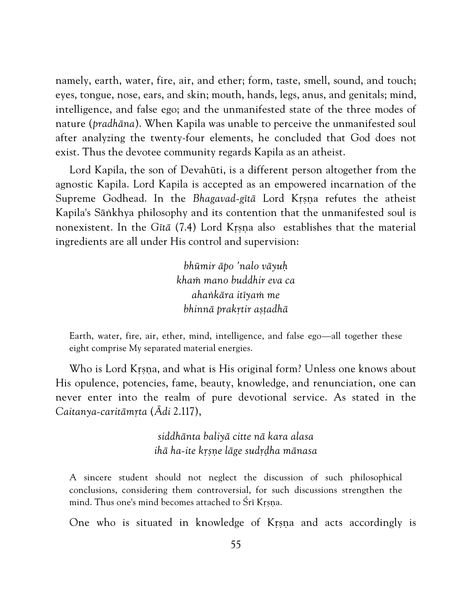namely, earth, water, fire, air, and ether; form, taste, smell, sound, and touch; eyes, tongue, nose, ears, and skin; mouth, hands, legs, anus, and genitals; mind, intelligence, and false ego; and the unmanifested state of the three modes of nature (*pradhäna*). When Kapila was unable to perceive the unmanifested soul after analyzing the twenty-four elements, he concluded that God does not exist. Thus the devotee community regards Kapila as an atheist.

Lord Kapila, the son of Devahüti, is a different person altogether from the agnostic Kapila. Lord Kapila is accepted as an empowered incarnation of the Supreme Godhead. In the *Bhagavad-gītā* Lord Krsna refutes the atheist Kapila's Säìkhya philosophy and its contention that the unmanifested soul is nonexistent. In the *Gita* (7.4) Lord Krsna also establishes that the material ingredients are all under His control and supervision:

> *bhümir äpo 'nalo väyuù khaà mano buddhir eva ca ahaìkära itéyaà me bhinnä prakåtir añöadhä*

Earth, water, fire, air, ether, mind, intelligence, and false ego—all together these eight comprise My separated material energies.

Who is Lord Krsna, and what is His original form? Unless one knows about His opulence, potencies, fame, beauty, knowledge, and renunciation, one can never enter into the realm of pure devotional service. As stated in the *Caitanya-caritämåta* (*Ädi* 2.117),

> *siddhänta baliyä citte nä kara alasa ihä ha-ite kåñëe läge sudåòha mänasa*

A sincere student should not neglect the discussion of such philosophical conclusions, considering them controversial, for such discussions strengthen the mind. Thus one's mind becomes attached to Śrī Krsna.

One who is situated in knowledge of Krsna and acts accordingly is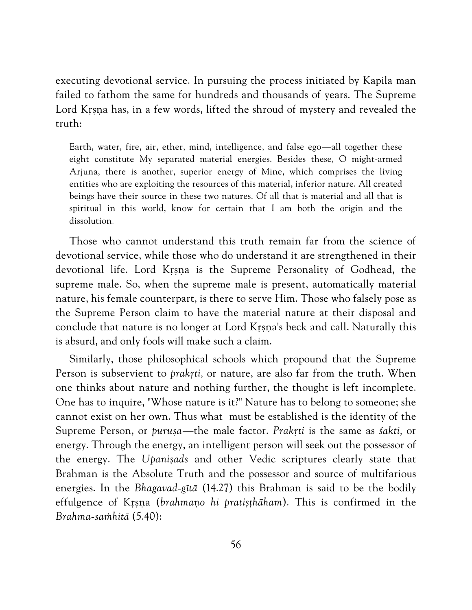executing devotional service. In pursuing the process initiated by Kapila man failed to fathom the same for hundreds and thousands of years. The Supreme Lord Krsna has, in a few words, lifted the shroud of mystery and revealed the truth:

Earth, water, fire, air, ether, mind, intelligence, and false ego—all together these eight constitute My separated material energies. Besides these, O might-armed Arjuna, there is another, superior energy of Mine, which comprises the living entities who are exploiting the resources of this material, inferior nature. All created beings have their source in these two natures. Of all that is material and all that is spiritual in this world, know for certain that I am both the origin and the dissolution.

Those who cannot understand this truth remain far from the science of devotional service, while those who do understand it are strengthened in their devotional life. Lord Krsna is the Supreme Personality of Godhead, the supreme male. So, when the supreme male is present, automatically material nature, his female counterpart, is there to serve Him. Those who falsely pose as the Supreme Person claim to have the material nature at their disposal and conclude that nature is no longer at Lord Krsna's beck and call. Naturally this is absurd, and only fools will make such a claim.

Similarly, those philosophical schools which propound that the Supreme Person is subservient to *prakrti*, or nature, are also far from the truth. When one thinks about nature and nothing further, the thought is left incomplete. One has to inquire, "Whose nature is it?" Nature has to belong to someone; she cannot exist on her own. Thus what must be established is the identity of the Supreme Person, or *purusa*—the male factor. *Prakrti* is the same as *sakti*, or energy. Through the energy, an intelligent person will seek out the possessor of the energy. The *Upanisads* and other Vedic scriptures clearly state that Brahman is the Absolute Truth and the possessor and source of multifarious energies. In the *Bhagavad-gétä* (14.27) this Brahman is said to be the bodily effulgence of Krsna (*brahmano hi pratisthāham*). This is confirmed in the *Brahma-saàhitä* (5.40):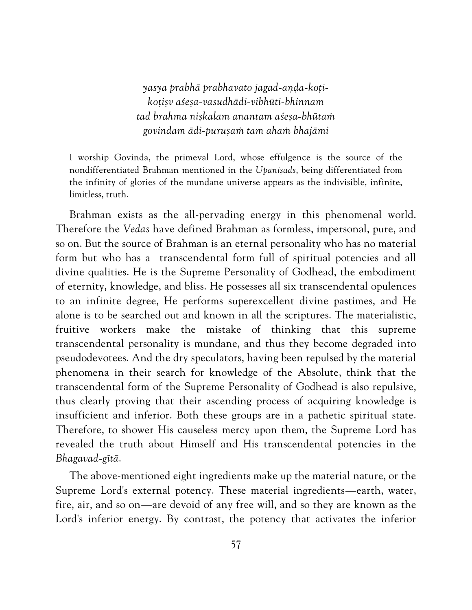vasya prabhā prabhavato jagad-anda-koti*koöiñv açeña-vasudhädi-vibhüti-bhinnam tad brahma niñkalam anantam açeña-bhütaà govindam ädi-puruñaà tam ahaà bhajämi*

I worship Govinda, the primeval Lord, whose effulgence is the source of the nondifferentiated Brahman mentioned in the *Upaniñads*, being differentiated from the infinity of glories of the mundane universe appears as the indivisible, infinite, limitless, truth.

Brahman exists as the all-pervading energy in this phenomenal world. Therefore the *Vedas* have defined Brahman as formless, impersonal, pure, and so on. But the source of Brahman is an eternal personality who has no material form but who has a transcendental form full of spiritual potencies and all divine qualities. He is the Supreme Personality of Godhead, the embodiment of eternity, knowledge, and bliss. He possesses all six transcendental opulences to an infinite degree, He performs superexcellent divine pastimes, and He alone is to be searched out and known in all the scriptures. The materialistic, fruitive workers make the mistake of thinking that this supreme transcendental personality is mundane, and thus they become degraded into pseudodevotees. And the dry speculators, having been repulsed by the material phenomena in their search for knowledge of the Absolute, think that the transcendental form of the Supreme Personality of Godhead is also repulsive, thus clearly proving that their ascending process of acquiring knowledge is insufficient and inferior. Both these groups are in a pathetic spiritual state. Therefore, to shower His causeless mercy upon them, the Supreme Lord has revealed the truth about Himself and His transcendental potencies in the *Bhagavad-gétä*.

The above-mentioned eight ingredients make up the material nature, or the Supreme Lord's external potency. These material ingredients—earth, water, fire, air, and so on—are devoid of any free will, and so they are known as the Lord's inferior energy. By contrast, the potency that activates the inferior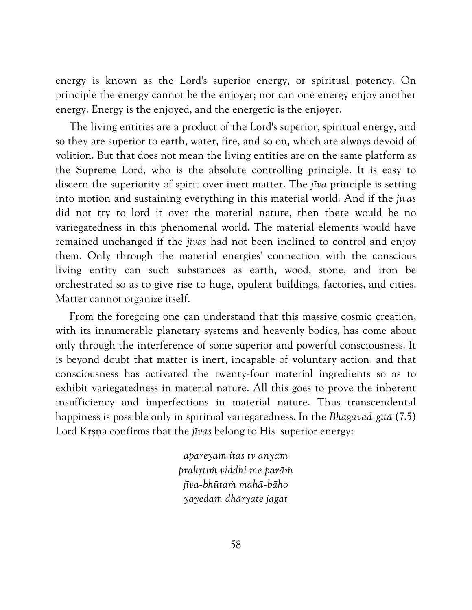energy is known as the Lord's superior energy, or spiritual potency. On principle the energy cannot be the enjoyer; nor can one energy enjoy another energy. Energy is the enjoyed, and the energetic is the enjoyer.

The living entities are a product of the Lord's superior, spiritual energy, and so they are superior to earth, water, fire, and so on, which are always devoid of volition. But that does not mean the living entities are on the same platform as the Supreme Lord, who is the absolute controlling principle. It is easy to discern the superiority of spirit over inert matter. The *jéva* principle is setting into motion and sustaining everything in this material world. And if the *jévas* did not try to lord it over the material nature, then there would be no variegatedness in this phenomenal world. The material elements would have remained unchanged if the *jévas* had not been inclined to control and enjoy them. Only through the material energies' connection with the conscious living entity can such substances as earth, wood, stone, and iron be orchestrated so as to give rise to huge, opulent buildings, factories, and cities. Matter cannot organize itself.

From the foregoing one can understand that this massive cosmic creation, with its innumerable planetary systems and heavenly bodies, has come about only through the interference of some superior and powerful consciousness. It is beyond doubt that matter is inert, incapable of voluntary action, and that consciousness has activated the twenty-four material ingredients so as to exhibit variegatedness in material nature. All this goes to prove the inherent insufficiency and imperfections in material nature. Thus transcendental happiness is possible only in spiritual variegatedness. In the *Bhagavad-gétä* (7.5) Lord Krsna confirms that the *jīvas* belong to His superior energy:

> *apareyam itas tv anyäà prakåtià viddhi me paräà jéva-bhütaà mahä-bäho yayedaà dhäryate jagat*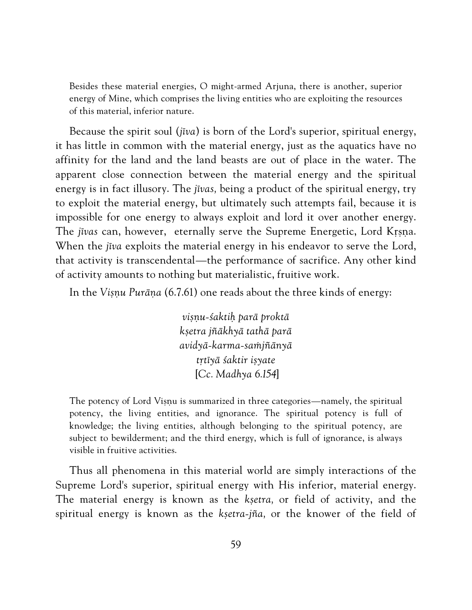Besides these material energies, O might-armed Arjuna, there is another, superior energy of Mine, which comprises the living entities who are exploiting the resources of this material, inferior nature.

Because the spirit soul (*jéva*) is born of the Lord's superior, spiritual energy, it has little in common with the material energy, just as the aquatics have no affinity for the land and the land beasts are out of place in the water. The apparent close connection between the material energy and the spiritual energy is in fact illusory. The *jévas,* being a product of the spiritual energy, try to exploit the material energy, but ultimately such attempts fail, because it is impossible for one energy to always exploit and lord it over another energy. The *jivas* can, however, eternally serve the Supreme Energetic, Lord Krsna. When the *jwa* exploits the material energy in his endeavor to serve the Lord, that activity is transcendental—the performance of sacrifice. Any other kind of activity amounts to nothing but materialistic, fruitive work.

In the *Visnu Purāna* (6.7.61) one reads about the three kinds of energy:

*viñëu-çaktiù parä proktä kñetra jïäkhyä tathä parä avidyä-karma-saàjïänyä tåtéyä çaktir iñyate* [*Cc. Madhya 6.154*]

The potency of Lord Vișnu is summarized in three categories—namely, the spiritual potency, the living entities, and ignorance. The spiritual potency is full of knowledge; the living entities, although belonging to the spiritual potency, are subject to bewilderment; and the third energy, which is full of ignorance, is always visible in fruitive activities.

Thus all phenomena in this material world are simply interactions of the Supreme Lord's superior, spiritual energy with His inferior, material energy. The material energy is known as the *kñetra,* or field of activity, and the spiritual energy is known as the *kñetra-jïa,* or the knower of the field of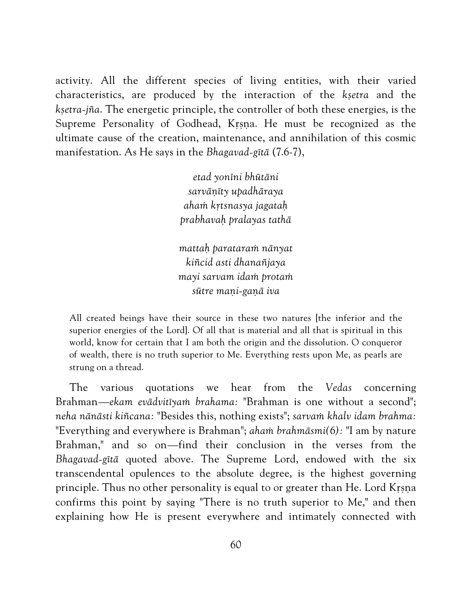activity. All the different species of living entities, with their varied characteristics, are produced by the interaction of the *kñetra* and the *ksetra-jña*. The energetic principle, the controller of both these energies, is the Supreme Personality of Godhead, Krsna. He must be recognized as the ultimate cause of the creation, maintenance, and annihilation of this cosmic manifestation. As He says in the *Bhagavad-gétä* (7.6-7),

> *etad yonéni bhütäni* sarvānīty upadhāraya *ahaà kåtsnasya jagataù prabhavaù pralayas tathä*

*mattaù parataraà nänyat kiïcid asti dhanaïjaya mayi sarvam idaà protaà sūtre maņi-gaņā iva* 

All created beings have their source in these two natures [the inferior and the superior energies of the Lord]. Of all that is material and all that is spiritual in this world, know for certain that I am both the origin and the dissolution. O conqueror of wealth, there is no truth superior to Me. Everything rests upon Me, as pearls are strung on a thread.

The various quotations we hear from the *Vedas* concerning Brahman—*ekam evādvitīyam brahama:* "Brahman is one without a second"; *neha nänästi kiïcana:* "Besides this, nothing exists"; *sarvaà khalv idam brahma:* "Everything and everywhere is Brahman"; *aham brahmāsmi*(6): "I am by nature Brahman," and so on—find their conclusion in the verses from the *Bhagavad-gétä* quoted above. The Supreme Lord, endowed with the six transcendental opulences to the absolute degree, is the highest governing principle. Thus no other personality is equal to or greater than He. Lord Krsna confirms this point by saying "There is no truth superior to Me," and then explaining how He is present everywhere and intimately connected with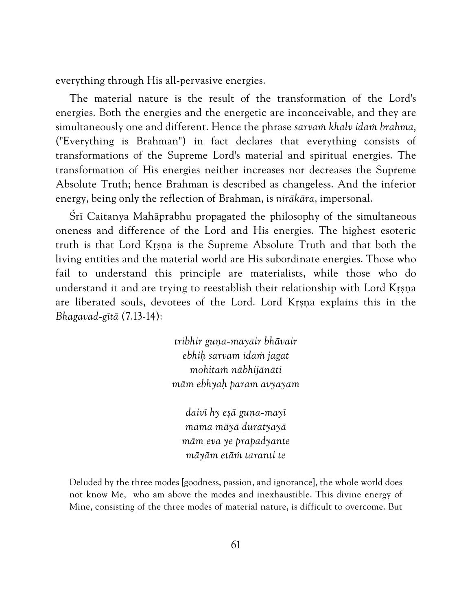everything through His all-pervasive energies.

The material nature is the result of the transformation of the Lord's energies. Both the energies and the energetic are inconceivable, and they are simultaneously one and different. Hence the phrase *sarvam khalv idam brahma*, ("Everything is Brahman") in fact declares that everything consists of transformations of the Supreme Lord's material and spiritual energies. The transformation of His energies neither increases nor decreases the Supreme Absolute Truth; hence Brahman is described as changeless. And the inferior energy, being only the reflection of Brahman, is *niräkära*, impersonal.

Śrī Caitanya Mahāprabhu propagated the philosophy of the simultaneous oneness and difference of the Lord and His energies. The highest esoteric truth is that Lord Krsna is the Supreme Absolute Truth and that both the living entities and the material world are His subordinate energies. Those who fail to understand this principle are materialists, while those who do understand it and are trying to reestablish their relationship with Lord Krsna are liberated souls, devotees of the Lord. Lord Krsna explains this in the *Bhagavad-gétä* (7.13-14):

> *tribhir guëa-mayair bhävair ebhiù sarvam idaà jagat mohitaà näbhijänäti mäm ebhyaù param avyayam*

*daivé hy eñä guëa-mayé mama mäyä duratyayä mäm eva ye prapadyante mäyäm etäà taranti te*

Deluded by the three modes [goodness, passion, and ignorance], the whole world does not know Me, who am above the modes and inexhaustible. This divine energy of Mine, consisting of the three modes of material nature, is difficult to overcome. But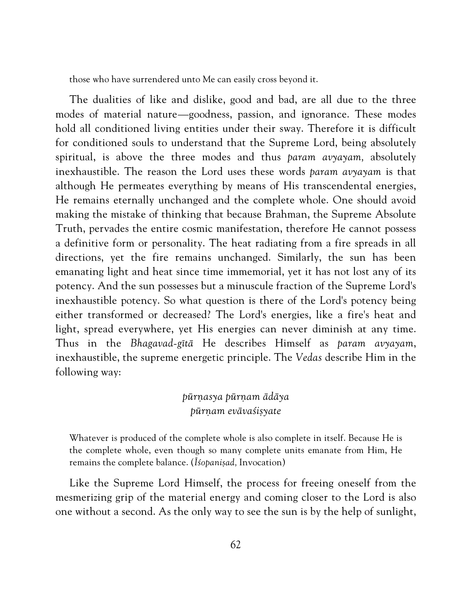those who have surrendered unto Me can easily cross beyond it.

The dualities of like and dislike, good and bad, are all due to the three modes of material nature—goodness, passion, and ignorance. These modes hold all conditioned living entities under their sway. Therefore it is difficult for conditioned souls to understand that the Supreme Lord, being absolutely spiritual, is above the three modes and thus *param avyayam,* absolutely inexhaustible. The reason the Lord uses these words *param avyayam* is that although He permeates everything by means of His transcendental energies, He remains eternally unchanged and the complete whole. One should avoid making the mistake of thinking that because Brahman, the Supreme Absolute Truth, pervades the entire cosmic manifestation, therefore He cannot possess a definitive form or personality. The heat radiating from a fire spreads in all directions, yet the fire remains unchanged. Similarly, the sun has been emanating light and heat since time immemorial, yet it has not lost any of its potency. And the sun possesses but a minuscule fraction of the Supreme Lord's inexhaustible potency. So what question is there of the Lord's potency being either transformed or decreased? The Lord's energies, like a fire's heat and light, spread everywhere, yet His energies can never diminish at any time. Thus in the *Bhagavad-gétä* He describes Himself as *param avyayam*, inexhaustible, the supreme energetic principle. The *Vedas* describe Him in the following way:

#### *pürëasya pürëam ädäya*  $b\bar{u}$ rnam evāvasisvate

Whatever is produced of the complete whole is also complete in itself. Because He is the complete whole, even though so many complete units emanate from Him, He remains the complete balance. (*Isopanisad*, Invocation)

Like the Supreme Lord Himself, the process for freeing oneself from the mesmerizing grip of the material energy and coming closer to the Lord is also one without a second. As the only way to see the sun is by the help of sunlight,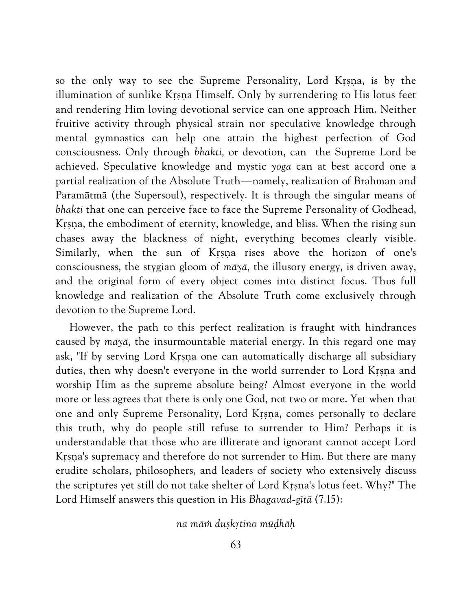so the only way to see the Supreme Personality, Lord Krsna, is by the illumination of sunlike Krsna Himself. Only by surrendering to His lotus feet and rendering Him loving devotional service can one approach Him. Neither fruitive activity through physical strain nor speculative knowledge through mental gymnastics can help one attain the highest perfection of God consciousness. Only through *bhakti,* or devotion, can the Supreme Lord be achieved. Speculative knowledge and mystic *yoga* can at best accord one a partial realization of the Absolute Truth—namely, realization of Brahman and Paramätmä (the Supersoul), respectively. It is through the singular means of *bhakti* that one can perceive face to face the Supreme Personality of Godhead, Krsna, the embodiment of eternity, knowledge, and bliss. When the rising sun chases away the blackness of night, everything becomes clearly visible. Similarly, when the sun of Krsna rises above the horizon of one's consciousness, the stygian gloom of *mäyä,* the illusory energy, is driven away, and the original form of every object comes into distinct focus. Thus full knowledge and realization of the Absolute Truth come exclusively through devotion to the Supreme Lord.

However, the path to this perfect realization is fraught with hindrances caused by *mäyä,* the insurmountable material energy. In this regard one may ask, "If by serving Lord Krsna one can automatically discharge all subsidiary duties, then why doesn't everyone in the world surrender to Lord Krsna and worship Him as the supreme absolute being? Almost everyone in the world more or less agrees that there is only one God, not two or more. Yet when that one and only Supreme Personality, Lord Krsna, comes personally to declare this truth, why do people still refuse to surrender to Him? Perhaps it is understandable that those who are illiterate and ignorant cannot accept Lord Krsna's supremacy and therefore do not surrender to Him. But there are many erudite scholars, philosophers, and leaders of society who extensively discuss the scriptures yet still do not take shelter of Lord Krsna's lotus feet. Why?" The Lord Himself answers this question in His *Bhagavad-gétä* (7.15):

#### *na mäà duñkåtino müòhäù*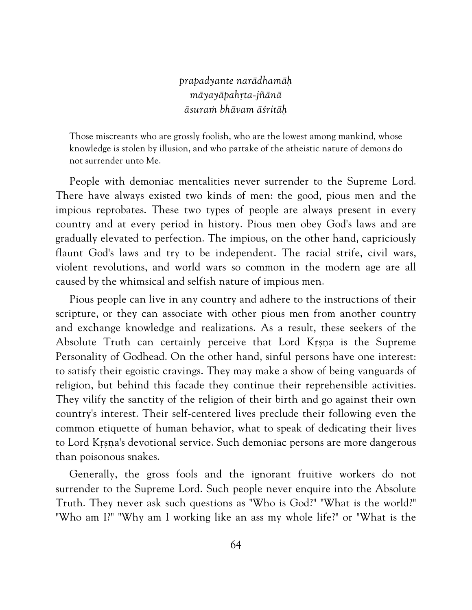### *prapadyante narädhamäù mäyayäpahåta-jïänä äsuraà bhävam äçritäù*

Those miscreants who are grossly foolish, who are the lowest among mankind, whose knowledge is stolen by illusion, and who partake of the atheistic nature of demons do not surrender unto Me.

People with demoniac mentalities never surrender to the Supreme Lord. There have always existed two kinds of men: the good, pious men and the impious reprobates. These two types of people are always present in every country and at every period in history. Pious men obey God's laws and are gradually elevated to perfection. The impious, on the other hand, capriciously flaunt God's laws and try to be independent. The racial strife, civil wars, violent revolutions, and world wars so common in the modern age are all caused by the whimsical and selfish nature of impious men.

Pious people can live in any country and adhere to the instructions of their scripture, or they can associate with other pious men from another country and exchange knowledge and realizations. As a result, these seekers of the Absolute Truth can certainly perceive that Lord Krsna is the Supreme Personality of Godhead. On the other hand, sinful persons have one interest: to satisfy their egoistic cravings. They may make a show of being vanguards of religion, but behind this facade they continue their reprehensible activities. They vilify the sanctity of the religion of their birth and go against their own country's interest. Their self-centered lives preclude their following even the common etiquette of human behavior, what to speak of dedicating their lives to Lord Krsna's devotional service. Such demoniac persons are more dangerous than poisonous snakes.

Generally, the gross fools and the ignorant fruitive workers do not surrender to the Supreme Lord. Such people never enquire into the Absolute Truth. They never ask such questions as "Who is God?" "What is the world?" "Who am I?" "Why am I working like an ass my whole life?" or "What is the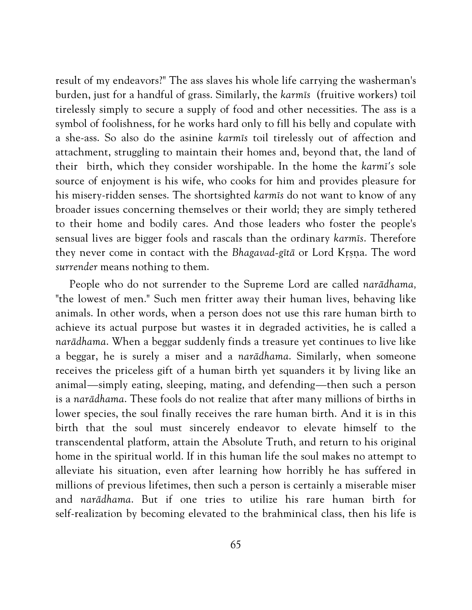result of my endeavors?" The ass slaves his whole life carrying the washerman's burden, just for a handful of grass. Similarly, the *karmés* (fruitive workers) toil tirelessly simply to secure a supply of food and other necessities. The ass is a symbol of foolishness, for he works hard only to fill his belly and copulate with a she-ass. So also do the asinine *karmés* toil tirelessly out of affection and attachment, struggling to maintain their homes and, beyond that, the land of their birth, which they consider worshipable. In the home the *karmé's* sole source of enjoyment is his wife, who cooks for him and provides pleasure for his misery-ridden senses. The shortsighted *karmés* do not want to know of any broader issues concerning themselves or their world; they are simply tethered to their home and bodily cares. And those leaders who foster the people's sensual lives are bigger fools and rascals than the ordinary *karmés*. Therefore they never come in contact with the *Bhagavad-gītā* or Lord Krsna. The word *surrender* means nothing to them.

People who do not surrender to the Supreme Lord are called *narädhama,* "the lowest of men." Such men fritter away their human lives, behaving like animals. In other words, when a person does not use this rare human birth to achieve its actual purpose but wastes it in degraded activities, he is called a *narädhama*. When a beggar suddenly finds a treasure yet continues to live like a beggar, he is surely a miser and a *narädhama*. Similarly, when someone receives the priceless gift of a human birth yet squanders it by living like an animal—simply eating, sleeping, mating, and defending—then such a person is a *narädhama*. These fools do not realize that after many millions of births in lower species, the soul finally receives the rare human birth. And it is in this birth that the soul must sincerely endeavor to elevate himself to the transcendental platform, attain the Absolute Truth, and return to his original home in the spiritual world. If in this human life the soul makes no attempt to alleviate his situation, even after learning how horribly he has suffered in millions of previous lifetimes, then such a person is certainly a miserable miser and *narädhama*. But if one tries to utilize his rare human birth for self-realization by becoming elevated to the brahminical class, then his life is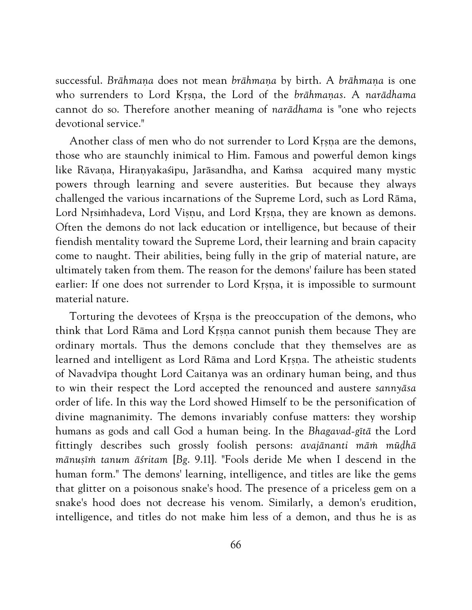successful. *Brähmaëa* does not mean *brähmaëa* by birth. A *brähmaëa* is one who surrenders to Lord Krsna, the Lord of the *brāhmanas*. A *narādhama* cannot do so. Therefore another meaning of *narädhama* is "one who rejects devotional service."

Another class of men who do not surrender to Lord Krsna are the demons, those who are staunchly inimical to Him. Famous and powerful demon kings like Rāvana, Hiranyakasipu, Jarāsandha, and Kamsa acquired many mystic powers through learning and severe austerities. But because they always challenged the various incarnations of the Supreme Lord, such as Lord Räma, Lord Nrsimhadeva, Lord Visnu, and Lord Krsna, they are known as demons. Often the demons do not lack education or intelligence, but because of their fiendish mentality toward the Supreme Lord, their learning and brain capacity come to naught. Their abilities, being fully in the grip of material nature, are ultimately taken from them. The reason for the demons' failure has been stated earlier: If one does not surrender to Lord Krsna, it is impossible to surmount material nature.

Torturing the devotees of Krsna is the preoccupation of the demons, who think that Lord Rāma and Lord Krsna cannot punish them because They are ordinary mortals. Thus the demons conclude that they themselves are as learned and intelligent as Lord Rāma and Lord Krsna. The atheistic students of Navadvīpa thought Lord Caitanya was an ordinary human being, and thus to win their respect the Lord accepted the renounced and austere *sannyäsa* order of life. In this way the Lord showed Himself to be the personification of divine magnanimity. The demons invariably confuse matters: they worship humans as gods and call God a human being. In the *Bhagavad-gétä* the Lord fittingly describes such grossly foolish persons: *avajänanti mäà müòhä mānușīm tanum āśritam* [Bg. 9.11]. "Fools deride Me when I descend in the human form." The demons' learning, intelligence, and titles are like the gems that glitter on a poisonous snake's hood. The presence of a priceless gem on a snake's hood does not decrease his venom. Similarly, a demon's erudition, intelligence, and titles do not make him less of a demon, and thus he is as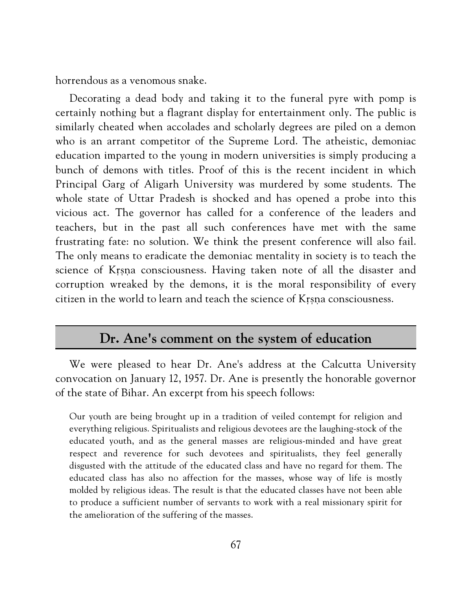horrendous as a venomous snake.

Decorating a dead body and taking it to the funeral pyre with pomp is certainly nothing but a flagrant display for entertainment only. The public is similarly cheated when accolades and scholarly degrees are piled on a demon who is an arrant competitor of the Supreme Lord. The atheistic, demoniac education imparted to the young in modern universities is simply producing a bunch of demons with titles. Proof of this is the recent incident in which Principal Garg of Aligarh University was murdered by some students. The whole state of Uttar Pradesh is shocked and has opened a probe into this vicious act. The governor has called for a conference of the leaders and teachers, but in the past all such conferences have met with the same frustrating fate: no solution. We think the present conference will also fail. The only means to eradicate the demoniac mentality in society is to teach the science of Krsna consciousness. Having taken note of all the disaster and corruption wreaked by the demons, it is the moral responsibility of every citizen in the world to learn and teach the science of Krsna consciousness.

### **Dr. Ane's comment on the system of education**

We were pleased to hear Dr. Ane's address at the Calcutta University convocation on January 12, 1957. Dr. Ane is presently the honorable governor of the state of Bihar. An excerpt from his speech follows:

Our youth are being brought up in a tradition of veiled contempt for religion and everything religious. Spiritualists and religious devotees are the laughing-stock of the educated youth, and as the general masses are religious-minded and have great respect and reverence for such devotees and spiritualists, they feel generally disgusted with the attitude of the educated class and have no regard for them. The educated class has also no affection for the masses, whose way of life is mostly molded by religious ideas. The result is that the educated classes have not been able to produce a sufficient number of servants to work with a real missionary spirit for the amelioration of the suffering of the masses.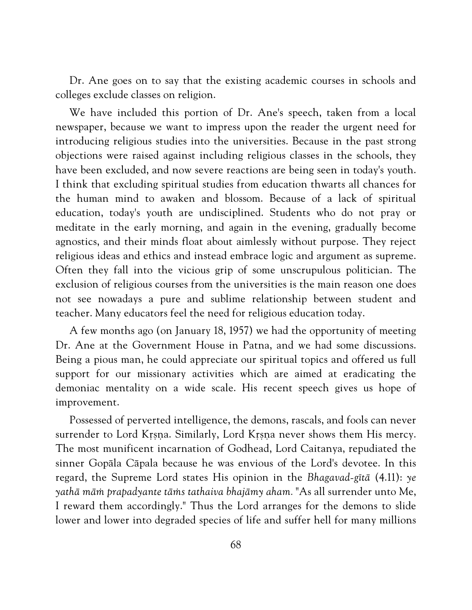Dr. Ane goes on to say that the existing academic courses in schools and colleges exclude classes on religion.

We have included this portion of Dr. Ane's speech, taken from a local newspaper, because we want to impress upon the reader the urgent need for introducing religious studies into the universities. Because in the past strong objections were raised against including religious classes in the schools, they have been excluded, and now severe reactions are being seen in today's youth. I think that excluding spiritual studies from education thwarts all chances for the human mind to awaken and blossom. Because of a lack of spiritual education, today's youth are undisciplined. Students who do not pray or meditate in the early morning, and again in the evening, gradually become agnostics, and their minds float about aimlessly without purpose. They reject religious ideas and ethics and instead embrace logic and argument as supreme. Often they fall into the vicious grip of some unscrupulous politician. The exclusion of religious courses from the universities is the main reason one does not see nowadays a pure and sublime relationship between student and teacher. Many educators feel the need for religious education today.

A few months ago (on January 18, 1957) we had the opportunity of meeting Dr. Ane at the Government House in Patna, and we had some discussions. Being a pious man, he could appreciate our spiritual topics and offered us full support for our missionary activities which are aimed at eradicating the demoniac mentality on a wide scale. His recent speech gives us hope of improvement.

Possessed of perverted intelligence, the demons, rascals, and fools can never surrender to Lord Krsna. Similarly, Lord Krsna never shows them His mercy. The most munificent incarnation of Godhead, Lord Caitanya, repudiated the sinner Gopäla Cäpala because he was envious of the Lord's devotee. In this regard, the Supreme Lord states His opinion in the *Bhagavad-gétä* (4.11): *ye yathä mäà prapadyante täàs tathaiva bhajämy aham.* "As all surrender unto Me, I reward them accordingly." Thus the Lord arranges for the demons to slide lower and lower into degraded species of life and suffer hell for many millions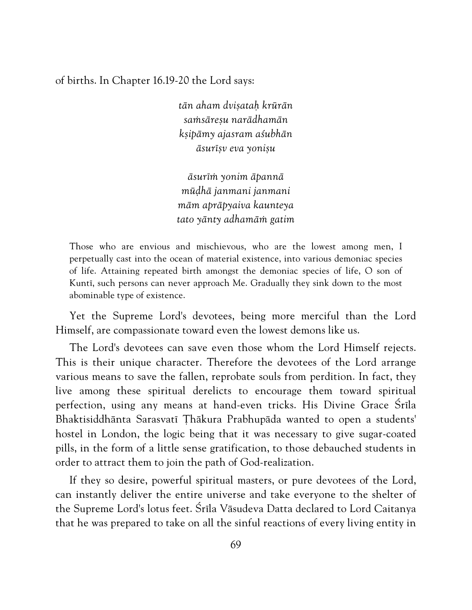of births. In Chapter 16.19-20 the Lord says:

*tän aham dviñataù krürän saàsäreñu narädhamän kñipämy ajasram açubhän*  $\bar{a}$ surīsv eva yonisu

 $\bar{a}$ surīm yonim āpannā *müòhä janmani janmani mäm apräpyaiva kaunteya tato yänty adhamäà gatim*

Those who are envious and mischievous, who are the lowest among men, I perpetually cast into the ocean of material existence, into various demoniac species of life. Attaining repeated birth amongst the demoniac species of life, O son of Kunti, such persons can never approach Me. Gradually they sink down to the most abominable type of existence.

Yet the Supreme Lord's devotees, being more merciful than the Lord Himself, are compassionate toward even the lowest demons like us.

The Lord's devotees can save even those whom the Lord Himself rejects. This is their unique character. Therefore the devotees of the Lord arrange various means to save the fallen, reprobate souls from perdition. In fact, they live among these spiritual derelicts to encourage them toward spiritual perfection, using any means at hand-even tricks. His Divine Grace Śrīla Bhaktisiddhānta Sarasvatī Thākura Prabhupāda wanted to open a students' hostel in London, the logic being that it was necessary to give sugar-coated pills, in the form of a little sense gratification, to those debauched students in order to attract them to join the path of God-realization.

If they so desire, powerful spiritual masters, or pure devotees of the Lord, can instantly deliver the entire universe and take everyone to the shelter of the Supreme Lord's lotus feet. Śrīla Vāsudeva Datta declared to Lord Caitanya that he was prepared to take on all the sinful reactions of every living entity in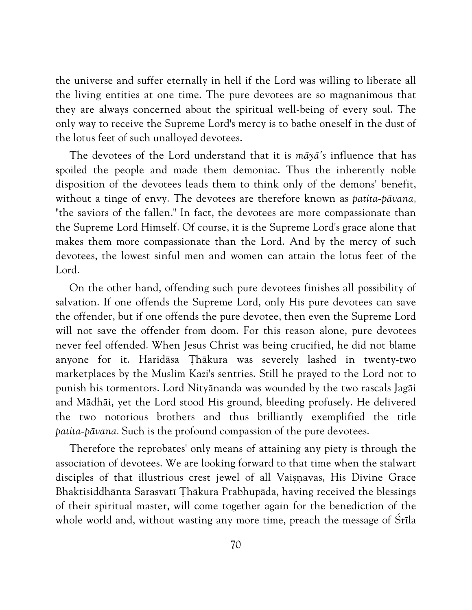the universe and suffer eternally in hell if the Lord was willing to liberate all the living entities at one time. The pure devotees are so magnanimous that they are always concerned about the spiritual well-being of every soul. The only way to receive the Supreme Lord's mercy is to bathe oneself in the dust of the lotus feet of such unalloyed devotees.

The devotees of the Lord understand that it is *mäyä's* influence that has spoiled the people and made them demoniac. Thus the inherently noble disposition of the devotees leads them to think only of the demons' benefit, without a tinge of envy. The devotees are therefore known as *patita-pävana,* "the saviors of the fallen." In fact, the devotees are more compassionate than the Supreme Lord Himself. Of course, it is the Supreme Lord's grace alone that makes them more compassionate than the Lord. And by the mercy of such devotees, the lowest sinful men and women can attain the lotus feet of the Lord.

On the other hand, offending such pure devotees finishes all possibility of salvation. If one offends the Supreme Lord, only His pure devotees can save the offender, but if one offends the pure devotee, then even the Supreme Lord will not save the offender from doom. For this reason alone, pure devotees never feel offended. When Jesus Christ was being crucified, he did not blame anyone for it. Haridäsa Öhäkura was severely lashed in twenty-two marketplaces by the Muslim Kazi's sentries. Still he prayed to the Lord not to punish his tormentors. Lord Nityänanda was wounded by the two rascals Jagäi and Mädhäi, yet the Lord stood His ground, bleeding profusely. He delivered the two notorious brothers and thus brilliantly exemplified the title *patita-pävana.* Such is the profound compassion of the pure devotees.

Therefore the reprobates' only means of attaining any piety is through the association of devotees. We are looking forward to that time when the stalwart disciples of that illustrious crest jewel of all Vaisnavas, His Divine Grace Bhaktisiddhānta Sarasvatī Thākura Prabhupāda, having received the blessings of their spiritual master, will come together again for the benediction of the whole world and, without wasting any more time, preach the message of Srila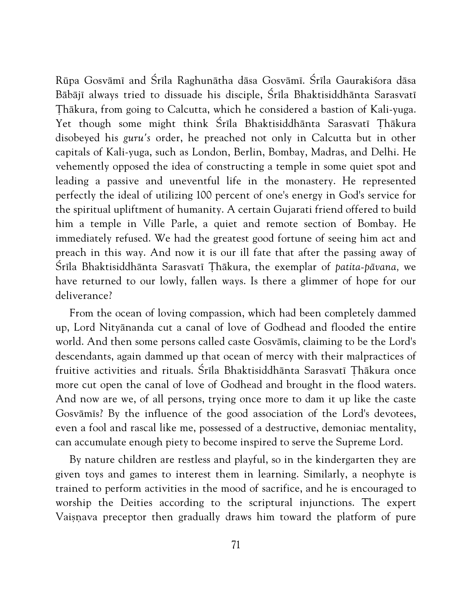Rūpa Gosvāmī and Śrīla Raghunātha dāsa Gosvāmī. Śrīla Gaurakiśora dāsa Bābājī always tried to dissuade his disciple, Śrīla Bhaktisiddhānta Sarasvatī Thākura, from going to Calcutta, which he considered a bastion of Kali-yuga. Yet though some might think Śrīla Bhaktisiddhānta Sarasvatī Thākura disobeyed his *guru's* order, he preached not only in Calcutta but in other capitals of Kali-yuga, such as London, Berlin, Bombay, Madras, and Delhi. He vehemently opposed the idea of constructing a temple in some quiet spot and leading a passive and uneventful life in the monastery. He represented perfectly the ideal of utilizing 100 percent of one's energy in God's service for the spiritual upliftment of humanity. A certain Gujarati friend offered to build him a temple in Ville Parle, a quiet and remote section of Bombay. He immediately refused. We had the greatest good fortune of seeing him act and preach in this way. And now it is our ill fate that after the passing away of Śrīla Bhaktisiddhānta Sarasvatī Thākura, the exemplar of *patita-pāvana*, we have returned to our lowly, fallen ways. Is there a glimmer of hope for our deliverance?

From the ocean of loving compassion, which had been completely dammed up, Lord Nityänanda cut a canal of love of Godhead and flooded the entire world. And then some persons called caste Gosvāmīs, claiming to be the Lord's descendants, again dammed up that ocean of mercy with their malpractices of fruitive activities and rituals. Šrīla Bhaktisiddhānta Sarasvatī Thākura once more cut open the canal of love of Godhead and brought in the flood waters. And now are we, of all persons, trying once more to dam it up like the caste Gosvāmīs? By the influence of the good association of the Lord's devotees, even a fool and rascal like me, possessed of a destructive, demoniac mentality, can accumulate enough piety to become inspired to serve the Supreme Lord.

By nature children are restless and playful, so in the kindergarten they are given toys and games to interest them in learning. Similarly, a neophyte is trained to perform activities in the mood of sacrifice, and he is encouraged to worship the Deities according to the scriptural injunctions. The expert Vaisnava preceptor then gradually draws him toward the platform of pure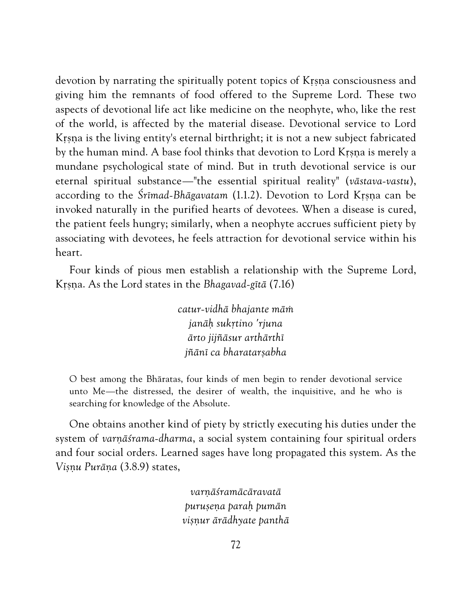devotion by narrating the spiritually potent topics of Krsna consciousness and giving him the remnants of food offered to the Supreme Lord. These two aspects of devotional life act like medicine on the neophyte, who, like the rest of the world, is affected by the material disease. Devotional service to Lord Krsna is the living entity's eternal birthright; it is not a new subject fabricated by the human mind. A base fool thinks that devotion to Lord Krsna is merely a mundane psychological state of mind. But in truth devotional service is our eternal spiritual substance—"the essential spiritual reality" (*västava-vastu*), according to the *Śrīmad-Bhāgavatam* (1.1.2). Devotion to Lord Krsna can be invoked naturally in the purified hearts of devotees. When a disease is cured, the patient feels hungry; similarly, when a neophyte accrues sufficient piety by associating with devotees, he feels attraction for devotional service within his heart.

Four kinds of pious men establish a relationship with the Supreme Lord, Kåñëa. As the Lord states in the *Bhagavad-gétä* (7.16)

> *catur-vidhä bhajante mäà janäù sukåtino 'rjuna ärto jijïäsur arthärthé jïäné ca bharatarñabha*

O best among the Bhäratas, four kinds of men begin to render devotional service unto Me—the distressed, the desirer of wealth, the inquisitive, and he who is searching for knowledge of the Absolute.

One obtains another kind of piety by strictly executing his duties under the system of *varnāśrama-dharma*, a social system containing four spiritual orders and four social orders. Learned sages have long propagated this system. As the *Visnu Purāna* (3.8.9) states,

> varnāśramācāravatā *puruñeëa paraù pumän viñëur ärädhyate panthä*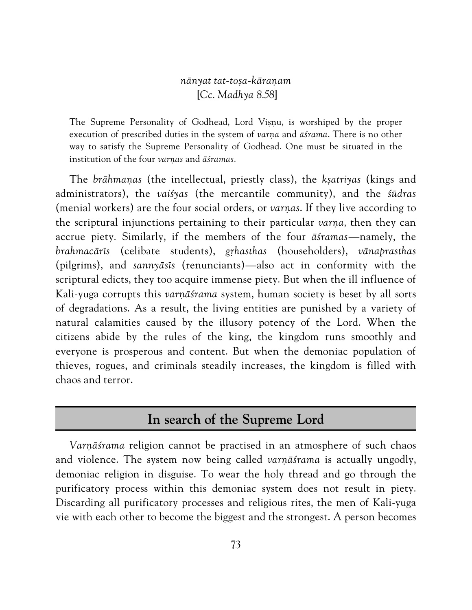### *nānyat tat-tosa-kāranam* [*Cc. Madhya 8.58*]

The Supreme Personality of Godhead, Lord Visnu, is worshiped by the proper execution of prescribed duties in the system of *varna* and  $\bar{a}$ *strama*. There is no other way to satisfy the Supreme Personality of Godhead. One must be situated in the institution of the four *varnas* and  $\bar{a}$ *sramas*.

The *brāhmanas* (the intellectual, priestly class), the *ksatriyas* (kings and administrators), the *vaiçyas* (the mercantile community), and the *çüdras* (menial workers) are the four social orders, or *varnas*. If they live according to the scriptural injunctions pertaining to their particular *varna*, then they can accrue piety. Similarly, if the members of the four *äçramas*—namely, the *brahmacärés* (celibate students), *gåhasthas* (householders), *vänaprasthas* (pilgrims), and *sannyäsés* (renunciants)—also act in conformity with the scriptural edicts, they too acquire immense piety. But when the ill influence of Kali-yuga corrupts this *varnā sama* system, human society is beset by all sorts of degradations. As a result, the living entities are punished by a variety of natural calamities caused by the illusory potency of the Lord. When the citizens abide by the rules of the king, the kingdom runs smoothly and everyone is prosperous and content. But when the demoniac population of thieves, rogues, and criminals steadily increases, the kingdom is filled with chaos and terror.

### **In search of the Supreme Lord**

*Varnāśrama* religion cannot be practised in an atmosphere of such chaos and violence. The system now being called *varnā frama* is actually ungodly, demoniac religion in disguise. To wear the holy thread and go through the purificatory process within this demoniac system does not result in piety. Discarding all purificatory processes and religious rites, the men of Kali-yuga vie with each other to become the biggest and the strongest. A person becomes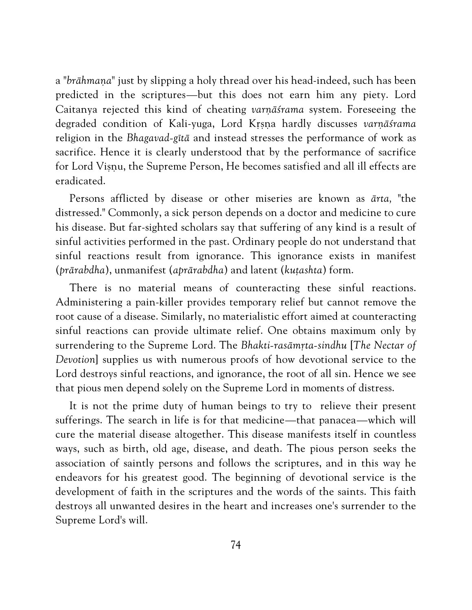a "*brāhmana*" just by slipping a holy thread over his head-indeed, such has been predicted in the scriptures—but this does not earn him any piety. Lord Caitanya rejected this kind of cheating *varnā sama* system. Foreseeing the degraded condition of Kali-yuga, Lord Krsna hardly discusses *varnāšrama* religion in the *Bhagavad-gétä* and instead stresses the performance of work as sacrifice. Hence it is clearly understood that by the performance of sacrifice for Lord Visnu, the Supreme Person, He becomes satisfied and all ill effects are eradicated.

Persons afflicted by disease or other miseries are known as *ärta,* "the distressed." Commonly, a sick person depends on a doctor and medicine to cure his disease. But far-sighted scholars say that suffering of any kind is a result of sinful activities performed in the past. Ordinary people do not understand that sinful reactions result from ignorance. This ignorance exists in manifest (*prārabdha*), unmanifest (*aprārabdha*) and latent (*kuṭashta*) form.

There is no material means of counteracting these sinful reactions. Administering a pain-killer provides temporary relief but cannot remove the root cause of a disease. Similarly, no materialistic effort aimed at counteracting sinful reactions can provide ultimate relief. One obtains maximum only by surrendering to the Supreme Lord. The *Bhakti-rasāmrta-sindhu* [*The Nectar of Devotion*] supplies us with numerous proofs of how devotional service to the Lord destroys sinful reactions, and ignorance, the root of all sin. Hence we see that pious men depend solely on the Supreme Lord in moments of distress.

It is not the prime duty of human beings to try to relieve their present sufferings. The search in life is for that medicine—that panacea—which will cure the material disease altogether. This disease manifests itself in countless ways, such as birth, old age, disease, and death. The pious person seeks the association of saintly persons and follows the scriptures, and in this way he endeavors for his greatest good. The beginning of devotional service is the development of faith in the scriptures and the words of the saints. This faith destroys all unwanted desires in the heart and increases one's surrender to the Supreme Lord's will.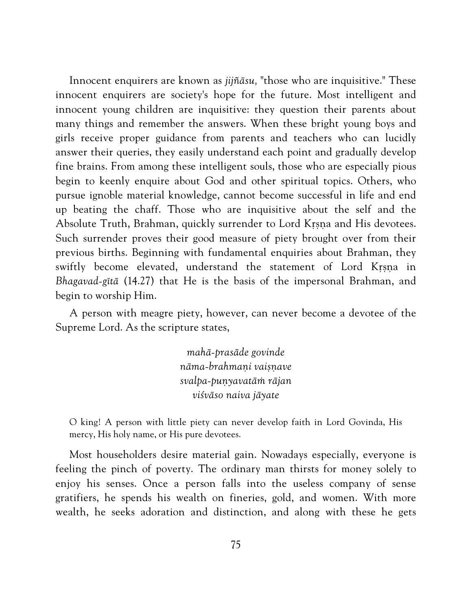Innocent enquirers are known as *jijïäsu,* "those who are inquisitive." These innocent enquirers are society's hope for the future. Most intelligent and innocent young children are inquisitive: they question their parents about many things and remember the answers. When these bright young boys and girls receive proper guidance from parents and teachers who can lucidly answer their queries, they easily understand each point and gradually develop fine brains. From among these intelligent souls, those who are especially pious begin to keenly enquire about God and other spiritual topics. Others, who pursue ignoble material knowledge, cannot become successful in life and end up beating the chaff. Those who are inquisitive about the self and the Absolute Truth, Brahman, quickly surrender to Lord Krsna and His devotees. Such surrender proves their good measure of piety brought over from their previous births. Beginning with fundamental enquiries about Brahman, they swiftly become elevated, understand the statement of Lord Krsna in *Bhagavad-gétä* (14.27) that He is the basis of the impersonal Brahman, and begin to worship Him.

A person with meagre piety, however, can never become a devotee of the Supreme Lord. As the scripture states,

> *mahä-prasäde govinde näma-brahmaëi vaiñëave svalpa-puëyavatäà räjan viçväso naiva jäyate*

O king! A person with little piety can never develop faith in Lord Govinda, His mercy, His holy name, or His pure devotees.

Most householders desire material gain. Nowadays especially, everyone is feeling the pinch of poverty. The ordinary man thirsts for money solely to enjoy his senses. Once a person falls into the useless company of sense gratifiers, he spends his wealth on fineries, gold, and women. With more wealth, he seeks adoration and distinction, and along with these he gets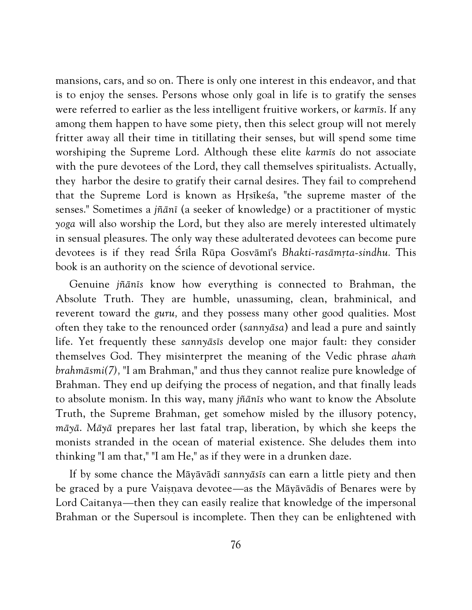mansions, cars, and so on. There is only one interest in this endeavor, and that is to enjoy the senses. Persons whose only goal in life is to gratify the senses were referred to earlier as the less intelligent fruitive workers, or *karmés*. If any among them happen to have some piety, then this select group will not merely fritter away all their time in titillating their senses, but will spend some time worshiping the Supreme Lord. Although these elite *karmés* do not associate with the pure devotees of the Lord, they call themselves spiritualists. Actually, they harbor the desire to gratify their carnal desires. They fail to comprehend that the Supreme Lord is known as Hrsikesa, "the supreme master of the senses." Sometimes a *jïäné* (a seeker of knowledge) or a practitioner of mystic *yoga* will also worship the Lord, but they also are merely interested ultimately in sensual pleasures. The only way these adulterated devotees can become pure devotees is if they read Śrīla Rūpa Gosvāmī's *Bhakti-rasāmṛta-sindhu*. This book is an authority on the science of devotional service.

Genuine *jïänés* know how everything is connected to Brahman, the Absolute Truth. They are humble, unassuming, clean, brahminical, and reverent toward the *guru,* and they possess many other good qualities. Most often they take to the renounced order (*sannyäsa*) and lead a pure and saintly life. Yet frequently these *sannyäsés* develop one major fault: they consider themselves God. They misinterpret the meaning of the Vedic phrase *ahaà brahmäsmi(7),* "I am Brahman," and thus they cannot realize pure knowledge of Brahman. They end up deifying the process of negation, and that finally leads to absolute monism. In this way, many *jïänés* who want to know the Absolute Truth, the Supreme Brahman, get somehow misled by the illusory potency, *mäyä*. *Mäyä* prepares her last fatal trap, liberation, by which she keeps the monists stranded in the ocean of material existence. She deludes them into thinking "I am that," "I am He," as if they were in a drunken daze.

If by some chance the Mäyävädé *sannyäsés* can earn a little piety and then be graced by a pure Vaisnava devotee—as the Māyāvādīs of Benares were by Lord Caitanya—then they can easily realize that knowledge of the impersonal Brahman or the Supersoul is incomplete. Then they can be enlightened with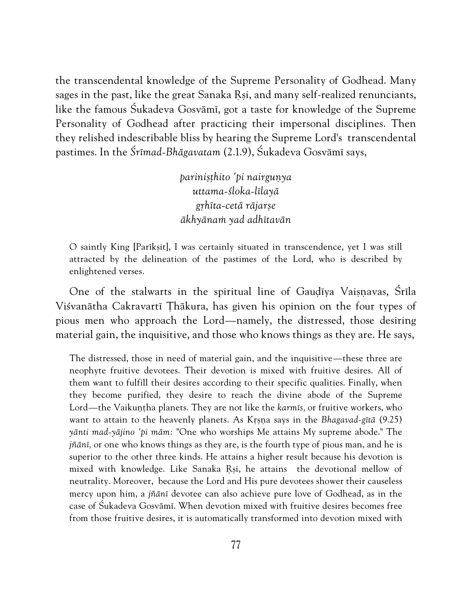the transcendental knowledge of the Supreme Personality of Godhead. Many sages in the past, like the great Sanaka Rsi, and many self-realized renunciants, like the famous Śukadeva Gosvāmī, got a taste for knowledge of the Supreme Personality of Godhead after practicing their impersonal disciplines. Then they relished indescribable bliss by hearing the Supreme Lord's transcendental pastimes. In the *Çrémad-Bhägavatam* (2.1.9), Çukadeva Gosvämé says,

> parinișthito 'pi nairgunya *uttama-çloka-lélayä gåhéta-cetä räjarñe äkhyänaà yad adhétavän*

O saintly King [Parékñit], I was certainly situated in transcendence, yet I was still attracted by the delineation of the pastimes of the Lord, who is described by enlightened verses.

One of the stalwarts in the spiritual line of Gaudīya Vaisnavas, Srīla Visvanātha Cakravartī Thākura, has given his opinion on the four types of pious men who approach the Lord—namely, the distressed, those desiring material gain, the inquisitive, and those who knows things as they are. He says,

The distressed, those in need of material gain, and the inquisitive—these three are neophyte fruitive devotees. Their devotion is mixed with fruitive desires. All of them want to fulfill their desires according to their specific qualities. Finally, when they become purified, they desire to reach the divine abode of the Supreme Lord—the Vaikuntha planets. They are not like the *karmis*, or fruitive workers, who want to attain to the heavenly planets. As Krsna says in the *Bhagavad-gitā* (9.25) *yänti mad-yäjino 'pi mäm:* "One who worships Me attains My supreme abode." The *jïäné,* or one who knows things as they are, is the fourth type of pious man, and he is superior to the other three kinds. He attains a higher result because his devotion is mixed with knowledge. Like Sanaka Rsi, he attains the devotional mellow of neutrality. Moreover, because the Lord and His pure devotees shower their causeless mercy upon him, a *jïäné* devotee can also achieve pure love of Godhead, as in the case of Śukadeva Gosvāmī. When devotion mixed with fruitive desires becomes free from those fruitive desires, it is automatically transformed into devotion mixed with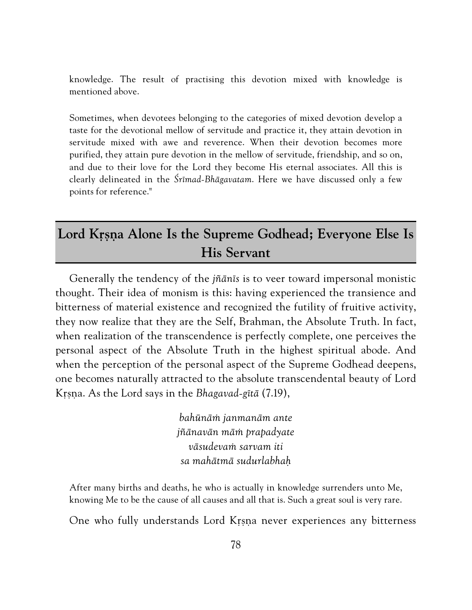knowledge. The result of practising this devotion mixed with knowledge is mentioned above.

Sometimes, when devotees belonging to the categories of mixed devotion develop a taste for the devotional mellow of servitude and practice it, they attain devotion in servitude mixed with awe and reverence. When their devotion becomes more purified, they attain pure devotion in the mellow of servitude, friendship, and so on, and due to their love for the Lord they become His eternal associates. All this is clearly delineated in the *Çrémad-Bhägavatam*. Here we have discussed only a few points for reference."

# Lord Krșņa Alone Is the Supreme Godhead; Everyone Else Is **His Servant**

Generally the tendency of the *jïänés* is to veer toward impersonal monistic thought. Their idea of monism is this: having experienced the transience and bitterness of material existence and recognized the futility of fruitive activity, they now realize that they are the Self, Brahman, the Absolute Truth. In fact, when realization of the transcendence is perfectly complete, one perceives the personal aspect of the Absolute Truth in the highest spiritual abode. And when the perception of the personal aspect of the Supreme Godhead deepens, one becomes naturally attracted to the absolute transcendental beauty of Lord Kåñëa. As the Lord says in the *Bhagavad-gétä* (7.19),

> *bahünäà janmanäm ante jïänavän mäà prapadyate väsudevaà sarvam iti sa mahätmä sudurlabhaù*

After many births and deaths, he who is actually in knowledge surrenders unto Me, knowing Me to be the cause of all causes and all that is. Such a great soul is very rare.

One who fully understands Lord Krsna never experiences any bitterness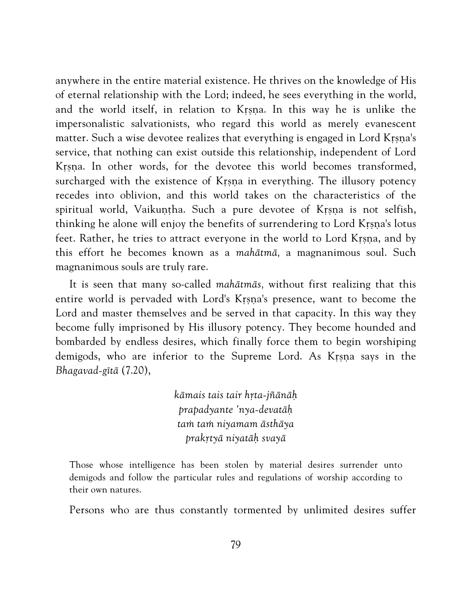anywhere in the entire material existence. He thrives on the knowledge of His of eternal relationship with the Lord; indeed, he sees everything in the world, and the world itself, in relation to Krsna. In this way he is unlike the impersonalistic salvationists, who regard this world as merely evanescent matter. Such a wise devotee realizes that everything is engaged in Lord Krsna's service, that nothing can exist outside this relationship, independent of Lord Krsna. In other words, for the devotee this world becomes transformed, surcharged with the existence of Krsna in everything. The illusory potency recedes into oblivion, and this world takes on the characteristics of the spiritual world, Vaikuntha. Such a pure devotee of Krsna is not selfish, thinking he alone will enjoy the benefits of surrendering to Lord Krsna's lotus feet. Rather, he tries to attract everyone in the world to Lord Krsna, and by this effort he becomes known as a *mahätmä,* a magnanimous soul. Such magnanimous souls are truly rare.

It is seen that many so-called *mahätmäs,* without first realizing that this entire world is pervaded with Lord's Krsna's presence, want to become the Lord and master themselves and be served in that capacity. In this way they become fully imprisoned by His illusory potency. They become hounded and bombarded by endless desires, which finally force them to begin worshiping demigods, who are inferior to the Supreme Lord. As Krsna says in the *Bhagavad-gétä* (7.20),

> *kämais tais tair håta-jïänäù prapadyante 'nya-devatäù taà taà niyamam ästhäya prakåtyä niyatäù svayä*

Those whose intelligence has been stolen by material desires surrender unto demigods and follow the particular rules and regulations of worship according to their own natures.

Persons who are thus constantly tormented by unlimited desires suffer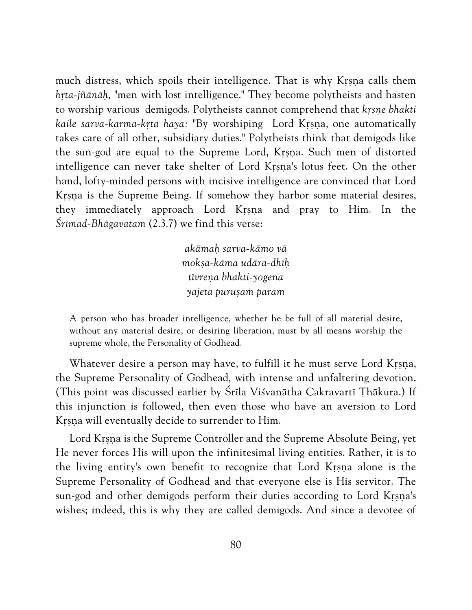much distress, which spoils their intelligence. That is why Krsna calls them *hrta-jñānāḥ*, "men with lost intelligence." They become polytheists and hasten to worship various demigods. Polytheists cannot comprehend that *krine bhakti kaile sarva-karma-krta haya:* "By worshiping Lord Krsna, one automatically takes care of all other, subsidiary duties." Polytheists think that demigods like the sun-god are equal to the Supreme Lord, Krsna. Such men of distorted intelligence can never take shelter of Lord Krsna's lotus feet. On the other hand, lofty-minded persons with incisive intelligence are convinced that Lord Krsna is the Supreme Being. If somehow they harbor some material desires, they immediately approach Lord Krsna and pray to Him. In the *Çrémad-Bhägavatam* (2.3.7) we find this verse:

> *akämaù sarva-kämo vä mokña-käma udära-dhéù tévreëa bhakti-yogena yajeta puruñaà param*

A person who has broader intelligence, whether he be full of all material desire, without any material desire, or desiring liberation, must by all means worship the supreme whole, the Personality of Godhead.

Whatever desire a person may have, to fulfill it he must serve Lord Krsna, the Supreme Personality of Godhead, with intense and unfaltering devotion. (This point was discussed earlier by Śrīla Viśvanātha Cakravartī Țhākura.) If this injunction is followed, then even those who have an aversion to Lord Krsna will eventually decide to surrender to Him.

Lord Krsna is the Supreme Controller and the Supreme Absolute Being, yet He never forces His will upon the infinitesimal living entities. Rather, it is to the living entity's own benefit to recognize that Lord Krsna alone is the Supreme Personality of Godhead and that everyone else is His servitor. The sun-god and other demigods perform their duties according to Lord Krsna's wishes; indeed, this is why they are called demigods. And since a devotee of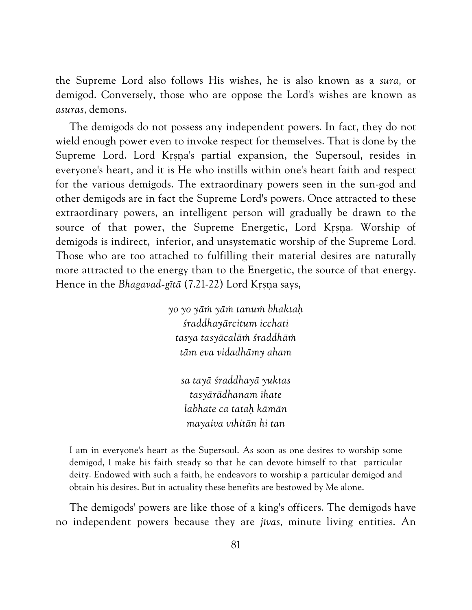the Supreme Lord also follows His wishes, he is also known as a *sura,* or demigod. Conversely, those who are oppose the Lord's wishes are known as *asuras,* demons.

The demigods do not possess any independent powers. In fact, they do not wield enough power even to invoke respect for themselves. That is done by the Supreme Lord. Lord Krsna's partial expansion, the Supersoul, resides in everyone's heart, and it is He who instills within one's heart faith and respect for the various demigods. The extraordinary powers seen in the sun-god and other demigods are in fact the Supreme Lord's powers. Once attracted to these extraordinary powers, an intelligent person will gradually be drawn to the source of that power, the Supreme Energetic, Lord Krsna. Worship of demigods is indirect, inferior, and unsystematic worship of the Supreme Lord. Those who are too attached to fulfilling their material desires are naturally more attracted to the energy than to the Energetic, the source of that energy. Hence in the *Bhagavad-gītā* (7.21-22) Lord Krsna says,

> *yo yo yäà yäà tanuà bhaktaù çraddhayärcitum icchati tasya tasyäcaläà çraddhäà täm eva vidadhämy aham*

*sa tayä çraddhayä yuktas tasyärädhanam éhate labhate ca tataù kämän mayaiva vihitän hi tan*

I am in everyone's heart as the Supersoul. As soon as one desires to worship some demigod, I make his faith steady so that he can devote himself to that particular deity. Endowed with such a faith, he endeavors to worship a particular demigod and obtain his desires. But in actuality these benefits are bestowed by Me alone.

The demigods' powers are like those of a king's officers. The demigods have no independent powers because they are *jévas,* minute living entities. An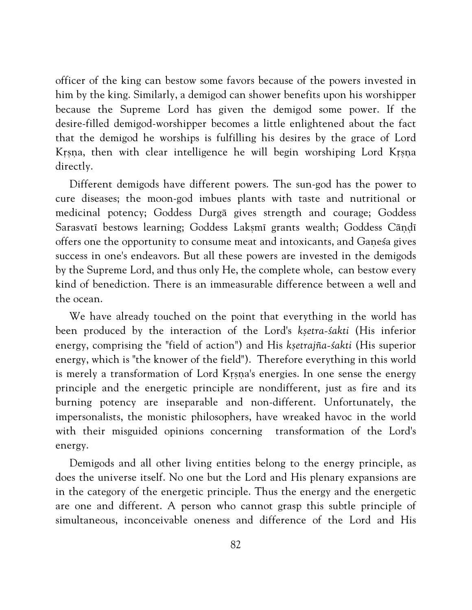officer of the king can bestow some favors because of the powers invested in him by the king. Similarly, a demigod can shower benefits upon his worshipper because the Supreme Lord has given the demigod some power. If the desire-filled demigod-worshipper becomes a little enlightened about the fact that the demigod he worships is fulfilling his desires by the grace of Lord Krsna, then with clear intelligence he will begin worshiping Lord Krsna directly.

Different demigods have different powers. The sun-god has the power to cure diseases; the moon-god imbues plants with taste and nutritional or medicinal potency; Goddess Durgä gives strength and courage; Goddess Sarasvatī bestows learning; Goddess Laksmī grants wealth; Goddess Cāndī offers one the opportunity to consume meat and intoxicants, and Ganesa gives success in one's endeavors. But all these powers are invested in the demigods by the Supreme Lord, and thus only He, the complete whole, can bestow every kind of benediction. There is an immeasurable difference between a well and the ocean.

We have already touched on the point that everything in the world has been produced by the interaction of the Lord's *ksetra-sakti* (His inferior energy, comprising the "field of action") and His *kñetrajïa-çakti* (His superior energy, which is "the knower of the field"). Therefore everything in this world is merely a transformation of Lord Krsna's energies. In one sense the energy principle and the energetic principle are nondifferent, just as fire and its burning potency are inseparable and non-different. Unfortunately, the impersonalists, the monistic philosophers, have wreaked havoc in the world with their misguided opinions concerning transformation of the Lord's energy.

Demigods and all other living entities belong to the energy principle, as does the universe itself. No one but the Lord and His plenary expansions are in the category of the energetic principle. Thus the energy and the energetic are one and different. A person who cannot grasp this subtle principle of simultaneous, inconceivable oneness and difference of the Lord and His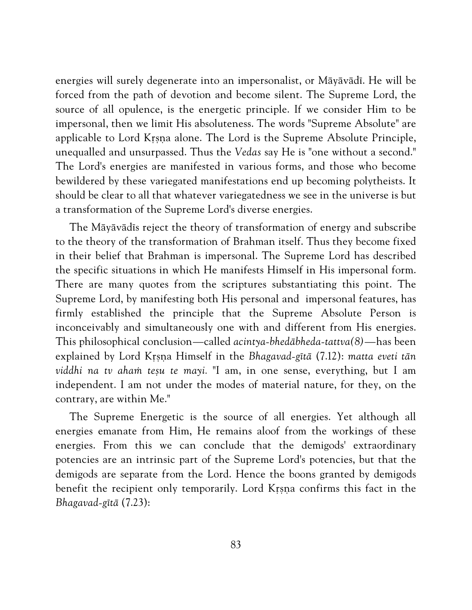energies will surely degenerate into an impersonalist, or Mäyävädé. He will be forced from the path of devotion and become silent. The Supreme Lord, the source of all opulence, is the energetic principle. If we consider Him to be impersonal, then we limit His absoluteness. The words "Supreme Absolute" are applicable to Lord Krsna alone. The Lord is the Supreme Absolute Principle, unequalled and unsurpassed. Thus the *Vedas* say He is "one without a second." The Lord's energies are manifested in various forms, and those who become bewildered by these variegated manifestations end up becoming polytheists. It should be clear to all that whatever variegatedness we see in the universe is but a transformation of the Supreme Lord's diverse energies.

The Māyāvādīs reject the theory of transformation of energy and subscribe to the theory of the transformation of Brahman itself. Thus they become fixed in their belief that Brahman is impersonal. The Supreme Lord has described the specific situations in which He manifests Himself in His impersonal form. There are many quotes from the scriptures substantiating this point. The Supreme Lord, by manifesting both His personal and impersonal features, has firmly established the principle that the Supreme Absolute Person is inconceivably and simultaneously one with and different from His energies. This philosophical conclusion—called *acintya-bhedäbheda-tattva(8)—*has been explained by Lord Krsna Himself in the *Bhagavad-gītā* (7.12): *matta eveti tān viddhi na tv aham teşu te mayi.* "I am, in one sense, everything, but I am independent. I am not under the modes of material nature, for they, on the contrary, are within Me."

The Supreme Energetic is the source of all energies. Yet although all energies emanate from Him, He remains aloof from the workings of these energies. From this we can conclude that the demigods' extraordinary potencies are an intrinsic part of the Supreme Lord's potencies, but that the demigods are separate from the Lord. Hence the boons granted by demigods benefit the recipient only temporarily. Lord Krsna confirms this fact in the *Bhagavad-gétä* (7.23):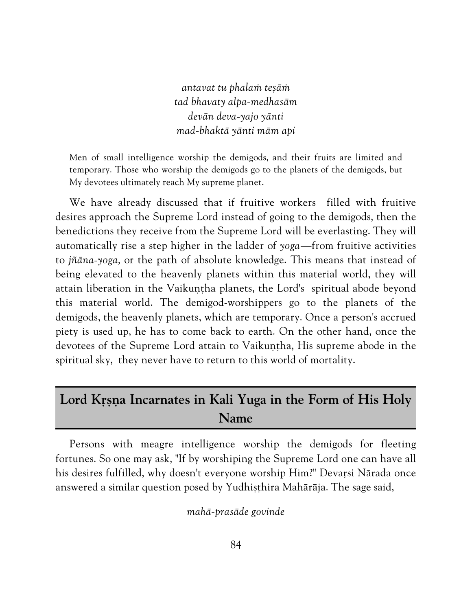*antavat tu phalam tesām tad bhavaty alpa-medhasäm devän deva-yajo yänti mad-bhaktä yänti mäm api*

Men of small intelligence worship the demigods, and their fruits are limited and temporary. Those who worship the demigods go to the planets of the demigods, but My devotees ultimately reach My supreme planet.

We have already discussed that if fruitive workers filled with fruitive desires approach the Supreme Lord instead of going to the demigods, then the benedictions they receive from the Supreme Lord will be everlasting. They will automatically rise a step higher in the ladder of *yoga*—from fruitive activities to *jïäna-yoga,* or the path of absolute knowledge. This means that instead of being elevated to the heavenly planets within this material world, they will attain liberation in the Vaikuntha planets, the Lord's spiritual abode beyond this material world. The demigod-worshippers go to the planets of the demigods, the heavenly planets, which are temporary. Once a person's accrued piety is used up, he has to come back to earth. On the other hand, once the devotees of the Supreme Lord attain to Vaikuntha, His supreme abode in the spiritual sky, they never have to return to this world of mortality.

## Lord Krsna Incarnates in Kali Yuga in the Form of His Holy **Name**

Persons with meagre intelligence worship the demigods for fleeting fortunes. So one may ask, "If by worshiping the Supreme Lord one can have all his desires fulfilled, why doesn't everyone worship Him?" Devarsi Nārada once answered a similar question posed by Yudhisthira Mahārāja. The sage said,

*mahä-prasäde govinde*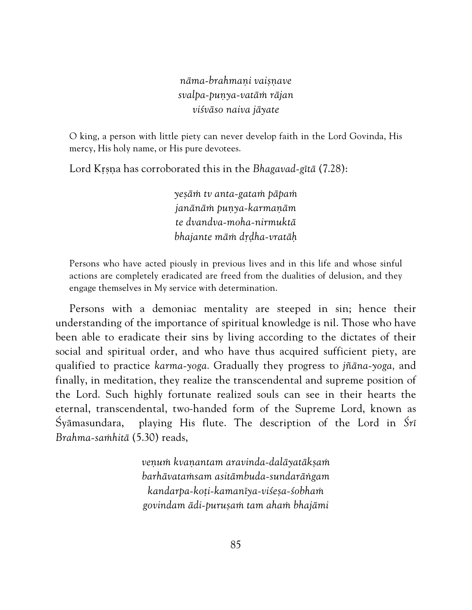### *näma-brahmaëi vaiñëave svalpa-puëya-vatäà räjan viçväso naiva jäyate*

O king, a person with little piety can never develop faith in the Lord Govinda, His mercy, His holy name, or His pure devotees.

Lord Krsna has corroborated this in the *Bhagavad-gītā* (7.28):

*yeñäà tv anta-gataà päpaà janänäà puëya-karmaëäm te dvandva-moha-nirmuktä bhajante mäà dåòha-vratäù*

Persons who have acted piously in previous lives and in this life and whose sinful actions are completely eradicated are freed from the dualities of delusion, and they engage themselves in My service with determination.

Persons with a demoniac mentality are steeped in sin; hence their understanding of the importance of spiritual knowledge is nil. Those who have been able to eradicate their sins by living according to the dictates of their social and spiritual order, and who have thus acquired sufficient piety, are qualified to practice *karma-yoga.* Gradually they progress to *jïäna-yoga,* and finally, in meditation, they realize the transcendental and supreme position of the Lord. Such highly fortunate realized souls can see in their hearts the eternal, transcendental, two-handed form of the Supreme Lord, known as Çyämasundara, playing His flute. The description of the Lord in *Çré Brahma-saàhitä* (5.30) reads,

> *veëuà kvaëantam aravinda-daläyatäkñaà barhävataàsam asitämbuda-sundaräìgam kandarpa-koöi-kamanéya-viçeña-çobhaà govindam ädi-puruñaà tam ahaà bhajämi*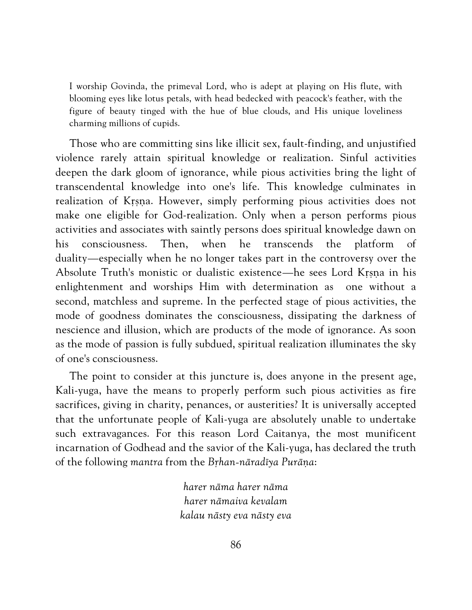I worship Govinda, the primeval Lord, who is adept at playing on His flute, with blooming eyes like lotus petals, with head bedecked with peacock's feather, with the figure of beauty tinged with the hue of blue clouds, and His unique loveliness charming millions of cupids.

Those who are committing sins like illicit sex, fault-finding, and unjustified violence rarely attain spiritual knowledge or realization. Sinful activities deepen the dark gloom of ignorance, while pious activities bring the light of transcendental knowledge into one's life. This knowledge culminates in realization of Krsna. However, simply performing pious activities does not make one eligible for God-realization. Only when a person performs pious activities and associates with saintly persons does spiritual knowledge dawn on his consciousness. Then, when he transcends the platform of duality—especially when he no longer takes part in the controversy over the Absolute Truth's monistic or dualistic existence—he sees Lord Krsna in his enlightenment and worships Him with determination as one without a second, matchless and supreme. In the perfected stage of pious activities, the mode of goodness dominates the consciousness, dissipating the darkness of nescience and illusion, which are products of the mode of ignorance. As soon as the mode of passion is fully subdued, spiritual realization illuminates the sky of one's consciousness.

The point to consider at this juncture is, does anyone in the present age, Kali-yuga, have the means to properly perform such pious activities as fire sacrifices, giving in charity, penances, or austerities? It is universally accepted that the unfortunate people of Kali-yuga are absolutely unable to undertake such extravagances. For this reason Lord Caitanya, the most munificent incarnation of Godhead and the savior of the Kali-yuga, has declared the truth of the following *mantra* from the *Båhan-näradéya Puräëa*:

> *harer näma harer näma harer nämaiva kevalam kalau nästy eva nästy eva*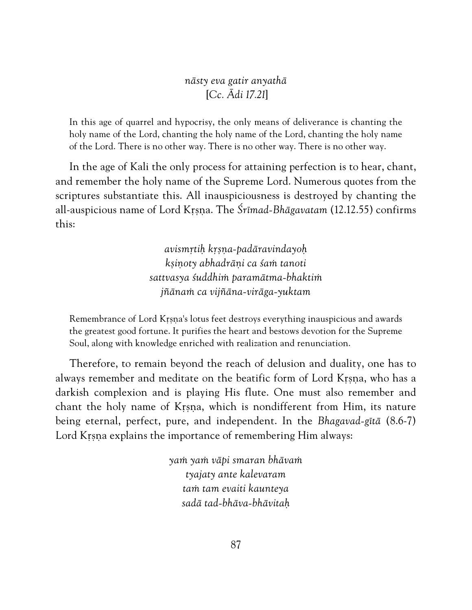#### *nästy eva gatir anyathä* [*Cc. Ädi 17.21*]

In this age of quarrel and hypocrisy, the only means of deliverance is chanting the holy name of the Lord, chanting the holy name of the Lord, chanting the holy name of the Lord. There is no other way. There is no other way. There is no other way.

In the age of Kali the only process for attaining perfection is to hear, chant, and remember the holy name of the Supreme Lord. Numerous quotes from the scriptures substantiate this. All inauspiciousness is destroyed by chanting the all-auspicious name of Lord Krsna. The *Śrīmad-Bhāgavatam* (12.12.55) confirms this:

> *avismåtiù kåñëa-padäravindayoù kñiëoty abhadräëi ca çaà tanoti sattvasya çuddhià paramätma-bhaktià jïänaà ca vijïäna-viräga-yuktam*

Remembrance of Lord Krsna's lotus feet destroys everything inauspicious and awards the greatest good fortune. It purifies the heart and bestows devotion for the Supreme Soul, along with knowledge enriched with realization and renunciation.

Therefore, to remain beyond the reach of delusion and duality, one has to always remember and meditate on the beatific form of Lord Krsna, who has a darkish complexion and is playing His flute. One must also remember and chant the holy name of Krsna, which is nondifferent from Him, its nature being eternal, perfect, pure, and independent. In the *Bhagavad-gétä* (8.6-7) Lord Krsna explains the importance of remembering Him always:

> *yaà yaà väpi smaran bhävaà tyajaty ante kalevaram taà tam evaiti kaunteya sadä tad-bhäva-bhävitaù*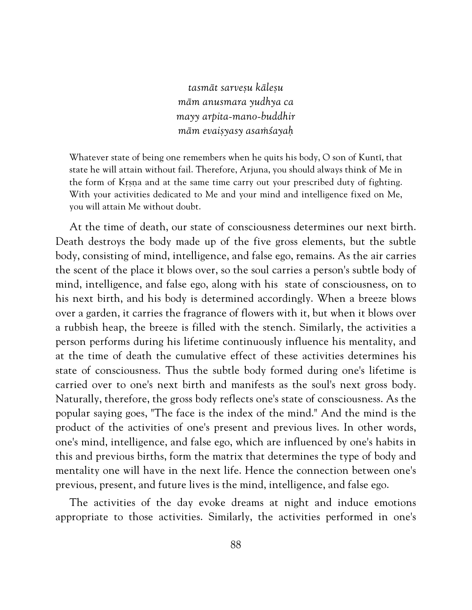*tasmät sarveñu käleñu mäm anusmara yudhya ca mayy arpita-mano-buddhir mām evaisyasy asamśayah* 

Whatever state of being one remembers when he quits his body,  $O$  son of Kunti, that state he will attain without fail. Therefore, Arjuna, you should always think of Me in the form of Krsna and at the same time carry out your prescribed duty of fighting. With your activities dedicated to Me and your mind and intelligence fixed on Me, you will attain Me without doubt.

At the time of death, our state of consciousness determines our next birth. Death destroys the body made up of the five gross elements, but the subtle body, consisting of mind, intelligence, and false ego, remains. As the air carries the scent of the place it blows over, so the soul carries a person's subtle body of mind, intelligence, and false ego, along with his state of consciousness, on to his next birth, and his body is determined accordingly. When a breeze blows over a garden, it carries the fragrance of flowers with it, but when it blows over a rubbish heap, the breeze is filled with the stench. Similarly, the activities a person performs during his lifetime continuously influence his mentality, and at the time of death the cumulative effect of these activities determines his state of consciousness. Thus the subtle body formed during one's lifetime is carried over to one's next birth and manifests as the soul's next gross body. Naturally, therefore, the gross body reflects one's state of consciousness. As the popular saying goes, "The face is the index of the mind." And the mind is the product of the activities of one's present and previous lives. In other words, one's mind, intelligence, and false ego, which are influenced by one's habits in this and previous births, form the matrix that determines the type of body and mentality one will have in the next life. Hence the connection between one's previous, present, and future lives is the mind, intelligence, and false ego.

The activities of the day evoke dreams at night and induce emotions appropriate to those activities. Similarly, the activities performed in one's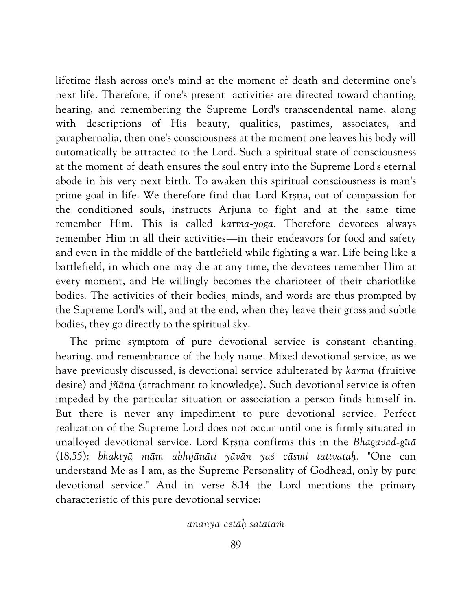lifetime flash across one's mind at the moment of death and determine one's next life. Therefore, if one's present activities are directed toward chanting, hearing, and remembering the Supreme Lord's transcendental name, along with descriptions of His beauty, qualities, pastimes, associates, and paraphernalia, then one's consciousness at the moment one leaves his body will automatically be attracted to the Lord. Such a spiritual state of consciousness at the moment of death ensures the soul entry into the Supreme Lord's eternal abode in his very next birth. To awaken this spiritual consciousness is man's prime goal in life. We therefore find that Lord Krsna, out of compassion for the conditioned souls, instructs Arjuna to fight and at the same time remember Him. This is called *karma-yoga.* Therefore devotees always remember Him in all their activities—in their endeavors for food and safety and even in the middle of the battlefield while fighting a war. Life being like a battlefield, in which one may die at any time, the devotees remember Him at every moment, and He willingly becomes the charioteer of their chariotlike bodies. The activities of their bodies, minds, and words are thus prompted by the Supreme Lord's will, and at the end, when they leave their gross and subtle bodies, they go directly to the spiritual sky.

The prime symptom of pure devotional service is constant chanting, hearing, and remembrance of the holy name. Mixed devotional service, as we have previously discussed, is devotional service adulterated by *karma* (fruitive desire) and *jïäna* (attachment to knowledge). Such devotional service is often impeded by the particular situation or association a person finds himself in. But there is never any impediment to pure devotional service. Perfect realization of the Supreme Lord does not occur until one is firmly situated in unalloyed devotional service. Lord Krsna confirms this in the *Bhagavad-gītā* (18.55): *bhaktyä mäm abhijänäti yävän yaç cäsmi tattvataù.* "One can understand Me as I am, as the Supreme Personality of Godhead, only by pure devotional service." And in verse 8.14 the Lord mentions the primary characteristic of this pure devotional service:

#### *ananya-cetäù satataà*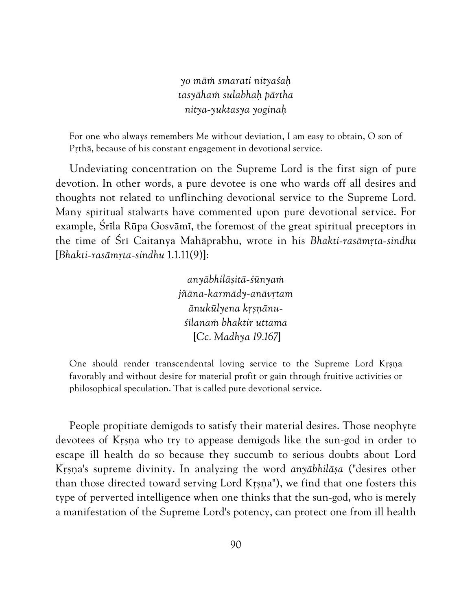*yo mäà smarati nityaçaù tasyähaà sulabhaù pärtha nitya-yuktasya yoginaù*

For one who always remembers Me without deviation, I am easy to obtain, O son of Prthā, because of his constant engagement in devotional service.

Undeviating concentration on the Supreme Lord is the first sign of pure devotion. In other words, a pure devotee is one who wards off all desires and thoughts not related to unflinching devotional service to the Supreme Lord. Many spiritual stalwarts have commented upon pure devotional service. For example, Śrīla Rūpa Gosvāmī, the foremost of the great spiritual preceptors in the time of Śrī Caitanya Mahāprabhu, wrote in his *Bhakti-rasāmrta-sindhu* [*Bhakti-rasämåta-sindhu* 1.1.11(9)]:

> *anyäbhiläñitä-çünyaà jñāna-karmādy-anāvrtam*  $\bar{a}$ nukūlyena krsnānu*çélanaà bhaktir uttama* [*Cc. Madhya 19.167*]

One should render transcendental loving service to the Supreme Lord Krsna favorably and without desire for material profit or gain through fruitive activities or philosophical speculation. That is called pure devotional service.

People propitiate demigods to satisfy their material desires. Those neophyte devotees of Krsna who try to appease demigods like the sun-god in order to escape ill health do so because they succumb to serious doubts about Lord Krsna's supreme divinity. In analyzing the word *anyābhilāṣa* ("desires other than those directed toward serving Lord Krsna"), we find that one fosters this type of perverted intelligence when one thinks that the sun-god, who is merely a manifestation of the Supreme Lord's potency, can protect one from ill health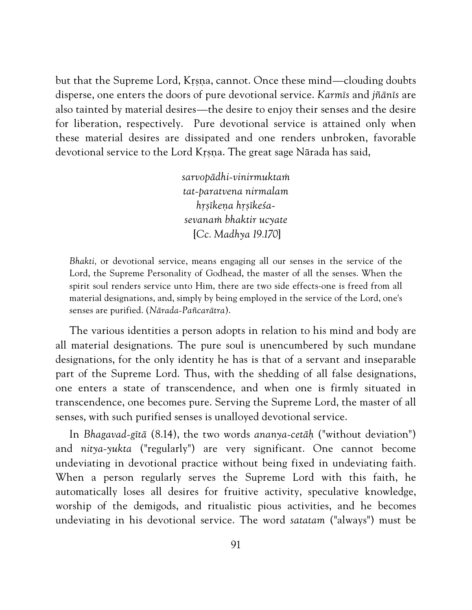but that the Supreme Lord, Krsna, cannot. Once these mind—clouding doubts disperse, one enters the doors of pure devotional service. *Karmés* and *jïänés* are also tainted by material desires—the desire to enjoy their senses and the desire for liberation, respectively. Pure devotional service is attained only when these material desires are dissipated and one renders unbroken, favorable devotional service to the Lord Krsna. The great sage Nārada has said,

> *sarvopädhi-vinirmuktaà tat-paratvena nirmalam håñékeëa håñékeçasevanaà bhaktir ucyate* [*Cc. Madhya 19.170*]

*Bhakti,* or devotional service, means engaging all our senses in the service of the Lord, the Supreme Personality of Godhead, the master of all the senses. When the spirit soul renders service unto Him, there are two side effects-one is freed from all material designations, and, simply by being employed in the service of the Lord, one's senses are purified. (*Närada-Païcarätra*).

The various identities a person adopts in relation to his mind and body are all material designations. The pure soul is unencumbered by such mundane designations, for the only identity he has is that of a servant and inseparable part of the Supreme Lord. Thus, with the shedding of all false designations, one enters a state of transcendence, and when one is firmly situated in transcendence, one becomes pure. Serving the Supreme Lord, the master of all senses, with such purified senses is unalloyed devotional service.

In *Bhagavad-gétä* (8.14), the two words *ananya-cetäù* ("without deviation") and *nitya-yukta* ("regularly") are very significant. One cannot become undeviating in devotional practice without being fixed in undeviating faith. When a person regularly serves the Supreme Lord with this faith, he automatically loses all desires for fruitive activity, speculative knowledge, worship of the demigods, and ritualistic pious activities, and he becomes undeviating in his devotional service. The word *satatam* ("always") must be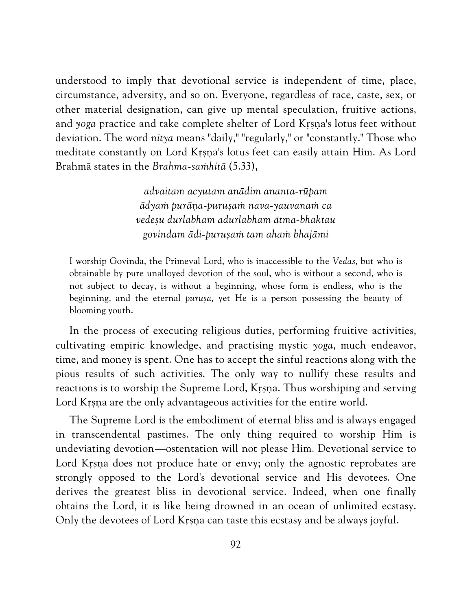understood to imply that devotional service is independent of time, place, circumstance, adversity, and so on. Everyone, regardless of race, caste, sex, or other material designation, can give up mental speculation, fruitive actions, and yoga practice and take complete shelter of Lord Krsna's lotus feet without deviation. The word *nitya* means "daily," "regularly," or "constantly." Those who meditate constantly on Lord Krsna's lotus feet can easily attain Him. As Lord Brahmä states in the *Brahma-saàhitä* (5.33),

> *advaitam acyutam anädim ananta-rüpam ädyaà puräëa-puruñaà nava-yauvanaà ca vedeñu durlabham adurlabham ätma-bhaktau govindam ädi-puruñaà tam ahaà bhajämi*

I worship Govinda, the Primeval Lord, who is inaccessible to the *Vedas,* but who is obtainable by pure unalloyed devotion of the soul, who is without a second, who is not subject to decay, is without a beginning, whose form is endless, who is the beginning, and the eternal *purusa*, yet He is a person possessing the beauty of blooming youth.

In the process of executing religious duties, performing fruitive activities, cultivating empiric knowledge, and practising mystic *yoga,* much endeavor, time, and money is spent. One has to accept the sinful reactions along with the pious results of such activities. The only way to nullify these results and reactions is to worship the Supreme Lord, Krsna. Thus worshiping and serving Lord Krsna are the only advantageous activities for the entire world.

The Supreme Lord is the embodiment of eternal bliss and is always engaged in transcendental pastimes. The only thing required to worship Him is undeviating devotion—ostentation will not please Him. Devotional service to Lord Krsna does not produce hate or envy; only the agnostic reprobates are strongly opposed to the Lord's devotional service and His devotees. One derives the greatest bliss in devotional service. Indeed, when one finally obtains the Lord, it is like being drowned in an ocean of unlimited ecstasy. Only the devotees of Lord Krsna can taste this ecstasy and be always joyful.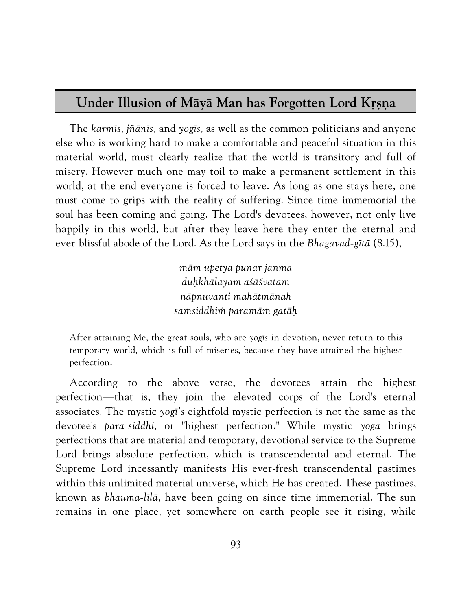### **Under Illusion of Mäyä Man has Forgotten Lord Krsna**

The *karmés, jïänés,* and *yogés,* as well as the common politicians and anyone else who is working hard to make a comfortable and peaceful situation in this material world, must clearly realize that the world is transitory and full of misery. However much one may toil to make a permanent settlement in this world, at the end everyone is forced to leave. As long as one stays here, one must come to grips with the reality of suffering. Since time immemorial the soul has been coming and going. The Lord's devotees, however, not only live happily in this world, but after they leave here they enter the eternal and ever-blissful abode of the Lord. As the Lord says in the *Bhagavad-gétä* (8.15),

> *mäm upetya punar janma duùkhälayam açäçvatam näpnuvanti mahätmänaù saàsiddhià paramäà gatäù*

After attaining Me, the great souls, who are *yogés* in devotion, never return to this temporary world, which is full of miseries, because they have attained the highest perfection.

According to the above verse, the devotees attain the highest perfection—that is, they join the elevated corps of the Lord's eternal associates. The mystic *yogé's* eightfold mystic perfection is not the same as the devotee's *para-siddhi,* or "highest perfection." While mystic *yoga* brings perfections that are material and temporary, devotional service to the Supreme Lord brings absolute perfection, which is transcendental and eternal. The Supreme Lord incessantly manifests His ever-fresh transcendental pastimes within this unlimited material universe, which He has created. These pastimes, known as *bhauma-lélä,* have been going on since time immemorial. The sun remains in one place, yet somewhere on earth people see it rising, while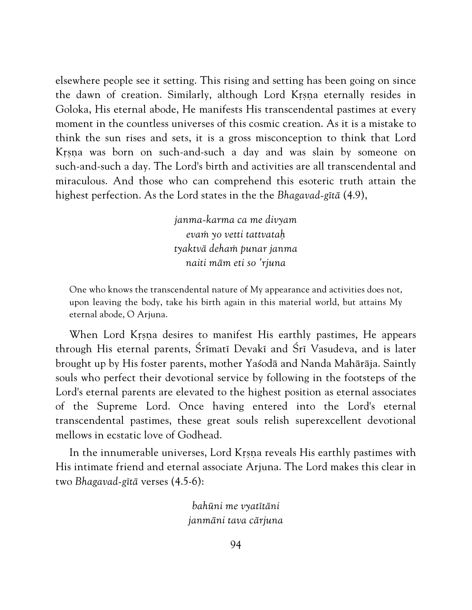elsewhere people see it setting. This rising and setting has been going on since the dawn of creation. Similarly, although Lord Krsna eternally resides in Goloka, His eternal abode, He manifests His transcendental pastimes at every moment in the countless universes of this cosmic creation. As it is a mistake to think the sun rises and sets, it is a gross misconception to think that Lord Krsna was born on such-and-such a day and was slain by someone on such-and-such a day. The Lord's birth and activities are all transcendental and miraculous. And those who can comprehend this esoteric truth attain the highest perfection. As the Lord states in the the *Bhagavad-gétä* (4.9),

> *janma-karma ca me divyam evaà yo vetti tattvataù tyaktvä dehaà punar janma naiti mäm eti so 'rjuna*

One who knows the transcendental nature of My appearance and activities does not, upon leaving the body, take his birth again in this material world, but attains My eternal abode, O Arjuna.

When Lord Krsna desires to manifest His earthly pastimes, He appears through His eternal parents, Śrīmatī Devakī and Śrī Vasudeva, and is later brought up by His foster parents, mother Yaçodä and Nanda Mahäräja. Saintly souls who perfect their devotional service by following in the footsteps of the Lord's eternal parents are elevated to the highest position as eternal associates of the Supreme Lord. Once having entered into the Lord's eternal transcendental pastimes, these great souls relish superexcellent devotional mellows in ecstatic love of Godhead.

In the innumerable universes, Lord Krsna reveals His earthly pastimes with His intimate friend and eternal associate Arjuna. The Lord makes this clear in two *Bhagavad-gétä* verses (4.5-6):

> *bahüni me vyatétäni janmäni tava cärjuna*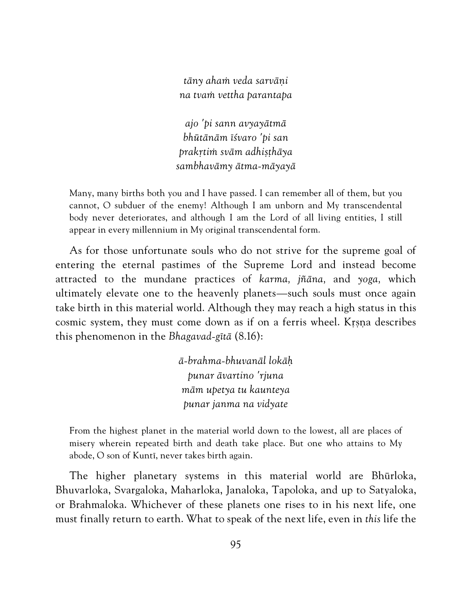*tāny aham veda sarvāni na tvaà vettha parantapa*

*ajo 'pi sann avyayätmä bhütänäm éçvaro 'pi san prakåtià sväm adhiñöhäya sambhavämy ätma-mäyayä*

Many, many births both you and I have passed. I can remember all of them, but you cannot, O subduer of the enemy! Although I am unborn and My transcendental body never deteriorates, and although I am the Lord of all living entities, I still appear in every millennium in My original transcendental form.

As for those unfortunate souls who do not strive for the supreme goal of entering the eternal pastimes of the Supreme Lord and instead become attracted to the mundane practices of *karma, jïäna,* and *yoga,* which ultimately elevate one to the heavenly planets—such souls must once again take birth in this material world. Although they may reach a high status in this cosmic system, they must come down as if on a ferris wheel. Krsna describes this phenomenon in the *Bhagavad-gétä* (8.16):

> *ä-brahma-bhuvanäl lokäù punar ävartino 'rjuna mäm upetya tu kaunteya punar janma na vidyate*

From the highest planet in the material world down to the lowest, all are places of misery wherein repeated birth and death take place. But one who attains to My abode,  $O$  son of Kunti, never takes birth again.

The higher planetary systems in this material world are Bhürloka, Bhuvarloka, Svargaloka, Maharloka, Janaloka, Tapoloka, and up to Satyaloka, or Brahmaloka. Whichever of these planets one rises to in his next life, one must finally return to earth. What to speak of the next life, even in *this* life the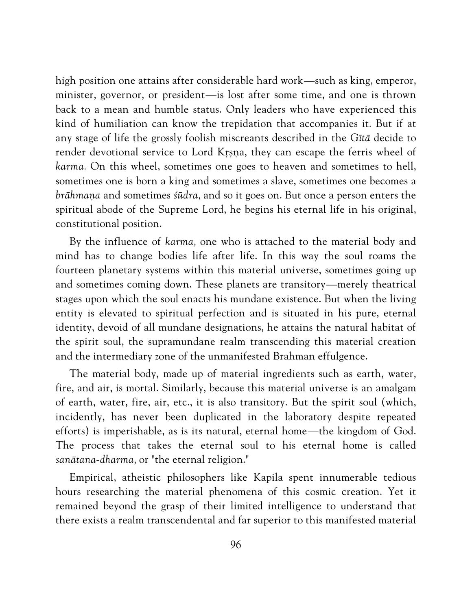high position one attains after considerable hard work—such as king, emperor, minister, governor, or president—is lost after some time, and one is thrown back to a mean and humble status. Only leaders who have experienced this kind of humiliation can know the trepidation that accompanies it. But if at any stage of life the grossly foolish miscreants described in the *Gétä* decide to render devotional service to Lord Krsna, they can escape the ferris wheel of *karma.* On this wheel, sometimes one goes to heaven and sometimes to hell, sometimes one is born a king and sometimes a slave, sometimes one becomes a *brāhmana* and sometimes *sūdra*, and so it goes on. But once a person enters the spiritual abode of the Supreme Lord, he begins his eternal life in his original, constitutional position.

By the influence of *karma,* one who is attached to the material body and mind has to change bodies life after life. In this way the soul roams the fourteen planetary systems within this material universe, sometimes going up and sometimes coming down. These planets are transitory—merely theatrical stages upon which the soul enacts his mundane existence. But when the living entity is elevated to spiritual perfection and is situated in his pure, eternal identity, devoid of all mundane designations, he attains the natural habitat of the spirit soul, the supramundane realm transcending this material creation and the intermediary zone of the unmanifested Brahman effulgence.

The material body, made up of material ingredients such as earth, water, fire, and air, is mortal. Similarly, because this material universe is an amalgam of earth, water, fire, air, etc., it is also transitory. But the spirit soul (which, incidently, has never been duplicated in the laboratory despite repeated efforts) is imperishable, as is its natural, eternal home—the kingdom of God. The process that takes the eternal soul to his eternal home is called *sanätana-dharma,* or "the eternal religion."

Empirical, atheistic philosophers like Kapila spent innumerable tedious hours researching the material phenomena of this cosmic creation. Yet it remained beyond the grasp of their limited intelligence to understand that there exists a realm transcendental and far superior to this manifested material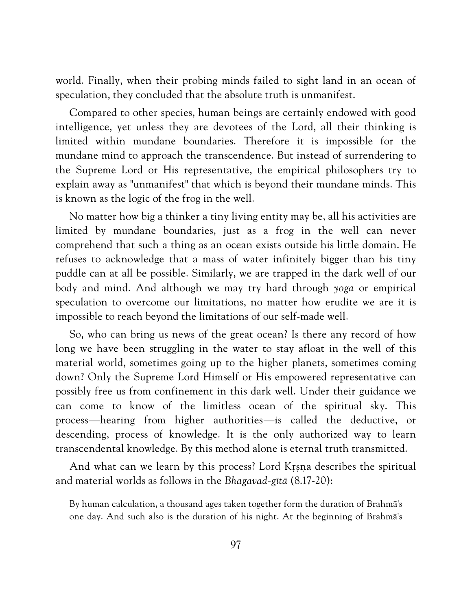world. Finally, when their probing minds failed to sight land in an ocean of speculation, they concluded that the absolute truth is unmanifest.

Compared to other species, human beings are certainly endowed with good intelligence, yet unless they are devotees of the Lord, all their thinking is limited within mundane boundaries. Therefore it is impossible for the mundane mind to approach the transcendence. But instead of surrendering to the Supreme Lord or His representative, the empirical philosophers try to explain away as "unmanifest" that which is beyond their mundane minds. This is known as the logic of the frog in the well.

No matter how big a thinker a tiny living entity may be, all his activities are limited by mundane boundaries, just as a frog in the well can never comprehend that such a thing as an ocean exists outside his little domain. He refuses to acknowledge that a mass of water infinitely bigger than his tiny puddle can at all be possible. Similarly, we are trapped in the dark well of our body and mind. And although we may try hard through *yoga* or empirical speculation to overcome our limitations, no matter how erudite we are it is impossible to reach beyond the limitations of our self-made well.

So, who can bring us news of the great ocean? Is there any record of how long we have been struggling in the water to stay afloat in the well of this material world, sometimes going up to the higher planets, sometimes coming down? Only the Supreme Lord Himself or His empowered representative can possibly free us from confinement in this dark well. Under their guidance we can come to know of the limitless ocean of the spiritual sky. This process—hearing from higher authorities—is called the deductive, or descending, process of knowledge. It is the only authorized way to learn transcendental knowledge. By this method alone is eternal truth transmitted.

And what can we learn by this process? Lord Krsna describes the spiritual and material worlds as follows in the *Bhagavad-gétä* (8.17-20):

By human calculation, a thousand ages taken together form the duration of Brahmä's one day. And such also is the duration of his night. At the beginning of Brahmä's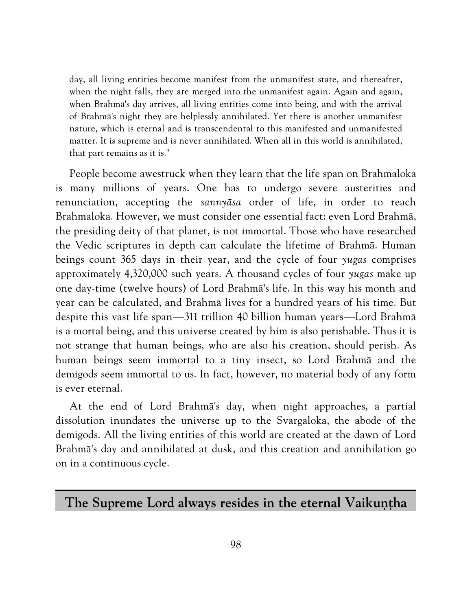day, all living entities become manifest from the unmanifest state, and thereafter, when the night falls, they are merged into the unmanifest again. Again and again, when Brahmä's day arrives, all living entities come into being, and with the arrival of Brahmä's night they are helplessly annihilated. Yet there is another unmanifest nature, which is eternal and is transcendental to this manifested and unmanifested matter. It is supreme and is never annihilated. When all in this world is annihilated, that part remains as it is."

People become awestruck when they learn that the life span on Brahmaloka is many millions of years. One has to undergo severe austerities and renunciation, accepting the *sannyäsa* order of life, in order to reach Brahmaloka. However, we must consider one essential fact: even Lord Brahmä, the presiding deity of that planet, is not immortal. Those who have researched the Vedic scriptures in depth can calculate the lifetime of Brahmä. Human beings count 365 days in their year, and the cycle of four *yugas* comprises approximately 4,320,000 such years. A thousand cycles of four *yugas* make up one day-time (twelve hours) of Lord Brahmä's life. In this way his month and year can be calculated, and Brahmä lives for a hundred years of his time. But despite this vast life span—311 trillion 40 billion human years—Lord Brahmä is a mortal being, and this universe created by him is also perishable. Thus it is not strange that human beings, who are also his creation, should perish. As human beings seem immortal to a tiny insect, so Lord Brahmä and the demigods seem immortal to us. In fact, however, no material body of any form is ever eternal.

At the end of Lord Brahmä's day, when night approaches, a partial dissolution inundates the universe up to the Svargaloka, the abode of the demigods. All the living entities of this world are created at the dawn of Lord Brahmä's day and annihilated at dusk, and this creation and annihilation go on in a continuous cycle.

### The Supreme Lord always resides in the eternal Vaikuntha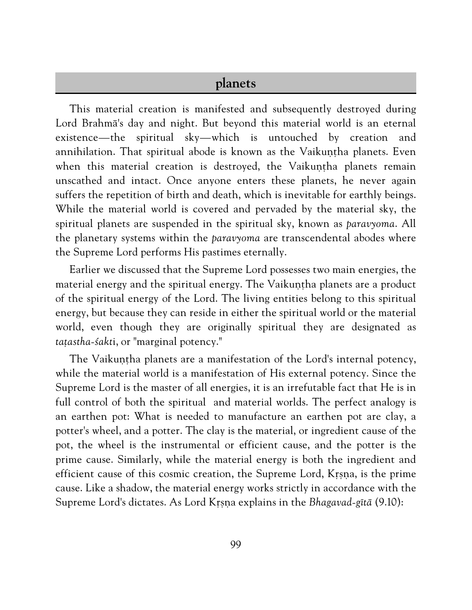### **planets**

This material creation is manifested and subsequently destroyed during Lord Brahmä's day and night. But beyond this material world is an eternal existence*—*the spiritual sky*—*which is untouched by creation and annihilation. That spiritual abode is known as the Vaikuntha planets. Even when this material creation is destroyed, the Vaikuntha planets remain unscathed and intact. Once anyone enters these planets, he never again suffers the repetition of birth and death, which is inevitable for earthly beings. While the material world is covered and pervaded by the material sky, the spiritual planets are suspended in the spiritual sky, known as *paravyoma*. All the planetary systems within the *paravyoma* are transcendental abodes where the Supreme Lord performs His pastimes eternally.

Earlier we discussed that the Supreme Lord possesses two main energies, the material energy and the spiritual energy. The Vaikuntha planets are a product of the spiritual energy of the Lord. The living entities belong to this spiritual energy, but because they can reside in either the spiritual world or the material world, even though they are originally spiritual they are designated as tatastha-śakti, or "marginal potency."

The Vaikuntha planets are a manifestation of the Lord's internal potency, while the material world is a manifestation of His external potency. Since the Supreme Lord is the master of all energies, it is an irrefutable fact that He is in full control of both the spiritual and material worlds. The perfect analogy is an earthen pot: What is needed to manufacture an earthen pot are clay, a potter's wheel, and a potter. The clay is the material, or ingredient cause of the pot, the wheel is the instrumental or efficient cause, and the potter is the prime cause. Similarly, while the material energy is both the ingredient and efficient cause of this cosmic creation, the Supreme Lord, Krsna, is the prime cause. Like a shadow, the material energy works strictly in accordance with the Supreme Lord's dictates. As Lord Krsna explains in the *Bhagavad-gītā* (9.10):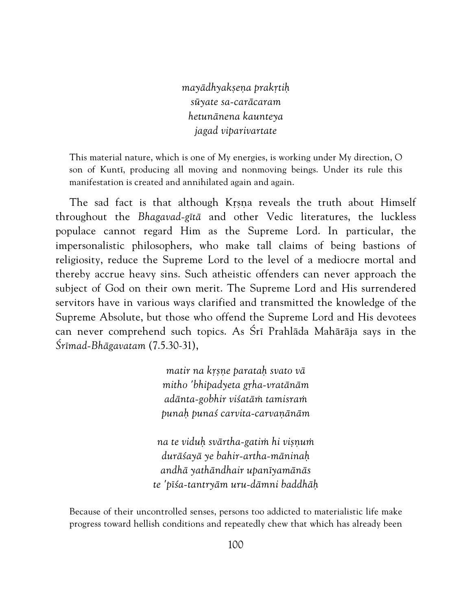*mayädhyakñeëa prakåtiù süyate sa-caräcaram hetunänena kaunteya jagad viparivartate*

This material nature, which is one of My energies, is working under My direction, O son of Kunti, producing all moving and nonmoving beings. Under its rule this manifestation is created and annihilated again and again.

The sad fact is that although Krsna reveals the truth about Himself throughout the *Bhagavad-gétä* and other Vedic literatures, the luckless populace cannot regard Him as the Supreme Lord. In particular, the impersonalistic philosophers, who make tall claims of being bastions of religiosity, reduce the Supreme Lord to the level of a mediocre mortal and thereby accrue heavy sins. Such atheistic offenders can never approach the subject of God on their own merit. The Supreme Lord and His surrendered servitors have in various ways clarified and transmitted the knowledge of the Supreme Absolute, but those who offend the Supreme Lord and His devotees can never comprehend such topics. As Śrī Prahlāda Mahārāja says in the *Çrémad-Bhägavatam* (7.5.30-31),

> *matir na krsne paratah svato vā mitho 'bhipadyeta gåha-vratänäm adänta-gobhir viçatäà tamisraà* punah punaś carvita-carvanānām

*na te viduù svärtha-gatià hi viñëuà duräçayä ye bahir-artha-mäninaù andhä yathändhair upanéyamänäs te 'péça-tantryäm uru-dämni baddhäù*

Because of their uncontrolled senses, persons too addicted to materialistic life make progress toward hellish conditions and repeatedly chew that which has already been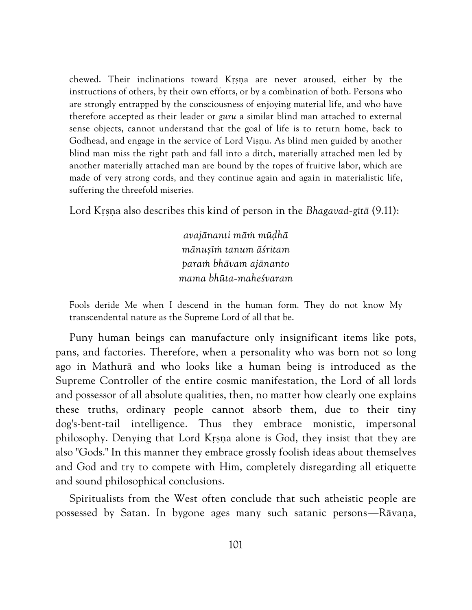chewed. Their inclinations toward Krsna are never aroused, either by the instructions of others, by their own efforts, or by a combination of both. Persons who are strongly entrapped by the consciousness of enjoying material life, and who have therefore accepted as their leader or *guru* a similar blind man attached to external sense objects, cannot understand that the goal of life is to return home, back to Godhead, and engage in the service of Lord Visnu. As blind men guided by another blind man miss the right path and fall into a ditch, materially attached men led by another materially attached man are bound by the ropes of fruitive labor, which are made of very strong cords, and they continue again and again in materialistic life, suffering the threefold miseries.

Lord Krsna also describes this kind of person in the *Bhagavad-gītā* (9.11):

*avajänanti mäà müòhä mänuñéà tanum äçritam paraà bhävam ajänanto mama bhüta-maheçvaram*

Fools deride Me when I descend in the human form. They do not know My transcendental nature as the Supreme Lord of all that be.

Puny human beings can manufacture only insignificant items like pots, pans, and factories. Therefore, when a personality who was born not so long ago in Mathurä and who looks like a human being is introduced as the Supreme Controller of the entire cosmic manifestation, the Lord of all lords and possessor of all absolute qualities, then, no matter how clearly one explains these truths, ordinary people cannot absorb them, due to their tiny dog's-bent-tail intelligence. Thus they embrace monistic, impersonal philosophy. Denying that Lord Krsna alone is God, they insist that they are also "Gods." In this manner they embrace grossly foolish ideas about themselves and God and try to compete with Him, completely disregarding all etiquette and sound philosophical conclusions.

Spiritualists from the West often conclude that such atheistic people are possessed by Satan. In bygone ages many such satanic persons—Rāvana,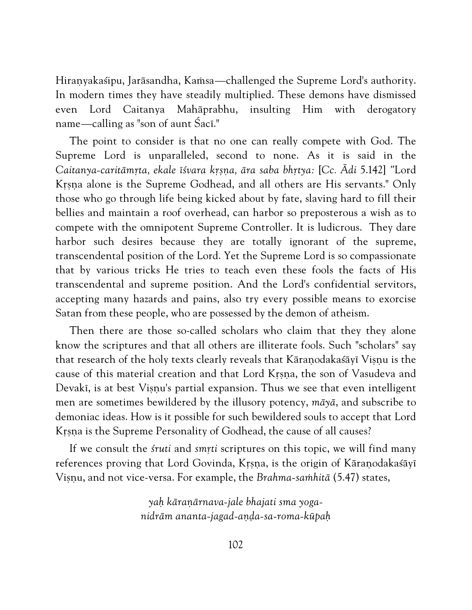Hiranyakasipu, Jarāsandha, Kamsa—challenged the Supreme Lord's authority. In modern times they have steadily multiplied. These demons have dismissed even Lord Caitanya Mahäprabhu, insulting Him with derogatory name—calling as "son of aunt Saci."

The point to consider is that no one can really compete with God. The Supreme Lord is unparalleled, second to none. As it is said in the *Caitanya-caritämåta, ekale éçvara kåñëa, ära saba bhåtya:* [*Cc. Ädi* 5.142] *"*Lord Krsna alone is the Supreme Godhead, and all others are His servants." Only those who go through life being kicked about by fate, slaving hard to fill their bellies and maintain a roof overhead, can harbor so preposterous a wish as to compete with the omnipotent Supreme Controller. It is ludicrous. They dare harbor such desires because they are totally ignorant of the supreme, transcendental position of the Lord. Yet the Supreme Lord is so compassionate that by various tricks He tries to teach even these fools the facts of His transcendental and supreme position. And the Lord's confidential servitors, accepting many hazards and pains, also try every possible means to exorcise Satan from these people, who are possessed by the demon of atheism.

Then there are those so-called scholars who claim that they they alone know the scriptures and that all others are illiterate fools. Such "scholars" say that research of the holy texts clearly reveals that Kāranodakasāyī Viṣṇu is the cause of this material creation and that Lord Krsna, the son of Vasudeva and Devakī, is at best Vișņu's partial expansion. Thus we see that even intelligent men are sometimes bewildered by the illusory potency, *mäyä*, and subscribe to demoniac ideas. How is it possible for such bewildered souls to accept that Lord Krsna is the Supreme Personality of Godhead, the cause of all causes?

If we consult the *sruti* and *smrti* scriptures on this topic, we will find many references proving that Lord Govinda, Krsna, is the origin of Kāraņodakasāyī Visnu, and not vice-versa. For example, the *Brahma-samhitā* (5.47) states,

> *yaù käraëärnava-jale bhajati sma yoganidräm ananta-jagad-aëòa-sa-roma-küpaù*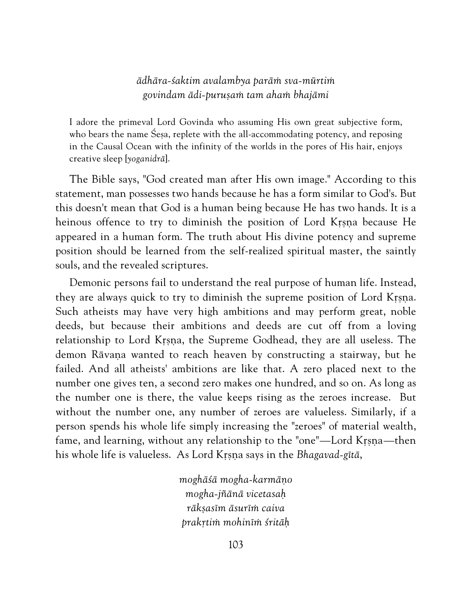#### *ädhära-çaktim avalambya paräà sva-mürtià govindam ädi-puruñaà tam ahaà bhajämi*

I adore the primeval Lord Govinda who assuming His own great subjective form, who bears the name Sesa, replete with the all-accommodating potency, and reposing in the Causal Ocean with the infinity of the worlds in the pores of His hair, enjoys creative sleep [*yoganidrä*].

The Bible says, "God created man after His own image." According to this statement, man possesses two hands because he has a form similar to God's. But this doesn't mean that God is a human being because He has two hands. It is a heinous offence to try to diminish the position of Lord Krsna because He appeared in a human form. The truth about His divine potency and supreme position should be learned from the self-realized spiritual master, the saintly souls, and the revealed scriptures.

Demonic persons fail to understand the real purpose of human life. Instead, they are always quick to try to diminish the supreme position of Lord Krsna. Such atheists may have very high ambitions and may perform great, noble deeds, but because their ambitions and deeds are cut off from a loving relationship to Lord Krsna, the Supreme Godhead, they are all useless. The demon Rāvaņa wanted to reach heaven by constructing a stairway, but he failed. And all atheists' ambitions are like that. A zero placed next to the number one gives ten, a second zero makes one hundred, and so on. As long as the number one is there, the value keeps rising as the zeroes increase. But without the number one, any number of zeroes are valueless. Similarly, if a person spends his whole life simply increasing the "zeroes" of material wealth, fame, and learning, without any relationship to the "one"—Lord Krsna—then his whole life is valueless. As Lord Krsna says in the *Bhagavad-gītā*,

> moghāśā mogha-karmāno *mogha-jïänä vicetasaù räkñasém äsuréà caiva prakåtià mohinéà çritäù*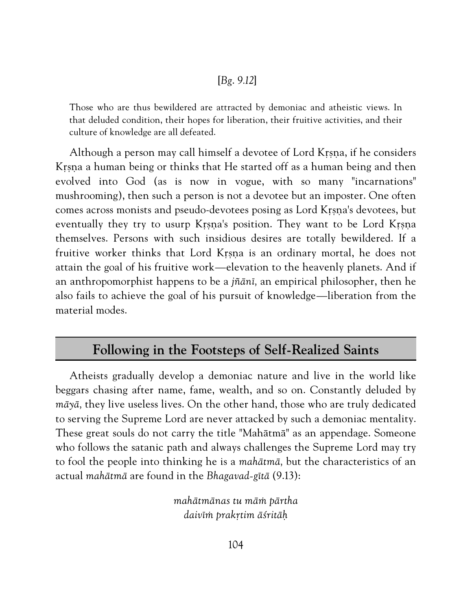#### [*Bg*. *9.12*]

Those who are thus bewildered are attracted by demoniac and atheistic views. In that deluded condition, their hopes for liberation, their fruitive activities, and their culture of knowledge are all defeated.

Although a person may call himself a devotee of Lord Krsna, if he considers Krsna a human being or thinks that He started off as a human being and then evolved into God (as is now in vogue, with so many "incarnations" mushrooming), then such a person is not a devotee but an imposter. One often comes across monists and pseudo-devotees posing as Lord Krsna's devotees, but eventually they try to usurp Krsna's position. They want to be Lord Krsna themselves. Persons with such insidious desires are totally bewildered. If a fruitive worker thinks that Lord Krsna is an ordinary mortal, he does not attain the goal of his fruitive work—elevation to the heavenly planets. And if an anthropomorphist happens to be a *jïäné,* an empirical philosopher, then he also fails to achieve the goal of his pursuit of knowledge—liberation from the material modes.

## **Following in the Footsteps of Self-Realized Saints**

Atheists gradually develop a demoniac nature and live in the world like beggars chasing after name, fame, wealth, and so on. Constantly deluded by *mäyä,* they live useless lives. On the other hand, those who are truly dedicated to serving the Supreme Lord are never attacked by such a demoniac mentality. These great souls do not carry the title "Mahätmä" as an appendage. Someone who follows the satanic path and always challenges the Supreme Lord may try to fool the people into thinking he is a *mahätmä,* but the characteristics of an actual *mahätmä* are found in the *Bhagavad-gétä* (9.13):

> *mahätmänas tu mäà pärtha daivéà prakåtim äçritäù*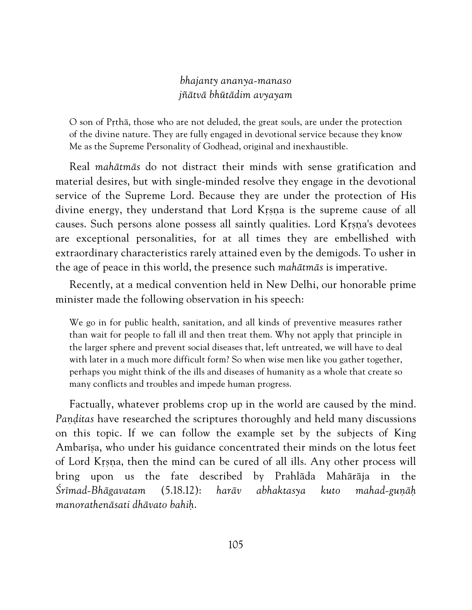### *bhajanty ananya-manaso jïätvä bhütädim avyayam*

O son of Prthā, those who are not deluded, the great souls, are under the protection of the divine nature. They are fully engaged in devotional service because they know Me as the Supreme Personality of Godhead, original and inexhaustible.

Real *mahätmäs* do not distract their minds with sense gratification and material desires, but with single-minded resolve they engage in the devotional service of the Supreme Lord. Because they are under the protection of His divine energy, they understand that Lord Krsna is the supreme cause of all causes. Such persons alone possess all saintly qualities. Lord Krsna's devotees are exceptional personalities, for at all times they are embellished with extraordinary characteristics rarely attained even by the demigods. To usher in the age of peace in this world, the presence such *mahätmäs* is imperative.

Recently, at a medical convention held in New Delhi, our honorable prime minister made the following observation in his speech:

We go in for public health, sanitation, and all kinds of preventive measures rather than wait for people to fall ill and then treat them. Why not apply that principle in the larger sphere and prevent social diseases that, left untreated, we will have to deal with later in a much more difficult form? So when wise men like you gather together, perhaps you might think of the ills and diseases of humanity as a whole that create so many conflicts and troubles and impede human progress.

Factually, whatever problems crop up in the world are caused by the mind. *Panditas* have researched the scriptures thoroughly and held many discussions on this topic. If we can follow the example set by the subjects of King Ambarisa, who under his guidance concentrated their minds on the lotus feet of Lord Krsna, then the mind can be cured of all ills. Any other process will bring upon us the fate described by Prahläda Mahäräja in the *Çrémad-Bhägavatam* (5.18.12): *haräv abhaktasya kuto mahad-guëäù manorathenäsati dhävato bahiù*.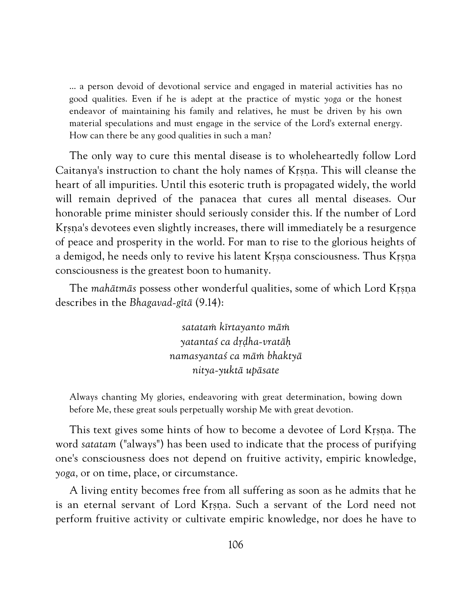... a person devoid of devotional service and engaged in material activities has no good qualities. Even if he is adept at the practice of mystic *yoga* or the honest endeavor of maintaining his family and relatives, he must be driven by his own material speculations and must engage in the service of the Lord's external energy. How can there be any good qualities in such a man?

The only way to cure this mental disease is to wholeheartedly follow Lord Caitanya's instruction to chant the holy names of Krsna. This will cleanse the heart of all impurities. Until this esoteric truth is propagated widely, the world will remain deprived of the panacea that cures all mental diseases. Our honorable prime minister should seriously consider this. If the number of Lord Krsna's devotees even slightly increases, there will immediately be a resurgence of peace and prosperity in the world. For man to rise to the glorious heights of a demigod, he needs only to revive his latent Krsna consciousness. Thus Krsna consciousness is the greatest boon to humanity.

The *mahātmās* possess other wonderful qualities, some of which Lord Krsna describes in the *Bhagavad-gétä* (9.14):

> *satataà kértayanto mäà yatantaç ca dåòha-vratäù namasyantaç ca mäà bhaktyä nitya-yuktä upäsate*

Always chanting My glories, endeavoring with great determination, bowing down before Me, these great souls perpetually worship Me with great devotion.

This text gives some hints of how to become a devotee of Lord Krsna. The word *satatam* ("always") has been used to indicate that the process of purifying one's consciousness does not depend on fruitive activity, empiric knowledge, *yoga,* or on time, place, or circumstance.

A living entity becomes free from all suffering as soon as he admits that he is an eternal servant of Lord Krsna. Such a servant of the Lord need not perform fruitive activity or cultivate empiric knowledge, nor does he have to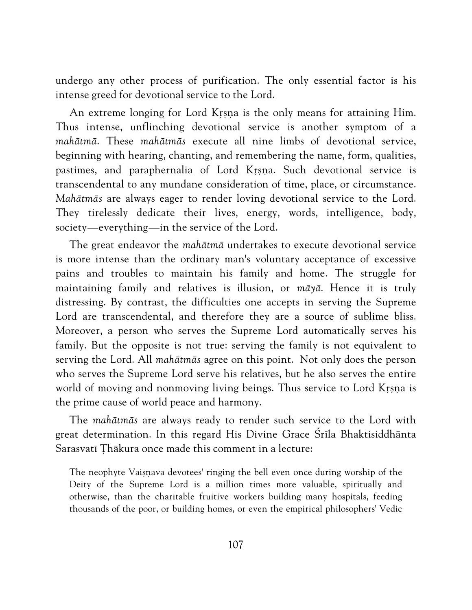undergo any other process of purification. The only essential factor is his intense greed for devotional service to the Lord.

An extreme longing for Lord Krsna is the only means for attaining Him. Thus intense, unflinching devotional service is another symptom of a *mahätmä*. These *mahätmäs* execute all nine limbs of devotional service, beginning with hearing, chanting, and remembering the name, form, qualities, pastimes, and paraphernalia of Lord Krsna. Such devotional service is transcendental to any mundane consideration of time, place, or circumstance. *Mahätmäs* are always eager to render loving devotional service to the Lord. They tirelessly dedicate their lives, energy, words, intelligence, body, society—everything—in the service of the Lord.

The great endeavor the *mahätmä* undertakes to execute devotional service is more intense than the ordinary man's voluntary acceptance of excessive pains and troubles to maintain his family and home. The struggle for maintaining family and relatives is illusion, or *mäyä.* Hence it is truly distressing. By contrast, the difficulties one accepts in serving the Supreme Lord are transcendental, and therefore they are a source of sublime bliss. Moreover, a person who serves the Supreme Lord automatically serves his family. But the opposite is not true: serving the family is not equivalent to serving the Lord. All *mahätmäs* agree on this point. Not only does the person who serves the Supreme Lord serve his relatives, but he also serves the entire world of moving and nonmoving living beings. Thus service to Lord Krsna is the prime cause of world peace and harmony.

The *mahätmäs* are always ready to render such service to the Lord with great determination. In this regard His Divine Grace Śrīla Bhaktisiddhānta Sarasvatī Thākura once made this comment in a lecture:

The neophyte Vaisnava devotees' ringing the bell even once during worship of the Deity of the Supreme Lord is a million times more valuable, spiritually and otherwise, than the charitable fruitive workers building many hospitals, feeding thousands of the poor, or building homes, or even the empirical philosophers' Vedic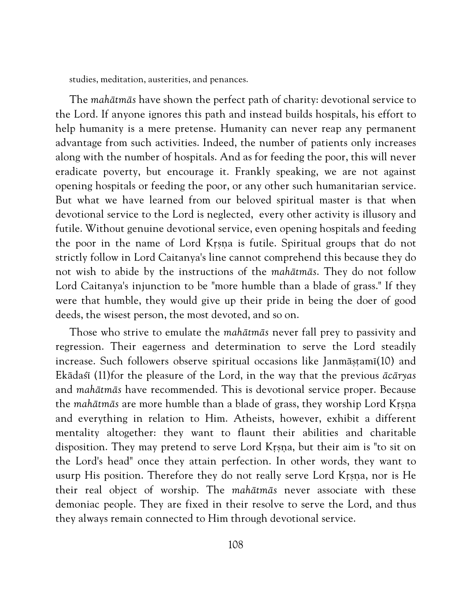studies, meditation, austerities, and penances.

The *mahätmäs* have shown the perfect path of charity: devotional service to the Lord. If anyone ignores this path and instead builds hospitals, his effort to help humanity is a mere pretense. Humanity can never reap any permanent advantage from such activities. Indeed, the number of patients only increases along with the number of hospitals. And as for feeding the poor, this will never eradicate poverty, but encourage it. Frankly speaking, we are not against opening hospitals or feeding the poor, or any other such humanitarian service. But what we have learned from our beloved spiritual master is that when devotional service to the Lord is neglected, every other activity is illusory and futile. Without genuine devotional service, even opening hospitals and feeding the poor in the name of Lord Krsna is futile. Spiritual groups that do not strictly follow in Lord Caitanya's line cannot comprehend this because they do not wish to abide by the instructions of the *mahätmäs*. They do not follow Lord Caitanya's injunction to be "more humble than a blade of grass." If they were that humble, they would give up their pride in being the doer of good deeds, the wisest person, the most devoted, and so on.

Those who strive to emulate the *mahätmäs* never fall prey to passivity and regression. Their eagerness and determination to serve the Lord steadily increase. Such followers observe spiritual occasions like Janmästami(10) and Ekädaçé (11)for the pleasure of the Lord, in the way that the previous *äcäryas* and *mahätmäs* have recommended. This is devotional service proper. Because the *mahātmās* are more humble than a blade of grass, they worship Lord Krsna and everything in relation to Him. Atheists, however, exhibit a different mentality altogether: they want to flaunt their abilities and charitable disposition. They may pretend to serve Lord Krsna, but their aim is "to sit on the Lord's head" once they attain perfection. In other words, they want to usurp His position. Therefore they do not really serve Lord Krsna, nor is He their real object of worship. The *mahätmäs* never associate with these demoniac people. They are fixed in their resolve to serve the Lord, and thus they always remain connected to Him through devotional service.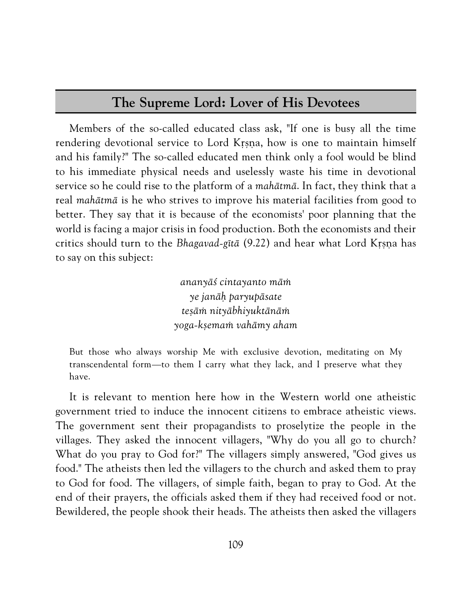#### **The Supreme Lord: Lover of His Devotees**

Members of the so-called educated class ask, "If one is busy all the time rendering devotional service to Lord Krsna, how is one to maintain himself and his family?" The so-called educated men think only a fool would be blind to his immediate physical needs and uselessly waste his time in devotional service so he could rise to the platform of a *mahätmä*. In fact, they think that a real *mahätmä* is he who strives to improve his material facilities from good to better. They say that it is because of the economists' poor planning that the world is facing a major crisis in food production. Both the economists and their critics should turn to the *Bhagavad-gītā* (9.22) and hear what Lord Krsna has to say on this subject:

> *ananyäç cintayanto mäà ye janäù paryupäsate teñäà nityäbhiyuktänäà yoga-kñemaà vahämy aham*

But those who always worship Me with exclusive devotion, meditating on My transcendental form—to them I carry what they lack, and I preserve what they have.

It is relevant to mention here how in the Western world one atheistic government tried to induce the innocent citizens to embrace atheistic views. The government sent their propagandists to proselytize the people in the villages. They asked the innocent villagers, "Why do you all go to church? What do you pray to God for?" The villagers simply answered, "God gives us food." The atheists then led the villagers to the church and asked them to pray to God for food. The villagers, of simple faith, began to pray to God. At the end of their prayers, the officials asked them if they had received food or not. Bewildered, the people shook their heads. The atheists then asked the villagers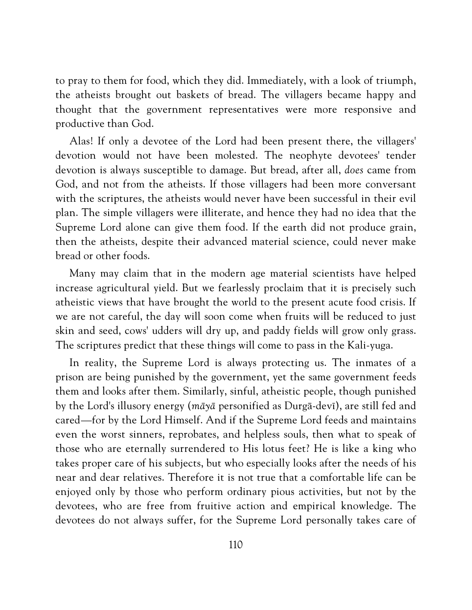to pray to them for food, which they did. Immediately, with a look of triumph, the atheists brought out baskets of bread. The villagers became happy and thought that the government representatives were more responsive and productive than God.

Alas! If only a devotee of the Lord had been present there, the villagers' devotion would not have been molested. The neophyte devotees' tender devotion is always susceptible to damage. But bread, after all, *does* came from God, and not from the atheists. If those villagers had been more conversant with the scriptures, the atheists would never have been successful in their evil plan. The simple villagers were illiterate, and hence they had no idea that the Supreme Lord alone can give them food. If the earth did not produce grain, then the atheists, despite their advanced material science, could never make bread or other foods.

Many may claim that in the modern age material scientists have helped increase agricultural yield. But we fearlessly proclaim that it is precisely such atheistic views that have brought the world to the present acute food crisis. If we are not careful, the day will soon come when fruits will be reduced to just skin and seed, cows' udders will dry up, and paddy fields will grow only grass. The scriptures predict that these things will come to pass in the Kali-yuga.

In reality, the Supreme Lord is always protecting us. The inmates of a prison are being punished by the government, yet the same government feeds them and looks after them. Similarly, sinful, atheistic people, though punished by the Lord's illusory energy (*mā*yā personified as Durgā-devī), are still fed and cared—for by the Lord Himself. And if the Supreme Lord feeds and maintains even the worst sinners, reprobates, and helpless souls, then what to speak of those who are eternally surrendered to His lotus feet? He is like a king who takes proper care of his subjects, but who especially looks after the needs of his near and dear relatives. Therefore it is not true that a comfortable life can be enjoyed only by those who perform ordinary pious activities, but not by the devotees, who are free from fruitive action and empirical knowledge. The devotees do not always suffer, for the Supreme Lord personally takes care of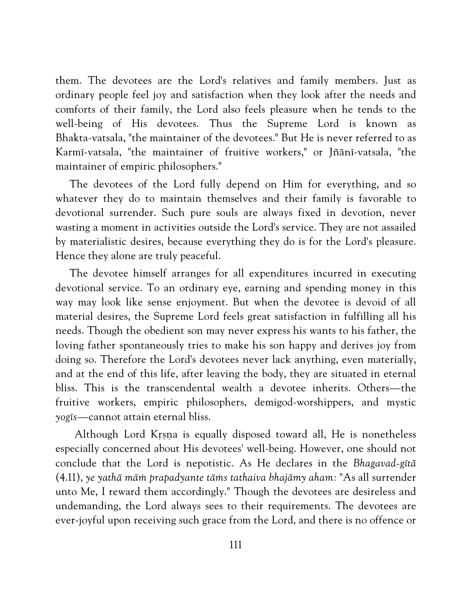them. The devotees are the Lord's relatives and family members. Just as ordinary people feel joy and satisfaction when they look after the needs and comforts of their family, the Lord also feels pleasure when he tends to the well-being of His devotees. Thus the Supreme Lord is known as Bhakta-vatsala, "the maintainer of the devotees." But He is never referred to as Karmī-vatsala, "the maintainer of fruitive workers," or Jñānī-vatsala, "the maintainer of empiric philosophers."

The devotees of the Lord fully depend on Him for everything, and so whatever they do to maintain themselves and their family is favorable to devotional surrender. Such pure souls are always fixed in devotion, never wasting a moment in activities outside the Lord's service. They are not assailed by materialistic desires, because everything they do is for the Lord's pleasure. Hence they alone are truly peaceful.

The devotee himself arranges for all expenditures incurred in executing devotional service. To an ordinary eye, earning and spending money in this way may look like sense enjoyment. But when the devotee is devoid of all material desires, the Supreme Lord feels great satisfaction in fulfilling all his needs. Though the obedient son may never express his wants to his father, the loving father spontaneously tries to make his son happy and derives joy from doing so. Therefore the Lord's devotees never lack anything, even materially, and at the end of this life, after leaving the body, they are situated in eternal bliss. This is the transcendental wealth a devotee inherits. Others—the fruitive workers, empiric philosophers, demigod-worshippers, and mystic *yogés*—cannot attain eternal bliss.

Although Lord Krsna is equally disposed toward all, He is nonetheless especially concerned about His devotees' well-being. However, one should not conclude that the Lord is nepotistic. As He declares in the *Bhagavad-gétä* (4.11), *ye yathä mäà prapadyante täàs tathaiva bhajämy aham:* "As all surrender unto Me, I reward them accordingly." Though the devotees are desireless and undemanding, the Lord always sees to their requirements. The devotees are ever-joyful upon receiving such grace from the Lord, and there is no offence or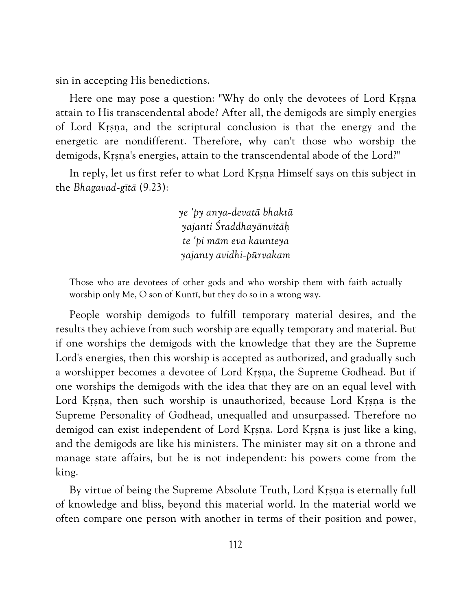sin in accepting His benedictions.

Here one may pose a question: "Why do only the devotees of Lord Krsna attain to His transcendental abode? After all, the demigods are simply energies of Lord Krsna, and the scriptural conclusion is that the energy and the energetic are nondifferent. Therefore, why can't those who worship the demigods, Krsna's energies, attain to the transcendental abode of the Lord?"

In reply, let us first refer to what Lord Krsna Himself says on this subject in the *Bhagavad-gétä* (9.23):

> *ye 'py anya-devatä bhaktä yajanti Çraddhayänvitäù te 'pi mäm eva kaunteya yajanty avidhi-pürvakam*

Those who are devotees of other gods and who worship them with faith actually worship only Me,  $\circ$  son of Kunti, but they do so in a wrong way.

People worship demigods to fulfill temporary material desires, and the results they achieve from such worship are equally temporary and material. But if one worships the demigods with the knowledge that they are the Supreme Lord's energies, then this worship is accepted as authorized, and gradually such a worshipper becomes a devotee of Lord Krsna, the Supreme Godhead. But if one worships the demigods with the idea that they are on an equal level with Lord Krsna, then such worship is unauthorized, because Lord Krsna is the Supreme Personality of Godhead, unequalled and unsurpassed. Therefore no demigod can exist independent of Lord Krsna. Lord Krsna is just like a king, and the demigods are like his ministers. The minister may sit on a throne and manage state affairs, but he is not independent: his powers come from the king.

By virtue of being the Supreme Absolute Truth, Lord Krsna is eternally full of knowledge and bliss, beyond this material world. In the material world we often compare one person with another in terms of their position and power,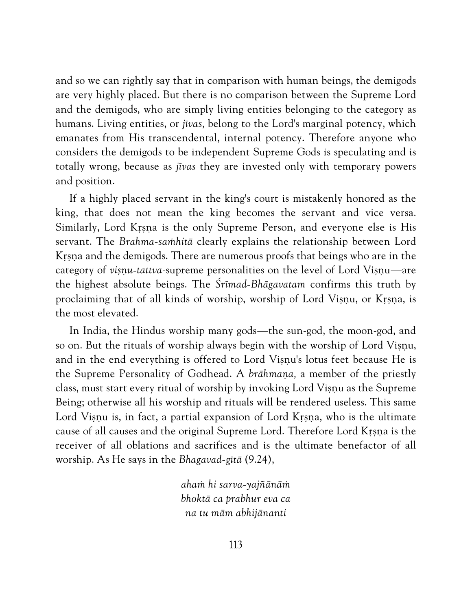and so we can rightly say that in comparison with human beings, the demigods are very highly placed. But there is no comparison between the Supreme Lord and the demigods, who are simply living entities belonging to the category as humans. Living entities, or *jévas,* belong to the Lord's marginal potency, which emanates from His transcendental, internal potency. Therefore anyone who considers the demigods to be independent Supreme Gods is speculating and is totally wrong, because as *jévas* they are invested only with temporary powers and position.

If a highly placed servant in the king's court is mistakenly honored as the king, that does not mean the king becomes the servant and vice versa. Similarly, Lord Krsna is the only Supreme Person, and everyone else is His servant. The *Brahma-samhitā* clearly explains the relationship between Lord Krsna and the demigods. There are numerous proofs that beings who are in the category of *visnu-tattva-supreme personalities on the level of Lord Visnu-are* the highest absolute beings. The *Çrémad-Bhägavatam* confirms this truth by proclaiming that of all kinds of worship, worship of Lord Visnu, or Krsna, is the most elevated.

In India, the Hindus worship many gods—the sun-god, the moon-god, and so on. But the rituals of worship always begin with the worship of Lord Visnu, and in the end everything is offered to Lord Visnu's lotus feet because He is the Supreme Personality of Godhead. A *brāhmana*, a member of the priestly class, must start every ritual of worship by invoking Lord Visnu as the Supreme Being; otherwise all his worship and rituals will be rendered useless. This same Lord Visnu is, in fact, a partial expansion of Lord Krsna, who is the ultimate cause of all causes and the original Supreme Lord. Therefore Lord Krsna is the receiver of all oblations and sacrifices and is the ultimate benefactor of all worship. As He says in the *Bhagavad-gétä* (9.24),

> *ahaà hi sarva-yajïänäà bhoktä ca prabhur eva ca na tu mäm abhijänanti*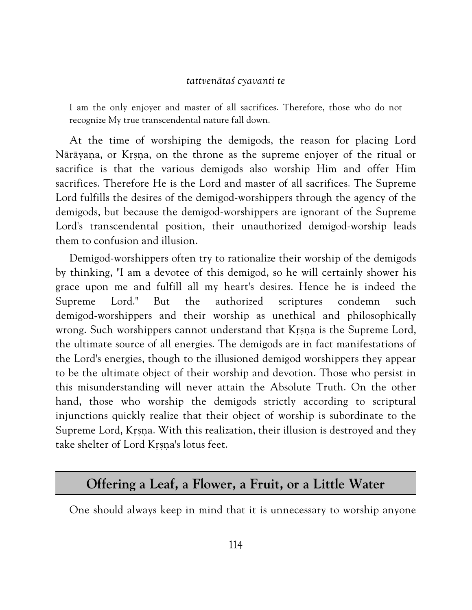#### *tattvenätaç cyavanti te*

I am the only enjoyer and master of all sacrifices. Therefore, those who do not recognize My true transcendental nature fall down.

At the time of worshiping the demigods, the reason for placing Lord Nārāyaṇa, or Kṛṣṇa, on the throne as the supreme enjoyer of the ritual or sacrifice is that the various demigods also worship Him and offer Him sacrifices. Therefore He is the Lord and master of all sacrifices. The Supreme Lord fulfills the desires of the demigod-worshippers through the agency of the demigods, but because the demigod-worshippers are ignorant of the Supreme Lord's transcendental position, their unauthorized demigod-worship leads them to confusion and illusion.

Demigod-worshippers often try to rationalize their worship of the demigods by thinking, "I am a devotee of this demigod, so he will certainly shower his grace upon me and fulfill all my heart's desires. Hence he is indeed the Supreme Lord." But the authorized scriptures condemn such demigod-worshippers and their worship as unethical and philosophically wrong. Such worshippers cannot understand that Krsna is the Supreme Lord, the ultimate source of all energies. The demigods are in fact manifestations of the Lord's energies, though to the illusioned demigod worshippers they appear to be the ultimate object of their worship and devotion. Those who persist in this misunderstanding will never attain the Absolute Truth. On the other hand, those who worship the demigods strictly according to scriptural injunctions quickly realize that their object of worship is subordinate to the Supreme Lord, Krsna. With this realization, their illusion is destroyed and they take shelter of Lord Krsna's lotus feet.

# **Offering a Leaf, a Flower, a Fruit, or a Little Water**

One should always keep in mind that it is unnecessary to worship anyone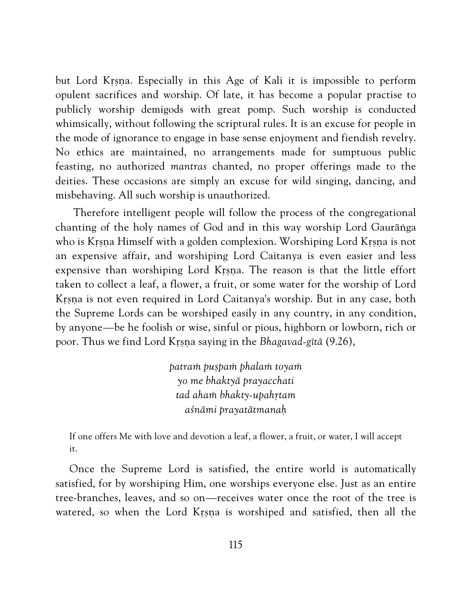but Lord Krsna. Especially in this Age of Kali it is impossible to perform opulent sacrifices and worship. Of late, it has become a popular practise to publicly worship demigods with great pomp. Such worship is conducted whimsically, without following the scriptural rules. It is an excuse for people in the mode of ignorance to engage in base sense enjoyment and fiendish revelry. No ethics are maintained, no arrangements made for sumptuous public feasting, no authorized *mantras* chanted, no proper offerings made to the deities. These occasions are simply an excuse for wild singing, dancing, and misbehaving. All such worship is unauthorized.

 Therefore intelligent people will follow the process of the congregational chanting of the holy names of God and in this way worship Lord Gaurānga who is Krsna Himself with a golden complexion. Worshiping Lord Krsna is not an expensive affair, and worshiping Lord Caitanya is even easier and less expensive than worshiping Lord Krsna. The reason is that the little effort taken to collect a leaf, a flower, a fruit, or some water for the worship of Lord Krsna is not even required in Lord Caitanya's worship. But in any case, both the Supreme Lords can be worshiped easily in any country, in any condition, by anyone—be he foolish or wise, sinful or pious, highborn or lowborn, rich or poor. Thus we find Lord Kåñëa saying in the *Bhagavad-gétä* (9.26),

> *patraà puñpaà phalaà toyaà yo me bhaktyä prayacchati tad ahaà bhakty-upahåtam açnämi prayatätmanaù*

If one offers Me with love and devotion a leaf, a flower, a fruit, or water, I will accept it.

Once the Supreme Lord is satisfied, the entire world is automatically satisfied, for by worshiping Him, one worships everyone else. Just as an entire tree-branches, leaves, and so on—receives water once the root of the tree is watered, so when the Lord Krsna is worshiped and satisfied, then all the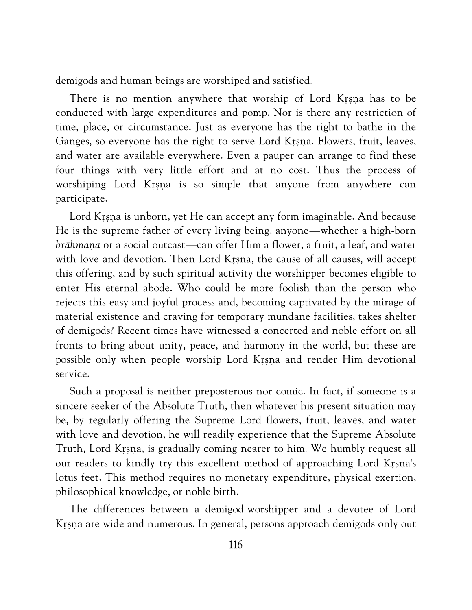demigods and human beings are worshiped and satisfied.

There is no mention anywhere that worship of Lord Krsna has to be conducted with large expenditures and pomp. Nor is there any restriction of time, place, or circumstance. Just as everyone has the right to bathe in the Ganges, so everyone has the right to serve Lord Krsna. Flowers, fruit, leaves, and water are available everywhere. Even a pauper can arrange to find these four things with very little effort and at no cost. Thus the process of worshiping Lord Krsna is so simple that anyone from anywhere can participate.

Lord Krsna is unborn, yet He can accept any form imaginable. And because He is the supreme father of every living being, anyone—whether a high-born *brāhmana* or a social outcast—can offer Him a flower, a fruit, a leaf, and water with love and devotion. Then Lord Krsna, the cause of all causes, will accept this offering, and by such spiritual activity the worshipper becomes eligible to enter His eternal abode. Who could be more foolish than the person who rejects this easy and joyful process and, becoming captivated by the mirage of material existence and craving for temporary mundane facilities, takes shelter of demigods? Recent times have witnessed a concerted and noble effort on all fronts to bring about unity, peace, and harmony in the world, but these are possible only when people worship Lord Krsna and render Him devotional service.

Such a proposal is neither preposterous nor comic. In fact, if someone is a sincere seeker of the Absolute Truth, then whatever his present situation may be, by regularly offering the Supreme Lord flowers, fruit, leaves, and water with love and devotion, he will readily experience that the Supreme Absolute Truth, Lord Krsna, is gradually coming nearer to him. We humbly request all our readers to kindly try this excellent method of approaching Lord Krsna's lotus feet. This method requires no monetary expenditure, physical exertion, philosophical knowledge, or noble birth.

The differences between a demigod-worshipper and a devotee of Lord Krsna are wide and numerous. In general, persons approach demigods only out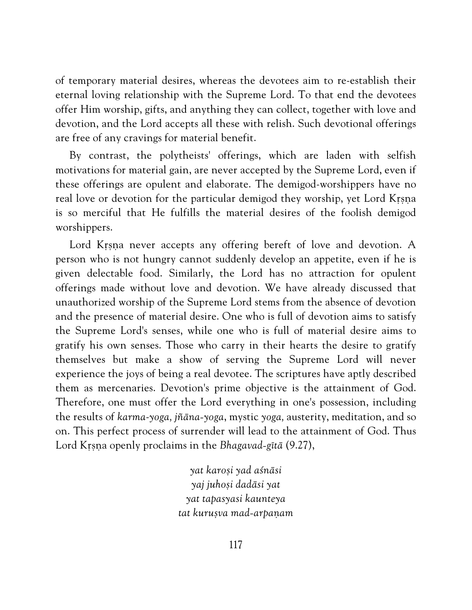of temporary material desires, whereas the devotees aim to re-establish their eternal loving relationship with the Supreme Lord. To that end the devotees offer Him worship, gifts, and anything they can collect, together with love and devotion, and the Lord accepts all these with relish. Such devotional offerings are free of any cravings for material benefit.

By contrast, the polytheists' offerings, which are laden with selfish motivations for material gain, are never accepted by the Supreme Lord, even if these offerings are opulent and elaborate. The demigod-worshippers have no real love or devotion for the particular demigod they worship, yet Lord Krsna is so merciful that He fulfills the material desires of the foolish demigod worshippers.

Lord Krsna never accepts any offering bereft of love and devotion. A person who is not hungry cannot suddenly develop an appetite, even if he is given delectable food. Similarly, the Lord has no attraction for opulent offerings made without love and devotion. We have already discussed that unauthorized worship of the Supreme Lord stems from the absence of devotion and the presence of material desire. One who is full of devotion aims to satisfy the Supreme Lord's senses, while one who is full of material desire aims to gratify his own senses. Those who carry in their hearts the desire to gratify themselves but make a show of serving the Supreme Lord will never experience the joys of being a real devotee. The scriptures have aptly described them as mercenaries. Devotion's prime objective is the attainment of God. Therefore, one must offer the Lord everything in one's possession, including the results of *karma*-*yoga, jïäna-yoga*, mystic *yoga,* austerity, meditation, and so on. This perfect process of surrender will lead to the attainment of God. Thus Lord Krsna openly proclaims in the *Bhagavad-gītā* (9.27),

> *yat karoñi yad açnäsi yaj juhoñi dadäsi yat yat tapasyasi kaunteya tat kurusva mad-arpanam*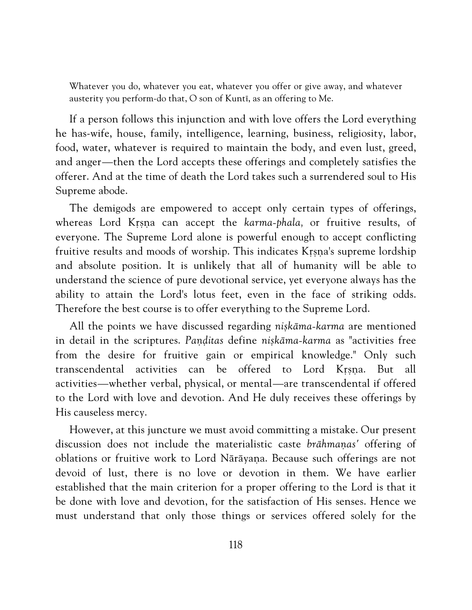Whatever you do, whatever you eat, whatever you offer or give away, and whatever austerity you perform-do that,  $O$  son of Kunti, as an offering to Me.

If a person follows this injunction and with love offers the Lord everything he has-wife, house, family, intelligence, learning, business, religiosity, labor, food, water, whatever is required to maintain the body, and even lust, greed, and anger—then the Lord accepts these offerings and completely satisfies the offerer. And at the time of death the Lord takes such a surrendered soul to His Supreme abode.

The demigods are empowered to accept only certain types of offerings, whereas Lord Krsna can accept the *karma-phala*, or fruitive results, of everyone. The Supreme Lord alone is powerful enough to accept conflicting fruitive results and moods of worship. This indicates Krsna's supreme lordship and absolute position. It is unlikely that all of humanity will be able to understand the science of pure devotional service, yet everyone always has the ability to attain the Lord's lotus feet, even in the face of striking odds. Therefore the best course is to offer everything to the Supreme Lord.

All the points we have discussed regarding *niskāma-karma* are mentioned in detail in the scriptures. *Panditas* define *niskāma-karma* as "activities free from the desire for fruitive gain or empirical knowledge." Only such transcendental activities can be offered to Lord Krsna. But all activities—whether verbal, physical, or mental—are transcendental if offered to the Lord with love and devotion. And He duly receives these offerings by His causeless mercy.

However, at this juncture we must avoid committing a mistake. Our present discussion does not include the materialistic caste *brāhmanas'* offering of oblations or fruitive work to Lord Nārāyana. Because such offerings are not devoid of lust, there is no love or devotion in them. We have earlier established that the main criterion for a proper offering to the Lord is that it be done with love and devotion, for the satisfaction of His senses. Hence we must understand that only those things or services offered solely for the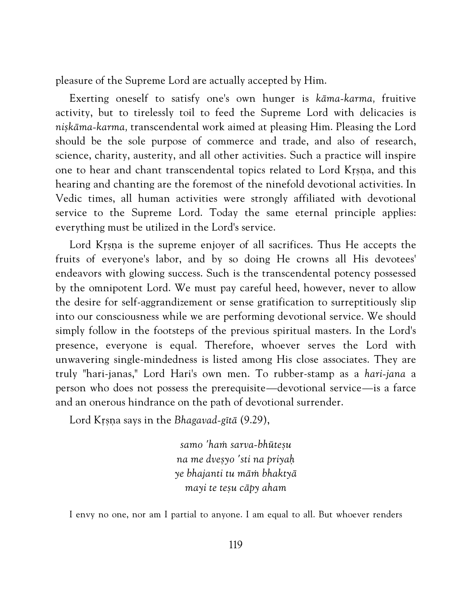pleasure of the Supreme Lord are actually accepted by Him.

Exerting oneself to satisfy one's own hunger is *käma-karma,* fruitive activity, but to tirelessly toil to feed the Supreme Lord with delicacies is niskāma-karma, transcendental work aimed at pleasing Him. Pleasing the Lord should be the sole purpose of commerce and trade, and also of research, science, charity, austerity, and all other activities. Such a practice will inspire one to hear and chant transcendental topics related to Lord Krsna, and this hearing and chanting are the foremost of the ninefold devotional activities. In Vedic times, all human activities were strongly affiliated with devotional service to the Supreme Lord. Today the same eternal principle applies: everything must be utilized in the Lord's service.

Lord Krsna is the supreme enjoyer of all sacrifices. Thus He accepts the fruits of everyone's labor, and by so doing He crowns all His devotees' endeavors with glowing success. Such is the transcendental potency possessed by the omnipotent Lord. We must pay careful heed, however, never to allow the desire for self-aggrandizement or sense gratification to surreptitiously slip into our consciousness while we are performing devotional service. We should simply follow in the footsteps of the previous spiritual masters. In the Lord's presence, everyone is equal. Therefore, whoever serves the Lord with unwavering single-mindedness is listed among His close associates. They are truly "hari-janas," Lord Hari's own men. To rubber-stamp as a *hari-jana* a person who does not possess the prerequisite—devotional service—is a farce and an onerous hindrance on the path of devotional surrender.

Lord Krsna says in the *Bhagavad-gītā* (9.29),

*samo 'haà sarva-bhüteñu na me dveñyo 'sti na priyaù ye bhajanti tu mäà bhaktyä mayi te tesu cāpy aham* 

I envy no one, nor am I partial to anyone. I am equal to all. But whoever renders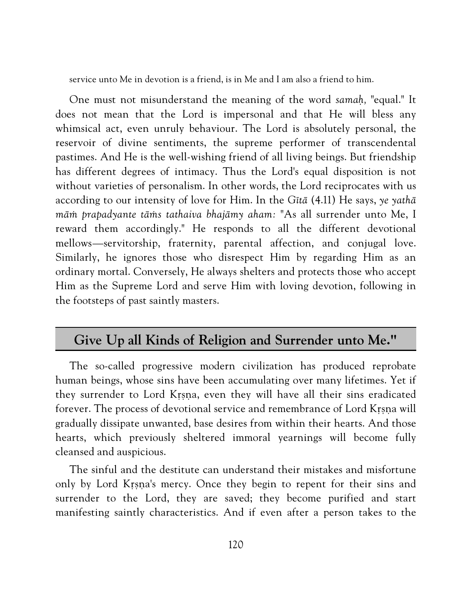service unto Me in devotion is a friend, is in Me and I am also a friend to him.

One must not misunderstand the meaning of the word *samaù,* "equal." It does not mean that the Lord is impersonal and that He will bless any whimsical act, even unruly behaviour. The Lord is absolutely personal, the reservoir of divine sentiments, the supreme performer of transcendental pastimes. And He is the well-wishing friend of all living beings. But friendship has different degrees of intimacy. Thus the Lord's equal disposition is not without varieties of personalism. In other words, the Lord reciprocates with us according to our intensity of love for Him. In the *Gétä* (4.11) He says, *ye yathä mäà prapadyante täàs tathaiva bhajämy aham:* "As all surrender unto Me, I reward them accordingly." He responds to all the different devotional mellows—servitorship, fraternity, parental affection, and conjugal love. Similarly, he ignores those who disrespect Him by regarding Him as an ordinary mortal. Conversely, He always shelters and protects those who accept Him as the Supreme Lord and serve Him with loving devotion, following in the footsteps of past saintly masters.

# **Give Up all Kinds of Religion and Surrender unto Me."**

The so-called progressive modern civilization has produced reprobate human beings, whose sins have been accumulating over many lifetimes. Yet if they surrender to Lord Krsna, even they will have all their sins eradicated forever. The process of devotional service and remembrance of Lord Krsna will gradually dissipate unwanted, base desires from within their hearts. And those hearts, which previously sheltered immoral yearnings will become fully cleansed and auspicious.

The sinful and the destitute can understand their mistakes and misfortune only by Lord Krsna's mercy. Once they begin to repent for their sins and surrender to the Lord, they are saved; they become purified and start manifesting saintly characteristics. And if even after a person takes to the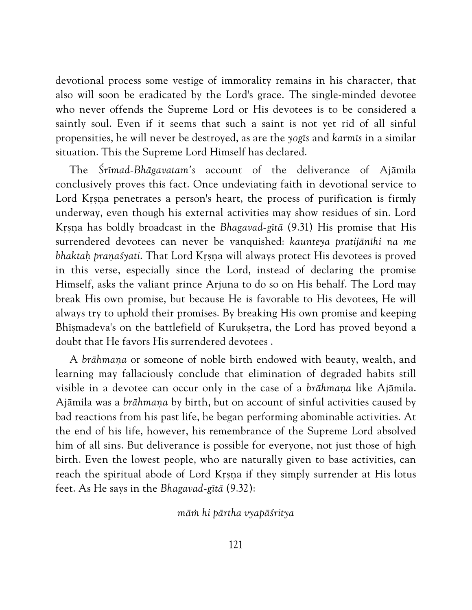devotional process some vestige of immorality remains in his character, that also will soon be eradicated by the Lord's grace. The single-minded devotee who never offends the Supreme Lord or His devotees is to be considered a saintly soul. Even if it seems that such a saint is not yet rid of all sinful propensities, he will never be destroyed, as are the *yogés* and *karmés* in a similar situation. This the Supreme Lord Himself has declared.

The *Çrémad-Bhägavatam's* account of the deliverance of Ajämila conclusively proves this fact. Once undeviating faith in devotional service to Lord Krsna penetrates a person's heart, the process of purification is firmly underway, even though his external activities may show residues of sin. Lord Krsna has boldly broadcast in the *Bhagavad-gītā* (9.31) His promise that His surrendered devotees can never be vanquished: *kaunteya pratijänéhi na me bhaktah pranaśyati*. That Lord Krsna will always protect His devotees is proved in this verse, especially since the Lord, instead of declaring the promise Himself, asks the valiant prince Arjuna to do so on His behalf. The Lord may break His own promise, but because He is favorable to His devotees, He will always try to uphold their promises. By breaking His own promise and keeping Bhismadeva's on the battlefield of Kuruksetra, the Lord has proved beyond a doubt that He favors His surrendered devotees .

A *brāhmana* or someone of noble birth endowed with beauty, wealth, and learning may fallaciously conclude that elimination of degraded habits still visible in a devotee can occur only in the case of a *brāhmana* like Ajāmila. Ajāmila was a *brāhmana* by birth, but on account of sinful activities caused by bad reactions from his past life, he began performing abominable activities. At the end of his life, however, his remembrance of the Supreme Lord absolved him of all sins. But deliverance is possible for everyone, not just those of high birth. Even the lowest people, who are naturally given to base activities, can reach the spiritual abode of Lord Krsna if they simply surrender at His lotus feet. As He says in the *Bhagavad-gétä* (9.32):

*mäà hi pärtha vyapäçritya*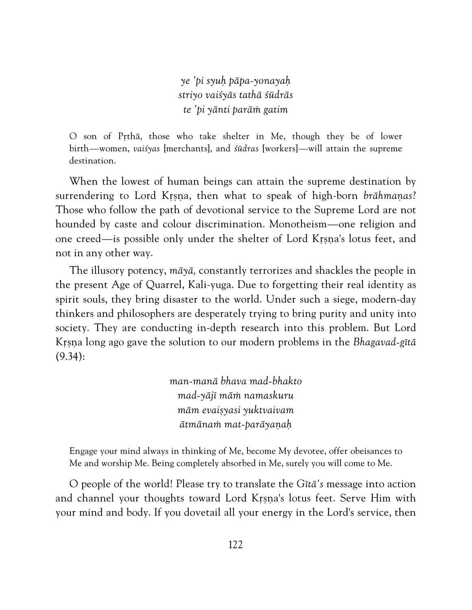*ye 'pi syuù päpa-yonayaù striyo vaiçyäs tathä çüdräs te 'pi yänti paräà gatim*

O son of Prthā, those who take shelter in Me, though they be of lower birth—women, *vaiçyas* [merchants], and *çüdras* [workers]—will attain the supreme destination.

When the lowest of human beings can attain the supreme destination by surrendering to Lord Krsna, then what to speak of high-born *brāhmanas*? Those who follow the path of devotional service to the Supreme Lord are not hounded by caste and colour discrimination. Monotheism—one religion and one creed—is possible only under the shelter of Lord Krsna's lotus feet, and not in any other way.

The illusory potency, *mäyä,* constantly terrorizes and shackles the people in the present Age of Quarrel, Kali-yuga. Due to forgetting their real identity as spirit souls, they bring disaster to the world. Under such a siege, modern-day thinkers and philosophers are desperately trying to bring purity and unity into society. They are conducting in-depth research into this problem. But Lord Krsna long ago gave the solution to our modern problems in the *Bhagavad-gita* (9.34):

> *man-manä bhava mad-bhakto mad-yäjé mäà namaskuru mäm evaiñyasi yuktvaivam ätmänaà mat-paräyaëaù*

Engage your mind always in thinking of Me, become My devotee, offer obeisances to Me and worship Me. Being completely absorbed in Me, surely you will come to Me.

O people of the world! Please try to translate the *Gétä's* message into action and channel your thoughts toward Lord Krsna's lotus feet. Serve Him with your mind and body. If you dovetail all your energy in the Lord's service, then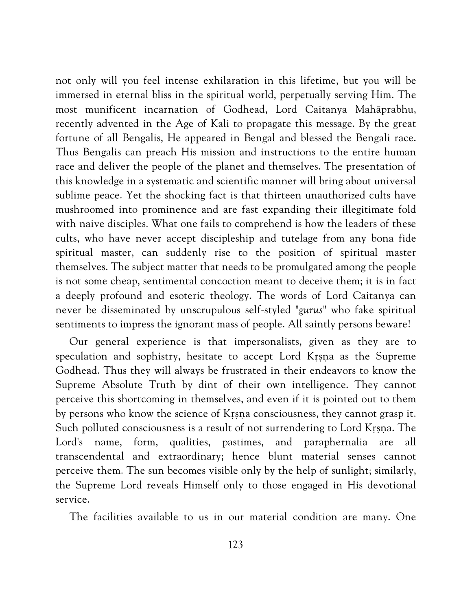not only will you feel intense exhilaration in this lifetime, but you will be immersed in eternal bliss in the spiritual world, perpetually serving Him. The most munificent incarnation of Godhead, Lord Caitanya Mahäprabhu, recently advented in the Age of Kali to propagate this message. By the great fortune of all Bengalis, He appeared in Bengal and blessed the Bengali race. Thus Bengalis can preach His mission and instructions to the entire human race and deliver the people of the planet and themselves. The presentation of this knowledge in a systematic and scientific manner will bring about universal sublime peace. Yet the shocking fact is that thirteen unauthorized cults have mushroomed into prominence and are fast expanding their illegitimate fold with naive disciples. What one fails to comprehend is how the leaders of these cults, who have never accept discipleship and tutelage from any bona fide spiritual master, can suddenly rise to the position of spiritual master themselves. The subject matter that needs to be promulgated among the people is not some cheap, sentimental concoction meant to deceive them; it is in fact a deeply profound and esoteric theology. The words of Lord Caitanya can never be disseminated by unscrupulous self-styled "*gurus*" who fake spiritual sentiments to impress the ignorant mass of people. All saintly persons beware!

Our general experience is that impersonalists, given as they are to speculation and sophistry, hesitate to accept Lord Krsna as the Supreme Godhead. Thus they will always be frustrated in their endeavors to know the Supreme Absolute Truth by dint of their own intelligence. They cannot perceive this shortcoming in themselves, and even if it is pointed out to them by persons who know the science of Krsna consciousness, they cannot grasp it. Such polluted consciousness is a result of not surrendering to Lord Krsna. The Lord's name, form, qualities, pastimes, and paraphernalia are all transcendental and extraordinary; hence blunt material senses cannot perceive them. The sun becomes visible only by the help of sunlight; similarly, the Supreme Lord reveals Himself only to those engaged in His devotional service.

The facilities available to us in our material condition are many. One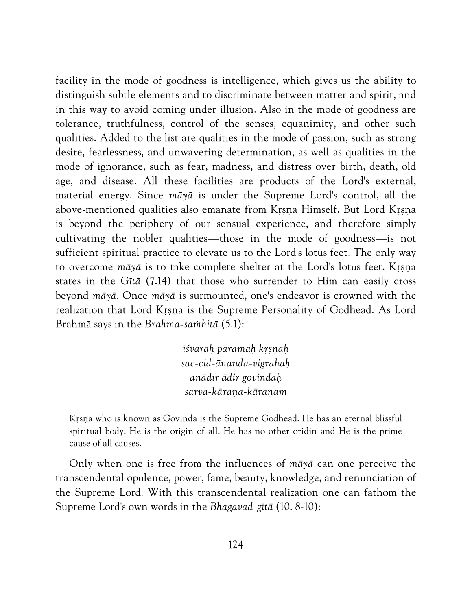facility in the mode of goodness is intelligence, which gives us the ability to distinguish subtle elements and to discriminate between matter and spirit, and in this way to avoid coming under illusion. Also in the mode of goodness are tolerance, truthfulness, control of the senses, equanimity, and other such qualities. Added to the list are qualities in the mode of passion, such as strong desire, fearlessness, and unwavering determination, as well as qualities in the mode of ignorance, such as fear, madness, and distress over birth, death, old age, and disease. All these facilities are products of the Lord's external, material energy. Since *mäyä* is under the Supreme Lord's control, all the above-mentioned qualities also emanate from Krsna Himself. But Lord Krsna is beyond the periphery of our sensual experience, and therefore simply cultivating the nobler qualities—those in the mode of goodness—is not sufficient spiritual practice to elevate us to the Lord's lotus feet. The only way to overcome *māyā* is to take complete shelter at the Lord's lotus feet. Krsna states in the *Gétä* (7.14) that those who surrender to Him can easily cross beyond *mäyä.* Once *mäyä* is surmounted, one's endeavor is crowned with the realization that Lord Krsna is the Supreme Personality of Godhead. As Lord Brahmā says in the *Brahma-samhitā* (5.1):

> *éçvaraù paramaù kåñëaù sac-cid-änanda-vigrahaù anädir ädir govindaù sarva-käraëa-käraëam*

Krsna who is known as Govinda is the Supreme Godhead. He has an eternal blissful spiritual body. He is the origin of all. He has no other oridin and He is the prime cause of all causes.

Only when one is free from the influences of *mäyä* can one perceive the transcendental opulence, power, fame, beauty, knowledge, and renunciation of the Supreme Lord. With this transcendental realization one can fathom the Supreme Lord's own words in the *Bhagavad-gétä* (10. 8-10):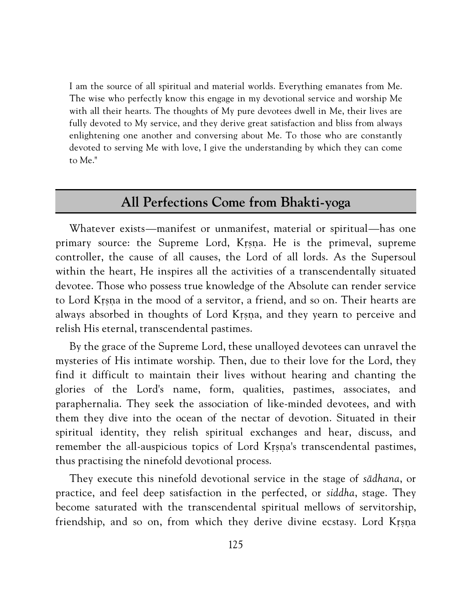I am the source of all spiritual and material worlds. Everything emanates from Me. The wise who perfectly know this engage in my devotional service and worship Me with all their hearts. The thoughts of My pure devotees dwell in Me, their lives are fully devoted to My service, and they derive great satisfaction and bliss from always enlightening one another and conversing about Me. To those who are constantly devoted to serving Me with love, I give the understanding by which they can come to Me."

#### **All Perfections Come from Bhakti-yoga**

Whatever exists—manifest or unmanifest, material or spiritual—has one primary source: the Supreme Lord, Krsna. He is the primeval, supreme controller, the cause of all causes, the Lord of all lords. As the Supersoul within the heart, He inspires all the activities of a transcendentally situated devotee. Those who possess true knowledge of the Absolute can render service to Lord Krsna in the mood of a servitor, a friend, and so on. Their hearts are always absorbed in thoughts of Lord Krsna, and they yearn to perceive and relish His eternal, transcendental pastimes.

By the grace of the Supreme Lord, these unalloyed devotees can unravel the mysteries of His intimate worship. Then, due to their love for the Lord, they find it difficult to maintain their lives without hearing and chanting the glories of the Lord's name, form, qualities, pastimes, associates, and paraphernalia. They seek the association of like-minded devotees, and with them they dive into the ocean of the nectar of devotion. Situated in their spiritual identity, they relish spiritual exchanges and hear, discuss, and remember the all-auspicious topics of Lord Krsna's transcendental pastimes, thus practising the ninefold devotional process.

They execute this ninefold devotional service in the stage of *sädhana*, or practice, and feel deep satisfaction in the perfected, or *siddha*, stage. They become saturated with the transcendental spiritual mellows of servitorship, friendship, and so on, from which they derive divine ecstasy. Lord Krsna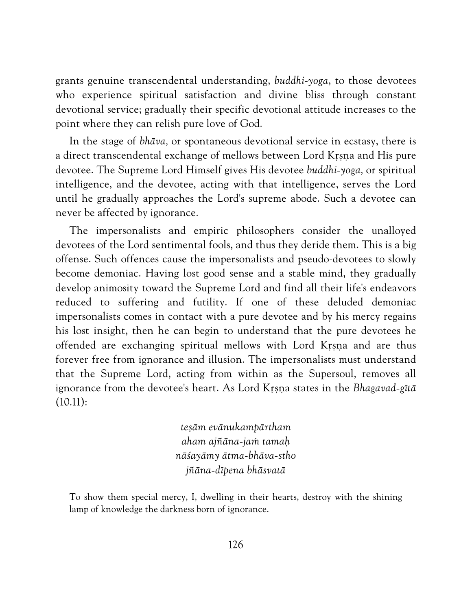grants genuine transcendental understanding, *buddhi-yoga*, to those devotees who experience spiritual satisfaction and divine bliss through constant devotional service; gradually their specific devotional attitude increases to the point where they can relish pure love of God.

In the stage of *bhäva,* or spontaneous devotional service in ecstasy, there is a direct transcendental exchange of mellows between Lord Krsna and His pure devotee. The Supreme Lord Himself gives His devotee *buddhi-yoga,* or spiritual intelligence, and the devotee, acting with that intelligence, serves the Lord until he gradually approaches the Lord's supreme abode. Such a devotee can never be affected by ignorance.

The impersonalists and empiric philosophers consider the unalloyed devotees of the Lord sentimental fools, and thus they deride them. This is a big offense. Such offences cause the impersonalists and pseudo-devotees to slowly become demoniac. Having lost good sense and a stable mind, they gradually develop animosity toward the Supreme Lord and find all their life's endeavors reduced to suffering and futility. If one of these deluded demoniac impersonalists comes in contact with a pure devotee and by his mercy regains his lost insight, then he can begin to understand that the pure devotees he offended are exchanging spiritual mellows with Lord Krsna and are thus forever free from ignorance and illusion. The impersonalists must understand that the Supreme Lord, acting from within as the Supersoul, removes all ignorance from the devotee's heart. As Lord Krsna states in the *Bhagavad-gītā* (10.11):

> *teñäm evänukampärtham aham ajïäna-jaà tamaù näçayämy ätma-bhäva-stho jïäna-dépena bhäsvatä*

To show them special mercy, I, dwelling in their hearts, destroy with the shining lamp of knowledge the darkness born of ignorance.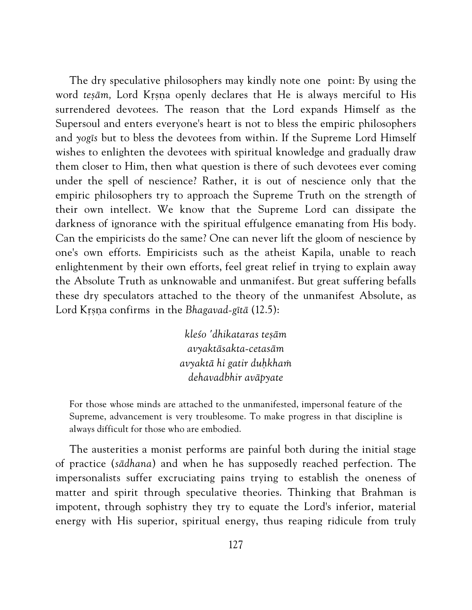The dry speculative philosophers may kindly note one point: By using the word *teşām*, Lord Krsna openly declares that He is always merciful to His surrendered devotees. The reason that the Lord expands Himself as the Supersoul and enters everyone's heart is not to bless the empiric philosophers and *yogés* but to bless the devotees from within. If the Supreme Lord Himself wishes to enlighten the devotees with spiritual knowledge and gradually draw them closer to Him, then what question is there of such devotees ever coming under the spell of nescience? Rather, it is out of nescience only that the empiric philosophers try to approach the Supreme Truth on the strength of their own intellect. We know that the Supreme Lord can dissipate the darkness of ignorance with the spiritual effulgence emanating from His body. Can the empiricists do the same? One can never lift the gloom of nescience by one's own efforts. Empiricists such as the atheist Kapila, unable to reach enlightenment by their own efforts, feel great relief in trying to explain away the Absolute Truth as unknowable and unmanifest. But great suffering befalls these dry speculators attached to the theory of the unmanifest Absolute, as Lord Krsna confirms in the *Bhagavad-gītā* (12.5):

> *kleço 'dhikataras teñäm avyaktäsakta-cetasäm avyaktä hi gatir duùkhaà dehavadbhir aväpyate*

For those whose minds are attached to the unmanifested, impersonal feature of the Supreme, advancement is very troublesome. To make progress in that discipline is always difficult for those who are embodied.

The austerities a monist performs are painful both during the initial stage of practice (*sädhana*) and when he has supposedly reached perfection. The impersonalists suffer excruciating pains trying to establish the oneness of matter and spirit through speculative theories. Thinking that Brahman is impotent, through sophistry they try to equate the Lord's inferior, material energy with His superior, spiritual energy, thus reaping ridicule from truly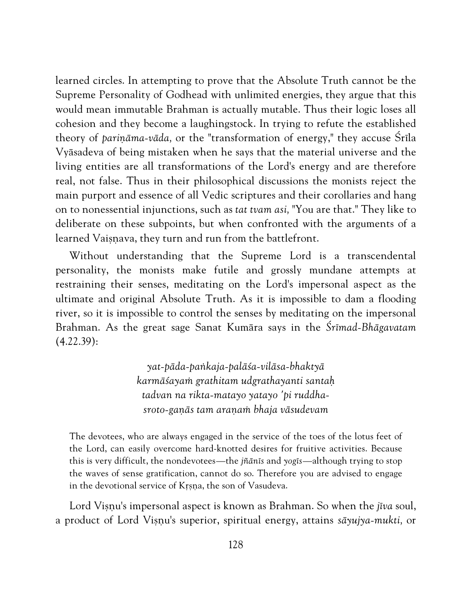learned circles. In attempting to prove that the Absolute Truth cannot be the Supreme Personality of Godhead with unlimited energies, they argue that this would mean immutable Brahman is actually mutable. Thus their logic loses all cohesion and they become a laughingstock. In trying to refute the established theory of *parināma-vāda*, or the "transformation of energy," they accuse Śrīla Vyäsadeva of being mistaken when he says that the material universe and the living entities are all transformations of the Lord's energy and are therefore real, not false. Thus in their philosophical discussions the monists reject the main purport and essence of all Vedic scriptures and their corollaries and hang on to nonessential injunctions, such as *tat tvam asi,* "You are that." They like to deliberate on these subpoints, but when confronted with the arguments of a learned Vaisnava, they turn and run from the battlefront.

Without understanding that the Supreme Lord is a transcendental personality, the monists make futile and grossly mundane attempts at restraining their senses, meditating on the Lord's impersonal aspect as the ultimate and original Absolute Truth. As it is impossible to dam a flooding river, so it is impossible to control the senses by meditating on the impersonal Brahman. As the great sage Sanat Kumära says in the *Çrémad-Bhägavatam* (4.22.39):

> *yat-päda-paìkaja-paläça-viläsa-bhaktyä karmäçayaà grathitam udgrathayanti santaù tadvan na rikta-matayo yatayo 'pi ruddhasroto-gaëäs tam araëaà bhaja väsudevam*

The devotees, who are always engaged in the service of the toes of the lotus feet of the Lord, can easily overcome hard-knotted desires for fruitive activities. Because this is very difficult, the nondevotees—the *jïänés* and *yogés*—although trying to stop the waves of sense gratification, cannot do so. Therefore you are advised to engage in the devotional service of Krsna, the son of Vasudeva.

Lord Visnu's impersonal aspect is known as Brahman. So when the *jīva* soul, a product of Lord Vișnu's superior, spiritual energy, attains *sāyujya-mukti*, or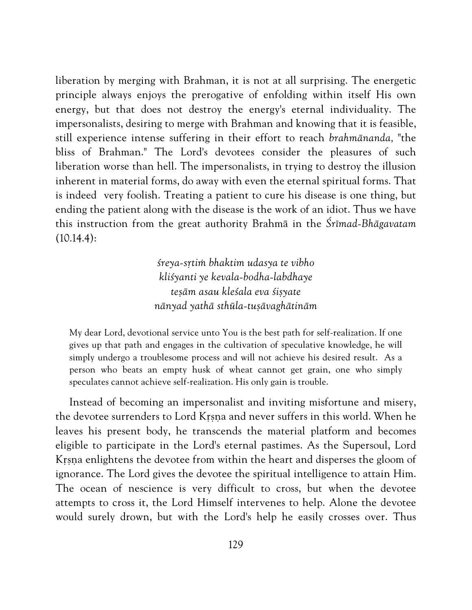liberation by merging with Brahman, it is not at all surprising. The energetic principle always enjoys the prerogative of enfolding within itself His own energy, but that does not destroy the energy's eternal individuality. The impersonalists, desiring to merge with Brahman and knowing that it is feasible, still experience intense suffering in their effort to reach *brahmänanda,* "the bliss of Brahman." The Lord's devotees consider the pleasures of such liberation worse than hell. The impersonalists, in trying to destroy the illusion inherent in material forms, do away with even the eternal spiritual forms. That is indeed very foolish. Treating a patient to cure his disease is one thing, but ending the patient along with the disease is the work of an idiot. Thus we have this instruction from the great authority Brahmä in the *Çrémad-Bhägavatam*  $(10.14.4):$ 

> *çreya-såtià bhaktim udasya te vibho kliçyanti ye kevala-bodha-labdhaye teñäm asau kleçala eva çiñyate nänyad yathä sthüla-tuñävaghätinäm*

My dear Lord, devotional service unto You is the best path for self-realization. If one gives up that path and engages in the cultivation of speculative knowledge, he will simply undergo a troublesome process and will not achieve his desired result. As a person who beats an empty husk of wheat cannot get grain, one who simply speculates cannot achieve self-realization. His only gain is trouble.

Instead of becoming an impersonalist and inviting misfortune and misery, the devotee surrenders to Lord Krsna and never suffers in this world. When he leaves his present body, he transcends the material platform and becomes eligible to participate in the Lord's eternal pastimes. As the Supersoul, Lord Krsna enlightens the devotee from within the heart and disperses the gloom of ignorance. The Lord gives the devotee the spiritual intelligence to attain Him. The ocean of nescience is very difficult to cross, but when the devotee attempts to cross it, the Lord Himself intervenes to help. Alone the devotee would surely drown, but with the Lord's help he easily crosses over. Thus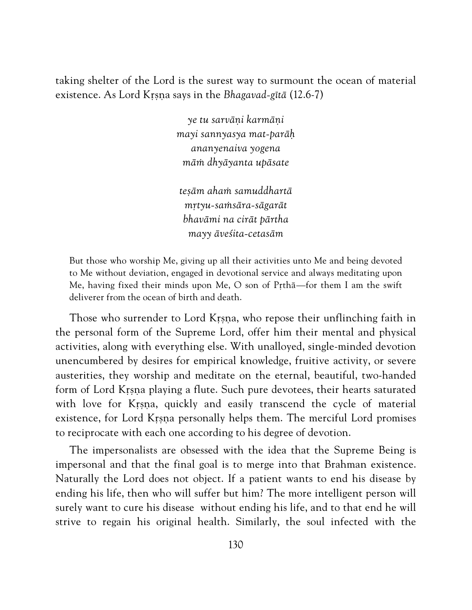taking shelter of the Lord is the surest way to surmount the ocean of material existence. As Lord Kåñëa says in the *Bhagavad-gétä* (12.6-7)

> *ye tu sarväëi karmäëi mayi sannyasya mat-paräù ananyenaiva yogena mäà dhyäyanta upäsate*

*teñäm ahaà samuddhartä måtyu-saàsära-sägarät bhavämi na cirät pärtha mayy äveçita-cetasäm*

But those who worship Me, giving up all their activities unto Me and being devoted to Me without deviation, engaged in devotional service and always meditating upon Me, having fixed their minds upon Me, O son of Prth $\bar{a}$ —for them I am the swift deliverer from the ocean of birth and death.

Those who surrender to Lord Krsna, who repose their unflinching faith in the personal form of the Supreme Lord, offer him their mental and physical activities, along with everything else. With unalloyed, single-minded devotion unencumbered by desires for empirical knowledge, fruitive activity, or severe austerities, they worship and meditate on the eternal, beautiful, two-handed form of Lord Krsna playing a flute. Such pure devotees, their hearts saturated with love for Krsna, quickly and easily transcend the cycle of material existence, for Lord Krsna personally helps them. The merciful Lord promises to reciprocate with each one according to his degree of devotion.

The impersonalists are obsessed with the idea that the Supreme Being is impersonal and that the final goal is to merge into that Brahman existence. Naturally the Lord does not object. If a patient wants to end his disease by ending his life, then who will suffer but him? The more intelligent person will surely want to cure his disease without ending his life, and to that end he will strive to regain his original health. Similarly, the soul infected with the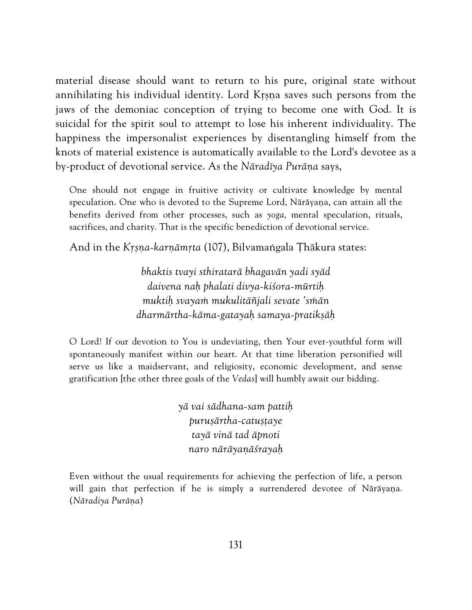material disease should want to return to his pure, original state without annihilating his individual identity. Lord Krsna saves such persons from the jaws of the demoniac conception of trying to become one with God. It is suicidal for the spirit soul to attempt to lose his inherent individuality. The happiness the impersonalist experiences by disentangling himself from the knots of material existence is automatically available to the Lord's devotee as a by-product of devotional service. As the *Nāradīya Purāņa* says,

One should not engage in fruitive activity or cultivate knowledge by mental speculation. One who is devoted to the Supreme Lord, Nārāyana, can attain all the benefits derived from other processes, such as *yoga,* mental speculation, rituals, sacrifices, and charity. That is the specific benediction of devotional service.

And in the *Krsna-karnāmrta* (107), Bilvamangala Thākura states:

*bhaktis tvayi sthiratarä bhagavän yadi syäd daivena naù phalati divya-kiçora-mürtiù muktiù svayaà mukulitäïjali sevate 'sàän dharmärtha-käma-gatayaù samaya-pratikñäù*

O Lord! If our devotion to You is undeviating, then Your ever-youthful form will spontaneously manifest within our heart. At that time liberation personified will serve us like a maidservant, and religiosity, economic development, and sense gratification [the other three goals of the *Vedas*] will humbly await our bidding.

> *yä vai sädhana-sam pattiù puruñärtha-catuñöaye tayä vinä tad äpnoti naro näräyaëäçrayaù*

Even without the usual requirements for achieving the perfection of life, a person will gain that perfection if he is simply a surrendered devotee of Nārāyaṇa. (*Nāradiya Purāna*)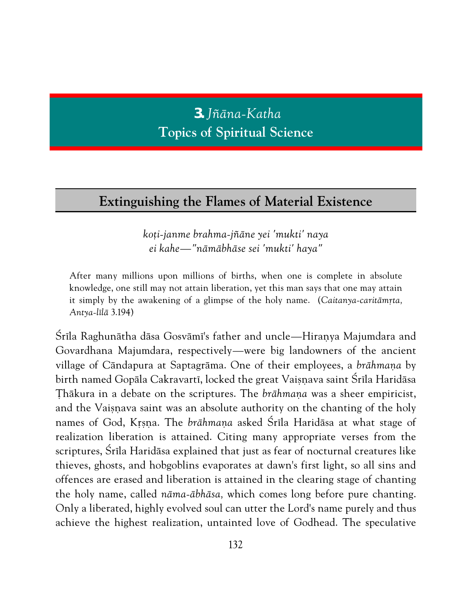# *3. Jïäna-Katha*  **Topics of Spiritual Science**

# **Extinguishing the Flames of Material Existence**

*koöi-janme brahma-jïäne yei 'mukti' naya ei kahe—"nämäbhäse sei 'mukti' haya"*

After many millions upon millions of births, when one is complete in absolute knowledge, one still may not attain liberation, yet this man says that one may attain it simply by the awakening of a glimpse of the holy name. (Caitanya-caritam<sub>rta</sub>, *Antya-lélä* 3.194)

Śrīla Raghunātha dāsa Gosvāmī's father and uncle—Hiraņya Majumdara and Govardhana Majumdara, respectively—were big landowners of the ancient village of Cāndapura at Saptagrāma. One of their employees, a *brāhmana* by birth named Gopāla Cakravartī, locked the great Vaișnava saint Śrīla Haridāsa Thākura in a debate on the scriptures. The *brāhmana* was a sheer empiricist, and the Vaisnava saint was an absolute authority on the chanting of the holy names of God, Krsna. The *brāhmana* asked Śrīla Haridāsa at what stage of realization liberation is attained. Citing many appropriate verses from the scriptures, Śrīla Haridāsa explained that just as fear of nocturnal creatures like thieves, ghosts, and hobgoblins evaporates at dawn's first light, so all sins and offences are erased and liberation is attained in the clearing stage of chanting the holy name, called *näma-äbhäsa,* which comes long before pure chanting. Only a liberated, highly evolved soul can utter the Lord's name purely and thus achieve the highest realization, untainted love of Godhead. The speculative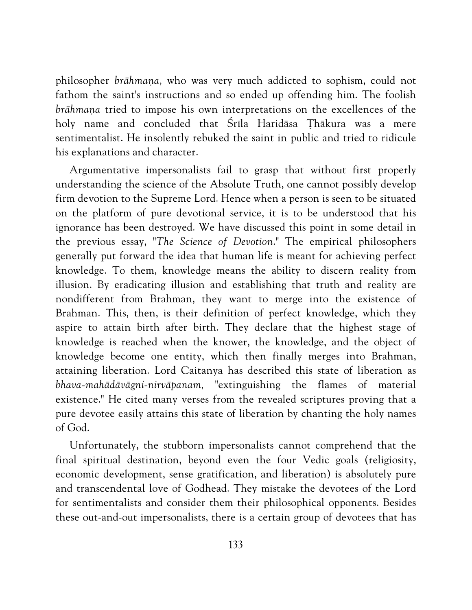philosopher *brāhmana*, who was very much addicted to sophism, could not fathom the saint's instructions and so ended up offending him. The foolish *brāhmana* tried to impose his own interpretations on the excellences of the holy name and concluded that Śrīla Haridāsa Thākura was a mere sentimentalist. He insolently rebuked the saint in public and tried to ridicule his explanations and character.

Argumentative impersonalists fail to grasp that without first properly understanding the science of the Absolute Truth, one cannot possibly develop firm devotion to the Supreme Lord. Hence when a person is seen to be situated on the platform of pure devotional service, it is to be understood that his ignorance has been destroyed. We have discussed this point in some detail in the previous essay, "*The Science of Devotion*." The empirical philosophers generally put forward the idea that human life is meant for achieving perfect knowledge. To them, knowledge means the ability to discern reality from illusion. By eradicating illusion and establishing that truth and reality are nondifferent from Brahman, they want to merge into the existence of Brahman. This, then, is their definition of perfect knowledge, which they aspire to attain birth after birth. They declare that the highest stage of knowledge is reached when the knower, the knowledge, and the object of knowledge become one entity, which then finally merges into Brahman, attaining liberation. Lord Caitanya has described this state of liberation as *bhava-mahädävägni-nirväpanam,* "extinguishing the flames of material existence." He cited many verses from the revealed scriptures proving that a pure devotee easily attains this state of liberation by chanting the holy names of God.

Unfortunately, the stubborn impersonalists cannot comprehend that the final spiritual destination, beyond even the four Vedic goals (religiosity, economic development, sense gratification, and liberation) is absolutely pure and transcendental love of Godhead. They mistake the devotees of the Lord for sentimentalists and consider them their philosophical opponents. Besides these out-and-out impersonalists, there is a certain group of devotees that has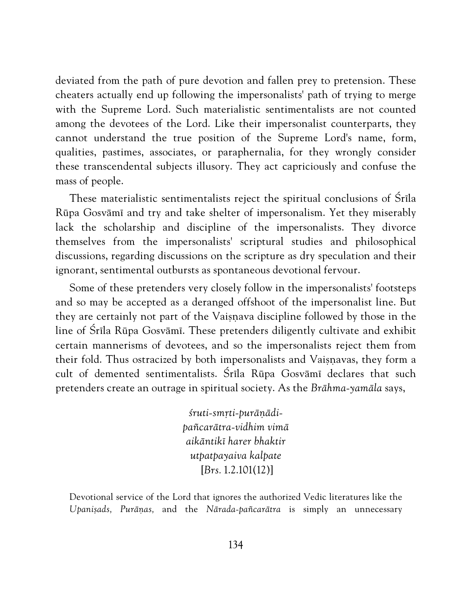deviated from the path of pure devotion and fallen prey to pretension. These cheaters actually end up following the impersonalists' path of trying to merge with the Supreme Lord. Such materialistic sentimentalists are not counted among the devotees of the Lord. Like their impersonalist counterparts, they cannot understand the true position of the Supreme Lord's name, form, qualities, pastimes, associates, or paraphernalia, for they wrongly consider these transcendental subjects illusory. They act capriciously and confuse the mass of people.

These materialistic sentimentalists reject the spiritual conclusions of Śrīla Rüpa Gosvämé and try and take shelter of impersonalism. Yet they miserably lack the scholarship and discipline of the impersonalists. They divorce themselves from the impersonalists' scriptural studies and philosophical discussions, regarding discussions on the scripture as dry speculation and their ignorant, sentimental outbursts as spontaneous devotional fervour.

Some of these pretenders very closely follow in the impersonalists' footsteps and so may be accepted as a deranged offshoot of the impersonalist line. But they are certainly not part of the Vaisnava discipline followed by those in the line of Śrīla Rūpa Gosvāmī. These pretenders diligently cultivate and exhibit certain mannerisms of devotees, and so the impersonalists reject them from their fold. Thus ostracized by both impersonalists and Vaisnavas, they form a cult of demented sentimentalists. Śrīla Rūpa Gosvāmī declares that such pretenders create an outrage in spiritual society. As the *Brähma-yamäla* says,

> śruti-smrti-purānādi*païcarätra-vidhim vimä aikäntiké harer bhaktir utpatpayaiva kalpate* [*Brs.* 1.2.101(12)]

Devotional service of the Lord that ignores the authorized Vedic literatures like the *Upanisads, Purānas, and the Nārada-pañcarātra is simply an unnecessary*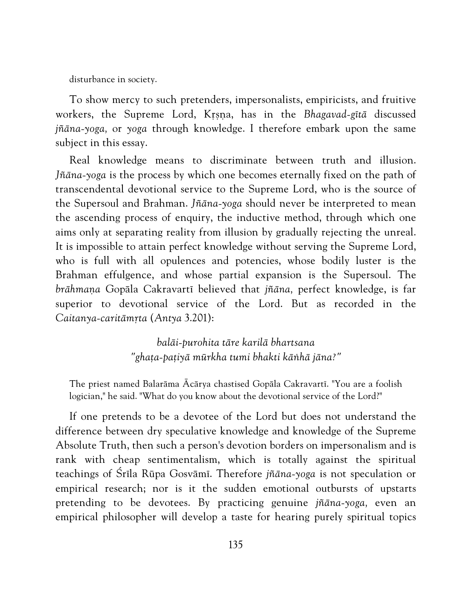disturbance in society.

To show mercy to such pretenders, impersonalists, empiricists, and fruitive workers, the Supreme Lord, Krsna, has in the *Bhagavad-gitā* discussed *jïäna-yoga,* or *yoga* through knowledge. I therefore embark upon the same subject in this essay.

Real knowledge means to discriminate between truth and illusion. *Jïäna-yoga* is the process by which one becomes eternally fixed on the path of transcendental devotional service to the Supreme Lord, who is the source of the Supersoul and Brahman. *Jïäna-yoga* should never be interpreted to mean the ascending process of enquiry, the inductive method, through which one aims only at separating reality from illusion by gradually rejecting the unreal. It is impossible to attain perfect knowledge without serving the Supreme Lord, who is full with all opulences and potencies, whose bodily luster is the Brahman effulgence, and whose partial expansion is the Supersoul. The *brāhmana* Gopāla Cakravartī believed that *jñāna*, perfect knowledge, is far superior to devotional service of the Lord. But as recorded in the *Caitanya-caritämåta* (*Antya* 3.201):

> *baläi-purohita täre karilä bhartsana "ghaöa-paöiyä mürkha tumi bhakti käìhä jäna?"*

The priest named Balarāma Ācārya chastised Gopāla Cakravartī. "You are a foolish logician," he said. "What do you know about the devotional service of the Lord?"

If one pretends to be a devotee of the Lord but does not understand the difference between dry speculative knowledge and knowledge of the Supreme Absolute Truth, then such a person's devotion borders on impersonalism and is rank with cheap sentimentalism, which is totally against the spiritual teachings of Śrīla Rūpa Gosvāmī. Therefore *jñāna-yoga* is not speculation or empirical research; nor is it the sudden emotional outbursts of upstarts pretending to be devotees. By practicing genuine *jïäna-yoga,* even an empirical philosopher will develop a taste for hearing purely spiritual topics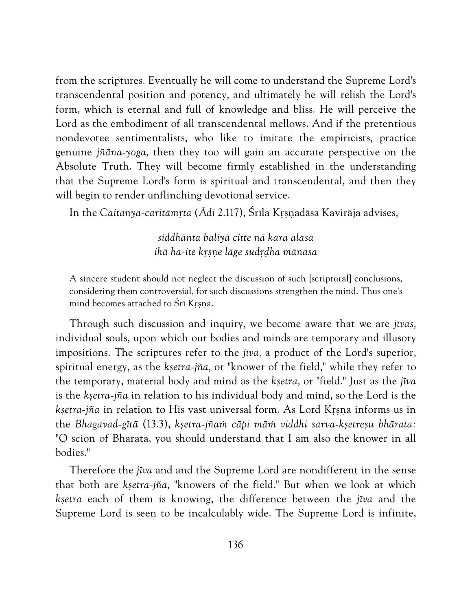from the scriptures. Eventually he will come to understand the Supreme Lord's transcendental position and potency, and ultimately he will relish the Lord's form, which is eternal and full of knowledge and bliss. He will perceive the Lord as the embodiment of all transcendental mellows. And if the pretentious nondevotee sentimentalists, who like to imitate the empiricists, practice genuine *jïäna-yoga,* then they too will gain an accurate perspective on the Absolute Truth. They will become firmly established in the understanding that the Supreme Lord's form is spiritual and transcendental, and then they will begin to render unflinching devotional service.

In the *Caitanya-caritāmrta* (*Ādi* 2.117), Šrīla Krsnadāsa Kavirāja advises,

*siddhänta baliyä citte nä kara alasa ihā ha-ite krsne lāge sudrdha mānasa* 

A sincere student should not neglect the discussion of such [scriptural] conclusions, considering them controversial, for such discussions strengthen the mind. Thus one's mind becomes attached to Śrī Krsna.

Through such discussion and inquiry, we become aware that we are *jévas,* individual souls, upon which our bodies and minds are temporary and illusory impositions. The scriptures refer to the *jīva*, a product of the Lord's superior, spiritual energy, as the *kṣetra-jña*, or "knower of the field," while they refer to the temporary, material body and mind as the *kñetra,* or "field." Just as the *jéva* is the *kñetra-jïa* in relation to his individual body and mind, so the Lord is the *kṣetra-jña* in relation to His vast universal form. As Lord Krṣṇa informs us in the *Bhagavad-gītā* (13.3), kṣetra-jñam cāpi mām viddhi sarva-kṣetreṣu bhārata: "O scion of Bharata, you should understand that I am also the knower in all bodies."

Therefore the *jéva* and and the Supreme Lord are nondifferent in the sense that both are *kṣetra-jña*, "knowers of the field." But when we look at which *kñetra* each of them is knowing, the difference between the *jéva* and the Supreme Lord is seen to be incalculably wide. The Supreme Lord is infinite,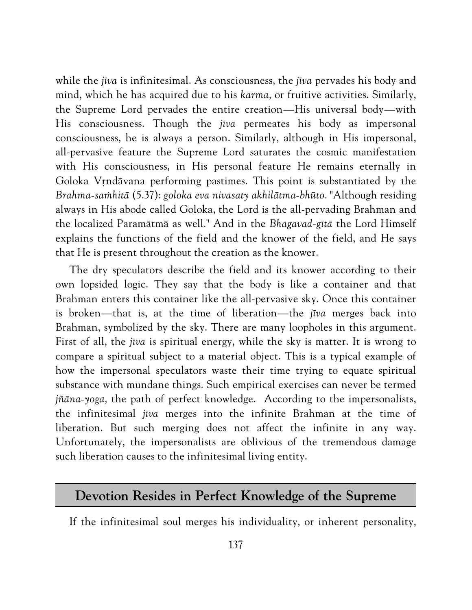while the *jīva* is infinitesimal. As consciousness, the *jīva* pervades his body and mind, which he has acquired due to his *karma,* or fruitive activities. Similarly, the Supreme Lord pervades the entire creation—His universal body—with His consciousness. Though the *jtva* permeates his body as impersonal consciousness, he is always a person. Similarly, although in His impersonal, all-pervasive feature the Supreme Lord saturates the cosmic manifestation with His consciousness, in His personal feature He remains eternally in Goloka Vrndāvana performing pastimes. This point is substantiated by the *Brahma-saàhitä* (5.37): *goloka eva nivasaty akhilätma-bhüto.* "Although residing always in His abode called Goloka, the Lord is the all-pervading Brahman and the localized Paramätmä as well." And in the *Bhagavad-gétä* the Lord Himself explains the functions of the field and the knower of the field, and He says that He is present throughout the creation as the knower.

The dry speculators describe the field and its knower according to their own lopsided logic. They say that the body is like a container and that Brahman enters this container like the all-pervasive sky. Once this container is broken—that is, at the time of liberation—the *jéva* merges back into Brahman, symbolized by the sky. There are many loopholes in this argument. First of all, the *jūva* is spiritual energy, while the sky is matter. It is wrong to compare a spiritual subject to a material object. This is a typical example of how the impersonal speculators waste their time trying to equate spiritual substance with mundane things. Such empirical exercises can never be termed *jïäna-yoga,* the path of perfect knowledge. According to the impersonalists, the infinitesimal *jéva* merges into the infinite Brahman at the time of liberation. But such merging does not affect the infinite in any way. Unfortunately, the impersonalists are oblivious of the tremendous damage such liberation causes to the infinitesimal living entity.

### **Devotion Resides in Perfect Knowledge of the Supreme**

If the infinitesimal soul merges his individuality, or inherent personality,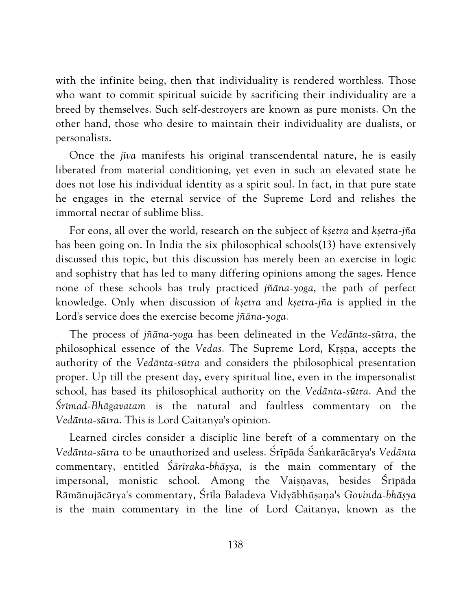with the infinite being, then that individuality is rendered worthless. Those who want to commit spiritual suicide by sacrificing their individuality are a breed by themselves. Such self-destroyers are known as pure monists. On the other hand, those who desire to maintain their individuality are dualists, or personalists.

Once the *jéva* manifests his original transcendental nature, he is easily liberated from material conditioning, yet even in such an elevated state he does not lose his individual identity as a spirit soul. In fact, in that pure state he engages in the eternal service of the Supreme Lord and relishes the immortal nectar of sublime bliss.

For eons, all over the world, research on the subject of *kṣetra* and *kṣetra-jña* has been going on. In India the six philosophical schools(13) have extensively discussed this topic, but this discussion has merely been an exercise in logic and sophistry that has led to many differing opinions among the sages. Hence none of these schools has truly practiced *jïäna-yoga*, the path of perfect knowledge. Only when discussion of *kṣetra* and *kṣetra-jña* is applied in the Lord's service does the exercise become *jïäna-yoga.*

The process of *jïäna-yoga* has been delineated in the *Vedänta-sütra,* the philosophical essence of the *Vedas*. The Supreme Lord, Krsna, accepts the authority of the *Vedänta-sütra* and considers the philosophical presentation proper. Up till the present day, every spiritual line, even in the impersonalist school, has based its philosophical authority on the *Vedänta-sütra*. And the *<u>Srimad-Bhāgavatam</u>* is the natural and faultless commentary on the *Vedänta-sütra*. This is Lord Caitanya's opinion.

Learned circles consider a disciplic line bereft of a commentary on the *Vedānta-sūtra* to be unauthorized and useless. Śrīpāda Śaṅkarācārya's *Vedānta* commentary, entitled *Çäréraka-bhäñya,* is the main commentary of the impersonal, monistic school. Among the Vaisnavas, besides Śrīpāda Rāmānujācārya's commentary, Śrīla Baladeva Vidyābhūṣaṇa's *Govinda-bhāṣya* is the main commentary in the line of Lord Caitanya, known as the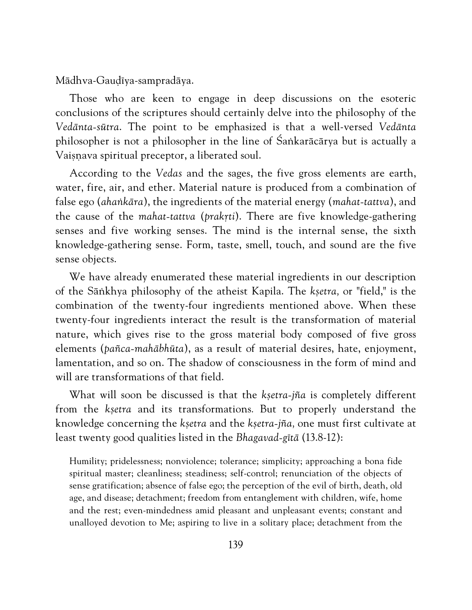Mādhva-Gaudīva-sampradāva.

Those who are keen to engage in deep discussions on the esoteric conclusions of the scriptures should certainly delve into the philosophy of the *Vedänta-sütra*. The point to be emphasized is that a well-versed *Vedänta* philosopher is not a philosopher in the line of Çaìkaräcärya but is actually a Vaisnava spiritual preceptor, a liberated soul.

According to the *Vedas* and the sages, the five gross elements are earth, water, fire, air, and ether. Material nature is produced from a combination of false ego (*ahaìkära*), the ingredients of the material energy (*mahat-tattva*), and the cause of the *mahat-tattva* (*prakrti*). There are five knowledge-gathering senses and five working senses. The mind is the internal sense, the sixth knowledge-gathering sense. Form, taste, smell, touch, and sound are the five sense objects.

We have already enumerated these material ingredients in our description of the Säìkhya philosophy of the atheist Kapila. The *kñetra,* or "field," is the combination of the twenty-four ingredients mentioned above. When these twenty-four ingredients interact the result is the transformation of material nature, which gives rise to the gross material body composed of five gross elements (*païca-mahäbhüta*), as a result of material desires, hate, enjoyment, lamentation, and so on. The shadow of consciousness in the form of mind and will are transformations of that field.

What will soon be discussed is that the *ksetra-jña* is completely different from the *kñetra* and its transformations*.* But to properly understand the knowledge concerning the *kñetra* and the *kñetra-jïa,* one must first cultivate at least twenty good qualities listed in the *Bhagavad-gétä* (13.8-12):

Humility; pridelessness; nonviolence; tolerance; simplicity; approaching a bona fide spiritual master; cleanliness; steadiness; self-control; renunciation of the objects of sense gratification; absence of false ego; the perception of the evil of birth, death, old age, and disease; detachment; freedom from entanglement with children, wife, home and the rest; even-mindedness amid pleasant and unpleasant events; constant and unalloyed devotion to Me; aspiring to live in a solitary place; detachment from the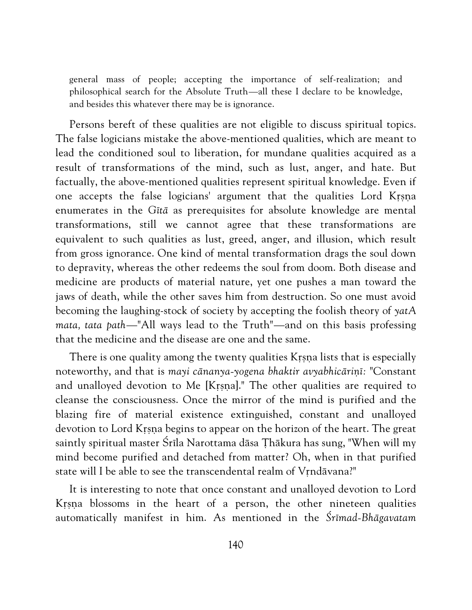general mass of people; accepting the importance of self-realization; and philosophical search for the Absolute Truth—all these I declare to be knowledge, and besides this whatever there may be is ignorance.

Persons bereft of these qualities are not eligible to discuss spiritual topics. The false logicians mistake the above-mentioned qualities, which are meant to lead the conditioned soul to liberation, for mundane qualities acquired as a result of transformations of the mind, such as lust, anger, and hate. But factually, the above-mentioned qualities represent spiritual knowledge. Even if one accepts the false logicians' argument that the qualities Lord Krsna enumerates in the *Gétä* as prerequisites for absolute knowledge are mental transformations, still we cannot agree that these transformations are equivalent to such qualities as lust, greed, anger, and illusion, which result from gross ignorance. One kind of mental transformation drags the soul down to depravity, whereas the other redeems the soul from doom. Both disease and medicine are products of material nature, yet one pushes a man toward the jaws of death, while the other saves him from destruction. So one must avoid becoming the laughing-stock of society by accepting the foolish theory of *yatA mata, tata path*—"All ways lead to the Truth"—and on this basis professing that the medicine and the disease are one and the same.

There is one quality among the twenty qualities Krsna lists that is especially noteworthy, and that is *mayi cānanya-yogena bhaktir avyabhicāriņī:* "Constant and unalloyed devotion to Me [Krsna]." The other qualities are required to cleanse the consciousness. Once the mirror of the mind is purified and the blazing fire of material existence extinguished, constant and unalloyed devotion to Lord Krsna begins to appear on the horizon of the heart. The great saintly spiritual master Śrīla Narottama dāsa Țhākura has sung, "When will my mind become purified and detached from matter? Oh, when in that purified state will I be able to see the transcendental realm of Vrndävana?"

It is interesting to note that once constant and unalloyed devotion to Lord Krsna blossoms in the heart of a person, the other nineteen qualities automatically manifest in him. As mentioned in the *Çrémad-Bhägavatam*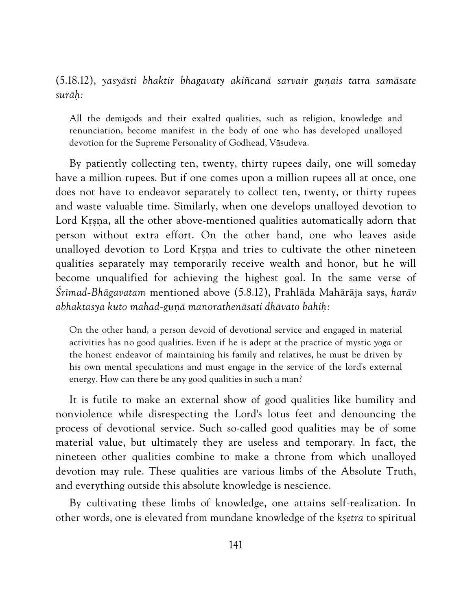(5.18.12), *yasyästi bhaktir bhagavaty akiïcanä sarvair guëais tatra samäsate suräù:*

All the demigods and their exalted qualities, such as religion, knowledge and renunciation, become manifest in the body of one who has developed unalloyed devotion for the Supreme Personality of Godhead, Väsudeva.

By patiently collecting ten, twenty, thirty rupees daily, one will someday have a million rupees. But if one comes upon a million rupees all at once, one does not have to endeavor separately to collect ten, twenty, or thirty rupees and waste valuable time. Similarly, when one develops unalloyed devotion to Lord Krsna, all the other above-mentioned qualities automatically adorn that person without extra effort. On the other hand, one who leaves aside unalloyed devotion to Lord Krsna and tries to cultivate the other nineteen qualities separately may temporarily receive wealth and honor, but he will become unqualified for achieving the highest goal. In the same verse of *Çrémad-Bhägavatam* mentioned above (5.8.12), Prahläda Mahäräja says, *haräv abhaktasya kuto mahad-guëä manorathenäsati dhävato bahiù:*

On the other hand, a person devoid of devotional service and engaged in material activities has no good qualities. Even if he is adept at the practice of mystic *yoga* or the honest endeavor of maintaining his family and relatives, he must be driven by his own mental speculations and must engage in the service of the lord's external energy. How can there be any good qualities in such a man?

It is futile to make an external show of good qualities like humility and nonviolence while disrespecting the Lord's lotus feet and denouncing the process of devotional service. Such so-called good qualities may be of some material value, but ultimately they are useless and temporary. In fact, the nineteen other qualities combine to make a throne from which unalloyed devotion may rule. These qualities are various limbs of the Absolute Truth, and everything outside this absolute knowledge is nescience.

By cultivating these limbs of knowledge, one attains self-realization. In other words, one is elevated from mundane knowledge of the *kñetra* to spiritual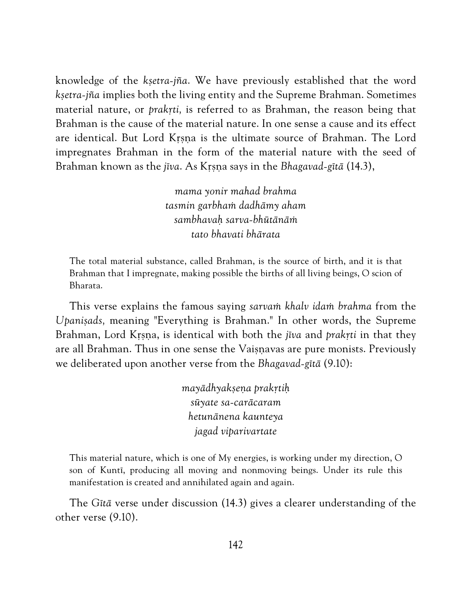knowledge of the *kñetra-jïa*. We have previously established that the word *kṣetra-jña* implies both the living entity and the Supreme Brahman. Sometimes material nature, or *prakrti*, is referred to as Brahman, the reason being that Brahman is the cause of the material nature. In one sense a cause and its effect are identical. But Lord Krsna is the ultimate source of Brahman. The Lord impregnates Brahman in the form of the material nature with the seed of Brahman known as the *jīva*. As Krsna says in the *Bhagavad-gītā* (14.3),

> *mama yonir mahad brahma tasmin garbhaà dadhämy aham sambhavaù sarva-bhütänäà tato bhavati bhärata*

The total material substance, called Brahman, is the source of birth, and it is that Brahman that I impregnate, making possible the births of all living beings, O scion of Bharata.

This verse explains the famous saying *sarvam khalv idam brahma* from the *Upanisads, meaning "Everything is Brahman." In other words, the Supreme* Brahman, Lord Krsna, is identical with both the *jwa* and *prakrti* in that they are all Brahman. Thus in one sense the Vaisnavas are pure monists. Previously we deliberated upon another verse from the *Bhagavad-gétä* (9.10):

> *mayädhyakñeëa prakåtiù süyate sa-caräcaram hetunänena kaunteya jagad viparivartate*

This material nature, which is one of My energies, is working under my direction, O son of Kunti, producing all moving and nonmoving beings. Under its rule this manifestation is created and annihilated again and again.

The *Gétä* verse under discussion (14.3) gives a clearer understanding of the other verse (9.10).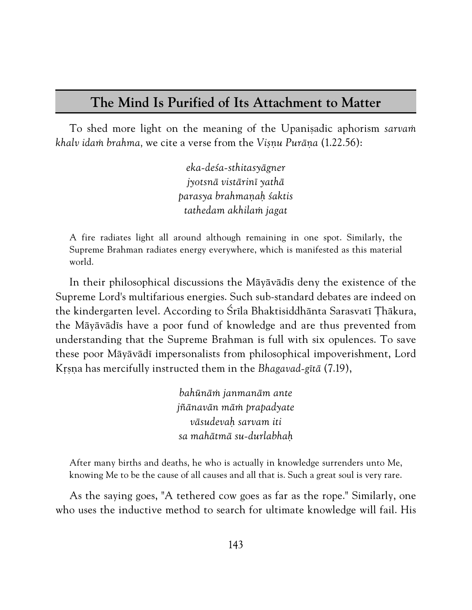# **The Mind Is Purified of Its Attachment to Matter**

To shed more light on the meaning of the Upanisadic aphorism *sarvam khalv idaà brahma,* we cite a verse from the *Viñëu Puräëa* (1.22.56):

> *eka-deça-sthitasyägner jyotsnä vistäriné yathä parasya brahmaëaù çaktis tathedam akhilaà jagat*

A fire radiates light all around although remaining in one spot. Similarly, the Supreme Brahman radiates energy everywhere, which is manifested as this material world.

In their philosophical discussions the Māyāvādīs deny the existence of the Supreme Lord's multifarious energies. Such sub-standard debates are indeed on the kindergarten level. According to Śrīla Bhaktisiddhānta Sarasvatī Thākura, the Mäyävädés have a poor fund of knowledge and are thus prevented from understanding that the Supreme Brahman is full with six opulences. To save these poor Mäyävädé impersonalists from philosophical impoverishment, Lord Krsna has mercifully instructed them in the *Bhagavad-gītā* (7.19),

> *bahünäà janmanäm ante jïänavän mäà prapadyate väsudevaù sarvam iti sa mahätmä su-durlabhaù*

After many births and deaths, he who is actually in knowledge surrenders unto Me, knowing Me to be the cause of all causes and all that is. Such a great soul is very rare.

As the saying goes, "A tethered cow goes as far as the rope." Similarly, one who uses the inductive method to search for ultimate knowledge will fail. His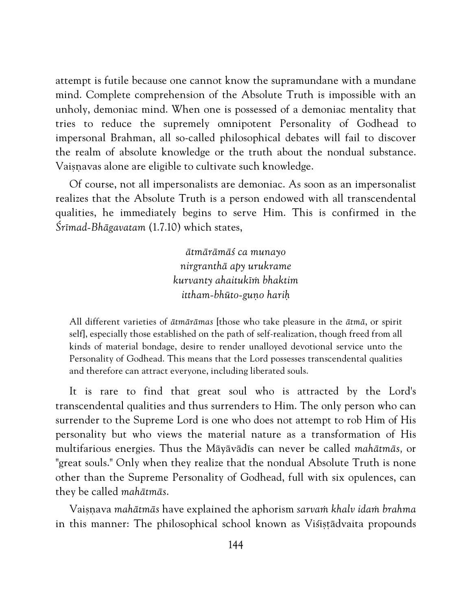attempt is futile because one cannot know the supramundane with a mundane mind. Complete comprehension of the Absolute Truth is impossible with an unholy, demoniac mind. When one is possessed of a demoniac mentality that tries to reduce the supremely omnipotent Personality of Godhead to impersonal Brahman, all so-called philosophical debates will fail to discover the realm of absolute knowledge or the truth about the nondual substance. Vaisnavas alone are eligible to cultivate such knowledge.

Of course, not all impersonalists are demoniac. As soon as an impersonalist realizes that the Absolute Truth is a person endowed with all transcendental qualities, he immediately begins to serve Him. This is confirmed in the *Çrémad-Bhägavatam* (1.7.10) which states,

> *ätmärämäç ca munayo nirgranthä apy urukrame kurvanty ahaitukéà bhaktim ittham-bhüto-guëo hariù*

All different varieties of *ätmärämas* [those who take pleasure in the *ätmä*, or spirit self], especially those established on the path of self-realization, though freed from all kinds of material bondage, desire to render unalloyed devotional service unto the Personality of Godhead. This means that the Lord possesses transcendental qualities and therefore can attract everyone, including liberated souls.

It is rare to find that great soul who is attracted by the Lord's transcendental qualities and thus surrenders to Him. The only person who can surrender to the Supreme Lord is one who does not attempt to rob Him of His personality but who views the material nature as a transformation of His multifarious energies. Thus the Mäyävädés can never be called *mahätmäs,* or "great souls." Only when they realize that the nondual Absolute Truth is none other than the Supreme Personality of Godhead, full with six opulences, can they be called *mahätmäs*.

Vaiñëava *mahätmäs* have explained the aphorism *sarvaà khalv idaà brahma* in this manner: The philosophical school known as Visistadvaita propounds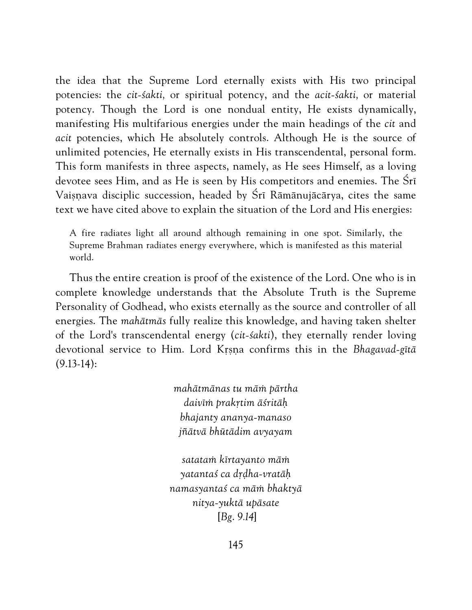the idea that the Supreme Lord eternally exists with His two principal potencies: the *cit-çakti,* or spiritual potency, and the *acit-çakti,* or material potency. Though the Lord is one nondual entity, He exists dynamically, manifesting His multifarious energies under the main headings of the *cit* and *acit* potencies, which He absolutely controls. Although He is the source of unlimited potencies, He eternally exists in His transcendental, personal form. This form manifests in three aspects, namely, as He sees Himself, as a loving devotee sees Him, and as He is seen by His competitors and enemies. The Sri Vaisnava disciplic succession, headed by Śrī Rāmānujācārya, cites the same text we have cited above to explain the situation of the Lord and His energies:

A fire radiates light all around although remaining in one spot. Similarly, the Supreme Brahman radiates energy everywhere, which is manifested as this material world.

Thus the entire creation is proof of the existence of the Lord. One who is in complete knowledge understands that the Absolute Truth is the Supreme Personality of Godhead, who exists eternally as the source and controller of all energies. The *mahätmäs* fully realize this knowledge, and having taken shelter of the Lord's transcendental energy (*cit-çakti*), they eternally render loving devotional service to Him. Lord Kåñëa confirms this in the *Bhagavad-gétä* (9.13-14):

> *mahätmänas tu mäà pärtha daivéà prakåtim äçritäù bhajanty ananya-manaso jïätvä bhütädim avyayam*

*satataà kértayanto mäà yatantaç ca dåòha-vratäù namasyantaç ca mäà bhaktyä nitya-yuktä upäsate* [*Bg*. *9.14*]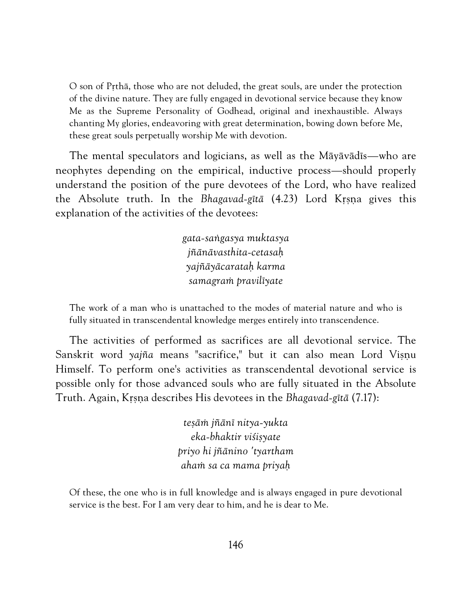O son of Prthā, those who are not deluded, the great souls, are under the protection of the divine nature. They are fully engaged in devotional service because they know Me as the Supreme Personality of Godhead, original and inexhaustible. Always chanting My glories, endeavoring with great determination, bowing down before Me, these great souls perpetually worship Me with devotion.

The mental speculators and logicians, as well as the Māyāvādīs—who are neophytes depending on the empirical, inductive process—should properly understand the position of the pure devotees of the Lord, who have realized the Absolute truth. In the *Bhagavad-gītā* (4.23) Lord Krsna gives this explanation of the activities of the devotees:

> *gata-saìgasya muktasya jïänävasthita-cetasaù yajïäyäcarataù karma samagraà praviléyate*

The work of a man who is unattached to the modes of material nature and who is fully situated in transcendental knowledge merges entirely into transcendence.

The activities of performed as sacrifices are all devotional service. The Sanskrit word yajña means "sacrifice," but it can also mean Lord Visnu Himself. To perform one's activities as transcendental devotional service is possible only for those advanced souls who are fully situated in the Absolute Truth. Again, Kåñëa describes His devotees in the *Bhagavad-gétä* (7.17):

> *teñäà jïäné nitya-yukta eka-bhaktir viçiñyate priyo hi jïänino 'tyartham ahaà sa ca mama priyaù*

Of these, the one who is in full knowledge and is always engaged in pure devotional service is the best. For I am very dear to him, and he is dear to Me.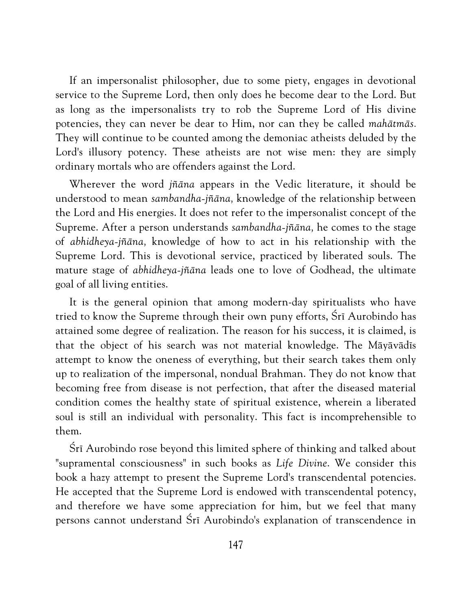If an impersonalist philosopher, due to some piety, engages in devotional service to the Supreme Lord, then only does he become dear to the Lord. But as long as the impersonalists try to rob the Supreme Lord of His divine potencies, they can never be dear to Him, nor can they be called *mahätmäs.* They will continue to be counted among the demoniac atheists deluded by the Lord's illusory potency. These atheists are not wise men: they are simply ordinary mortals who are offenders against the Lord.

Wherever the word *jïäna* appears in the Vedic literature, it should be understood to mean *sambandha-jïäna,* knowledge of the relationship between the Lord and His energies. It does not refer to the impersonalist concept of the Supreme. After a person understands *sambandha-jïäna,* he comes to the stage of *abhidheya-jïäna,* knowledge of how to act in his relationship with the Supreme Lord. This is devotional service, practiced by liberated souls. The mature stage of *abhidheya-jïäna* leads one to love of Godhead, the ultimate goal of all living entities.

It is the general opinion that among modern-day spiritualists who have tried to know the Supreme through their own puny efforts, Śrī Aurobindo has attained some degree of realization. The reason for his success, it is claimed, is that the object of his search was not material knowledge. The Māyāvādīs attempt to know the oneness of everything, but their search takes them only up to realization of the impersonal, nondual Brahman. They do not know that becoming free from disease is not perfection, that after the diseased material condition comes the healthy state of spiritual existence, wherein a liberated soul is still an individual with personality. This fact is incomprehensible to them.

Śrī Aurobindo rose beyond this limited sphere of thinking and talked about "supramental consciousness" in such books as *Life Divine*. We consider this book a hazy attempt to present the Supreme Lord's transcendental potencies. He accepted that the Supreme Lord is endowed with transcendental potency, and therefore we have some appreciation for him, but we feel that many persons cannot understand Sri Aurobindo's explanation of transcendence in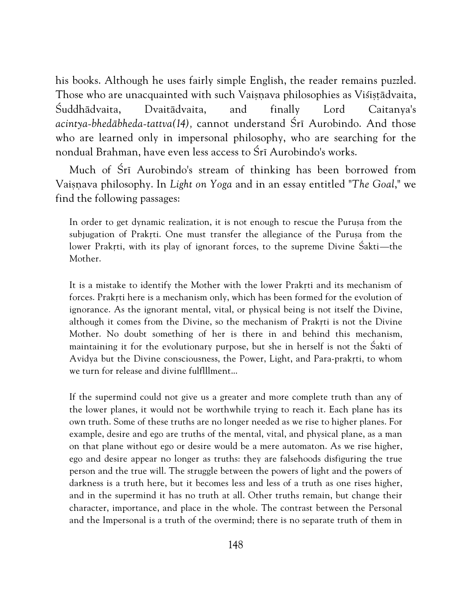his books. Although he uses fairly simple English, the reader remains puzzled. Those who are unacquainted with such Vaisnava philosophies as Visistādvaita, Çuddhädvaita, Dvaitädvaita, and finally Lord Caitanya's *acintya-bhedābheda-tattva(14)*, cannot understand Śrī Aurobindo. And those who are learned only in impersonal philosophy, who are searching for the nondual Brahman, have even less access to  $\rm SrI$  Aurobindo's works.

Much of Sri Aurobindo's stream of thinking has been borrowed from Vaiñëava philosophy. In *Light on Yoga* and in an essay entitled "*The Goal*," we find the following passages:

In order to get dynamic realization, it is not enough to rescue the Purusa from the subjugation of Prakrti. One must transfer the allegiance of the Purusa from the lower Prakrti, with its play of ignorant forces, to the supreme Divine Śakti—the Mother.

It is a mistake to identify the Mother with the lower Prakrti and its mechanism of forces. Prakrti here is a mechanism only, which has been formed for the evolution of ignorance. As the ignorant mental, vital, or physical being is not itself the Divine, although it comes from the Divine, so the mechanism of Prakrti is not the Divine Mother. No doubt something of her is there in and behind this mechanism, maintaining it for the evolutionary purpose, but she in herself is not the Çakti of Avidya but the Divine consciousness, the Power, Light, and Para-praktti, to whom we turn for release and divine fulflllment...

If the supermind could not give us a greater and more complete truth than any of the lower planes, it would not be worthwhile trying to reach it. Each plane has its own truth. Some of these truths are no longer needed as we rise to higher planes. For example, desire and ego are truths of the mental, vital, and physical plane, as a man on that plane without ego or desire would be a mere automaton. As we rise higher, ego and desire appear no longer as truths: they are falsehoods disfiguring the true person and the true will. The struggle between the powers of light and the powers of darkness is a truth here, but it becomes less and less of a truth as one rises higher, and in the supermind it has no truth at all. Other truths remain, but change their character, importance, and place in the whole. The contrast between the Personal and the Impersonal is a truth of the overmind; there is no separate truth of them in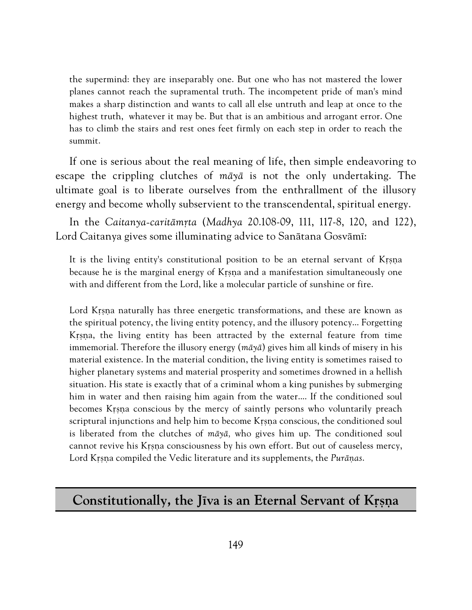the supermind: they are inseparably one. But one who has not mastered the lower planes cannot reach the supramental truth. The incompetent pride of man's mind makes a sharp distinction and wants to call all else untruth and leap at once to the highest truth, whatever it may be. But that is an ambitious and arrogant error. One has to climb the stairs and rest ones feet firmly on each step in order to reach the summit.

If one is serious about the real meaning of life, then simple endeavoring to escape the crippling clutches of *mäyä* is not the only undertaking. The ultimate goal is to liberate ourselves from the enthrallment of the illusory energy and become wholly subservient to the transcendental, spiritual energy.

In the *Caitanya-caritāmrta* (*Madhya* 20.108-09, 111, 117-8, 120, and 122), Lord Caitanya gives some illuminating advice to Sanätana Gosvämé:

It is the living entity's constitutional position to be an eternal servant of Krsna because he is the marginal energy of Krsna and a manifestation simultaneously one with and different from the Lord, like a molecular particle of sunshine or fire.

Lord Krsna naturally has three energetic transformations, and these are known as the spiritual potency, the living entity potency, and the illusory potency... Forgetting Krsna, the living entity has been attracted by the external feature from time immemorial. Therefore the illusory energy (*mäyä*) gives him all kinds of misery in his material existence. In the material condition, the living entity is sometimes raised to higher planetary systems and material prosperity and sometimes drowned in a hellish situation. His state is exactly that of a criminal whom a king punishes by submerging him in water and then raising him again from the water.... If the conditioned soul becomes Krsna conscious by the mercy of saintly persons who voluntarily preach scriptural injunctions and help him to become Krsna conscious, the conditioned soul is liberated from the clutches of *mäyä,* who gives him up. The conditioned soul cannot revive his Krsna consciousness by his own effort. But out of causeless mercy, Lord Krsna compiled the Vedic literature and its supplements, the *Purānas*.

# Constitutionally, the Jīva is an Eternal Servant of Krsna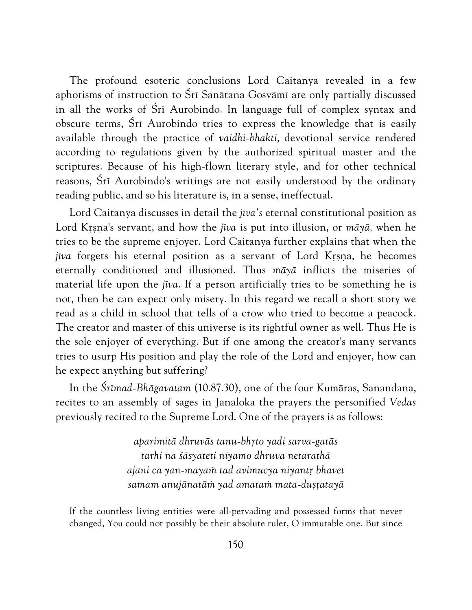The profound esoteric conclusions Lord Caitanya revealed in a few aphorisms of instruction to Śrī Sanātana Gosvāmī are only partially discussed in all the works of Sri Aurobindo. In language full of complex syntax and obscure terms, Śrī Aurobindo tries to express the knowledge that is easily available through the practice of *vaidhi-bhakti,* devotional service rendered according to regulations given by the authorized spiritual master and the scriptures. Because of his high-flown literary style, and for other technical reasons, Sri Aurobindo's writings are not easily understood by the ordinary reading public, and so his literature is, in a sense, ineffectual.

Lord Caitanya discusses in detail the *jīva's* eternal constitutional position as Lord Krsna's servant, and how the *jīva* is put into illusion, or *māyā*, when he tries to be the supreme enjoyer. Lord Caitanya further explains that when the *jīva* forgets his eternal position as a servant of Lord Krsna, he becomes eternally conditioned and illusioned. Thus *mäyä* inflicts the miseries of material life upon the *jūva*. If a person artificially tries to be something he is not, then he can expect only misery. In this regard we recall a short story we read as a child in school that tells of a crow who tried to become a peacock. The creator and master of this universe is its rightful owner as well. Thus He is the sole enjoyer of everything. But if one among the creator's many servants tries to usurp His position and play the role of the Lord and enjoyer, how can he expect anything but suffering?

In the *Çrémad-Bhägavatam* (10.87.30), one of the four Kumäras, Sanandana, recites to an assembly of sages in Janaloka the prayers the personified *Vedas* previously recited to the Supreme Lord. One of the prayers is as follows:

> *aparimitä dhruväs tanu-bhåto yadi sarva-gatäs tarhi na çäsyateti niyamo dhruva netarathä ajani ca yan-mayaà tad avimucya niyantå bhavet samam anujänatäà yad amataà mata-duñöatayä*

If the countless living entities were all-pervading and possessed forms that never changed, You could not possibly be their absolute ruler, O immutable one. But since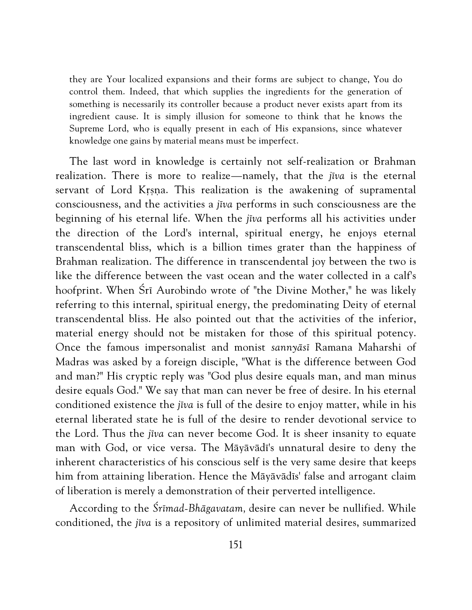they are Your localized expansions and their forms are subject to change, You do control them. Indeed, that which supplies the ingredients for the generation of something is necessarily its controller because a product never exists apart from its ingredient cause. It is simply illusion for someone to think that he knows the Supreme Lord, who is equally present in each of His expansions, since whatever knowledge one gains by material means must be imperfect.

The last word in knowledge is certainly not self-realization or Brahman realization. There is more to realize—namely, that the *jtva* is the eternal servant of Lord Krsna. This realization is the awakening of supramental consciousness, and the activities a *jéva* performs in such consciousness are the beginning of his eternal life. When the *jéva* performs all his activities under the direction of the Lord's internal, spiritual energy, he enjoys eternal transcendental bliss, which is a billion times grater than the happiness of Brahman realization. The difference in transcendental joy between the two is like the difference between the vast ocean and the water collected in a calf's hoofprint. When Sri Aurobindo wrote of "the Divine Mother," he was likely referring to this internal, spiritual energy, the predominating Deity of eternal transcendental bliss. He also pointed out that the activities of the inferior, material energy should not be mistaken for those of this spiritual potency. Once the famous impersonalist and monist *sannyäsé* Ramana Maharshi of Madras was asked by a foreign disciple, "What is the difference between God and man?" His cryptic reply was "God plus desire equals man, and man minus desire equals God." We say that man can never be free of desire. In his eternal conditioned existence the *jīva* is full of the desire to enjoy matter, while in his eternal liberated state he is full of the desire to render devotional service to the Lord. Thus the *jéva* can never become God. It is sheer insanity to equate man with God, or vice versa. The Mäyävädé's unnatural desire to deny the inherent characteristics of his conscious self is the very same desire that keeps him from attaining liberation. Hence the Māyāvādīs' false and arrogant claim of liberation is merely a demonstration of their perverted intelligence.

According to the *Çrémad-Bhägavatam,* desire can never be nullified. While conditioned, the *jéva* is a repository of unlimited material desires, summarized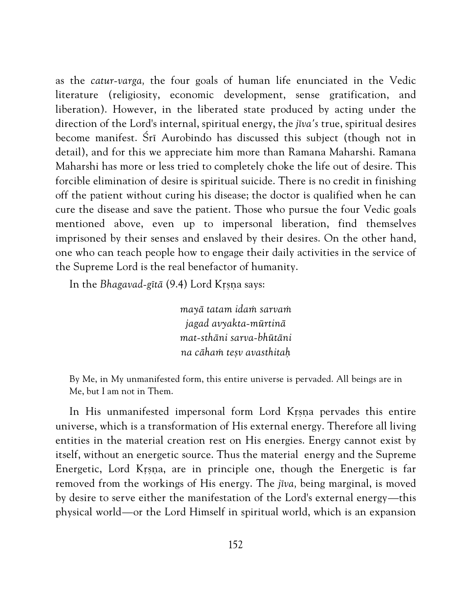as the *catur-varga,* the four goals of human life enunciated in the Vedic literature (religiosity, economic development, sense gratification, and liberation). However, in the liberated state produced by acting under the direction of the Lord's internal, spiritual energy, the *jéva's* true, spiritual desires become manifest. Śrī Aurobindo has discussed this subject (though not in detail), and for this we appreciate him more than Ramana Maharshi. Ramana Maharshi has more or less tried to completely choke the life out of desire. This forcible elimination of desire is spiritual suicide. There is no credit in finishing off the patient without curing his disease; the doctor is qualified when he can cure the disease and save the patient. Those who pursue the four Vedic goals mentioned above, even up to impersonal liberation, find themselves imprisoned by their senses and enslaved by their desires. On the other hand, one who can teach people how to engage their daily activities in the service of the Supreme Lord is the real benefactor of humanity.

In the *Bhagavad-gītā* (9.4) Lord Krsna says:

*mayä tatam idaà sarvaà jagad avyakta-mürtinä mat-sthäni sarva-bhütäni na cähaà teñv avasthitaù*

By Me, in My unmanifested form, this entire universe is pervaded. All beings are in Me, but I am not in Them.

In His unmanifested impersonal form Lord Krsna pervades this entire universe, which is a transformation of His external energy. Therefore all living entities in the material creation rest on His energies. Energy cannot exist by itself, without an energetic source. Thus the material energy and the Supreme Energetic, Lord Krsna, are in principle one, though the Energetic is far removed from the workings of His energy. The *jéva,* being marginal, is moved by desire to serve either the manifestation of the Lord's external energy—this physical world—or the Lord Himself in spiritual world, which is an expansion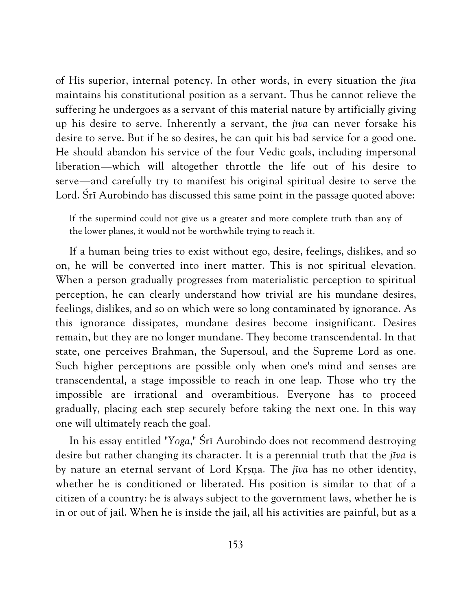of His superior, internal potency. In other words, in every situation the *jéva* maintains his constitutional position as a servant. Thus he cannot relieve the suffering he undergoes as a servant of this material nature by artificially giving up his desire to serve. Inherently a servant, the *jéva* can never forsake his desire to serve. But if he so desires, he can quit his bad service for a good one. He should abandon his service of the four Vedic goals, including impersonal liberation—which will altogether throttle the life out of his desire to serve—and carefully try to manifest his original spiritual desire to serve the Lord. Śrī Aurobindo has discussed this same point in the passage quoted above:

If the supermind could not give us a greater and more complete truth than any of the lower planes, it would not be worthwhile trying to reach it.

If a human being tries to exist without ego, desire, feelings, dislikes, and so on, he will be converted into inert matter. This is not spiritual elevation. When a person gradually progresses from materialistic perception to spiritual perception, he can clearly understand how trivial are his mundane desires, feelings, dislikes, and so on which were so long contaminated by ignorance. As this ignorance dissipates, mundane desires become insignificant. Desires remain, but they are no longer mundane. They become transcendental. In that state, one perceives Brahman, the Supersoul, and the Supreme Lord as one. Such higher perceptions are possible only when one's mind and senses are transcendental, a stage impossible to reach in one leap. Those who try the impossible are irrational and overambitious. Everyone has to proceed gradually, placing each step securely before taking the next one. In this way one will ultimately reach the goal.

In his essay entitled "*Yoga*," Śrī Aurobindo does not recommend destroying desire but rather changing its character. It is a perennial truth that the *jéva* is by nature an eternal servant of Lord Krsna. The *jīva* has no other identity, whether he is conditioned or liberated. His position is similar to that of a citizen of a country: he is always subject to the government laws, whether he is in or out of jail. When he is inside the jail, all his activities are painful, but as a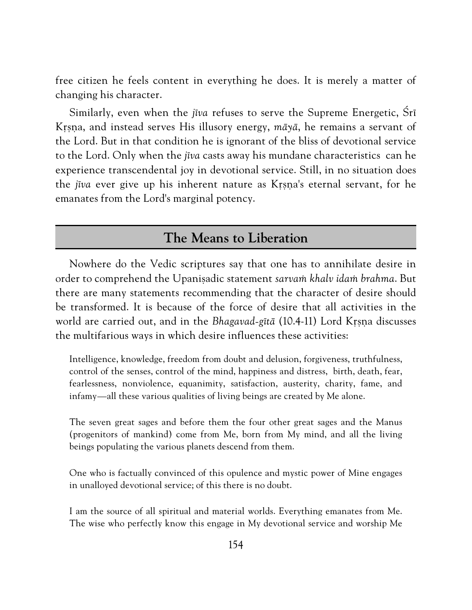free citizen he feels content in everything he does. It is merely a matter of changing his character.

Similarly, even when the *jūva* refuses to serve the Supreme Energetic, Śrī Krsna, and instead serves His illusory energy, *māyā*, he remains a servant of the Lord. But in that condition he is ignorant of the bliss of devotional service to the Lord. Only when the *jéva* casts away his mundane characteristics can he experience transcendental joy in devotional service. Still, in no situation does the *jwa* ever give up his inherent nature as Krsna's eternal servant, for he emanates from the Lord's marginal potency.

### **The Means to Liberation**

Nowhere do the Vedic scriptures say that one has to annihilate desire in order to comprehend the Upanisadic statement *sarvam khalv idam brahma*. But there are many statements recommending that the character of desire should be transformed. It is because of the force of desire that all activities in the world are carried out, and in the *Bhagavad-gītā* (10.4-11) Lord Krsna discusses the multifarious ways in which desire influences these activities:

Intelligence, knowledge, freedom from doubt and delusion, forgiveness, truthfulness, control of the senses, control of the mind, happiness and distress, birth, death, fear, fearlessness, nonviolence, equanimity, satisfaction, austerity, charity, fame, and infamy—all these various qualities of living beings are created by Me alone.

The seven great sages and before them the four other great sages and the Manus (progenitors of mankind) come from Me, born from My mind, and all the living beings populating the various planets descend from them.

One who is factually convinced of this opulence and mystic power of Mine engages in unalloyed devotional service; of this there is no doubt.

I am the source of all spiritual and material worlds. Everything emanates from Me. The wise who perfectly know this engage in My devotional service and worship Me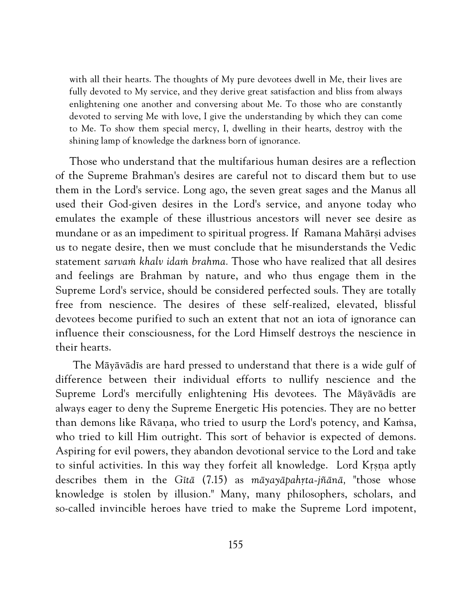with all their hearts. The thoughts of My pure devotees dwell in Me, their lives are fully devoted to My service, and they derive great satisfaction and bliss from always enlightening one another and conversing about Me. To those who are constantly devoted to serving Me with love, I give the understanding by which they can come to Me. To show them special mercy, I, dwelling in their hearts, destroy with the shining lamp of knowledge the darkness born of ignorance.

Those who understand that the multifarious human desires are a reflection of the Supreme Brahman's desires are careful not to discard them but to use them in the Lord's service. Long ago, the seven great sages and the Manus all used their God-given desires in the Lord's service, and anyone today who emulates the example of these illustrious ancestors will never see desire as mundane or as an impediment to spiritual progress. If Ramana Mahārṣi advises us to negate desire, then we must conclude that he misunderstands the Vedic statement *sarvam khalv idam brahma*. Those who have realized that all desires and feelings are Brahman by nature, and who thus engage them in the Supreme Lord's service, should be considered perfected souls. They are totally free from nescience. The desires of these self-realized, elevated, blissful devotees become purified to such an extent that not an iota of ignorance can influence their consciousness, for the Lord Himself destroys the nescience in their hearts.

The Māyāvādīs are hard pressed to understand that there is a wide gulf of difference between their individual efforts to nullify nescience and the Supreme Lord's mercifully enlightening His devotees. The Māyāvādīs are always eager to deny the Supreme Energetic His potencies. They are no better than demons like Rāvana, who tried to usurp the Lord's potency, and Kamsa, who tried to kill Him outright. This sort of behavior is expected of demons. Aspiring for evil powers, they abandon devotional service to the Lord and take to sinful activities. In this way they forfeit all knowledge. Lord Krsna aptly describes them in the *Gītā* (7.15) as *māyayāpahrta-jñānā*, "those whose knowledge is stolen by illusion." Many, many philosophers, scholars, and so-called invincible heroes have tried to make the Supreme Lord impotent,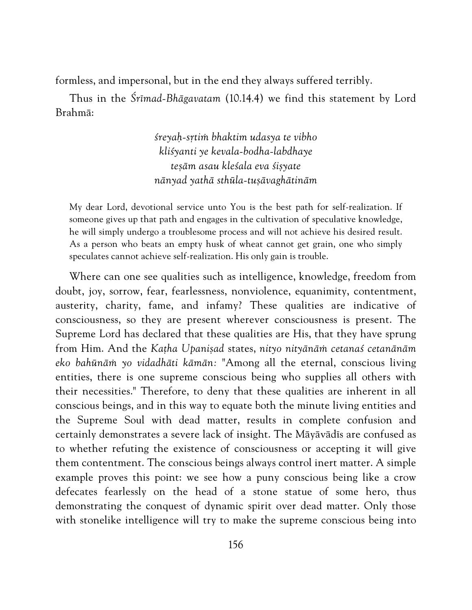formless, and impersonal, but in the end they always suffered terribly.

Thus in the *Çrémad-Bhägavatam* (10.14.4) we find this statement by Lord Brahmä:

> *çreyaù-såtià bhaktim udasya te vibho kliçyanti ye kevala-bodha-labdhaye teñäm asau kleçala eva çiñyate nänyad yathä sthüla-tuñävaghätinäm*

My dear Lord, devotional service unto You is the best path for self-realization. If someone gives up that path and engages in the cultivation of speculative knowledge, he will simply undergo a troublesome process and will not achieve his desired result. As a person who beats an empty husk of wheat cannot get grain, one who simply speculates cannot achieve self-realization. His only gain is trouble.

Where can one see qualities such as intelligence, knowledge, freedom from doubt, joy, sorrow, fear, fearlessness, nonviolence, equanimity, contentment, austerity, charity, fame, and infamy? These qualities are indicative of consciousness, so they are present wherever consciousness is present. The Supreme Lord has declared that these qualities are His, that they have sprung from Him. And the *Kaöha Upaniñad* states, *nityo nityänäà cetanaç cetanänäm eko bahünäà yo vidadhäti kämän:* "Among all the eternal, conscious living entities, there is one supreme conscious being who supplies all others with their necessities." Therefore, to deny that these qualities are inherent in all conscious beings, and in this way to equate both the minute living entities and the Supreme Soul with dead matter, results in complete confusion and certainly demonstrates a severe lack of insight. The Māyāvādīs are confused as to whether refuting the existence of consciousness or accepting it will give them contentment. The conscious beings always control inert matter. A simple example proves this point: we see how a puny conscious being like a crow defecates fearlessly on the head of a stone statue of some hero, thus demonstrating the conquest of dynamic spirit over dead matter. Only those with stonelike intelligence will try to make the supreme conscious being into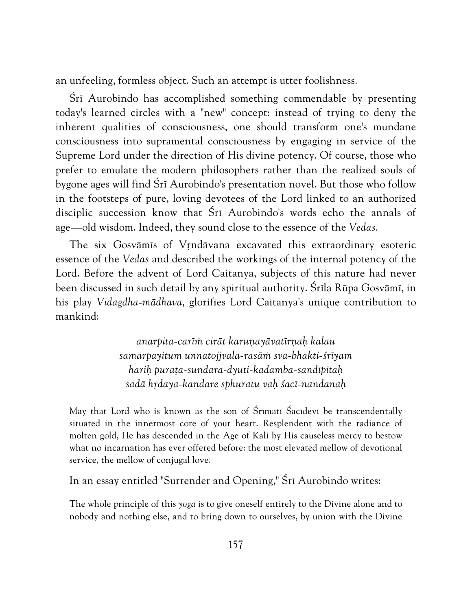an unfeeling, formless object. Such an attempt is utter foolishness.

Sri Aurobindo has accomplished something commendable by presenting today's learned circles with a "new" concept: instead of trying to deny the inherent qualities of consciousness, one should transform one's mundane consciousness into supramental consciousness by engaging in service of the Supreme Lord under the direction of His divine potency. Of course, those who prefer to emulate the modern philosophers rather than the realized souls of bygone ages will find Śrī Aurobindo's presentation novel. But those who follow in the footsteps of pure, loving devotees of the Lord linked to an authorized disciplic succession know that Sri Aurobindo's words echo the annals of age—old wisdom. Indeed, they sound close to the essence of the *Vedas.*

The six Gosvāmīs of Vrndāvana excavated this extraordinary esoteric essence of the *Vedas* and described the workings of the internal potency of the Lord. Before the advent of Lord Caitanya, subjects of this nature had never been discussed in such detail by any spiritual authority. Śrīla Rūpa Gosvāmī, in his play *Vidagdha-mädhava,* glorifies Lord Caitanya's unique contribution to mankind:

> *anarpita-caréà cirät karuëayävatérëaù kalau samarpayitum unnatojjvala-rasäà sva-bhakti-çréyam hariù puraöa-sundara-dyuti-kadamba-sandépitaù sadä hådaya-kandare sphuratu vaù çacé-nandanaù*

May that Lord who is known as the son of Śrīmatī Śacīdevī be transcendentally situated in the innermost core of your heart. Resplendent with the radiance of molten gold, He has descended in the Age of Kali by His causeless mercy to bestow what no incarnation has ever offered before: the most elevated mellow of devotional service, the mellow of conjugal love.

In an essay entitled "Surrender and Opening," Śrī Aurobindo writes:

The whole principle of this *yoga* is to give oneself entirely to the Divine alone and to nobody and nothing else, and to bring down to ourselves, by union with the Divine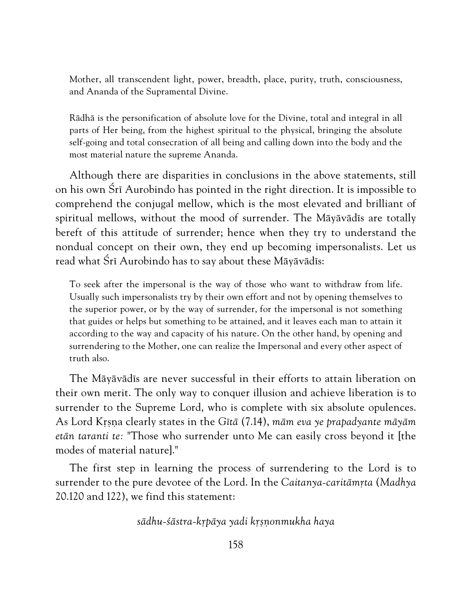Mother, all transcendent light, power, breadth, place, purity, truth, consciousness, and Ananda of the Supramental Divine.

Rädhä is the personification of absolute love for the Divine, total and integral in all parts of Her being, from the highest spiritual to the physical, bringing the absolute self-going and total consecration of all being and calling down into the body and the most material nature the supreme Ananda.

Although there are disparities in conclusions in the above statements, still on his own Sri Aurobindo has pointed in the right direction. It is impossible to comprehend the conjugal mellow, which is the most elevated and brilliant of spiritual mellows, without the mood of surrender. The Māyāvādīs are totally bereft of this attitude of surrender; hence when they try to understand the nondual concept on their own, they end up becoming impersonalists. Let us read what Srī Aurobindo has to say about these Māyāvādīs:

To seek after the impersonal is the way of those who want to withdraw from life. Usually such impersonalists try by their own effort and not by opening themselves to the superior power, or by the way of surrender, for the impersonal is not something that guides or helps but something to be attained, and it leaves each man to attain it according to the way and capacity of his nature. On the other hand, by opening and surrendering to the Mother, one can realize the Impersonal and every other aspect of truth also.

The Māyāvādīs are never successful in their efforts to attain liberation on their own merit. The only way to conquer illusion and achieve liberation is to surrender to the Supreme Lord, who is complete with six absolute opulences. As Lord Kåñëa clearly states in the *Gétä* (7.14), *mäm eva ye prapadyante mäyäm etän taranti te:* "Those who surrender unto Me can easily cross beyond it [the modes of material nature]."

The first step in learning the process of surrendering to the Lord is to surrender to the pure devotee of the Lord. In the *Caitanya-caritāmrta* (*Madhya* 20.120 and 122), we find this statement:

*sädhu-çästra-kåpäya yadi kåñëonmukha haya*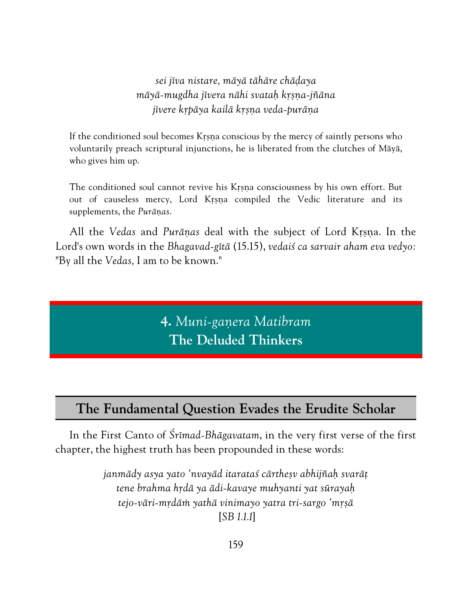*sei jéva nistare, mäyä tähäre chäòaya mäyä-mugdha jévera nähi svataù kåñëa-jïäna* jīvere k*rpāya kailā krsna veda-purāna* 

If the conditioned soul becomes Krsna conscious by the mercy of saintly persons who voluntarily preach scriptural injunctions, he is liberated from the clutches of Mäyä, who gives him up.

The conditioned soul cannot revive his Krsna consciousness by his own effort. But out of causeless mercy, Lord Krsna compiled the Vedic literature and its supplements, the *Purāņas*.

All the *Vedas* and *Purānas* deal with the subject of Lord Krsna. In the Lord's own words in the *Bhagavad-gétä* (15.15), *vedaiç ca sarvair aham eva vedyo:* "By all the *Vedas,* I am to be known."

> 4. Muni-ganera Matibram **The Deluded Thinkers**

## **The Fundamental Question Evades the Erudite Scholar**

In the First Canto of *Çrémad-Bhägavatam*, in the very first verse of the first chapter, the highest truth has been propounded in these words:

> *janmädy asya yato 'nvayäd itarataç cärtheñv abhijïaù svaräö tene brahma hådä ya ädi-kavaye muhyanti yat sürayaù tejo-väri-mådäà yathä vinimayo yatra tri-sargo 'måñä* [*SB 1.1.1*]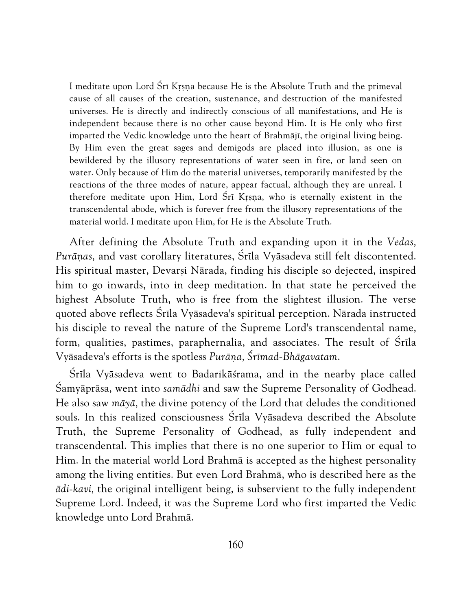I meditate upon Lord Śrī Krsna because He is the Absolute Truth and the primeval cause of all causes of the creation, sustenance, and destruction of the manifested universes. He is directly and indirectly conscious of all manifestations, and He is independent because there is no other cause beyond Him. It is He only who first imparted the Vedic knowledge unto the heart of Brahmājī, the original living being. By Him even the great sages and demigods are placed into illusion, as one is bewildered by the illusory representations of water seen in fire, or land seen on water. Only because of Him do the material universes, temporarily manifested by the reactions of the three modes of nature, appear factual, although they are unreal. I therefore meditate upon Him, Lord Śrī Krsna, who is eternally existent in the transcendental abode, which is forever free from the illusory representations of the material world. I meditate upon Him, for He is the Absolute Truth.

After defining the Absolute Truth and expanding upon it in the *Vedas, Purāņas*, and vast corollary literatures, Śrīla Vyāsadeva still felt discontented. His spiritual master, Devarsi Nārada, finding his disciple so dejected, inspired him to go inwards, into in deep meditation. In that state he perceived the highest Absolute Truth, who is free from the slightest illusion. The verse quoted above reflects Śrīla Vyāsadeva's spiritual perception. Nārada instructed his disciple to reveal the nature of the Supreme Lord's transcendental name, form, qualities, pastimes, paraphernalia, and associates. The result of  $\overline{S}$ rila Vyäsadeva's efforts is the spotless *Puräëa, Çrémad-Bhägavatam*.

Śrīla Vyāsadeva went to Badarikāśrama, and in the nearby place called Çamyäpräsa, went into *samädhi* and saw the Supreme Personality of Godhead. He also saw *mäyä,* the divine potency of the Lord that deludes the conditioned souls. In this realized consciousness Śrīla Vyāsadeva described the Absolute Truth, the Supreme Personality of Godhead, as fully independent and transcendental. This implies that there is no one superior to Him or equal to Him. In the material world Lord Brahmä is accepted as the highest personality among the living entities. But even Lord Brahmä, who is described here as the *ädi-kavi,* the original intelligent being, is subservient to the fully independent Supreme Lord. Indeed, it was the Supreme Lord who first imparted the Vedic knowledge unto Lord Brahmä.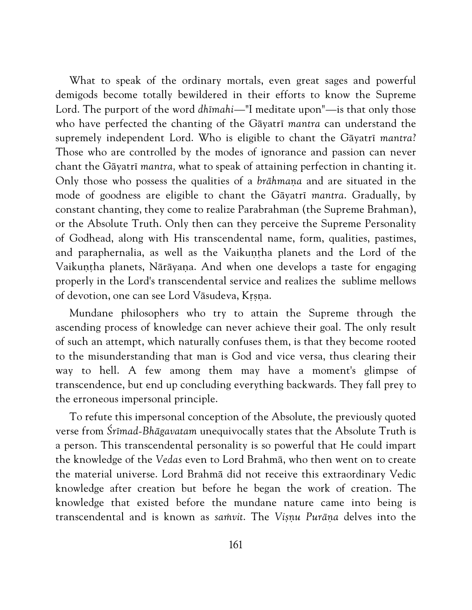What to speak of the ordinary mortals, even great sages and powerful demigods become totally bewildered in their efforts to know the Supreme Lord. The purport of the word *dhémahi*—"I meditate upon"—is that only those who have perfected the chanting of the Gayatri *mantra* can understand the supremely independent Lord. Who is eligible to chant the Gāyatrī mantra? Those who are controlled by the modes of ignorance and passion can never chant the Gāyatrī *mantra*, what to speak of attaining perfection in chanting it. Only those who possess the qualities of a *brāhmana* and are situated in the mode of goodness are eligible to chant the Gäyatré *mantra*. Gradually, by constant chanting, they come to realize Parabrahman (the Supreme Brahman), or the Absolute Truth. Only then can they perceive the Supreme Personality of Godhead, along with His transcendental name, form, qualities, pastimes, and paraphernalia, as well as the Vaikuntha planets and the Lord of the Vaikuntha planets, Nārāyaṇa. And when one develops a taste for engaging properly in the Lord's transcendental service and realizes the sublime mellows of devotion, one can see Lord Vāsudeva, Krsna.

Mundane philosophers who try to attain the Supreme through the ascending process of knowledge can never achieve their goal. The only result of such an attempt, which naturally confuses them, is that they become rooted to the misunderstanding that man is God and vice versa, thus clearing their way to hell. A few among them may have a moment's glimpse of transcendence, but end up concluding everything backwards. They fall prey to the erroneous impersonal principle.

To refute this impersonal conception of the Absolute, the previously quoted verse from *Çrémad-Bhägavatam* unequivocally states that the Absolute Truth is a person. This transcendental personality is so powerful that He could impart the knowledge of the *Vedas* even to Lord Brahmä, who then went on to create the material universe. Lord Brahmä did not receive this extraordinary Vedic knowledge after creation but before he began the work of creation. The knowledge that existed before the mundane nature came into being is transcendental and is known as *saàvit*. The *Viñëu Puräëa* delves into the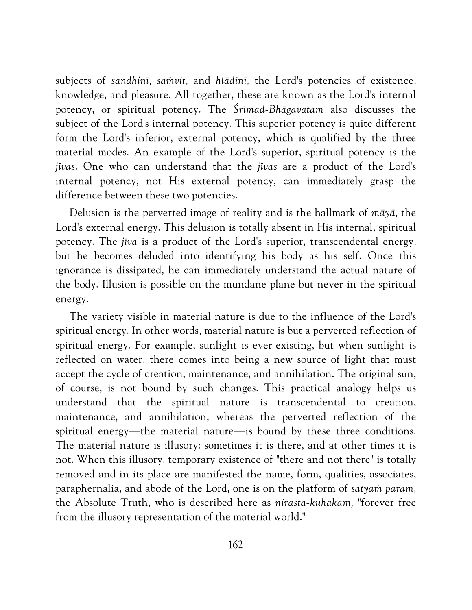subjects of *sandhini*, *samvit*, and *hlādini*, the Lord's potencies of existence, knowledge, and pleasure. All together, these are known as the Lord's internal potency, or spiritual potency. The *Çrémad-Bhägavatam* also discusses the subject of the Lord's internal potency. This superior potency is quite different form the Lord's inferior, external potency, which is qualified by the three material modes. An example of the Lord's superior, spiritual potency is the *jévas*. One who can understand that the *jévas* are a product of the Lord's internal potency, not His external potency, can immediately grasp the difference between these two potencies.

Delusion is the perverted image of reality and is the hallmark of *mäyä,* the Lord's external energy. This delusion is totally absent in His internal, spiritual potency. The *jéva* is a product of the Lord's superior, transcendental energy, but he becomes deluded into identifying his body as his self. Once this ignorance is dissipated, he can immediately understand the actual nature of the body. Illusion is possible on the mundane plane but never in the spiritual energy.

The variety visible in material nature is due to the influence of the Lord's spiritual energy. In other words, material nature is but a perverted reflection of spiritual energy. For example, sunlight is ever-existing, but when sunlight is reflected on water, there comes into being a new source of light that must accept the cycle of creation, maintenance, and annihilation. The original sun, of course, is not bound by such changes. This practical analogy helps us understand that the spiritual nature is transcendental to creation, maintenance, and annihilation, whereas the perverted reflection of the spiritual energy—the material nature—is bound by these three conditions. The material nature is illusory: sometimes it is there, and at other times it is not. When this illusory, temporary existence of "there and not there" is totally removed and in its place are manifested the name, form, qualities, associates, paraphernalia, and abode of the Lord, one is on the platform of *satyam param*, the Absolute Truth, who is described here as *nirasta-kuhakam,* "forever free from the illusory representation of the material world."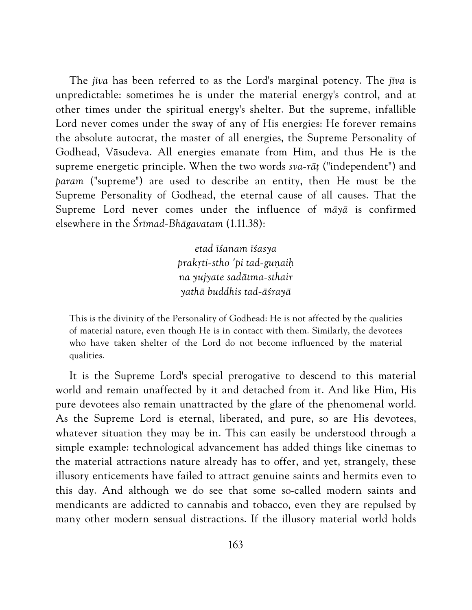The *jéva* has been referred to as the Lord's marginal potency. The *jéva* is unpredictable: sometimes he is under the material energy's control, and at other times under the spiritual energy's shelter. But the supreme, infallible Lord never comes under the sway of any of His energies: He forever remains the absolute autocrat, the master of all energies, the Supreme Personality of Godhead, Väsudeva. All energies emanate from Him, and thus He is the supreme energetic principle. When the two words *sva-räö* ("independent") and *param* ("supreme") are used to describe an entity, then He must be the Supreme Personality of Godhead, the eternal cause of all causes. That the Supreme Lord never comes under the influence of *mäyä* is confirmed elsewhere in the *Çrémad-Bhägavatam* (1.11.38):

> *etad éçanam éçasya prakåti-stho 'pi tad-guëaiù na yujyate sadätma-sthair yathä buddhis tad-äçrayä*

This is the divinity of the Personality of Godhead: He is not affected by the qualities of material nature, even though He is in contact with them. Similarly, the devotees who have taken shelter of the Lord do not become influenced by the material qualities.

It is the Supreme Lord's special prerogative to descend to this material world and remain unaffected by it and detached from it. And like Him, His pure devotees also remain unattracted by the glare of the phenomenal world. As the Supreme Lord is eternal, liberated, and pure, so are His devotees, whatever situation they may be in. This can easily be understood through a simple example: technological advancement has added things like cinemas to the material attractions nature already has to offer, and yet, strangely, these illusory enticements have failed to attract genuine saints and hermits even to this day. And although we do see that some so-called modern saints and mendicants are addicted to cannabis and tobacco, even they are repulsed by many other modern sensual distractions. If the illusory material world holds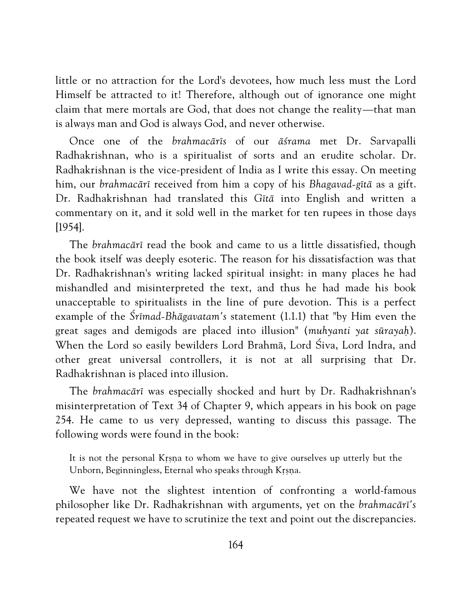little or no attraction for the Lord's devotees, how much less must the Lord Himself be attracted to it! Therefore, although out of ignorance one might claim that mere mortals are God, that does not change the reality—that man is always man and God is always God, and never otherwise.

Once one of the *brahmacärés* of our *äçrama* met Dr. Sarvapalli Radhakrishnan, who is a spiritualist of sorts and an erudite scholar. Dr. Radhakrishnan is the vice-president of India as I write this essay. On meeting him, our *brahmacäré* received from him a copy of his *Bhagavad-gétä* as a gift. Dr. Radhakrishnan had translated this *Gétä* into English and written a commentary on it, and it sold well in the market for ten rupees in those days [1954].

The *brahmacäré* read the book and came to us a little dissatisfied, though the book itself was deeply esoteric. The reason for his dissatisfaction was that Dr. Radhakrishnan's writing lacked spiritual insight: in many places he had mishandled and misinterpreted the text, and thus he had made his book unacceptable to spiritualists in the line of pure devotion. This is a perfect example of the *Śrīmad-Bhāgavatam's* statement (1.1.1) that "by Him even the great sages and demigods are placed into illusion" (*muhyanti yat sürayaù*). When the Lord so easily bewilders Lord Brahmä, Lord Çiva, Lord Indra, and other great universal controllers, it is not at all surprising that Dr. Radhakrishnan is placed into illusion.

The *brahmacäré* was especially shocked and hurt by Dr. Radhakrishnan's misinterpretation of Text 34 of Chapter 9, which appears in his book on page 254. He came to us very depressed, wanting to discuss this passage. The following words were found in the book:

It is not the personal Krsna to whom we have to give ourselves up utterly but the Unborn, Beginningless, Eternal who speaks through Krsna.

We have not the slightest intention of confronting a world-famous philosopher like Dr. Radhakrishnan with arguments, yet on the *brahmacäré's* repeated request we have to scrutinize the text and point out the discrepancies.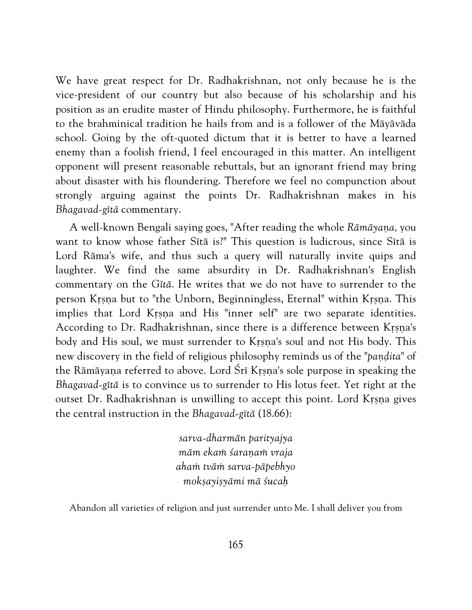We have great respect for Dr. Radhakrishnan, not only because he is the vice-president of our country but also because of his scholarship and his position as an erudite master of Hindu philosophy. Furthermore, he is faithful to the brahminical tradition he hails from and is a follower of the Mäyäväda school. Going by the oft-quoted dictum that it is better to have a learned enemy than a foolish friend, I feel encouraged in this matter. An intelligent opponent will present reasonable rebuttals, but an ignorant friend may bring about disaster with his floundering. Therefore we feel no compunction about strongly arguing against the points Dr. Radhakrishnan makes in his *Bhagavad-gétä* commentary.

A well-known Bengali saying goes, "After reading the whole *Rāmāyaṇa*, you want to know whose father Sītā is?" This question is ludicrous, since Sītā is Lord Räma's wife, and thus such a query will naturally invite quips and laughter. We find the same absurdity in Dr. Radhakrishnan's English commentary on the *Gétä*. He writes that we do not have to surrender to the person Krsna but to "the Unborn, Beginningless, Eternal" within Krsna. This implies that Lord Krsna and His "inner self" are two separate identities. According to Dr. Radhakrishnan, since there is a difference between Krsna's body and His soul, we must surrender to Krsna's soul and not His body. This new discovery in the field of religious philosophy reminds us of the "*pandita*" of the Rāmāyana referred to above. Lord Śrī Krsna's sole purpose in speaking the *Bhagavad-gétä* is to convince us to surrender to His lotus feet. Yet right at the outset Dr. Radhakrishnan is unwilling to accept this point. Lord Krsna gives the central instruction in the *Bhagavad-gétä* (18.66):

> *sarva-dharmän parityajya mäm ekaà çaraëaà vraja ahaà tväà sarva-päpebhyo mokñayiñyämi mä çucaù*

Abandon all varieties of religion and just surrender unto Me. I shall deliver you from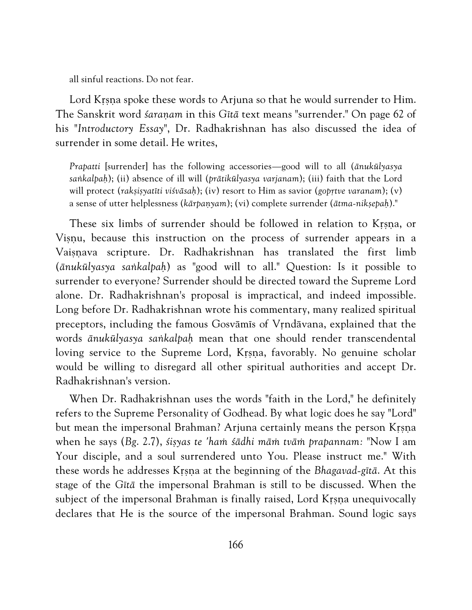all sinful reactions. Do not fear.

Lord Krsna spoke these words to Arjuna so that he would surrender to Him. The Sanskrit word *çaraëam* in this *Gétä* text means "surrender." On page 62 of his "*Introductory Essay*", Dr. Radhakrishnan has also discussed the idea of surrender in some detail. He writes,

*Prapatti* [surrender] has the following accessories—good will to all (*änukülyasya saìkalpaù*); (ii) absence of ill will (*prätikülyasya varjanam*); (iii) faith that the Lord will protect (*rakṣiṣyatīti viśvāsah*); (iv) resort to Him as savior (*goprtve varanam*); (v) a sense of utter helplessness (kārpaņyam); (vi) complete surrender (ātma-nikṣepaḥ)."

These six limbs of surrender should be followed in relation to Krsna, or Visnu, because this instruction on the process of surrender appears in a Vaisnava scripture. Dr. Radhakrishnan has translated the first limb (*änukülyasya saìkalpaù*) as "good will to all." Question: Is it possible to surrender to everyone? Surrender should be directed toward the Supreme Lord alone. Dr. Radhakrishnan's proposal is impractical, and indeed impossible. Long before Dr. Radhakrishnan wrote his commentary, many realized spiritual preceptors, including the famous Gosvāmīs of Vrndāvana, explained that the words *änukülyasya saìkalpaù* mean that one should render transcendental loving service to the Supreme Lord, Krsna, favorably. No genuine scholar would be willing to disregard all other spiritual authorities and accept Dr. Radhakrishnan's version.

When Dr. Radhakrishnan uses the words "faith in the Lord," he definitely refers to the Supreme Personality of Godhead. By what logic does he say "Lord" but mean the impersonal Brahman? Arjuna certainly means the person Krsna when he says (*Bg. 2.7*), *sisyas te 'ham sādhi mām tvām prapannam:* "Now I am Your disciple, and a soul surrendered unto You. Please instruct me." With these words he addresses Krsna at the beginning of the *Bhagavad-gītā*. At this stage of the *Gétä* the impersonal Brahman is still to be discussed. When the subject of the impersonal Brahman is finally raised, Lord Krsna unequivocally declares that He is the source of the impersonal Brahman. Sound logic says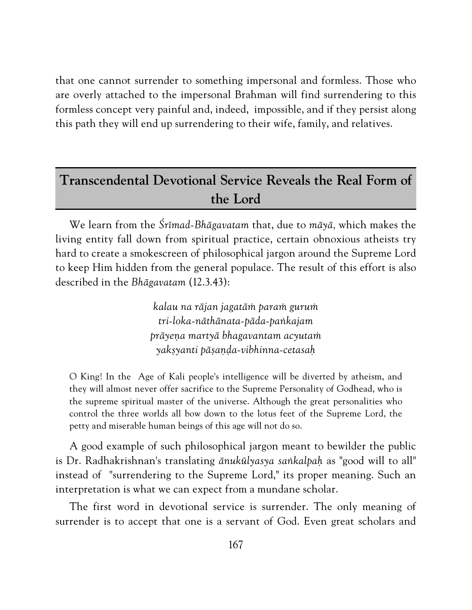that one cannot surrender to something impersonal and formless. Those who are overly attached to the impersonal Brahman will find surrendering to this formless concept very painful and, indeed, impossible, and if they persist along this path they will end up surrendering to their wife, family, and relatives.

## **Transcendental Devotional Service Reveals the Real Form of the Lord**

We learn from the *Çrémad-Bhägavatam* that, due to *mäyä,* which makes the living entity fall down from spiritual practice, certain obnoxious atheists try hard to create a smokescreen of philosophical jargon around the Supreme Lord to keep Him hidden from the general populace. The result of this effort is also described in the *Bhägavatam* (12.3.43):

> *kalau na räjan jagatäà paraà guruà tri-loka-näthänata-päda-paìkajam präyeëa martyä bhagavantam acyutaà yakñyanti päñaëòa-vibhinna-cetasaù*

O King! In the Age of Kali people's intelligence will be diverted by atheism, and they will almost never offer sacrifice to the Supreme Personality of Godhead, who is the supreme spiritual master of the universe. Although the great personalities who control the three worlds all bow down to the lotus feet of the Supreme Lord, the petty and miserable human beings of this age will not do so.

A good example of such philosophical jargon meant to bewilder the public is Dr. Radhakrishnan's translating *änukülyasya saìkalpaù* as "good will to all" instead of "surrendering to the Supreme Lord," its proper meaning. Such an interpretation is what we can expect from a mundane scholar.

The first word in devotional service is surrender. The only meaning of surrender is to accept that one is a servant of God. Even great scholars and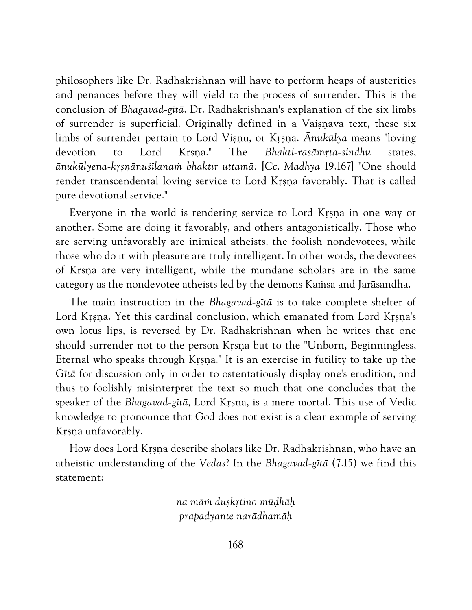philosophers like Dr. Radhakrishnan will have to perform heaps of austerities and penances before they will yield to the process of surrender. This is the conclusion of *Bhagavad-gétä*. Dr. Radhakrishnan's explanation of the six limbs of surrender is superficial. Originally defined in a Vaisnava text, these six limbs of surrender pertain to Lord Vișnu, or Krșna. *Anukūlya* means "loving devotion to Lord Krsna." The *Bhakti-rasāmrta-sindhu* states, *änukülyena-kåñëänuçélanaà bhaktir uttamä:* [*Cc. Madhya* 19.167] "One should render transcendental loving service to Lord Krsna favorably. That is called pure devotional service."

Everyone in the world is rendering service to Lord Krsna in one way or another. Some are doing it favorably, and others antagonistically. Those who are serving unfavorably are inimical atheists, the foolish nondevotees, while those who do it with pleasure are truly intelligent. In other words, the devotees of Krsna are very intelligent, while the mundane scholars are in the same category as the nondevotee atheists led by the demons Kamsa and Jarāsandha.

The main instruction in the *Bhagavad-gétä* is to take complete shelter of Lord Krsna. Yet this cardinal conclusion, which emanated from Lord Krsna's own lotus lips, is reversed by Dr. Radhakrishnan when he writes that one should surrender not to the person Krsna but to the "Unborn, Beginningless, Eternal who speaks through Krsna." It is an exercise in futility to take up the *Gétä* for discussion only in order to ostentatiously display one's erudition, and thus to foolishly misinterpret the text so much that one concludes that the speaker of the *Bhagavad-gītā*, Lord Krsna, is a mere mortal. This use of Vedic knowledge to pronounce that God does not exist is a clear example of serving Krsna unfavorably.

How does Lord Krsna describe sholars like Dr. Radhakrishnan, who have an atheistic understanding of the *Vedas*? In the *Bhagavad-gétä* (7.15) we find this statement:

> *na mäà duñkåtino müòhäù prapadyante narädhamäù*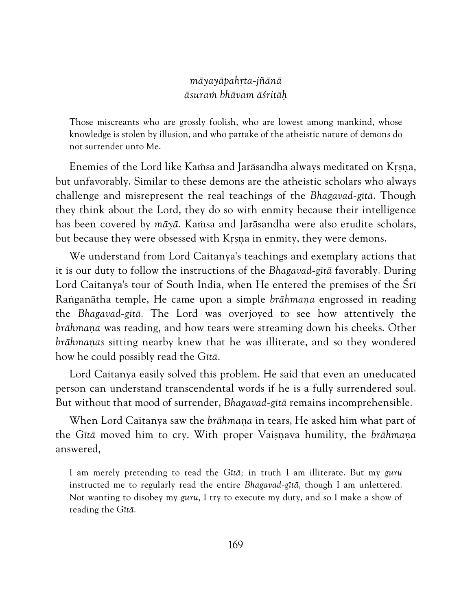#### *mäyayäpahåta-jïänä äsuraà bhävam äçritäù*

Those miscreants who are grossly foolish, who are lowest among mankind, whose knowledge is stolen by illusion, and who partake of the atheistic nature of demons do not surrender unto Me.

Enemies of the Lord like Kamsa and Jarāsandha always meditated on Krsna, but unfavorably. Similar to these demons are the atheistic scholars who always challenge and misrepresent the real teachings of the *Bhagavad-gétä*. Though they think about the Lord, they do so with enmity because their intelligence has been covered by *mā*yā. Kamsa and Jarāsandha were also erudite scholars, but because they were obsessed with Krsna in enmity, they were demons.

We understand from Lord Caitanya's teachings and exemplary actions that it is our duty to follow the instructions of the *Bhagavad-gétä* favorably. During Lord Caitanya's tour of South India, when He entered the premises of the Sri Ranganātha temple, He came upon a simple *brāhmana* engrossed in reading the *Bhagavad-gétä.* The Lord was overjoyed to see how attentively the *brāhmana* was reading, and how tears were streaming down his cheeks. Other *brāhmanas* sitting nearby knew that he was illiterate, and so they wondered how he could possibly read the *Gétä*.

Lord Caitanya easily solved this problem. He said that even an uneducated person can understand transcendental words if he is a fully surrendered soul. But without that mood of surrender, *Bhagavad-gétä* remains incomprehensible.

When Lord Caitanya saw the *brāhmana* in tears, He asked him what part of the *G*<sub>t $\bar{a}$  moved him to cry. With proper Vaisnava humility, the *brāhmana*</sub> answered,

I am merely pretending to read the *Gétä;* in truth I am illiterate. But my *guru* instructed me to regularly read the entire *Bhagavad-gétä,* though I am unlettered. Not wanting to disobey my *guru,* I try to execute my duty, and so I make a show of reading the *Gétä*.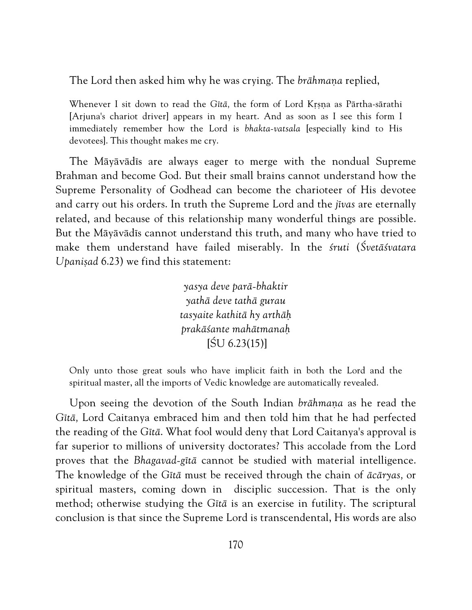The Lord then asked him why he was crying. The *brāhmana* replied,

Whenever I sit down to read the *Gītā*, the form of Lord Krsna as Pārtha-sārathi [Arjuna's chariot driver] appears in my heart. And as soon as I see this form I immediately remember how the Lord is *bhakta-vatsala* [especially kind to His devotees]. This thought makes me cry.

The Māvāvādīs are always eager to merge with the nondual Supreme Brahman and become God. But their small brains cannot understand how the Supreme Personality of Godhead can become the charioteer of His devotee and carry out his orders. In truth the Supreme Lord and the *jūvas* are eternally related, and because of this relationship many wonderful things are possible. But the Māvāvādīs cannot understand this truth, and many who have tried to make them understand have failed miserably. In the *çruti* (*Çvetäçvatara Upanisad* 6.23) we find this statement:

> *yasya deve parä-bhaktir yathä deve tathä gurau tasyaite kathitä hy arthäù prakäçante mahätmanaù*  $[SU 6.23(15)]$

Only unto those great souls who have implicit faith in both the Lord and the spiritual master, all the imports of Vedic knowledge are automatically revealed.

Upon seeing the devotion of the South Indian *brāhmana* as he read the *Gétä,* Lord Caitanya embraced him and then told him that he had perfected the reading of the *Gétä*. What fool would deny that Lord Caitanya's approval is far superior to millions of university doctorates? This accolade from the Lord proves that the *Bhagavad-gétä* cannot be studied with material intelligence. The knowledge of the *Gétä* must be received through the chain of *äcäryas,* or spiritual masters, coming down in disciplic succession. That is the only method; otherwise studying the *Gétä* is an exercise in futility. The scriptural conclusion is that since the Supreme Lord is transcendental, His words are also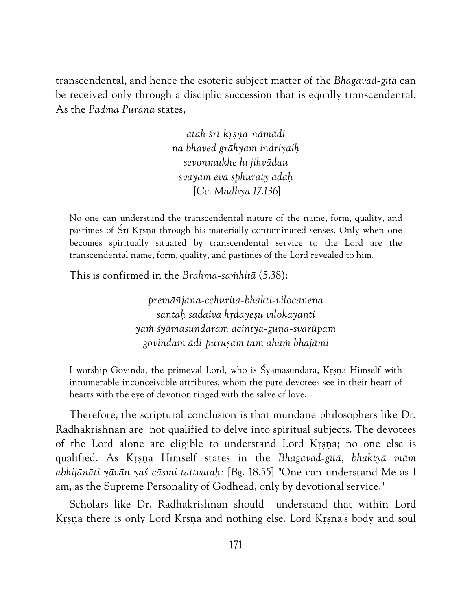transcendental, and hence the esoteric subject matter of the *Bhagavad-gétä* can be received only through a disciplic succession that is equally transcendental. As the *Padma Purāna* states,

> *atah çré-kåñëa-nämädi na bhaved grähyam indriyaiù sevonmukhe hi jihvädau svayam eva sphuraty adaù* [*Cc. Madhya 17.136*]

No one can understand the transcendental nature of the name, form, quality, and pastimes of Śrī Krsna through his materially contaminated senses. Only when one becomes spiritually situated by transcendental service to the Lord are the transcendental name, form, quality, and pastimes of the Lord revealed to him.

This is confirmed in the *Brahma-samhitā* (5.38):

*premäïjana-cchurita-bhakti-vilocanena santaù sadaiva hådayeñu vilokayanti yaà çyämasundaram acintya-guëa-svarüpaà govindam ädi-puruñaà tam ahaà bhajämi*

I worship Govinda, the primeval Lord, who is Śyāmasundara, Krsna Himself with innumerable inconceivable attributes, whom the pure devotees see in their heart of hearts with the eye of devotion tinged with the salve of love.

Therefore, the scriptural conclusion is that mundane philosophers like Dr. Radhakrishnan are not qualified to delve into spiritual subjects. The devotees of the Lord alone are eligible to understand Lord Krsna; no one else is qualified. As Kåñëa Himself states in the *Bhagavad-gétä*, *bhaktyä mäm abhijänäti yävän yaç cäsmi tattvataù:* [*Bg*. 18.55] "One can understand Me as I am, as the Supreme Personality of Godhead, only by devotional service."

Scholars like Dr. Radhakrishnan should understand that within Lord Krsna there is only Lord Krsna and nothing else. Lord Krsna's body and soul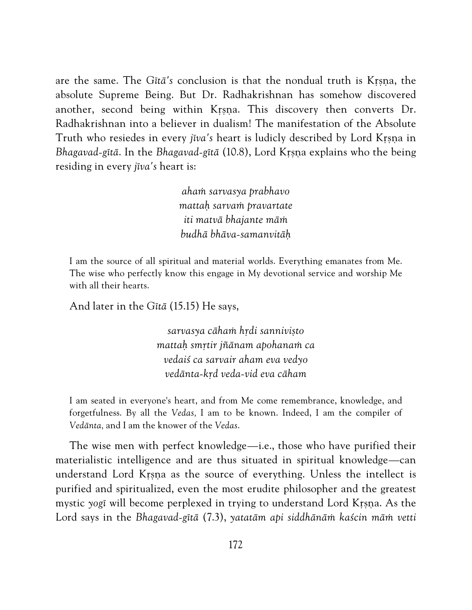are the same. The *Gta's* conclusion is that the nondual truth is Krsna, the absolute Supreme Being. But Dr. Radhakrishnan has somehow discovered another, second being within Krsna. This discovery then converts Dr. Radhakrishnan into a believer in dualism! The manifestation of the Absolute Truth who resiedes in every *jīva's* heart is ludicly described by Lord Krsna in *Bhagavad-gītā*. In the *Bhagavad-gītā* (10.8), Lord Krsna explains who the being residing in every *jéva's* heart is:

> *ahaà sarvasya prabhavo mattaù sarvaà pravartate iti matvä bhajante mäà budhä bhäva-samanvitäù*

I am the source of all spiritual and material worlds. Everything emanates from Me. The wise who perfectly know this engage in My devotional service and worship Me with all their hearts.

And later in the *Gétä* (15.15) He says,

*sarvasya cähaà hådi sanniviñto mattaù småtir jïänam apohanaà ca vedaiç ca sarvair aham eva vedyo vedänta-kåd veda-vid eva cäham*

I am seated in everyone's heart, and from Me come remembrance, knowledge, and forgetfulness. By all the *Vedas,* I am to be known. Indeed, I am the compiler of *Vedänta,* and I am the knower of the *Vedas*.

The wise men with perfect knowledge—i.e., those who have purified their materialistic intelligence and are thus situated in spiritual knowledge—can understand Lord Krsna as the source of everything. Unless the intellect is purified and spiritualized, even the most erudite philosopher and the greatest mystic yogi will become perplexed in trying to understand Lord Krsna. As the Lord says in the *Bhagavad-gétä* (7.3), *yatatäm api siddhänäà kaçcin mäà vetti*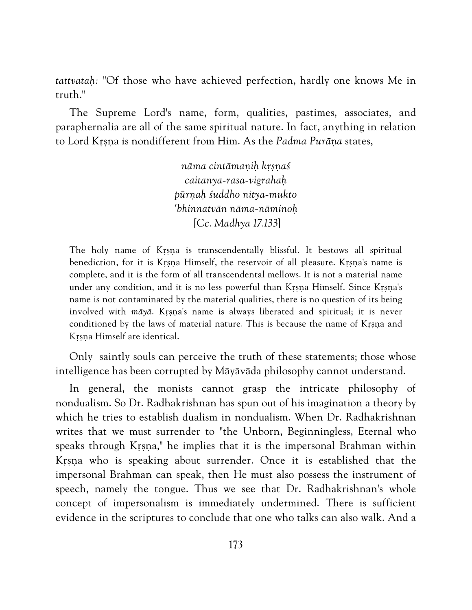*tattvataù:* "Of those who have achieved perfection, hardly one knows Me in truth."

The Supreme Lord's name, form, qualities, pastimes, associates, and paraphernalia are all of the same spiritual nature. In fact, anything in relation to Lord Krsna is nondifferent from Him. As the *Padma Purāna* states,

> *näma cintämaëiù kåñëaç caitanya-rasa-vigrahaù pürëaù çuddho nitya-mukto 'bhinnatvän näma-näminoù* [*Cc. Madhya 17.133*]

The holy name of Krsna is transcendentally blissful. It bestows all spiritual benediction, for it is Krsna Himself, the reservoir of all pleasure. Krsna's name is complete, and it is the form of all transcendental mellows. It is not a material name under any condition, and it is no less powerful than Krsna Himself. Since Krsna's name is not contaminated by the material qualities, there is no question of its being involved with *mā*yā. Krsna's name is always liberated and spiritual; it is never conditioned by the laws of material nature. This is because the name of Krsna and Krsna Himself are identical.

Only saintly souls can perceive the truth of these statements; those whose intelligence has been corrupted by Mäyäväda philosophy cannot understand.

In general, the monists cannot grasp the intricate philosophy of nondualism. So Dr. Radhakrishnan has spun out of his imagination a theory by which he tries to establish dualism in nondualism. When Dr. Radhakrishnan writes that we must surrender to "the Unborn, Beginningless, Eternal who speaks through Krsna," he implies that it is the impersonal Brahman within Krsna who is speaking about surrender. Once it is established that the impersonal Brahman can speak, then He must also possess the instrument of speech, namely the tongue. Thus we see that Dr. Radhakrishnan's whole concept of impersonalism is immediately undermined. There is sufficient evidence in the scriptures to conclude that one who talks can also walk. And a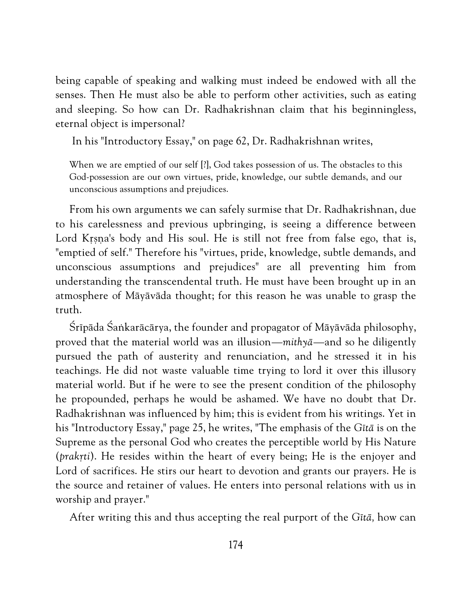being capable of speaking and walking must indeed be endowed with all the senses. Then He must also be able to perform other activities, such as eating and sleeping. So how can Dr. Radhakrishnan claim that his beginningless, eternal object is impersonal?

In his "Introductory Essay," on page 62, Dr. Radhakrishnan writes,

When we are emptied of our self [?], God takes possession of us. The obstacles to this God-possession are our own virtues, pride, knowledge, our subtle demands, and our unconscious assumptions and prejudices.

From his own arguments we can safely surmise that Dr. Radhakrishnan, due to his carelessness and previous upbringing, is seeing a difference between Lord Krsna's body and His soul. He is still not free from false ego, that is, "emptied of self." Therefore his "virtues, pride, knowledge, subtle demands, and unconscious assumptions and prejudices" are all preventing him from understanding the transcendental truth. He must have been brought up in an atmosphere of Mäyäväda thought; for this reason he was unable to grasp the truth.

Śrīpāda Śaṅkarācārya, the founder and propagator of Māyāvāda philosophy, proved that the material world was an illusion—*mithyä*—and so he diligently pursued the path of austerity and renunciation, and he stressed it in his teachings. He did not waste valuable time trying to lord it over this illusory material world. But if he were to see the present condition of the philosophy he propounded, perhaps he would be ashamed. We have no doubt that Dr. Radhakrishnan was influenced by him; this is evident from his writings. Yet in his "Introductory Essay," page 25, he writes, "The emphasis of the *Gétä* is on the Supreme as the personal God who creates the perceptible world by His Nature (*prakrti*). He resides within the heart of every being; He is the enjoyer and Lord of sacrifices. He stirs our heart to devotion and grants our prayers. He is the source and retainer of values. He enters into personal relations with us in worship and prayer."

After writing this and thus accepting the real purport of the *Gétä,* how can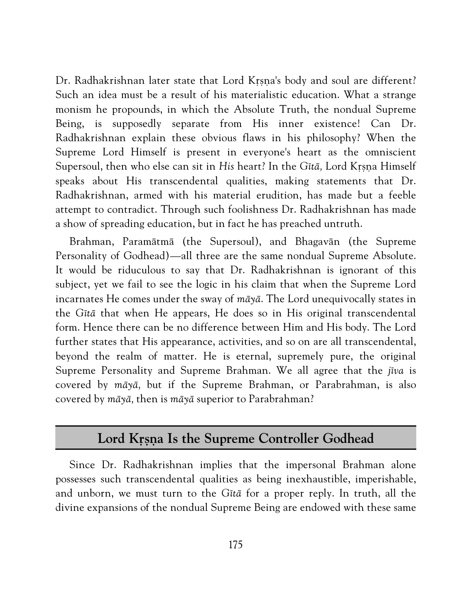Dr. Radhakrishnan later state that Lord Krsna's body and soul are different? Such an idea must be a result of his materialistic education. What a strange monism he propounds, in which the Absolute Truth, the nondual Supreme Being, is supposedly separate from His inner existence! Can Dr. Radhakrishnan explain these obvious flaws in his philosophy? When the Supreme Lord Himself is present in everyone's heart as the omniscient Supersoul, then who else can sit in *His* heart? In the *Gītā*, Lord Krsna Himself speaks about His transcendental qualities, making statements that Dr. Radhakrishnan, armed with his material erudition, has made but a feeble attempt to contradict. Through such foolishness Dr. Radhakrishnan has made a show of spreading education, but in fact he has preached untruth.

Brahman, Paramätmä (the Supersoul), and Bhagavän (the Supreme Personality of Godhead)—all three are the same nondual Supreme Absolute. It would be riduculous to say that Dr. Radhakrishnan is ignorant of this subject, yet we fail to see the logic in his claim that when the Supreme Lord incarnates He comes under the sway of *mäyä*. The Lord unequivocally states in the *Gétä* that when He appears, He does so in His original transcendental form. Hence there can be no difference between Him and His body. The Lord further states that His appearance, activities, and so on are all transcendental, beyond the realm of matter. He is eternal, supremely pure, the original Supreme Personality and Supreme Brahman. We all agree that the *jīva* is covered by *mäyä,* but if the Supreme Brahman, or Parabrahman, is also covered by *mäyä,* then is *mäyä* superior to Parabrahman?

## Lord Krsna Is the Supreme Controller Godhead

Since Dr. Radhakrishnan implies that the impersonal Brahman alone possesses such transcendental qualities as being inexhaustible, imperishable, and unborn, we must turn to the *Gétä* for a proper reply. In truth, all the divine expansions of the nondual Supreme Being are endowed with these same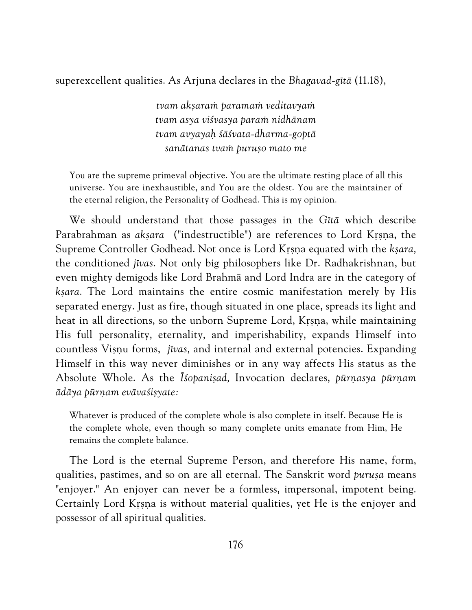#### superexcellent qualities. As Arjuna declares in the *Bhagavad-gétä* (11.18),

*tvam akñaraà paramaà veditavyaà tvam asya viçvasya paraà nidhänam tvam avyayaù çäçvata-dharma-goptä sanätanas tvaà puruño mato me*

You are the supreme primeval objective. You are the ultimate resting place of all this universe. You are inexhaustible, and You are the oldest. You are the maintainer of the eternal religion, the Personality of Godhead. This is my opinion.

We should understand that those passages in the *Gétä* which describe Parabrahman as *aksara* ("indestructible") are references to Lord Krsna, the Supreme Controller Godhead. Not once is Lord Krsna equated with the *ksara*, the conditioned *jévas*. Not only big philosophers like Dr. Radhakrishnan, but even mighty demigods like Lord Brahmä and Lord Indra are in the category of *ksara.* The Lord maintains the entire cosmic manifestation merely by His separated energy. Just as fire, though situated in one place, spreads its light and heat in all directions, so the unborn Supreme Lord, Krsna, while maintaining His full personality, eternality, and imperishability, expands Himself into countless Visnu forms, *jīvas*, and internal and external potencies. Expanding Himself in this way never diminishes or in any way affects His status as the Absolute Whole. As the *Isopanisad*, Invocation declares, *pūrnasya pūrnam*  $\bar{a}$ dāya pūrņam evāvasisyate:

Whatever is produced of the complete whole is also complete in itself. Because He is the complete whole, even though so many complete units emanate from Him, He remains the complete balance.

The Lord is the eternal Supreme Person, and therefore His name, form, qualities, pastimes, and so on are all eternal. The Sanskrit word *purusa* means "enjoyer." An enjoyer can never be a formless, impersonal, impotent being. Certainly Lord Krsna is without material qualities, yet He is the enjoyer and possessor of all spiritual qualities.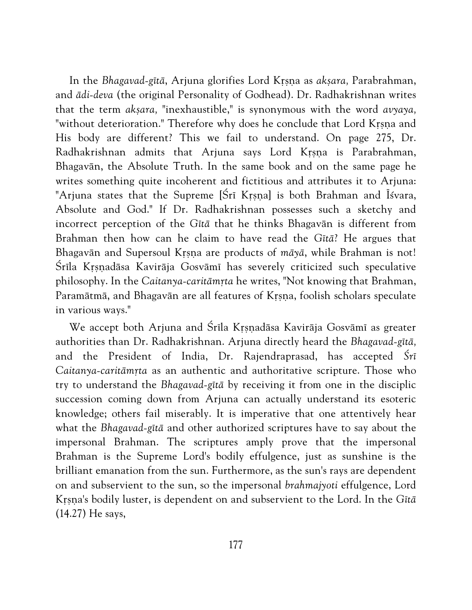In the *Bhagavad-gītā*, Arjuna glorifies Lord Krsna as *aksara*, Parabrahman, and *ädi-deva* (the original Personality of Godhead). Dr. Radhakrishnan writes that the term *akṣara*, "inexhaustible," is synonymous with the word *avyaya*, "without deterioration." Therefore why does he conclude that Lord Krsna and His body are different? This we fail to understand. On page 275, Dr. Radhakrishnan admits that Arjuna says Lord Krsna is Parabrahman, Bhagavän, the Absolute Truth. In the same book and on the same page he writes something quite incoherent and fictitious and attributes it to Arjuna: "Arjuna states that the Supreme [Śrī Krsna] is both Brahman and Īśvara, Absolute and God." If Dr. Radhakrishnan possesses such a sketchy and incorrect perception of the *Gétä* that he thinks Bhagavän is different from Brahman then how can he claim to have read the *Gétä*? He argues that Bhagavān and Supersoul Krsna are products of *māyā*, while Brahman is not! Śrīla Krsnadāsa Kavirāja Gosvāmī has severely criticized such speculative philosophy. In the *Caitanya-caritāmrta* he writes, "Not knowing that Brahman, Paramātmā, and Bhagavān are all features of Krsna, foolish scholars speculate in various ways."

We accept both Arjuna and Śrīla Krsnadāsa Kavirāja Gosvāmī as greater authorities than Dr. Radhakrishnan. Arjuna directly heard the *Bhagavad-gétä,* and the President of India, Dr. Rajendraprasad, has accepted *Çré Caitanya-caritämåta* as an authentic and authoritative scripture. Those who try to understand the *Bhagavad-gétä* by receiving it from one in the disciplic succession coming down from Arjuna can actually understand its esoteric knowledge; others fail miserably. It is imperative that one attentively hear what the *Bhagavad-gétä* and other authorized scriptures have to say about the impersonal Brahman. The scriptures amply prove that the impersonal Brahman is the Supreme Lord's bodily effulgence, just as sunshine is the brilliant emanation from the sun. Furthermore, as the sun's rays are dependent on and subservient to the sun, so the impersonal *brahmajyoti* effulgence, Lord Krsna's bodily luster, is dependent on and subservient to the Lord. In the *G*ītā (14.27) He says,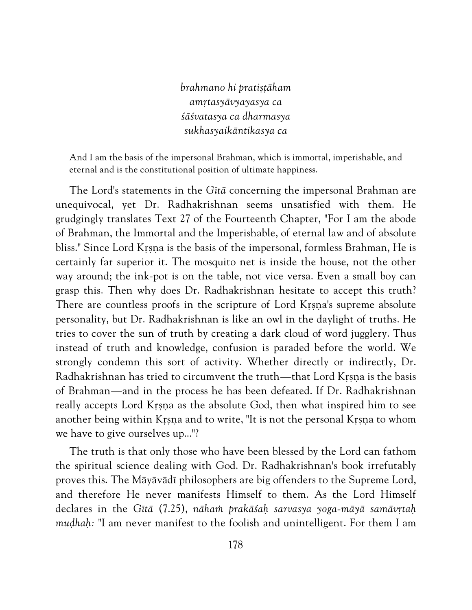*brahmano hi pratiñöäham amåtasyävyayasya ca çäçvatasya ca dharmasya sukhasyaikäntikasya ca*

And I am the basis of the impersonal Brahman, which is immortal, imperishable, and eternal and is the constitutional position of ultimate happiness.

The Lord's statements in the *Gétä* concerning the impersonal Brahman are unequivocal, yet Dr. Radhakrishnan seems unsatisfied with them. He grudgingly translates Text 27 of the Fourteenth Chapter, "For I am the abode of Brahman, the Immortal and the Imperishable, of eternal law and of absolute bliss." Since Lord Krsna is the basis of the impersonal, formless Brahman, He is certainly far superior it. The mosquito net is inside the house, not the other way around; the ink-pot is on the table, not vice versa. Even a small boy can grasp this. Then why does Dr. Radhakrishnan hesitate to accept this truth? There are countless proofs in the scripture of Lord Krsna's supreme absolute personality, but Dr. Radhakrishnan is like an owl in the daylight of truths. He tries to cover the sun of truth by creating a dark cloud of word jugglery. Thus instead of truth and knowledge, confusion is paraded before the world. We strongly condemn this sort of activity. Whether directly or indirectly, Dr. Radhakrishnan has tried to circumvent the truth—that Lord Krsna is the basis of Brahman—and in the process he has been defeated. If Dr. Radhakrishnan really accepts Lord Krsna as the absolute God, then what inspired him to see another being within Krsna and to write, "It is not the personal Krsna to whom we have to give ourselves up..."?

The truth is that only those who have been blessed by the Lord can fathom the spiritual science dealing with God. Dr. Radhakrishnan's book irrefutably proves this. The Mäyävädé philosophers are big offenders to the Supreme Lord, and therefore He never manifests Himself to them. As the Lord Himself declares in the *Gītā* (7.25), *nāham prakāśah sarvasya yoga-māyā samāvrtah mudhah:* "I am never manifest to the foolish and unintelligent. For them I am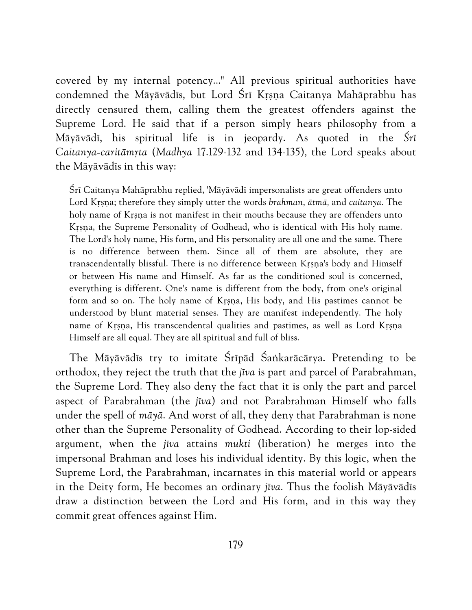covered by my internal potency..." All previous spiritual authorities have condemned the Māyāvādīs, but Lord Śrī Krsna Caitanya Mahāprabhu has directly censured them, calling them the greatest offenders against the Supreme Lord. He said that if a person simply hears philosophy from a Mäyävädé, his spiritual life is in jeopardy. As quoted in the *Çré Caitanya-caritämåta* (*Madhya* 17.129-132 and 134-135)*,* the Lord speaks about the Māyāvādīs in this way:

Śrī Caitanya Mahāprabhu replied, 'Māyāvādī impersonalists are great offenders unto Lord Krsna; therefore they simply utter the words *brahman*, *ātmā*, and *caitanya*. The holy name of Krsna is not manifest in their mouths because they are offenders unto Krsna, the Supreme Personality of Godhead, who is identical with His holy name. The Lord's holy name, His form, and His personality are all one and the same. There is no difference between them. Since all of them are absolute, they are transcendentally blissful. There is no difference between Krsna's body and Himself or between His name and Himself. As far as the conditioned soul is concerned, everything is different. One's name is different from the body, from one's original form and so on. The holy name of Krsna, His body, and His pastimes cannot be understood by blunt material senses. They are manifest independently. The holy name of Krsna, His transcendental qualities and pastimes, as well as Lord Krsna Himself are all equal. They are all spiritual and full of bliss.

The Māyāvādīs try to imitate Śrīpād Śaṅkarācārya. Pretending to be orthodox, they reject the truth that the *jéva* is part and parcel of Parabrahman, the Supreme Lord. They also deny the fact that it is only the part and parcel aspect of Parabrahman (the *jīva*) and not Parabrahman Himself who falls under the spell of *mäyä*. And worst of all, they deny that Parabrahman is none other than the Supreme Personality of Godhead. According to their lop-sided argument, when the *jéva* attains *mukti* (liberation) he merges into the impersonal Brahman and loses his individual identity. By this logic, when the Supreme Lord, the Parabrahman, incarnates in this material world or appears in the Deity form, He becomes an ordinary *jéva.* Thus the foolish Mäyävädés draw a distinction between the Lord and His form, and in this way they commit great offences against Him.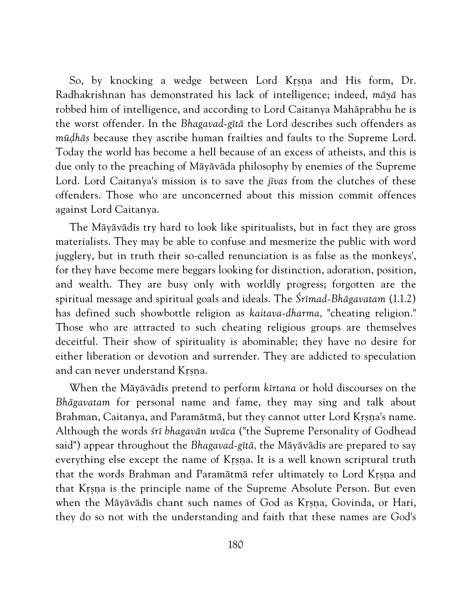So, by knocking a wedge between Lord Krsna and His form, Dr. Radhakrishnan has demonstrated his lack of intelligence; indeed, *mäyä* has robbed him of intelligence, and according to Lord Caitanya Mahäprabhu he is the worst offender. In the *Bhagavad-gétä* the Lord describes such offenders as *müòhäs* because they ascribe human frailties and faults to the Supreme Lord. Today the world has become a hell because of an excess of atheists, and this is due only to the preaching of Mäyäväda philosophy by enemies of the Supreme Lord. Lord Caitanya's mission is to save the *jévas* from the clutches of these offenders. Those who are unconcerned about this mission commit offences against Lord Caitanya.

The Māyāvādīs try hard to look like spiritualists, but in fact they are gross materialists. They may be able to confuse and mesmerize the public with word jugglery, but in truth their so-called renunciation is as false as the monkeys', for they have become mere beggars looking for distinction, adoration, position, and wealth. They are busy only with worldly progress; forgotten are the spiritual message and spiritual goals and ideals. The *Çrémad-Bhägavatam* (1.1.2) has defined such showbottle religion as *kaitava-dharma,* "cheating religion." Those who are attracted to such cheating religious groups are themselves deceitful. Their show of spirituality is abominable; they have no desire for either liberation or devotion and surrender. They are addicted to speculation and can never understand Krsna.

When the Mäyävädés pretend to perform *kértana* or hold discourses on the *Bhägavatam* for personal name and fame, they may sing and talk about Brahman, Caitanya, and Paramātmā, but they cannot utter Lord Krsna's name. Although the words *çré bhagavän uväca* ("the Supreme Personality of Godhead said") appear throughout the *Bhagavad-gétä,* the Mäyävädés are prepared to say everything else except the name of Krsna. It is a well known scriptural truth that the words Brahman and Paramātmā refer ultimately to Lord Krsna and that Krsna is the principle name of the Supreme Absolute Person. But even when the Māyāvādīs chant such names of God as Krsna, Govinda, or Hari, they do so not with the understanding and faith that these names are God's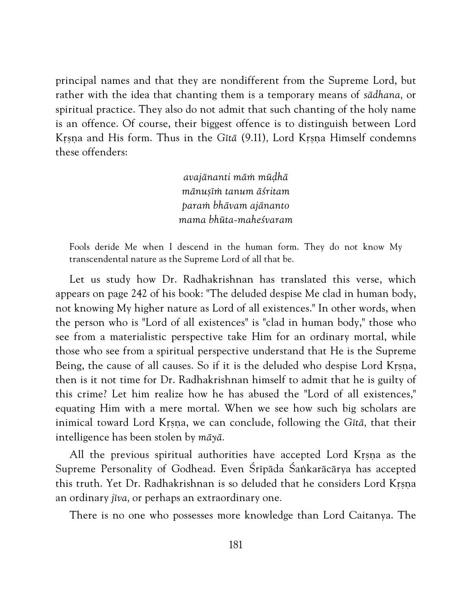principal names and that they are nondifferent from the Supreme Lord, but rather with the idea that chanting them is a temporary means of *sädhana,* or spiritual practice. They also do not admit that such chanting of the holy name is an offence. Of course, their biggest offence is to distinguish between Lord Krsna and His form. Thus in the *Gītā* (9.11), Lord Krsna Himself condemns these offenders:

> *avajänanti mäà müòhä mänuñéà tanum äçritam paraà bhävam ajänanto mama bhüta-maheçvaram*

Fools deride Me when I descend in the human form. They do not know My transcendental nature as the Supreme Lord of all that be.

Let us study how Dr. Radhakrishnan has translated this verse, which appears on page 242 of his book: "The deluded despise Me clad in human body, not knowing My higher nature as Lord of all existences." In other words, when the person who is "Lord of all existences" is "clad in human body," those who see from a materialistic perspective take Him for an ordinary mortal, while those who see from a spiritual perspective understand that He is the Supreme Being, the cause of all causes. So if it is the deluded who despise Lord Krsna, then is it not time for Dr. Radhakrishnan himself to admit that he is guilty of this crime? Let him realize how he has abused the "Lord of all existences," equating Him with a mere mortal. When we see how such big scholars are inimical toward Lord Krsna, we can conclude, following the *G*ita, that their intelligence has been stolen by *mäyä.*

All the previous spiritual authorities have accepted Lord Krsna as the Supreme Personality of Godhead. Even Śrīpāda Śankarācārya has accepted this truth. Yet Dr. Radhakrishnan is so deluded that he considers Lord Krsna an ordinary *jéva,* or perhaps an extraordinary one*.* 

There is no one who possesses more knowledge than Lord Caitanya. The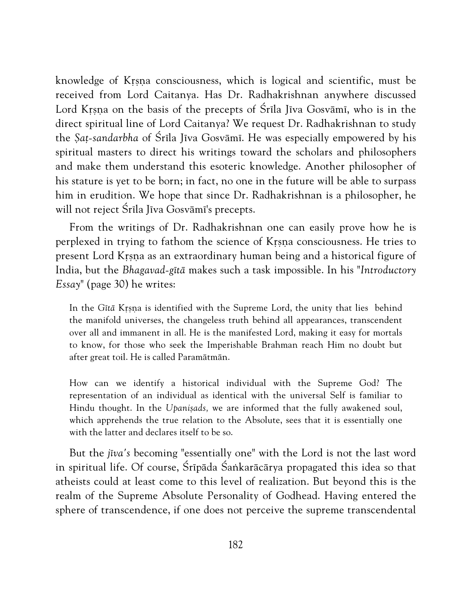knowledge of Krsna consciousness, which is logical and scientific, must be received from Lord Caitanya. Has Dr. Radhakrishnan anywhere discussed Lord Krsna on the basis of the precepts of Śrīla Jīva Gosvāmī, who is in the direct spiritual line of Lord Caitanya? We request Dr. Radhakrishnan to study the *Sat-sandarbha* of Śrīla Jīva Gosvāmī. He was especially empowered by his spiritual masters to direct his writings toward the scholars and philosophers and make them understand this esoteric knowledge. Another philosopher of his stature is yet to be born; in fact, no one in the future will be able to surpass him in erudition. We hope that since Dr. Radhakrishnan is a philosopher, he will not reject Śrīla Jīva Gosvāmī's precepts.

From the writings of Dr. Radhakrishnan one can easily prove how he is perplexed in trying to fathom the science of Krsna consciousness. He tries to present Lord Krsna as an extraordinary human being and a historical figure of India, but the *Bhagavad-gétä* makes such a task impossible. In his "*Introductory Essay*" (page 30) he writes:

In the *G*<sub>It</sub> K<sub>r</sub>șna is identified with the Supreme Lord, the unity that lies behind the manifold universes, the changeless truth behind all appearances, transcendent over all and immanent in all. He is the manifested Lord, making it easy for mortals to know, for those who seek the Imperishable Brahman reach Him no doubt but after great toil. He is called Paramätmän.

How can we identify a historical individual with the Supreme God? The representation of an individual as identical with the universal Self is familiar to Hindu thought. In the *Upanisads*, we are informed that the fully awakened soul, which apprehends the true relation to the Absolute, sees that it is essentially one with the latter and declares itself to be so.

But the *jīva's* becoming "essentially one" with the Lord is not the last word in spiritual life. Of course, Śrīpāda Śaṅkarācārya propagated this idea so that atheists could at least come to this level of realization. But beyond this is the realm of the Supreme Absolute Personality of Godhead. Having entered the sphere of transcendence, if one does not perceive the supreme transcendental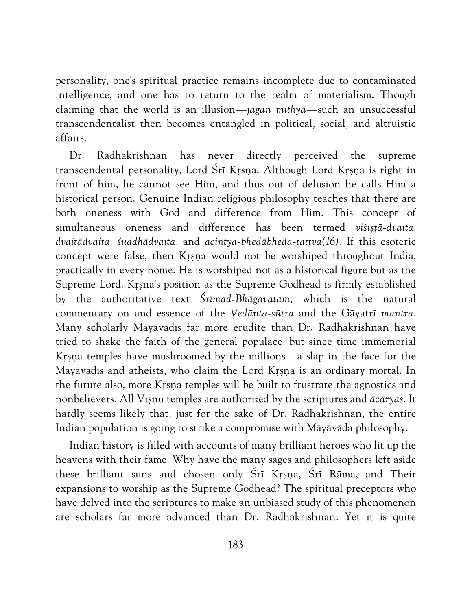personality, one's spiritual practice remains incomplete due to contaminated intelligence, and one has to return to the realm of materialism. Though claiming that the world is an illusion—*jagan mithyä*—such an unsuccessful transcendentalist then becomes entangled in political, social, and altruistic affairs.

Dr. Radhakrishnan has never directly perceived the supreme transcendental personality, Lord Śrī Krsna. Although Lord Krsna is right in front of him, he cannot see Him, and thus out of delusion he calls Him a historical person. Genuine Indian religious philosophy teaches that there are both oneness with God and difference from Him. This concept of simultaneous oneness and difference has been termed visișțā-dvaita, *dvaitädvaita, çuddhädvaita,* and *acintya-bhedäbheda-tattva(16)*. If this esoteric concept were false, then Krsna would not be worshiped throughout India, practically in every home. He is worshiped not as a historical figure but as the Supreme Lord. Krsna's position as the Supreme Godhead is firmly established by the authoritative text *Çrémad-Bhägavatam,* which is the natural commentary on and essence of the *Vedānta-sūtra* and the Gāyatrī mantra. Many scholarly Mäyävädés far more erudite than Dr. Radhakrishnan have tried to shake the faith of the general populace, but since time immemorial Krsna temples have mushroomed by the millions—a slap in the face for the Māyāvādīs and atheists, who claim the Lord Krsna is an ordinary mortal. In the future also, more Krsna temples will be built to frustrate the agnostics and nonbelievers. All Visnu temples are authorized by the scriptures and  $\bar{a}c\bar{a}r\gamma as$ . It hardly seems likely that, just for the sake of Dr. Radhakrishnan, the entire Indian population is going to strike a compromise with Mäyäväda philosophy.

Indian history is filled with accounts of many brilliant heroes who lit up the heavens with their fame. Why have the many sages and philosophers left aside these brilliant suns and chosen only Śrī Krṣṇa, Śrī Rāma, and Their expansions to worship as the Supreme Godhead? The spiritual preceptors who have delved into the scriptures to make an unbiased study of this phenomenon are scholars far more advanced than Dr. Radhakrishnan. Yet it is quite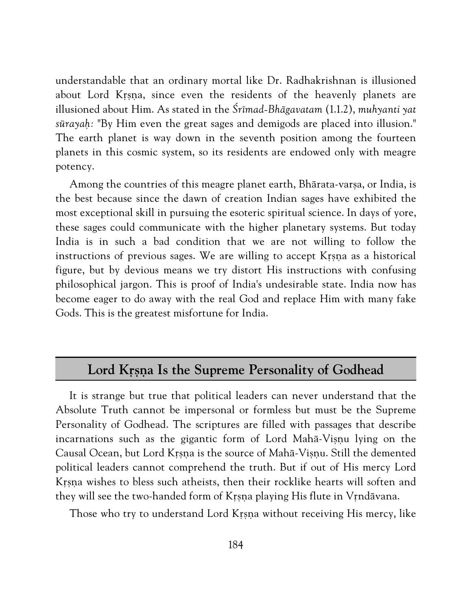understandable that an ordinary mortal like Dr. Radhakrishnan is illusioned about Lord Krsna, since even the residents of the heavenly planets are illusioned about Him. As stated in the *Çrémad-Bhägavatam* (1.1.2), *muhyanti yat sürayaù:* "By Him even the great sages and demigods are placed into illusion." The earth planet is way down in the seventh position among the fourteen planets in this cosmic system, so its residents are endowed only with meagre potency.

Among the countries of this meagre planet earth, Bhārata-varṣa, or India, is the best because since the dawn of creation Indian sages have exhibited the most exceptional skill in pursuing the esoteric spiritual science. In days of yore, these sages could communicate with the higher planetary systems. But today India is in such a bad condition that we are not willing to follow the instructions of previous sages. We are willing to accept Krsna as a historical figure, but by devious means we try distort His instructions with confusing philosophical jargon. This is proof of India's undesirable state. India now has become eager to do away with the real God and replace Him with many fake Gods. This is the greatest misfortune for India.

## Lord Krsna Is the Supreme Personality of Godhead

It is strange but true that political leaders can never understand that the Absolute Truth cannot be impersonal or formless but must be the Supreme Personality of Godhead. The scriptures are filled with passages that describe incarnations such as the gigantic form of Lord Mahā-Viṣṇu lying on the Causal Ocean, but Lord Krsna is the source of Mahā-Visnu. Still the demented political leaders cannot comprehend the truth. But if out of His mercy Lord Krsna wishes to bless such atheists, then their rocklike hearts will soften and they will see the two-handed form of Krsna playing His flute in Vrndävana.

Those who try to understand Lord Krsna without receiving His mercy, like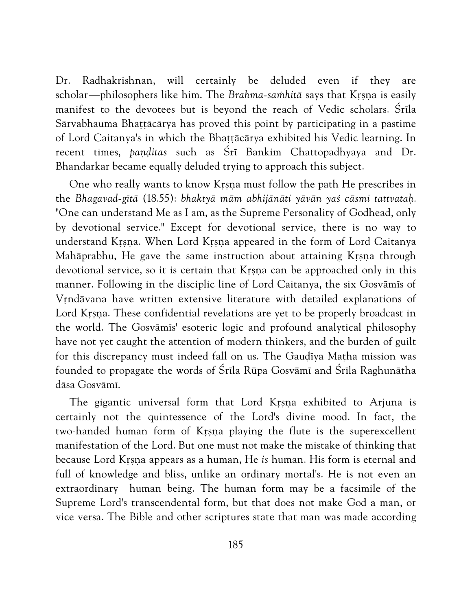Dr. Radhakrishnan, will certainly be deluded even if they are scholar—philosophers like him. The *Brahma-samhitā* says that Krsna is easily manifest to the devotees but is beyond the reach of Vedic scholars. Srila Sārvabhauma Bhattācārya has proved this point by participating in a pastime of Lord Caitanya's in which the Bhațțăcărya exhibited his Vedic learning. In recent times, *panditas* such as Sri Bankim Chattopadhyaya and Dr. Bhandarkar became equally deluded trying to approach this subject.

One who really wants to know Krsna must follow the path He prescribes in the *Bhagavad-gétä* (18.55): *bhaktyä mäm abhijänäti yävän yaç cäsmi tattvataù.* "One can understand Me as I am, as the Supreme Personality of Godhead, only by devotional service." Except for devotional service, there is no way to understand Krsna. When Lord Krsna appeared in the form of Lord Caitanya Mahāprabhu, He gave the same instruction about attaining Krsna through devotional service, so it is certain that Krsna can be approached only in this manner. Following in the disciplic line of Lord Caitanya, the six Gosvāmīs of Vrndāvana have written extensive literature with detailed explanations of Lord Krsna. These confidential revelations are yet to be properly broadcast in the world. The Gosvāmīs' esoteric logic and profound analytical philosophy have not yet caught the attention of modern thinkers, and the burden of guilt for this discrepancy must indeed fall on us. The Gaudīva Matha mission was founded to propagate the words of Śrīla Rūpa Gosvāmī and Śrīla Raghunātha dāsa Gosvāmī.

The gigantic universal form that Lord Krsna exhibited to Arjuna is certainly not the quintessence of the Lord's divine mood. In fact, the two-handed human form of Krsna playing the flute is the superexcellent manifestation of the Lord. But one must not make the mistake of thinking that because Lord Krsna appears as a human, He *is* human. His form is eternal and full of knowledge and bliss, unlike an ordinary mortal's. He is not even an extraordinary human being. The human form may be a facsimile of the Supreme Lord's transcendental form, but that does not make God a man, or vice versa. The Bible and other scriptures state that man was made according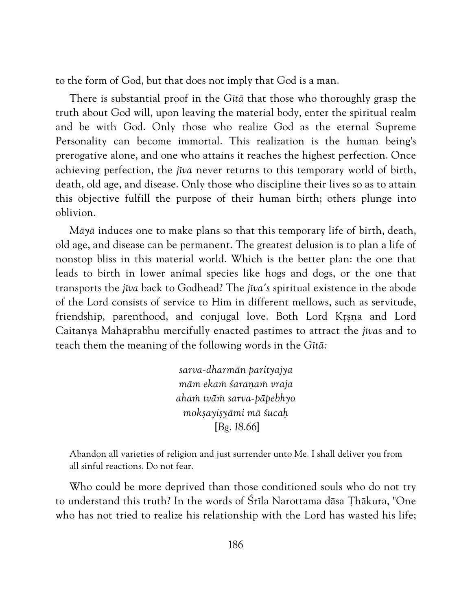to the form of God, but that does not imply that God is a man.

There is substantial proof in the *Gétä* that those who thoroughly grasp the truth about God will, upon leaving the material body, enter the spiritual realm and be with God. Only those who realize God as the eternal Supreme Personality can become immortal. This realization is the human being's prerogative alone, and one who attains it reaches the highest perfection. Once achieving perfection, the *jtva* never returns to this temporary world of birth, death, old age, and disease. Only those who discipline their lives so as to attain this objective fulfill the purpose of their human birth; others plunge into oblivion.

*Mäyä* induces one to make plans so that this temporary life of birth, death, old age, and disease can be permanent. The greatest delusion is to plan a life of nonstop bliss in this material world. Which is the better plan: the one that leads to birth in lower animal species like hogs and dogs, or the one that transports the *jéva* back to Godhead? The *jéva's* spiritual existence in the abode of the Lord consists of service to Him in different mellows, such as servitude, friendship, parenthood, and conjugal love. Both Lord Krsna and Lord Caitanya Mahäprabhu mercifully enacted pastimes to attract the *jéva*s and to teach them the meaning of the following words in the *Gétä:*

> *sarva-dharmän parityajya mäm ekaà çaraëaà vraja ahaà tväà sarva-päpebhyo mokñayiñyämi mä çucaù* [*Bg*. *18.66*]

Abandon all varieties of religion and just surrender unto Me. I shall deliver you from all sinful reactions. Do not fear.

Who could be more deprived than those conditioned souls who do not try to understand this truth? In the words of Śrīla Narottama dāsa Thākura, "One who has not tried to realize his relationship with the Lord has wasted his life;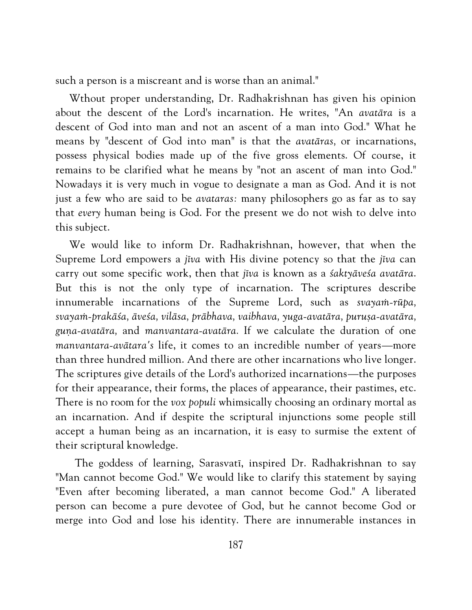such a person is a miscreant and is worse than an animal."

Wthout proper understanding, Dr. Radhakrishnan has given his opinion about the descent of the Lord's incarnation. He writes, "An *avatära* is a descent of God into man and not an ascent of a man into God." What he means by "descent of God into man" is that the *avatäras,* or incarnations, possess physical bodies made up of the five gross elements. Of course, it remains to be clarified what he means by "not an ascent of man into God." Nowadays it is very much in vogue to designate a man as God. And it is not just a few who are said to be *avataras:* many philosophers go as far as to say that *every* human being is God. For the present we do not wish to delve into this subject.

We would like to inform Dr. Radhakrishnan, however, that when the Supreme Lord empowers a *jéva* with His divine potency so that the *jéva* can carry out some specific work, then that *jéva* is known as a *çaktyäveça avatära*. But this is not the only type of incarnation. The scriptures describe innumerable incarnations of the Supreme Lord, such as *svayam-rūpa*, *svayaà-prakäça, äveça, viläsa, präbhava, vaibhava, yuga-avatära, puruña-avatära, guëa-avatära,* and *manvantara-avatära.* If we calculate the duration of one *manvantara-avätara's* life, it comes to an incredible number of years—more than three hundred million. And there are other incarnations who live longer. The scriptures give details of the Lord's authorized incarnations—the purposes for their appearance, their forms, the places of appearance, their pastimes, etc. There is no room for the *vox populi* whimsically choosing an ordinary mortal as an incarnation. And if despite the scriptural injunctions some people still accept a human being as an incarnation, it is easy to surmise the extent of their scriptural knowledge.

The goddess of learning, Sarasvatī, inspired Dr. Radhakrishnan to say "Man cannot become God." We would like to clarify this statement by saying "Even after becoming liberated, a man cannot become God." A liberated person can become a pure devotee of God, but he cannot become God or merge into God and lose his identity. There are innumerable instances in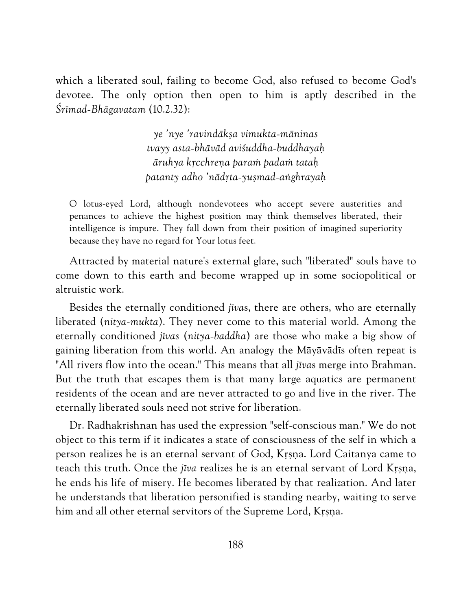which a liberated soul, failing to become God, also refused to become God's devotee. The only option then open to him is aptly described in the *Çrémad-Bhägavatam* (10.2.32):

> *ye 'nye 'ravindäkña vimukta-mäninas tvayy asta-bhäväd aviçuddha-buddhayaù äruhya kåcchreëa paraà padaà tataù patanty adho 'nädåta-yuñmad-aìghrayaù*

O lotus-eyed Lord, although nondevotees who accept severe austerities and penances to achieve the highest position may think themselves liberated, their intelligence is impure. They fall down from their position of imagined superiority because they have no regard for Your lotus feet.

Attracted by material nature's external glare, such "liberated" souls have to come down to this earth and become wrapped up in some sociopolitical or altruistic work.

Besides the eternally conditioned *jūvas*, there are others, who are eternally liberated (*nitya-mukta*). They never come to this material world. Among the eternally conditioned *jévas* (*nitya-baddha*) are those who make a big show of gaining liberation from this world. An analogy the Māyāvādīs often repeat is "All rivers flow into the ocean." This means that all *jéva*s merge into Brahman. But the truth that escapes them is that many large aquatics are permanent residents of the ocean and are never attracted to go and live in the river. The eternally liberated souls need not strive for liberation.

Dr. Radhakrishnan has used the expression "self-conscious man." We do not object to this term if it indicates a state of consciousness of the self in which a person realizes he is an eternal servant of God, Krsna. Lord Caitanya came to teach this truth. Once the *jva* realizes he is an eternal servant of Lord Krsna, he ends his life of misery. He becomes liberated by that realization. And later he understands that liberation personified is standing nearby, waiting to serve him and all other eternal servitors of the Supreme Lord, Krsna.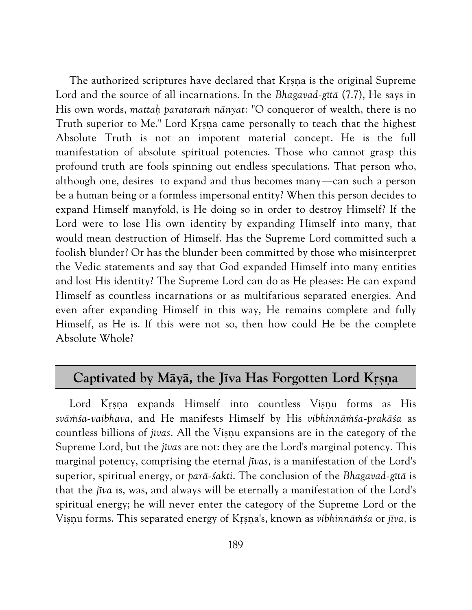The authorized scriptures have declared that Krsna is the original Supreme Lord and the source of all incarnations. In the *Bhagavad-gétä* (7.7), He says in His own words, *mattah parataram nānyat:* "O conqueror of wealth, there is no Truth superior to Me." Lord Krsna came personally to teach that the highest Absolute Truth is not an impotent material concept. He is the full manifestation of absolute spiritual potencies. Those who cannot grasp this profound truth are fools spinning out endless speculations. That person who, although one, desires to expand and thus becomes many—can such a person be a human being or a formless impersonal entity? When this person decides to expand Himself manyfold, is He doing so in order to destroy Himself? If the Lord were to lose His own identity by expanding Himself into many, that would mean destruction of Himself. Has the Supreme Lord committed such a foolish blunder? Or has the blunder been committed by those who misinterpret the Vedic statements and say that God expanded Himself into many entities and lost His identity? The Supreme Lord can do as He pleases: He can expand Himself as countless incarnations or as multifarious separated energies. And even after expanding Himself in this way, He remains complete and fully Himself, as He is. If this were not so, then how could He be the complete Absolute Whole?

## Captivated by Māyā, the Jīva Has Forgotten Lord Krsna

Lord Krsna expands Himself into countless Visnu forms as His *sväàça-vaibhava,* and He manifests Himself by His *vibhinnäàça-prakäça* as countless billions of *jīvas*. All the Viṣṇu expansions are in the category of the Supreme Lord, but the *jévas* are not: they are the Lord's marginal potency. This marginal potency, comprising the eternal *jévas,* is a manifestation of the Lord's superior, spiritual energy, or *parä-çakti*. The conclusion of the *Bhagavad-gétä* is that the *jéva* is, was, and always will be eternally a manifestation of the Lord's spiritual energy; he will never enter the category of the Supreme Lord or the Visnu forms. This separated energy of Krsna's, known as *vibhinnāmsa* or *jīva*, is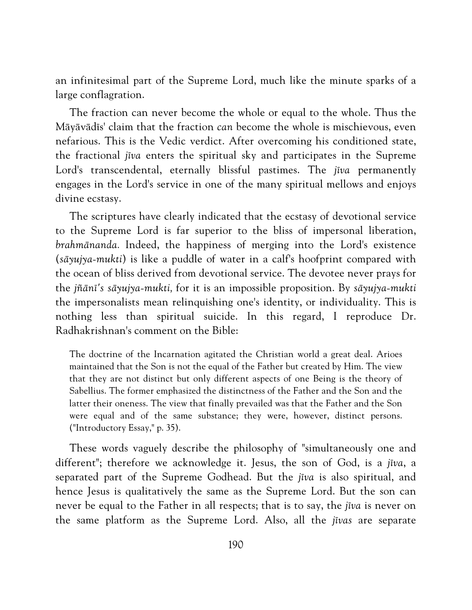an infinitesimal part of the Supreme Lord, much like the minute sparks of a large conflagration.

The fraction can never become the whole or equal to the whole. Thus the Mäyävädés' claim that the fraction *can* become the whole is mischievous, even nefarious. This is the Vedic verdict. After overcoming his conditioned state, the fractional *jéva* enters the spiritual sky and participates in the Supreme Lord's transcendental, eternally blissful pastimes. The *jīva* permanently engages in the Lord's service in one of the many spiritual mellows and enjoys divine ecstasy.

The scriptures have clearly indicated that the ecstasy of devotional service to the Supreme Lord is far superior to the bliss of impersonal liberation, *brahmänanda.* Indeed, the happiness of merging into the Lord's existence (*säyujya-mukti*) is like a puddle of water in a calf's hoofprint compared with the ocean of bliss derived from devotional service. The devotee never prays for the *jïäné's säyujya-mukti,* for it is an impossible proposition. By *säyujya-mukti* the impersonalists mean relinquishing one's identity, or individuality. This is nothing less than spiritual suicide. In this regard, I reproduce Dr. Radhakrishnan's comment on the Bible:

The doctrine of the Incarnation agitated the Christian world a great deal. Arioes maintained that the Son is not the equal of the Father but created by Him. The view that they are not distinct but only different aspects of one Being is the theory of Sabellius. The former emphasized the distinctness of the Father and the Son and the latter their oneness. The view that finally prevailed was that the Father and the Son were equal and of the same substance; they were, however, distinct persons. ("Introductory Essay," p. 35).

These words vaguely describe the philosophy of "simultaneously one and different"; therefore we acknowledge it. Jesus, the son of God, is a *jéva*, a separated part of the Supreme Godhead. But the *jéva* is also spiritual, and hence Jesus is qualitatively the same as the Supreme Lord. But the son can never be equal to the Father in all respects; that is to say, the *jéva* is never on the same platform as the Supreme Lord. Also, all the *jévas* are separate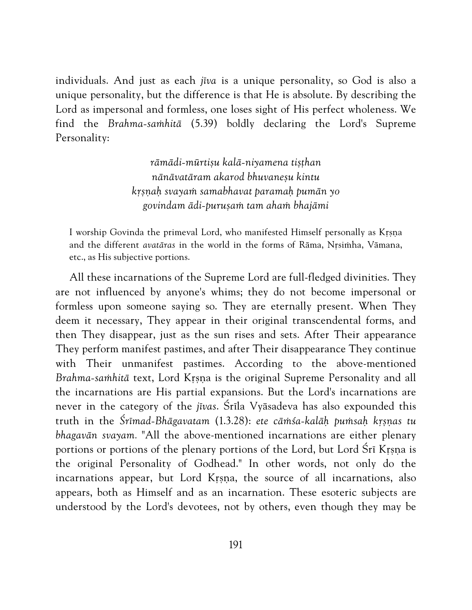individuals. And just as each *jéva* is a unique personality, so God is also a unique personality, but the difference is that He is absolute. By describing the Lord as impersonal and formless, one loses sight of His perfect wholeness. We find the *Brahma-saàhitä* (5.39) boldly declaring the Lord's Supreme Personality:

> *rämädi-mürtiñu kalä-niyamena tiñöhan nänävatäram akarod bhuvaneñu kintu kåñëaù svayaà samabhavat paramaù pumän yo govindam ädi-puruñaà tam ahaà bhajämi*

I worship Govinda the primeval Lord, who manifested Himself personally as Krsna and the different *avatāras* in the world in the forms of Rāma, Nrsimha, Vāmana, etc., as His subjective portions.

All these incarnations of the Supreme Lord are full-fledged divinities. They are not influenced by anyone's whims; they do not become impersonal or formless upon someone saying so. They are eternally present. When They deem it necessary, They appear in their original transcendental forms, and then They disappear, just as the sun rises and sets. After Their appearance They perform manifest pastimes, and after Their disappearance They continue with Their unmanifest pastimes. According to the above-mentioned *Brahma-samhitā* text, Lord Krsna is the original Supreme Personality and all the incarnations are His partial expansions. But the Lord's incarnations are never in the category of the *jwas*. Śrīla Vyāsadeva has also expounded this truth in the *Śrīmad-Bhāgavatam* (1.3.28): *ete cāmśa-kalāh pumsah krsnas tu bhagavän svayam.* "All the above-mentioned incarnations are either plenary portions or portions of the plenary portions of the Lord, but Lord Śrī Krsna is the original Personality of Godhead." In other words, not only do the incarnations appear, but Lord Krsna, the source of all incarnations, also appears, both as Himself and as an incarnation. These esoteric subjects are understood by the Lord's devotees, not by others, even though they may be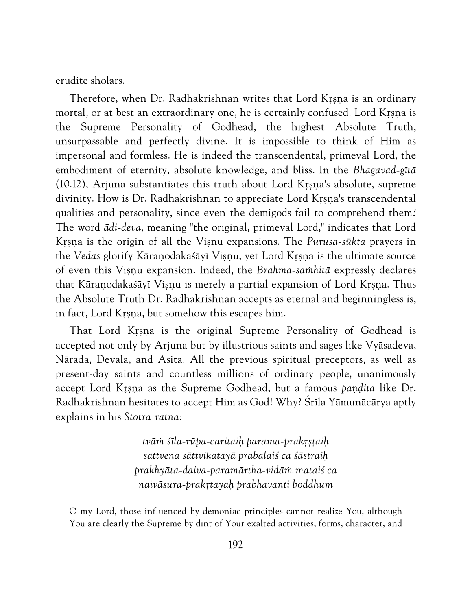erudite sholars.

Therefore, when Dr. Radhakrishnan writes that Lord Krsna is an ordinary mortal, or at best an extraordinary one, he is certainly confused. Lord Krsna is the Supreme Personality of Godhead, the highest Absolute Truth, unsurpassable and perfectly divine. It is impossible to think of Him as impersonal and formless. He is indeed the transcendental, primeval Lord, the embodiment of eternity, absolute knowledge, and bliss. In the *Bhagavad-gétä* (10.12), Arjuna substantiates this truth about Lord Krsna's absolute, supreme divinity. How is Dr. Radhakrishnan to appreciate Lord Krsna's transcendental qualities and personality, since even the demigods fail to comprehend them? The word *ädi-deva,* meaning "the original, primeval Lord," indicates that Lord Krsna is the origin of all the Visnu expansions. The *Purusa-sūkta* prayers in the *Vedas* glorify Kāranodakasāyī Visnu, yet Lord Krsna is the ultimate source of even this Vișnu expansion. Indeed, the *Brahma-samhitā* expressly declares that Kāranodakasāyī Visnu is merely a partial expansion of Lord Krsna. Thus the Absolute Truth Dr. Radhakrishnan accepts as eternal and beginningless is, in fact, Lord Krsna, but somehow this escapes him.

That Lord Krsna is the original Supreme Personality of Godhead is accepted not only by Arjuna but by illustrious saints and sages like Vyäsadeva, Närada, Devala, and Asita. All the previous spiritual preceptors, as well as present-day saints and countless millions of ordinary people, unanimously accept Lord Krsna as the Supreme Godhead, but a famous *pandita* like Dr. Radhakrishnan hesitates to accept Him as God! Why? Śrīla Yāmunācārya aptly explains in his *Stotra-ratna:*

> *tväà çéla-rüpa-caritaiù parama-prakåñöaiù sattvena sättvikatayä prabalaiç ca çästraiù prakhyäta-daiva-paramärtha-vidäà mataiç ca naiväsura-prakåtayaù prabhavanti boddhum*

O my Lord, those influenced by demoniac principles cannot realize You, although You are clearly the Supreme by dint of Your exalted activities, forms, character, and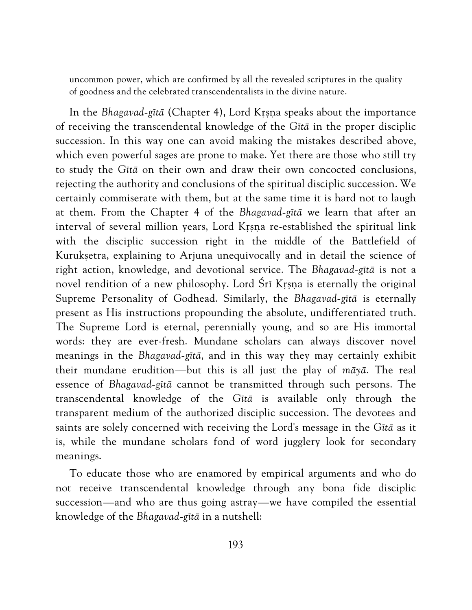uncommon power, which are confirmed by all the revealed scriptures in the quality of goodness and the celebrated transcendentalists in the divine nature.

In the *Bhagavad-gītā* (Chapter 4), Lord Krsna speaks about the importance of receiving the transcendental knowledge of the *Gétä* in the proper disciplic succession. In this way one can avoid making the mistakes described above, which even powerful sages are prone to make. Yet there are those who still try to study the *Gétä* on their own and draw their own concocted conclusions, rejecting the authority and conclusions of the spiritual disciplic succession. We certainly commiserate with them, but at the same time it is hard not to laugh at them. From the Chapter 4 of the *Bhagavad-gétä* we learn that after an interval of several million years, Lord Krsna re-established the spiritual link with the disciplic succession right in the middle of the Battlefield of Kuruksetra, explaining to Arjuna unequivocally and in detail the science of right action, knowledge, and devotional service. The *Bhagavad-gétä* is not a novel rendition of a new philosophy. Lord Śrī Krsna is eternally the original Supreme Personality of Godhead. Similarly, the *Bhagavad-gétä* is eternally present as His instructions propounding the absolute, undifferentiated truth. The Supreme Lord is eternal, perennially young, and so are His immortal words: they are ever-fresh. Mundane scholars can always discover novel meanings in the *Bhagavad-gétä,* and in this way they may certainly exhibit their mundane erudition—but this is all just the play of *mäyä*. The real essence of *Bhagavad-gétä* cannot be transmitted through such persons. The transcendental knowledge of the *Gétä* is available only through the transparent medium of the authorized disciplic succession. The devotees and saints are solely concerned with receiving the Lord's message in the *Gétä* as it is, while the mundane scholars fond of word jugglery look for secondary meanings.

To educate those who are enamored by empirical arguments and who do not receive transcendental knowledge through any bona fide disciplic succession—and who are thus going astray—we have compiled the essential knowledge of the *Bhagavad-gétä* in a nutshell: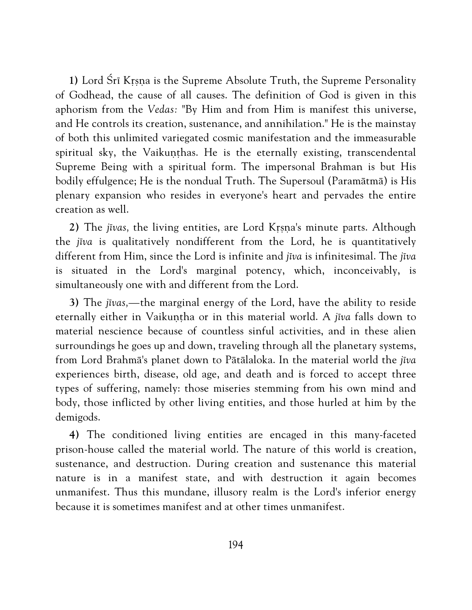1) Lord Śrī Krsna is the Supreme Absolute Truth, the Supreme Personality of Godhead, the cause of all causes. The definition of God is given in this aphorism from the *Vedas:* "By Him and from Him is manifest this universe, and He controls its creation, sustenance, and annihilation." He is the mainstay of both this unlimited variegated cosmic manifestation and the immeasurable spiritual sky, the Vaikunthas. He is the eternally existing, transcendental Supreme Being with a spiritual form. The impersonal Brahman is but His bodily effulgence; He is the nondual Truth. The Supersoul (Paramätmä) is His plenary expansion who resides in everyone's heart and pervades the entire creation as well.

2) The *jwas*, the living entities, are Lord Krsna's minute parts. Although the *jéva* is qualitatively nondifferent from the Lord, he is quantitatively different from Him, since the Lord is infinite and *jéva* is infinitesimal. The *jéva* is situated in the Lord's marginal potency, which, inconceivably, is simultaneously one with and different from the Lord.

**3)** The *jévas,—*the marginal energy of the Lord, have the ability to reside eternally either in Vaikuntha or in this material world. A *jīva* falls down to material nescience because of countless sinful activities, and in these alien surroundings he goes up and down, traveling through all the planetary systems, from Lord Brahmä's planet down to Pätälaloka. In the material world the *jéva* experiences birth, disease, old age, and death and is forced to accept three types of suffering, namely: those miseries stemming from his own mind and body, those inflicted by other living entities, and those hurled at him by the demigods.

**4)** The conditioned living entities are encaged in this many-faceted prison-house called the material world. The nature of this world is creation, sustenance, and destruction. During creation and sustenance this material nature is in a manifest state, and with destruction it again becomes unmanifest. Thus this mundane, illusory realm is the Lord's inferior energy because it is sometimes manifest and at other times unmanifest.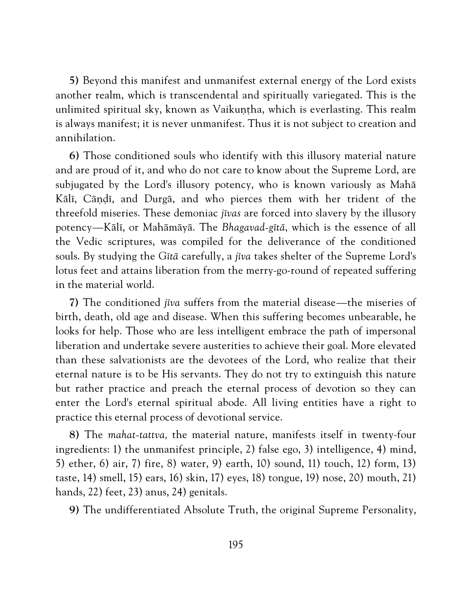**5)** Beyond this manifest and unmanifest external energy of the Lord exists another realm, which is transcendental and spiritually variegated. This is the unlimited spiritual sky, known as Vaikuntha, which is everlasting. This realm is always manifest; it is never unmanifest. Thus it is not subject to creation and annihilation.

**6)** Those conditioned souls who identify with this illusory material nature and are proud of it, and who do not care to know about the Supreme Lord, are subjugated by the Lord's illusory potency, who is known variously as Mahä Kālī, Cāndī, and Durgā, and who pierces them with her trident of the threefold miseries. These demoniac *jévas* are forced into slavery by the illusory potency—Kālī, or Mahāmāyā. The *Bhagavad-gītā*, which is the essence of all the Vedic scriptures, was compiled for the deliverance of the conditioned souls. By studying the *Gétä* carefully, a *jéva* takes shelter of the Supreme Lord's lotus feet and attains liberation from the merry-go-round of repeated suffering in the material world.

**7)** The conditioned *jéva* suffers from the material disease—the miseries of birth, death, old age and disease. When this suffering becomes unbearable, he looks for help. Those who are less intelligent embrace the path of impersonal liberation and undertake severe austerities to achieve their goal. More elevated than these salvationists are the devotees of the Lord, who realize that their eternal nature is to be His servants. They do not try to extinguish this nature but rather practice and preach the eternal process of devotion so they can enter the Lord's eternal spiritual abode. All living entities have a right to practice this eternal process of devotional service.

**8)** The *mahat-tattva,* the material nature, manifests itself in twenty-four ingredients: 1) the unmanifest principle, 2) false ego, 3) intelligence, 4) mind, 5) ether, 6) air, 7) fire, 8) water, 9) earth, 10) sound, 11) touch, 12) form, 13) taste, 14) smell, 15) ears, 16) skin, 17) eyes, 18) tongue, 19) nose, 20) mouth, 21) hands, 22) feet, 23) anus, 24) genitals.

**9)** The undifferentiated Absolute Truth, the original Supreme Personality,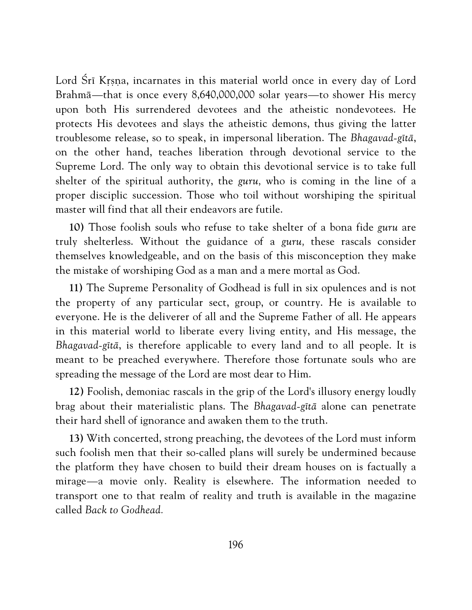Lord Śrī Krsna, incarnates in this material world once in every day of Lord Brahmä—that is once every 8,640,000,000 solar years—to shower His mercy upon both His surrendered devotees and the atheistic nondevotees. He protects His devotees and slays the atheistic demons, thus giving the latter troublesome release, so to speak, in impersonal liberation. The *Bhagavad-gétä*, on the other hand, teaches liberation through devotional service to the Supreme Lord. The only way to obtain this devotional service is to take full shelter of the spiritual authority, the *guru,* who is coming in the line of a proper disciplic succession. Those who toil without worshiping the spiritual master will find that all their endeavors are futile.

**10)** Those foolish souls who refuse to take shelter of a bona fide *guru* are truly shelterless. Without the guidance of a *guru,* these rascals consider themselves knowledgeable, and on the basis of this misconception they make the mistake of worshiping God as a man and a mere mortal as God.

**11)** The Supreme Personality of Godhead is full in six opulences and is not the property of any particular sect, group, or country. He is available to everyone. He is the deliverer of all and the Supreme Father of all. He appears in this material world to liberate every living entity, and His message, the *Bhagavad-gétä*, is therefore applicable to every land and to all people. It is meant to be preached everywhere. Therefore those fortunate souls who are spreading the message of the Lord are most dear to Him.

**12)** Foolish, demoniac rascals in the grip of the Lord's illusory energy loudly brag about their materialistic plans. The *Bhagavad-gétä* alone can penetrate their hard shell of ignorance and awaken them to the truth.

**13)** With concerted, strong preaching, the devotees of the Lord must inform such foolish men that their so-called plans will surely be undermined because the platform they have chosen to build their dream houses on is factually a mirage—a movie only. Reality is elsewhere. The information needed to transport one to that realm of reality and truth is available in the magazine called *Back to Godhead.*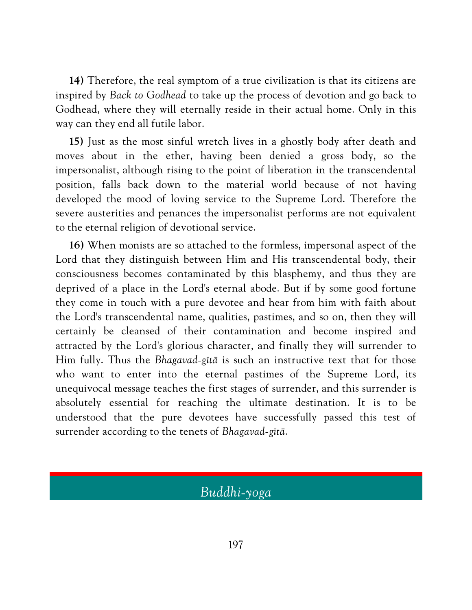**14)** Therefore, the real symptom of a true civilization is that its citizens are inspired by *Back to Godhead* to take up the process of devotion and go back to Godhead, where they will eternally reside in their actual home. Only in this way can they end all futile labor.

**15)** Just as the most sinful wretch lives in a ghostly body after death and moves about in the ether, having been denied a gross body, so the impersonalist, although rising to the point of liberation in the transcendental position, falls back down to the material world because of not having developed the mood of loving service to the Supreme Lord. Therefore the severe austerities and penances the impersonalist performs are not equivalent to the eternal religion of devotional service.

**16)** When monists are so attached to the formless, impersonal aspect of the Lord that they distinguish between Him and His transcendental body, their consciousness becomes contaminated by this blasphemy, and thus they are deprived of a place in the Lord's eternal abode. But if by some good fortune they come in touch with a pure devotee and hear from him with faith about the Lord's transcendental name, qualities, pastimes, and so on, then they will certainly be cleansed of their contamination and become inspired and attracted by the Lord's glorious character, and finally they will surrender to Him fully. Thus the *Bhagavad-gétä* is such an instructive text that for those who want to enter into the eternal pastimes of the Supreme Lord, its unequivocal message teaches the first stages of surrender, and this surrender is absolutely essential for reaching the ultimate destination. It is to be understood that the pure devotees have successfully passed this test of surrender according to the tenets of *Bhagavad-gétä*.

# *Buddhi-yoga*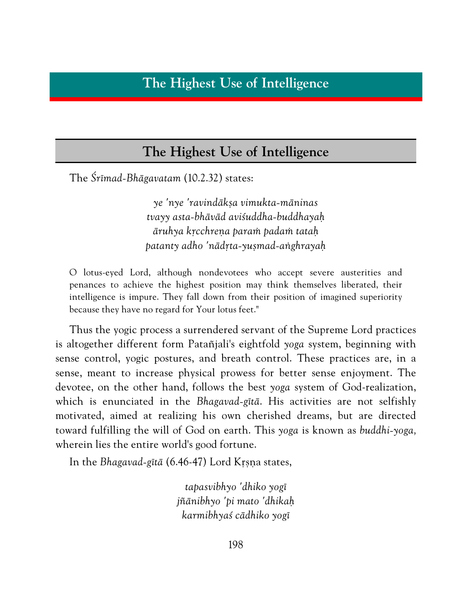# **The Highest Use of Intelligence**

## **The Highest Use of Intelligence**

The *Çrémad-Bhägavatam* (10.2.32) states:

*ye 'nye 'ravindäkña vimukta-mäninas tvayy asta-bhäväd aviçuddha-buddhayaù äruhya kåcchreëa paraà padaà tataù patanty adho 'nädåta-yuñmad-aìghrayaù*

O lotus-eyed Lord, although nondevotees who accept severe austerities and penances to achieve the highest position may think themselves liberated, their intelligence is impure. They fall down from their position of imagined superiority because they have no regard for Your lotus feet."

Thus the yogic process a surrendered servant of the Supreme Lord practices is altogether different form Pataïjali's eightfold *yoga* system, beginning with sense control, yogic postures, and breath control. These practices are, in a sense, meant to increase physical prowess for better sense enjoyment. The devotee, on the other hand, follows the best *yoga* system of God-realization, which is enunciated in the *Bhagavad-gétä*. His activities are not selfishly motivated, aimed at realizing his own cherished dreams, but are directed toward fulfilling the will of God on earth. This *yoga* is known as *buddhi-yoga,* wherein lies the entire world's good fortune.

In the *Bhagavad-gītā* (6.46-47) Lord Krsna states,

*tapasvibhyo 'dhiko yogé jïänibhyo 'pi mato 'dhikaù karmibhyaç cädhiko yogé*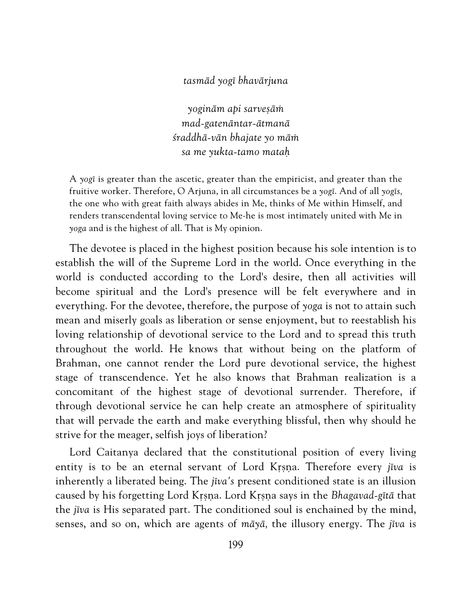#### *tasmäd yogé bhavärjuna*

*yoginäm api sarveñäà mad-gatenäntar-ätmanä çraddhä-vän bhajate yo mäà sa me yukta-tamo mataù*

A *yogé* is greater than the ascetic, greater than the empiricist, and greater than the fruitive worker. Therefore, O Arjuna, in all circumstances be a *yogé*. And of all *yogés,* the one who with great faith always abides in Me, thinks of Me within Himself, and renders transcendental loving service to Me-he is most intimately united with Me in *yoga* and is the highest of all. That is My opinion.

The devotee is placed in the highest position because his sole intention is to establish the will of the Supreme Lord in the world. Once everything in the world is conducted according to the Lord's desire, then all activities will become spiritual and the Lord's presence will be felt everywhere and in everything. For the devotee, therefore, the purpose of *yoga* is not to attain such mean and miserly goals as liberation or sense enjoyment, but to reestablish his loving relationship of devotional service to the Lord and to spread this truth throughout the world. He knows that without being on the platform of Brahman, one cannot render the Lord pure devotional service, the highest stage of transcendence. Yet he also knows that Brahman realization is a concomitant of the highest stage of devotional surrender. Therefore, if through devotional service he can help create an atmosphere of spirituality that will pervade the earth and make everything blissful, then why should he strive for the meager, selfish joys of liberation?

Lord Caitanya declared that the constitutional position of every living entity is to be an eternal servant of Lord Krsna. Therefore every *jīva* is inherently a liberated being. The *jīva's* present conditioned state is an illusion caused by his forgetting Lord Kåñëa. Lord Kåñëa says in the *Bhagavad-gétä* that the *jīva* is His separated part. The conditioned soul is enchained by the mind, senses, and so on, which are agents of *mäyä,* the illusory energy. The *jéva* is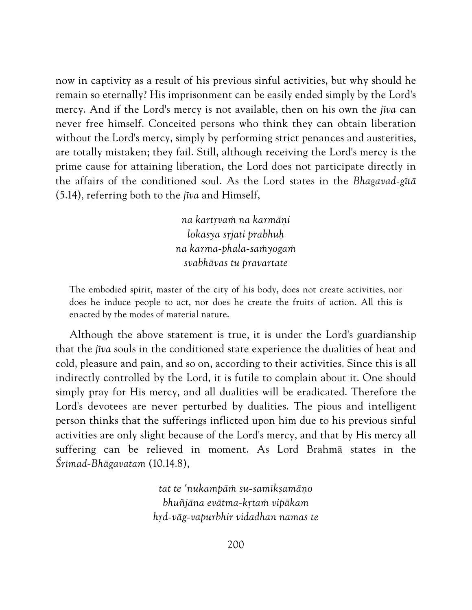now in captivity as a result of his previous sinful activities, but why should he remain so eternally? His imprisonment can be easily ended simply by the Lord's mercy. And if the Lord's mercy is not available, then on his own the *jéva* can never free himself. Conceited persons who think they can obtain liberation without the Lord's mercy, simply by performing strict penances and austerities, are totally mistaken; they fail. Still, although receiving the Lord's mercy is the prime cause for attaining liberation, the Lord does not participate directly in the affairs of the conditioned soul. As the Lord states in the *Bhagavad-gétä* (5.14)*,* referring both to the *jéva* and Himself,

> *na kartåvaà na karmäëi lokasya såjati prabhuù na karma-phala-saàyogaà svabhävas tu pravartate*

The embodied spirit, master of the city of his body, does not create activities, nor does he induce people to act, nor does he create the fruits of action. All this is enacted by the modes of material nature.

Although the above statement is true, it is under the Lord's guardianship that the *jīva* souls in the conditioned state experience the dualities of heat and cold, pleasure and pain, and so on, according to their activities. Since this is all indirectly controlled by the Lord, it is futile to complain about it. One should simply pray for His mercy, and all dualities will be eradicated. Therefore the Lord's devotees are never perturbed by dualities. The pious and intelligent person thinks that the sufferings inflicted upon him due to his previous sinful activities are only slight because of the Lord's mercy, and that by His mercy all suffering can be relieved in moment. As Lord Brahmä states in the *Çrémad-Bhägavatam* (10.14.8),

> *tat te 'nukampäà su-samékñamäëo bhuïjäna evätma-kåtaà vipäkam håd-väg-vapurbhir vidadhan namas te*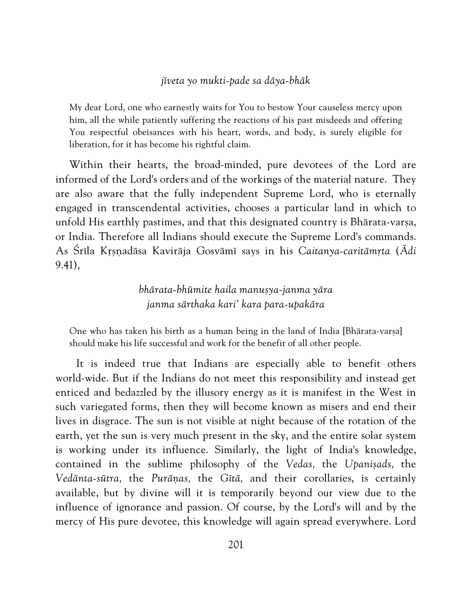#### *jéveta yo mukti-pade sa däya-bhäk*

My dear Lord, one who earnestly waits for You to bestow Your causeless mercy upon him, all the while patiently suffering the reactions of his past misdeeds and offering You respectful obeisances with his heart, words, and body, is surely eligible for liberation, for it has become his rightful claim.

Within their hearts, the broad-minded, pure devotees of the Lord are informed of the Lord's orders and of the workings of the material nature. They are also aware that the fully independent Supreme Lord, who is eternally engaged in transcendental activities, chooses a particular land in which to unfold His earthly pastimes, and that this designated country is Bhārata-varsa, or India. Therefore all Indians should execute the Supreme Lord's commands. As Çréla Kåñëadäsa Kaviräja Gosvämé says in his *Caitanya-caritämåta* (*Ädi* 9.41),

> *bhärata-bhümite haila manuñya-janma yära janma särthaka kari' kara para-upakära*

One who has taken his birth as a human being in the land of India [Bhārata-varsa] should make his life successful and work for the benefit of all other people.

 It is indeed true that Indians are especially able to benefit others world-wide. But if the Indians do not meet this responsibility and instead get enticed and bedazzled by the illusory energy as it is manifest in the West in such variegated forms, then they will become known as misers and end their lives in disgrace. The sun is not visible at night because of the rotation of the earth, yet the sun is very much present in the sky, and the entire solar system is working under its influence. Similarly, the light of India's knowledge, contained in the sublime philosophy of the *Vedas*, the *Upanisads*, the *Vedānta-sūtra, the Purāņas, the Gītā, and their corollaries, is certainly* available, but by divine will it is temporarily beyond our view due to the influence of ignorance and passion. Of course, by the Lord's will and by the mercy of His pure devotee, this knowledge will again spread everywhere. Lord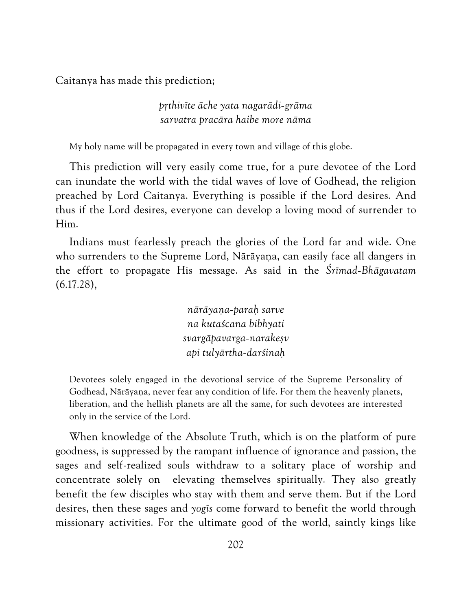Caitanya has made this prediction;

### *påthivéte äche yata nagarädi-gräma sarvatra pracära haibe more näma*

My holy name will be propagated in every town and village of this globe.

This prediction will very easily come true, for a pure devotee of the Lord can inundate the world with the tidal waves of love of Godhead, the religion preached by Lord Caitanya. Everything is possible if the Lord desires. And thus if the Lord desires, everyone can develop a loving mood of surrender to Him.

Indians must fearlessly preach the glories of the Lord far and wide. One who surrenders to the Supreme Lord, Nārāyana, can easily face all dangers in the effort to propagate His message. As said in the *Çrémad-Bhägavatam* (6.17.28),

> *näräyaëa-paraù sarve na kutaçcana bibhyati svargäpavarga-narakeñv api tulyärtha-darçinaù*

Devotees solely engaged in the devotional service of the Supreme Personality of Godhead, Nārāyana, never fear any condition of life. For them the heavenly planets, liberation, and the hellish planets are all the same, for such devotees are interested only in the service of the Lord.

When knowledge of the Absolute Truth, which is on the platform of pure goodness, is suppressed by the rampant influence of ignorance and passion, the sages and self-realized souls withdraw to a solitary place of worship and concentrate solely on elevating themselves spiritually. They also greatly benefit the few disciples who stay with them and serve them. But if the Lord desires, then these sages and *yogés* come forward to benefit the world through missionary activities. For the ultimate good of the world, saintly kings like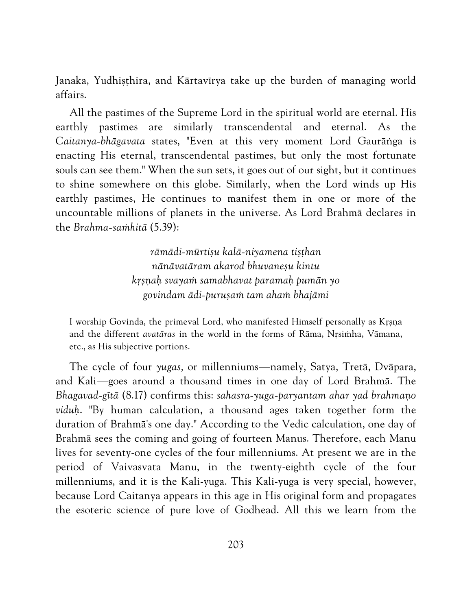Janaka, Yudhisthira, and Kārtavīrya take up the burden of managing world affairs.

All the pastimes of the Supreme Lord in the spiritual world are eternal. His earthly pastimes are similarly transcendental and eternal. As the *Caitanya-bhägavata* states, "Even at this very moment Lord Gauräìga is enacting His eternal, transcendental pastimes, but only the most fortunate souls can see them." When the sun sets, it goes out of our sight, but it continues to shine somewhere on this globe. Similarly, when the Lord winds up His earthly pastimes, He continues to manifest them in one or more of the uncountable millions of planets in the universe. As Lord Brahmä declares in the *Brahma-saàhitä* (5.39):

> *rämädi-mürtiñu kalä-niyamena tiñöhan nänävatäram akarod bhuvaneñu kintu kåñëaù svayaà samabhavat paramaù pumän yo govindam ädi-puruñaà tam ahaà bhajämi*

I worship Govinda, the primeval Lord, who manifested Himself personally as Krsna and the different *avatāras* in the world in the forms of Rāma, Nrsimha, Vāmana, etc., as His subjective portions.

The cycle of four *yugas,* or millenniums—namely, Satya, Tretä, Dväpara, and Kali—goes around a thousand times in one day of Lord Brahmä. The *Bhagavad-gétä* (8.17) confirms this: *sahasra-yuga-paryantam ahar yad brahmaëo viduù*. "By human calculation, a thousand ages taken together form the duration of Brahmä's one day." According to the Vedic calculation, one day of Brahmä sees the coming and going of fourteen Manus. Therefore, each Manu lives for seventy-one cycles of the four millenniums. At present we are in the period of Vaivasvata Manu, in the twenty-eighth cycle of the four millenniums, and it is the Kali-yuga. This Kali-yuga is very special, however, because Lord Caitanya appears in this age in His original form and propagates the esoteric science of pure love of Godhead. All this we learn from the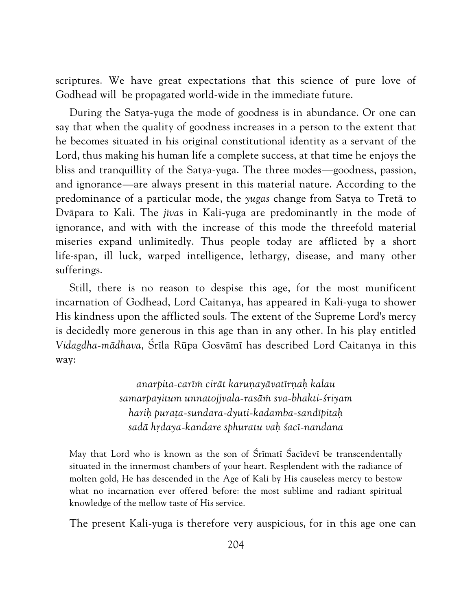scriptures. We have great expectations that this science of pure love of Godhead will be propagated world-wide in the immediate future.

During the Satya-yuga the mode of goodness is in abundance. Or one can say that when the quality of goodness increases in a person to the extent that he becomes situated in his original constitutional identity as a servant of the Lord, thus making his human life a complete success, at that time he enjoys the bliss and tranquillity of the Satya-yuga. The three modes—goodness, passion, and ignorance—are always present in this material nature. According to the predominance of a particular mode, the *yugas* change from Satya to Tretä to Dväpara to Kali. The *jéva*s in Kali-yuga are predominantly in the mode of ignorance, and with with the increase of this mode the threefold material miseries expand unlimitedly. Thus people today are afflicted by a short life-span, ill luck, warped intelligence, lethargy, disease, and many other sufferings.

Still, there is no reason to despise this age, for the most munificent incarnation of Godhead, Lord Caitanya, has appeared in Kali-yuga to shower His kindness upon the afflicted souls. The extent of the Supreme Lord's mercy is decidedly more generous in this age than in any other. In his play entitled *Vidagdha-mādhava, Śrīla Rūpa Gosvāmī has described Lord Caitanya in this* way:

> *anarpita-caréà cirät karuëayävatérëaù kalau samarpayitum unnatojjvala-rasäà sva-bhakti-çriyam hariù puraöa-sundara-dyuti-kadamba-sandépitaù sadä hådaya-kandare sphuratu vaù çacé-nandana*

May that Lord who is known as the son of Śrīmatī Śacīdevī be transcendentally situated in the innermost chambers of your heart. Resplendent with the radiance of molten gold, He has descended in the Age of Kali by His causeless mercy to bestow what no incarnation ever offered before: the most sublime and radiant spiritual knowledge of the mellow taste of His service.

The present Kali-yuga is therefore very auspicious, for in this age one can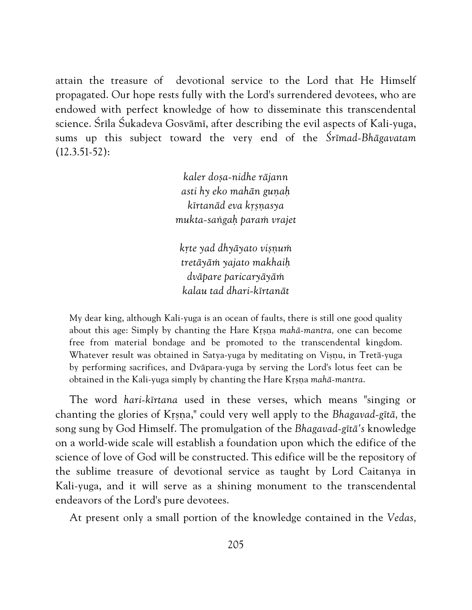attain the treasure of devotional service to the Lord that He Himself propagated. Our hope rests fully with the Lord's surrendered devotees, who are endowed with perfect knowledge of how to disseminate this transcendental science. Śrīla Śukadeva Gosvāmī, after describing the evil aspects of Kali-yuga, sums up this subject toward the very end of the *Śrīmad-Bhāgavatam* (12.3.51-52):

> *kaler doña-nidhe räjann asti hy eko mahān gunah kértanäd eva kåñëasya mukta-saìgaù paraà vrajet*

*kåte yad dhyäyato viñëuà tretäyäà yajato makhaiù dväpare paricaryäyäà kalau tad dhari-kértanät*

My dear king, although Kali-yuga is an ocean of faults, there is still one good quality about this age: Simply by chanting the Hare Krsna *mahā-mantra*, one can become free from material bondage and be promoted to the transcendental kingdom. Whatever result was obtained in Satya-yuga by meditating on Visnu, in Tretā-yuga by performing sacrifices, and Dväpara-yuga by serving the Lord's lotus feet can be obtained in the Kali-yuga simply by chanting the Hare Krsna *mahā-mantra*.

The word *hari-kértana* used in these verses, which means "singing or chanting the glories of Kåñëa," could very well apply to the *Bhagavad-gétä,* the song sung by God Himself. The promulgation of the *Bhagavad-gétä's* knowledge on a world-wide scale will establish a foundation upon which the edifice of the science of love of God will be constructed. This edifice will be the repository of the sublime treasure of devotional service as taught by Lord Caitanya in Kali-yuga, and it will serve as a shining monument to the transcendental endeavors of the Lord's pure devotees.

At present only a small portion of the knowledge contained in the *Vedas,*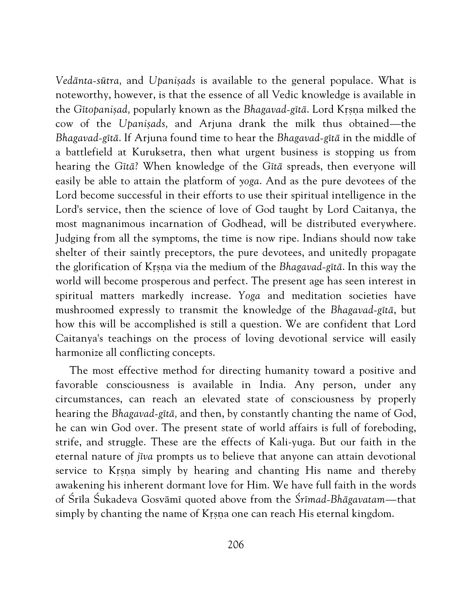*Vedänta-sütra,* and *Upaniñads* is available to the general populace. What is noteworthy, however, is that the essence of all Vedic knowledge is available in the *Gītopanisad*, popularly known as the *Bhagavad-gītā*. Lord Krsna milked the cow of the *Upanisads*, and Arjuna drank the milk thus obtained—the *Bhagavad-gétä*. If Arjuna found time to hear the *Bhagavad-gétä* in the middle of a battlefield at Kuruksetra, then what urgent business is stopping us from hearing the *Gétä*? When knowledge of the *Gétä* spreads, then everyone will easily be able to attain the platform of *yoga*. And as the pure devotees of the Lord become successful in their efforts to use their spiritual intelligence in the Lord's service, then the science of love of God taught by Lord Caitanya, the most magnanimous incarnation of Godhead, will be distributed everywhere. Judging from all the symptoms, the time is now ripe. Indians should now take shelter of their saintly preceptors, the pure devotees, and unitedly propagate the glorification of Krsna via the medium of the *Bhagavad-gitā*. In this way the world will become prosperous and perfect. The present age has seen interest in spiritual matters markedly increase. *Yoga* and meditation societies have mushroomed expressly to transmit the knowledge of the *Bhagavad-gétä*, but how this will be accomplished is still a question. We are confident that Lord Caitanya's teachings on the process of loving devotional service will easily harmonize all conflicting concepts.

The most effective method for directing humanity toward a positive and favorable consciousness is available in India. Any person, under any circumstances, can reach an elevated state of consciousness by properly hearing the *Bhagavad-gétä,* and then, by constantly chanting the name of God, he can win God over. The present state of world affairs is full of foreboding, strife, and struggle. These are the effects of Kali-yuga. But our faith in the eternal nature of *jéva* prompts us to believe that anyone can attain devotional service to Krsna simply by hearing and chanting His name and thereby awakening his inherent dormant love for Him. We have full faith in the words of Çréla Çukadeva Gosvämé quoted above from the *Çrémad-Bhägavatam—*that simply by chanting the name of Krsna one can reach His eternal kingdom.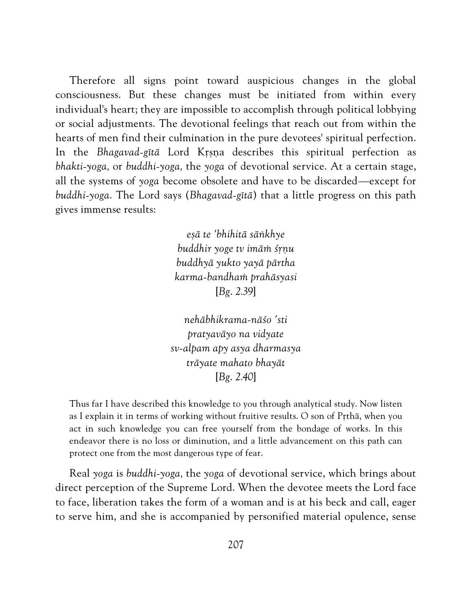Therefore all signs point toward auspicious changes in the global consciousness. But these changes must be initiated from within every individual's heart; they are impossible to accomplish through political lobbying or social adjustments. The devotional feelings that reach out from within the hearts of men find their culmination in the pure devotees' spiritual perfection. In the *Bhagavad-gītā* Lord Krsna describes this spiritual perfection as *bhakti-yoga,* or *buddhi-yoga,* the *yoga* of devotional service. At a certain stage, all the systems of *yoga* become obsolete and have to be discarded—except for *buddhi-yoga*. The Lord says (*Bhagavad-gétä*) that a little progress on this path gives immense results:

> *eñä te 'bhihitä säìkhye buddhir yoge tv imām śrnu buddhyä yukto yayä pärtha karma-bandhaà prahäsyasi* [*Bg*. *2.39*]

*nehäbhikrama-näço 'sti pratyaväyo na vidyate sv-alpam apy asya dharmasya träyate mahato bhayät* [*Bg*. *2.40*]

Thus far I have described this knowledge to you through analytical study. Now listen as I explain it in terms of working without fruitive results. O son of Prth $\bar{a}$ , when you act in such knowledge you can free yourself from the bondage of works. In this endeavor there is no loss or diminution, and a little advancement on this path can protect one from the most dangerous type of fear.

Real *yoga* is *buddhi-yoga,* the *yoga* of devotional service, which brings about direct perception of the Supreme Lord. When the devotee meets the Lord face to face, liberation takes the form of a woman and is at his beck and call, eager to serve him, and she is accompanied by personified material opulence, sense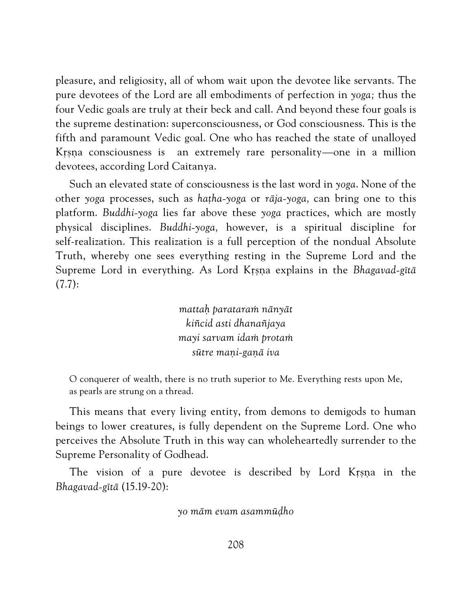pleasure, and religiosity, all of whom wait upon the devotee like servants. The pure devotees of the Lord are all embodiments of perfection in *yoga;* thus the four Vedic goals are truly at their beck and call. And beyond these four goals is the supreme destination: superconsciousness, or God consciousness. This is the fifth and paramount Vedic goal. One who has reached the state of unalloyed Krsna consciousness is an extremely rare personality—one in a million devotees, according Lord Caitanya.

Such an elevated state of consciousness is the last word in *yoga*. None of the other *yoga* processes, such as *haöha-yoga* or *räja-yoga,* can bring one to this platform. *Buddhi-yoga* lies far above these *yoga* practices, which are mostly physical disciplines. *Buddhi-yoga,* however, is a spiritual discipline for self-realization. This realization is a full perception of the nondual Absolute Truth, whereby one sees everything resting in the Supreme Lord and the Supreme Lord in everything. As Lord Krsna explains in the *Bhagavad-gītā* (7.7):

> *mattaù parataraà nänyät kiïcid asti dhanaïjaya mayi sarvam idaà protaà sütre maëi-gaëä iva*

O conquerer of wealth, there is no truth superior to Me. Everything rests upon Me, as pearls are strung on a thread.

This means that every living entity, from demons to demigods to human beings to lower creatures, is fully dependent on the Supreme Lord. One who perceives the Absolute Truth in this way can wholeheartedly surrender to the Supreme Personality of Godhead.

The vision of a pure devotee is described by Lord Krsna in the *Bhagavad-gétä* (15.19-20):

*yo mäm evam asammüòho*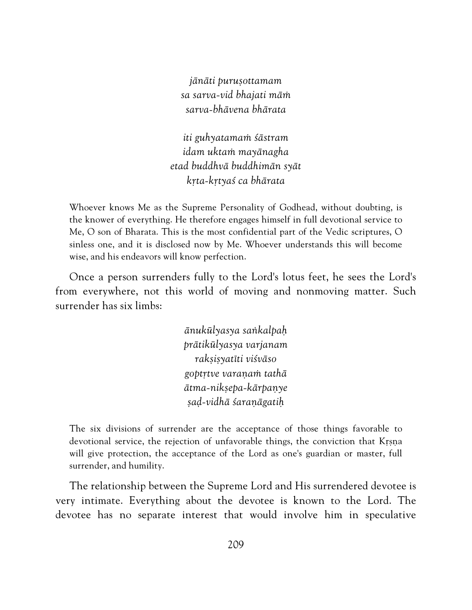*jänäti puruñottamam sa sarva-vid bhajati mäà sarva-bhävena bhärata*

*iti guhyatamaà çästram idam uktaà mayänagha etad buddhvä buddhimän syät kåta-kåtyaç ca bhärata*

Whoever knows Me as the Supreme Personality of Godhead, without doubting, is the knower of everything. He therefore engages himself in full devotional service to Me, O son of Bharata. This is the most confidential part of the Vedic scriptures, O sinless one, and it is disclosed now by Me. Whoever understands this will become wise, and his endeavors will know perfection.

Once a person surrenders fully to the Lord's lotus feet, he sees the Lord's from everywhere, not this world of moving and nonmoving matter. Such surrender has six limbs:

> *änukülyasya saìkalpaù prätikülyasya varjanam rakñiñyatéti viçväso goptåtve varaëaà tathä*  $\bar{a}$ tma-nikşepa-kārpanye *ñaò-vidhä çaraëägatiù*

The six divisions of surrender are the acceptance of those things favorable to devotional service, the rejection of unfavorable things, the conviction that Krsna will give protection, the acceptance of the Lord as one's guardian or master, full surrender, and humility.

The relationship between the Supreme Lord and His surrendered devotee is very intimate. Everything about the devotee is known to the Lord. The devotee has no separate interest that would involve him in speculative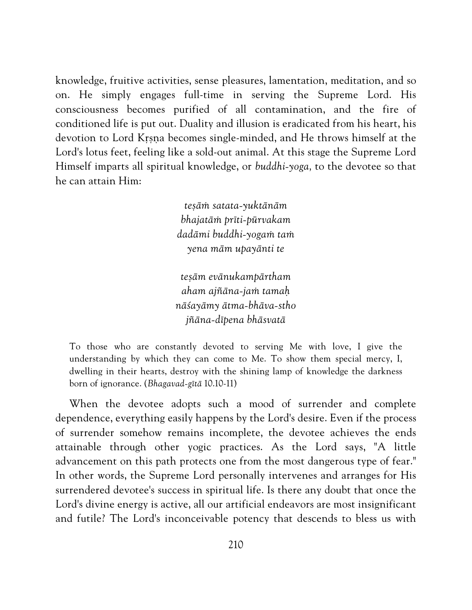knowledge, fruitive activities, sense pleasures, lamentation, meditation, and so on. He simply engages full-time in serving the Supreme Lord. His consciousness becomes purified of all contamination, and the fire of conditioned life is put out. Duality and illusion is eradicated from his heart, his devotion to Lord Krsna becomes single-minded, and He throws himself at the Lord's lotus feet, feeling like a sold-out animal. At this stage the Supreme Lord Himself imparts all spiritual knowledge, or *buddhi-yoga,* to the devotee so that he can attain Him:

> *teñäà satata-yuktänäm bhajatäà préti-pürvakam dadämi buddhi-yogaà taà yena mäm upayänti te*

*teñäm evänukampärtham aham ajïäna-jaà tamaù näçayämy ätma-bhäva-stho jïäna-dépena bhäsvatä*

To those who are constantly devoted to serving Me with love, I give the understanding by which they can come to Me. To show them special mercy, I, dwelling in their hearts, destroy with the shining lamp of knowledge the darkness born of ignorance. (*Bhagavad-gétä* 10.10-11)

When the devotee adopts such a mood of surrender and complete dependence, everything easily happens by the Lord's desire. Even if the process of surrender somehow remains incomplete, the devotee achieves the ends attainable through other yogic practices. As the Lord says, "A little advancement on this path protects one from the most dangerous type of fear." In other words, the Supreme Lord personally intervenes and arranges for His surrendered devotee's success in spiritual life. Is there any doubt that once the Lord's divine energy is active, all our artificial endeavors are most insignificant and futile? The Lord's inconceivable potency that descends to bless us with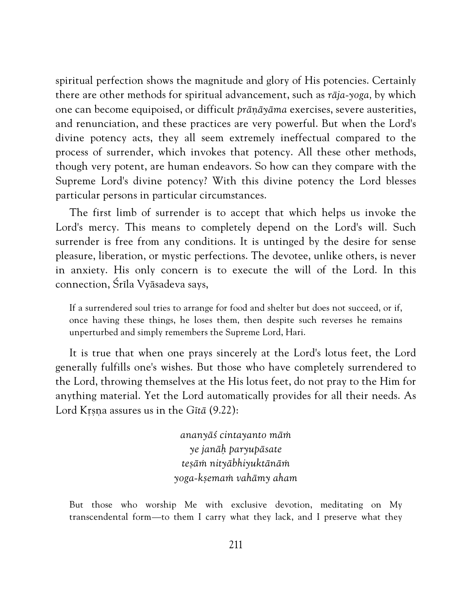spiritual perfection shows the magnitude and glory of His potencies. Certainly there are other methods for spiritual advancement, such as *räja-yoga,* by which one can become equipoised, or difficult *prāņā* yāma exercises, severe austerities, and renunciation, and these practices are very powerful. But when the Lord's divine potency acts, they all seem extremely ineffectual compared to the process of surrender, which invokes that potency. All these other methods, though very potent, are human endeavors. So how can they compare with the Supreme Lord's divine potency? With this divine potency the Lord blesses particular persons in particular circumstances.

The first limb of surrender is to accept that which helps us invoke the Lord's mercy. This means to completely depend on the Lord's will. Such surrender is free from any conditions. It is untinged by the desire for sense pleasure, liberation, or mystic perfections. The devotee, unlike others, is never in anxiety. His only concern is to execute the will of the Lord. In this connection, Śrīla Vyāsadeva says,

If a surrendered soul tries to arrange for food and shelter but does not succeed, or if, once having these things, he loses them, then despite such reverses he remains unperturbed and simply remembers the Supreme Lord, Hari.

It is true that when one prays sincerely at the Lord's lotus feet, the Lord generally fulfills one's wishes. But those who have completely surrendered to the Lord, throwing themselves at the His lotus feet, do not pray to the Him for anything material. Yet the Lord automatically provides for all their needs. As Lord Krsna assures us in the *Git* $\bar{a}$  (9.22):

> *ananyäç cintayanto mäà ye janäù paryupäsate teñäà nityäbhiyuktänäà yoga-kñemaà vahämy aham*

But those who worship Me with exclusive devotion, meditating on My transcendental form—to them I carry what they lack, and I preserve what they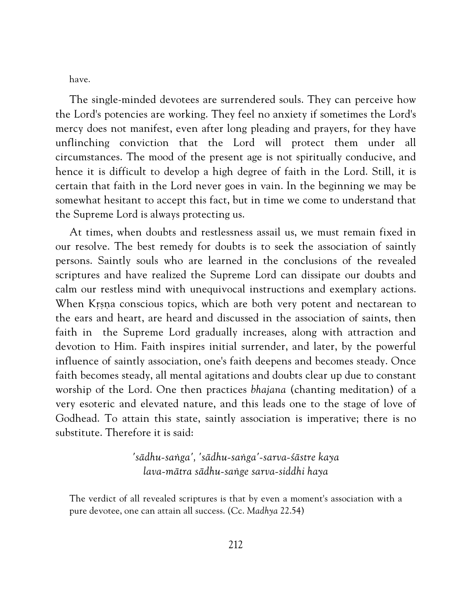have.

The single-minded devotees are surrendered souls. They can perceive how the Lord's potencies are working. They feel no anxiety if sometimes the Lord's mercy does not manifest, even after long pleading and prayers, for they have unflinching conviction that the Lord will protect them under all circumstances. The mood of the present age is not spiritually conducive, and hence it is difficult to develop a high degree of faith in the Lord. Still, it is certain that faith in the Lord never goes in vain. In the beginning we may be somewhat hesitant to accept this fact, but in time we come to understand that the Supreme Lord is always protecting us.

At times, when doubts and restlessness assail us, we must remain fixed in our resolve. The best remedy for doubts is to seek the association of saintly persons. Saintly souls who are learned in the conclusions of the revealed scriptures and have realized the Supreme Lord can dissipate our doubts and calm our restless mind with unequivocal instructions and exemplary actions. When Krsna conscious topics, which are both very potent and nectarean to the ears and heart, are heard and discussed in the association of saints, then faith in the Supreme Lord gradually increases, along with attraction and devotion to Him. Faith inspires initial surrender, and later, by the powerful influence of saintly association, one's faith deepens and becomes steady. Once faith becomes steady, all mental agitations and doubts clear up due to constant worship of the Lord. One then practices *bhajana* (chanting meditation) of a very esoteric and elevated nature, and this leads one to the stage of love of Godhead. To attain this state, saintly association is imperative; there is no substitute. Therefore it is said:

### *'sädhu-saìga', 'sädhu-saìga'-sarva-çästre kaya lava-mätra sädhu-saìge sarva-siddhi haya*

The verdict of all revealed scriptures is that by even a moment's association with a pure devotee, one can attain all success. (Cc. *Madhya* 22.54)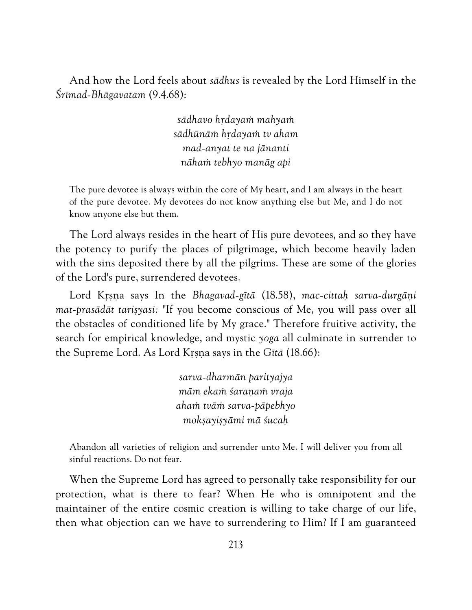And how the Lord feels about *sädhus* is revealed by the Lord Himself in the *Çrémad-Bhägavatam* (9.4.68):

> $s\bar{a}$ dhavo hrdayam mahyam *sädhünäà hådayaà tv aham mad-anyat te na jänanti nähaà tebhyo manäg api*

The pure devotee is always within the core of My heart, and I am always in the heart of the pure devotee. My devotees do not know anything else but Me, and I do not know anyone else but them.

The Lord always resides in the heart of His pure devotees, and so they have the potency to purify the places of pilgrimage, which become heavily laden with the sins deposited there by all the pilgrims. These are some of the glories of the Lord's pure, surrendered devotees.

Lord Kåñëa says In the *Bhagavad-gétä* (18.58), *mac-cittaù sarva-durgäëi mat-prasādāt tarisyasi:* "If you become conscious of Me, you will pass over all the obstacles of conditioned life by My grace." Therefore fruitive activity, the search for empirical knowledge, and mystic *yoga* all culminate in surrender to the Supreme Lord. As Lord Krsna says in the *G*<sub>t</sub> $\bar{a}$  (18.66):

> *sarva-dharmän parityajya mäm ekaà çaraëaà vraja ahaà tväà sarva-päpebhyo mokñayiñyämi mä çucaù*

Abandon all varieties of religion and surrender unto Me. I will deliver you from all sinful reactions. Do not fear.

When the Supreme Lord has agreed to personally take responsibility for our protection, what is there to fear? When He who is omnipotent and the maintainer of the entire cosmic creation is willing to take charge of our life, then what objection can we have to surrendering to Him? If I am guaranteed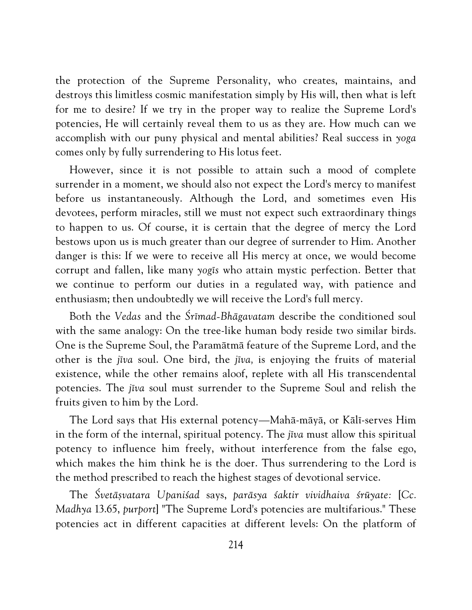the protection of the Supreme Personality, who creates, maintains, and destroys this limitless cosmic manifestation simply by His will, then what is left for me to desire? If we try in the proper way to realize the Supreme Lord's potencies, He will certainly reveal them to us as they are. How much can we accomplish with our puny physical and mental abilities? Real success in *yoga* comes only by fully surrendering to His lotus feet.

However, since it is not possible to attain such a mood of complete surrender in a moment, we should also not expect the Lord's mercy to manifest before us instantaneously. Although the Lord, and sometimes even His devotees, perform miracles, still we must not expect such extraordinary things to happen to us. Of course, it is certain that the degree of mercy the Lord bestows upon us is much greater than our degree of surrender to Him. Another danger is this: If we were to receive all His mercy at once, we would become corrupt and fallen, like many *yogés* who attain mystic perfection. Better that we continue to perform our duties in a regulated way, with patience and enthusiasm; then undoubtedly we will receive the Lord's full mercy.

Both the *Vedas* and the *Çrémad-Bhägavatam* describe the conditioned soul with the same analogy: On the tree-like human body reside two similar birds. One is the Supreme Soul, the Paramätmä feature of the Supreme Lord, and the other is the *jéva* soul. One bird, the *jéva,* is enjoying the fruits of material existence, while the other remains aloof, replete with all His transcendental potencies. The *jéva* soul must surrender to the Supreme Soul and relish the fruits given to him by the Lord.

The Lord says that His external potency—Mahā-māyā, or Kālī-serves Him in the form of the internal, spiritual potency. The *jéva* must allow this spiritual potency to influence him freely, without interference from the false ego, which makes the him think he is the doer. Thus surrendering to the Lord is the method prescribed to reach the highest stages of devotional service.

The *Çvetäñvatara Upaniçad* says, *paräsya çaktir vividhaiva çrüyate:* [*Cc. Madhya* 13.65, *purport*] "The Supreme Lord's potencies are multifarious." These potencies act in different capacities at different levels: On the platform of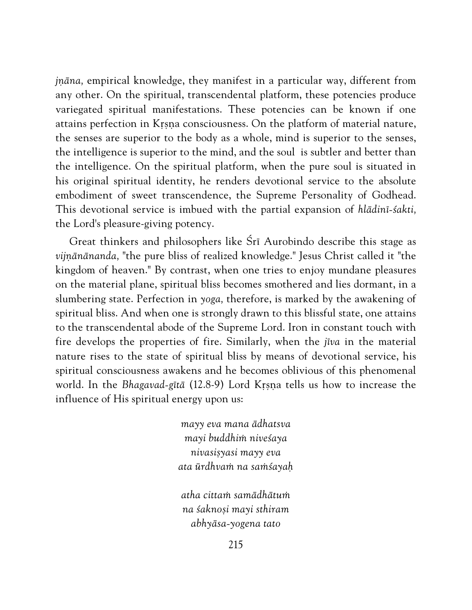*jnāna*, empirical knowledge, they manifest in a particular way, different from any other. On the spiritual, transcendental platform, these potencies produce variegated spiritual manifestations. These potencies can be known if one attains perfection in Krsna consciousness. On the platform of material nature, the senses are superior to the body as a whole, mind is superior to the senses, the intelligence is superior to the mind, and the soul is subtler and better than the intelligence. On the spiritual platform, when the pure soul is situated in his original spiritual identity, he renders devotional service to the absolute embodiment of sweet transcendence, the Supreme Personality of Godhead. This devotional service is imbued with the partial expansion of *hlädiné-çakti,* the Lord's pleasure-giving potency.

Great thinkers and philosophers like Srī Aurobindo describe this stage as *vijnānānanda*, "the pure bliss of realized knowledge." Jesus Christ called it "the kingdom of heaven." By contrast, when one tries to enjoy mundane pleasures on the material plane, spiritual bliss becomes smothered and lies dormant, in a slumbering state. Perfection in *yoga,* therefore, is marked by the awakening of spiritual bliss. And when one is strongly drawn to this blissful state, one attains to the transcendental abode of the Supreme Lord. Iron in constant touch with fire develops the properties of fire. Similarly, when the *jīva* in the material nature rises to the state of spiritual bliss by means of devotional service, his spiritual consciousness awakens and he becomes oblivious of this phenomenal world. In the *Bhagavad-gitā* (12.8-9) Lord Krsna tells us how to increase the influence of His spiritual energy upon us:

> *mayy eva mana ädhatsva mayi buddhià niveçaya nivasiñyasi mayy eva ata ürdhvaà na saàçayaù*

*atha cittaà samädhätuà na çaknoñi mayi sthiram abhyäsa-yogena tato*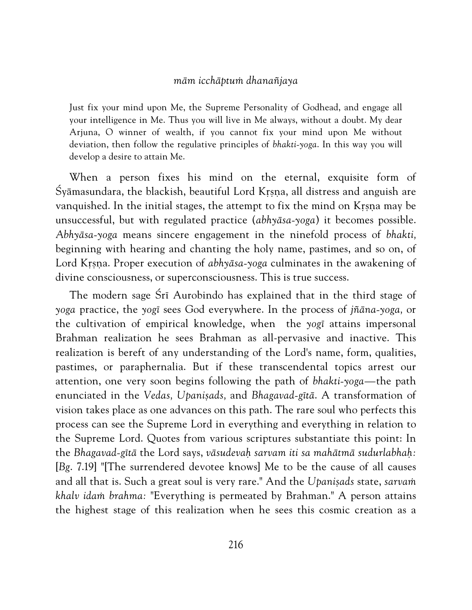#### *mäm icchäptuà dhanaïjaya*

Just fix your mind upon Me, the Supreme Personality of Godhead, and engage all your intelligence in Me. Thus you will live in Me always, without a doubt. My dear Arjuna, O winner of wealth, if you cannot fix your mind upon Me without deviation, then follow the regulative principles of *bhakti-yoga*. In this way you will develop a desire to attain Me.

When a person fixes his mind on the eternal, exquisite form of Śyāmasundara, the blackish, beautiful Lord Krsna, all distress and anguish are vanquished. In the initial stages, the attempt to fix the mind on Krsna may be unsuccessful, but with regulated practice (*abhyäsa-yoga*) it becomes possible. *Abhyäsa-yoga* means sincere engagement in the ninefold process of *bhakti,* beginning with hearing and chanting the holy name, pastimes, and so on, of Lord Krsna. Proper execution of *abhyāsa-yoga* culminates in the awakening of divine consciousness, or superconsciousness. This is true success.

The modern sage Śrī Aurobindo has explained that in the third stage of *yoga* practice, the *yogé* sees God everywhere. In the process of *jïäna-yoga,* or the cultivation of empirical knowledge, when the *yogé* attains impersonal Brahman realization he sees Brahman as all-pervasive and inactive. This realization is bereft of any understanding of the Lord's name, form, qualities, pastimes, or paraphernalia. But if these transcendental topics arrest our attention, one very soon begins following the path of *bhakti-yoga—*the path enunciated in the *Vedas, Upanisads,* and *Bhagavad-gitā.* A transformation of vision takes place as one advances on this path. The rare soul who perfects this process can see the Supreme Lord in everything and everything in relation to the Supreme Lord. Quotes from various scriptures substantiate this point: In the *Bhagavad-gétä* the Lord says, *väsudevaù sarvam iti sa mahätmä sudurlabhaù:* [*Bg*. 7.19] "[The surrendered devotee knows] Me to be the cause of all causes and all that is. Such a great soul is very rare." And the *Upanisads* state, *sarvam khalv idam brahma:* "Everything is permeated by Brahman." A person attains the highest stage of this realization when he sees this cosmic creation as a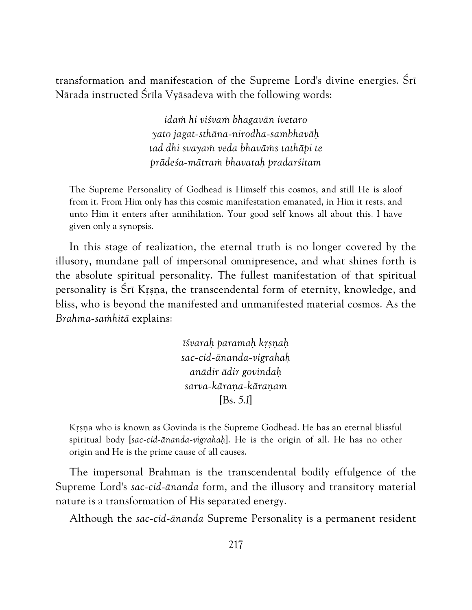transformation and manifestation of the Supreme Lord's divine energies. Sri Nārada instructed Śrīla Vyāsadeva with the following words:

> *idaà hi viçvaà bhagavän ivetaro yato jagat-sthäna-nirodha-sambhaväù tad dhi svayaà veda bhaväàs tathäpi te prädeça-mätraà bhavataù pradarçitam*

The Supreme Personality of Godhead is Himself this cosmos, and still He is aloof from it. From Him only has this cosmic manifestation emanated, in Him it rests, and unto Him it enters after annihilation. Your good self knows all about this. I have given only a synopsis.

In this stage of realization, the eternal truth is no longer covered by the illusory, mundane pall of impersonal omnipresence, and what shines forth is the absolute spiritual personality. The fullest manifestation of that spiritual personality is Śrī Krsna, the transcendental form of eternity, knowledge, and bliss, who is beyond the manifested and unmanifested material cosmos. As the *Brahma-saàhitä* explains:

> *éçvaraù paramaù kåñëaù sac-cid-änanda-vigrahaù anädir ädir govindaù sarva-käraëa-käraëam* [Bs. *5.1*]

Krsna who is known as Govinda is the Supreme Godhead. He has an eternal blissful spiritual body [*sac-cid-änanda-vigrahaù*]. He is the origin of all. He has no other origin and He is the prime cause of all causes.

The impersonal Brahman is the transcendental bodily effulgence of the Supreme Lord's *sac-cid-änanda* form, and the illusory and transitory material nature is a transformation of His separated energy.

Although the *sac-cid-änanda* Supreme Personality is a permanent resident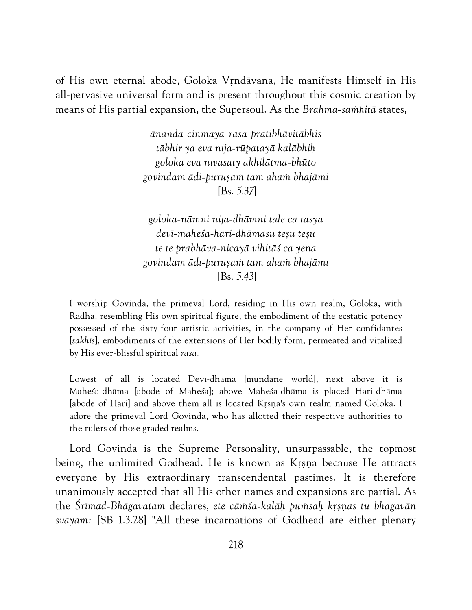of His own eternal abode, Goloka Vrndāvana, He manifests Himself in His all-pervasive universal form and is present throughout this cosmic creation by means of His partial expansion, the Supersoul. As the *Brahma-samhita* states,

> *änanda-cinmaya-rasa-pratibhävitäbhis täbhir ya eva nija-rüpatayä kaläbhiù goloka eva nivasaty akhilätma-bhüto govindam ädi-puruñaà tam ahaà bhajämi* [Bs. *5.37*]

> *goloka-nämni nija-dhämni tale ca tasya devé-maheça-hari-dhämasu teñu teñu te te prabhäva-nicayä vihitäç ca yena govindam ädi-puruñaà tam ahaà bhajämi* [Bs. *5.43*]

I worship Govinda, the primeval Lord, residing in His own realm, Goloka, with Rädhä, resembling His own spiritual figure, the embodiment of the ecstatic potency possessed of the sixty-four artistic activities, in the company of Her confidantes [*sakhés*], embodiments of the extensions of Her bodily form, permeated and vitalized by His ever-blissful spiritual *rasa*.

Lowest of all is located Devi-dhāma [mundane world], next above it is Maheça-dhäma [abode of Maheça]; above Maheça-dhäma is placed Hari-dhäma [abode of Hari] and above them all is located Kåñëa's own realm named Goloka. I adore the primeval Lord Govinda, who has allotted their respective authorities to the rulers of those graded realms.

Lord Govinda is the Supreme Personality, unsurpassable, the topmost being, the unlimited Godhead. He is known as Krsna because He attracts everyone by His extraordinary transcendental pastimes. It is therefore unanimously accepted that all His other names and expansions are partial. As the *Śrīmad-Bhāgavatam* declares, *ete cāmśa-kalāh pumsah krsnas tu bhagavān svayam:* [SB 1.3.28] "All these incarnations of Godhead are either plenary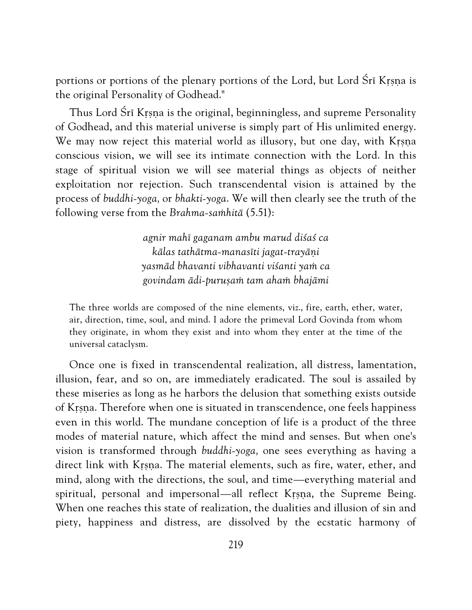portions or portions of the plenary portions of the Lord, but Lord  $\overline{S}$ rī Krsna is the original Personality of Godhead."

Thus Lord Śrī Krsna is the original, beginningless, and supreme Personality of Godhead, and this material universe is simply part of His unlimited energy. We may now reject this material world as illusory, but one day, with Krsna conscious vision, we will see its intimate connection with the Lord. In this stage of spiritual vision we will see material things as objects of neither exploitation nor rejection. Such transcendental vision is attained by the process of *buddhi-yoga,* or *bhakti-yoga*. We will then clearly see the truth of the following verse from the *Brahma-samhitā* (5.51):

> *agnir mahé gaganam ambu marud diçaç ca kälas tathätma-manaséti jagat-trayäëi yasmäd bhavanti vibhavanti viçanti yaà ca govindam ädi-puruñaà tam ahaà bhajämi*

The three worlds are composed of the nine elements, viz., fire, earth, ether, water, air, direction, time, soul, and mind. I adore the primeval Lord Govinda from whom they originate, in whom they exist and into whom they enter at the time of the universal cataclysm.

Once one is fixed in transcendental realization, all distress, lamentation, illusion, fear, and so on, are immediately eradicated. The soul is assailed by these miseries as long as he harbors the delusion that something exists outside of Krsna. Therefore when one is situated in transcendence, one feels happiness even in this world. The mundane conception of life is a product of the three modes of material nature, which affect the mind and senses. But when one's vision is transformed through *buddhi-yoga,* one sees everything as having a direct link with Krsna. The material elements, such as fire, water, ether, and mind, along with the directions, the soul, and time—everything material and spiritual, personal and impersonal—all reflect Krsna, the Supreme Being. When one reaches this state of realization, the dualities and illusion of sin and piety, happiness and distress, are dissolved by the ecstatic harmony of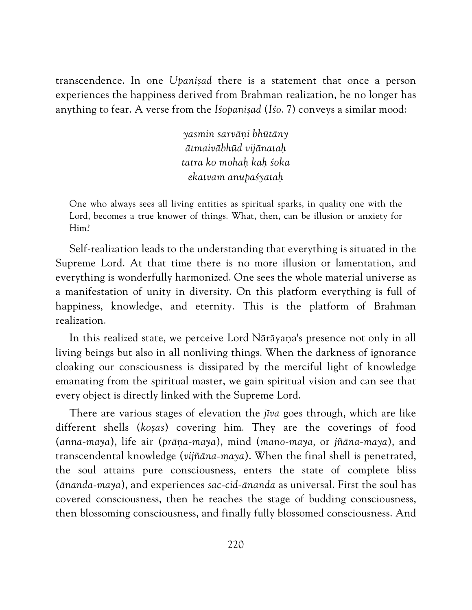transcendence. In one *Upaniñad* there is a statement that once a person experiences the happiness derived from Brahman realization, he no longer has anything to fear. A verse from the *Isopanisad* (*Iso.* 7) conveys a similar mood:

> *yasmin sarväëi bhütäny ätmaiväbhüd vijänataù tatra ko mohaù kaù çoka ekatvam anupaçyataù*

One who always sees all living entities as spiritual sparks, in quality one with the Lord, becomes a true knower of things. What, then, can be illusion or anxiety for Him?

Self-realization leads to the understanding that everything is situated in the Supreme Lord. At that time there is no more illusion or lamentation, and everything is wonderfully harmonized. One sees the whole material universe as a manifestation of unity in diversity. On this platform everything is full of happiness, knowledge, and eternity. This is the platform of Brahman realization.

In this realized state, we perceive Lord Nārāyana's presence not only in all living beings but also in all nonliving things. When the darkness of ignorance cloaking our consciousness is dissipated by the merciful light of knowledge emanating from the spiritual master, we gain spiritual vision and can see that every object is directly linked with the Supreme Lord.

There are various stages of elevation the *jtva* goes through, which are like different shells (*kosas*) covering him. They are the coverings of food (*anna-maya*), life air (*präëa-maya*), mind (*mano-maya,* or *jïäna-maya*), and transcendental knowledge (*vijïäna-maya*). When the final shell is penetrated, the soul attains pure consciousness, enters the state of complete bliss (*änanda-maya*), and experiences *sac-cid-änanda* as universal. First the soul has covered consciousness, then he reaches the stage of budding consciousness, then blossoming consciousness, and finally fully blossomed consciousness. And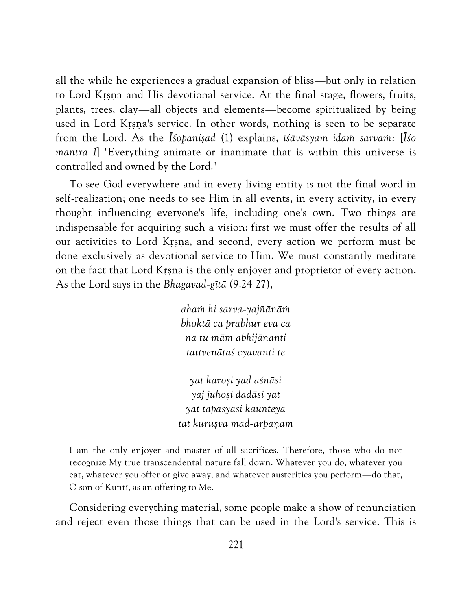all the while he experiences a gradual expansion of bliss—but only in relation to Lord Krsna and His devotional service. At the final stage, flowers, fruits, plants, trees, clay—all objects and elements—become spiritualized by being used in Lord Krsna's service. In other words, nothing is seen to be separate from the Lord. As the *Isopanisad* (1) explains, *isāvāsyam idam sarvam:* [*Iso mantra 1*] "Everything animate or inanimate that is within this universe is controlled and owned by the Lord."

To see God everywhere and in every living entity is not the final word in self-realization; one needs to see Him in all events, in every activity, in every thought influencing everyone's life, including one's own. Two things are indispensable for acquiring such a vision: first we must offer the results of all our activities to Lord Krsna, and second, every action we perform must be done exclusively as devotional service to Him. We must constantly meditate on the fact that Lord Krsna is the only enjoyer and proprietor of every action. As the Lord says in the *Bhagavad-gétä* (9.24-27),

> *ahaà hi sarva-yajïänäà bhoktä ca prabhur eva ca na tu mäm abhijänanti tattvenätaç cyavanti te*

*yat karoñi yad açnäsi yaj juhoñi dadäsi yat yat tapasyasi kaunteya tat kurusva mad-arpanam* 

I am the only enjoyer and master of all sacrifices. Therefore, those who do not recognize My true transcendental nature fall down. Whatever you do, whatever you eat, whatever you offer or give away, and whatever austerities you perform—do that, O son of Kunti, as an offering to Me.

Considering everything material, some people make a show of renunciation and reject even those things that can be used in the Lord's service. This is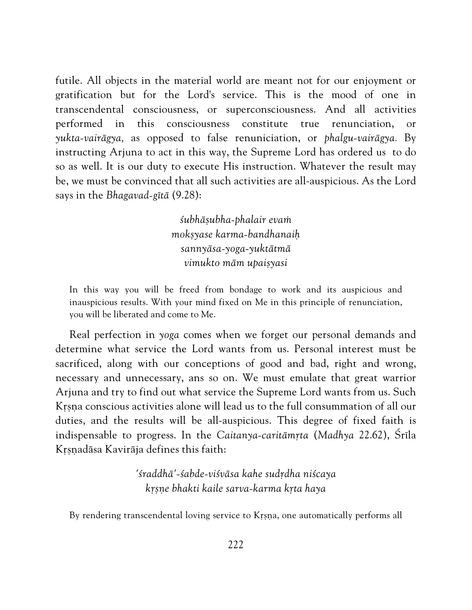futile. All objects in the material world are meant not for our enjoyment or gratification but for the Lord's service. This is the mood of one in transcendental consciousness, or superconsciousness. And all activities performed in this consciousness constitute true renunciation, or *yukta-vairägya,* as opposed to false renuniciation, or *phalgu-vairägya.* By instructing Arjuna to act in this way, the Supreme Lord has ordered us to do so as well. It is our duty to execute His instruction. Whatever the result may be, we must be convinced that all such activities are all-auspicious. As the Lord says in the *Bhagavad-gétä* (9.28):

> *çubhäñubha-phalair evaà mokñyase karma-bandhanaiù sannyäsa-yoga-yuktätmä vimukto mäm upaiñyasi*

In this way you will be freed from bondage to work and its auspicious and inauspicious results. With your mind fixed on Me in this principle of renunciation, you will be liberated and come to Me.

Real perfection in *yoga* comes when we forget our personal demands and determine what service the Lord wants from us. Personal interest must be sacrificed, along with our conceptions of good and bad, right and wrong, necessary and unnecessary, ans so on. We must emulate that great warrior Arjuna and try to find out what service the Supreme Lord wants from us. Such Krsna conscious activities alone will lead us to the full consummation of all our duties, and the results will be all-auspicious. This degree of fixed faith is indispensable to progress. In the *Caitanya-caritāmrta* (*Madhya* 22.62), Śrīla Krsnadāsa Kavirāja defines this faith:

> *'çraddhä'-çabde-viçväsa kahe sudådha niçcaya kåñëe bhakti kaile sarva-karma kåta haya*

By rendering transcendental loving service to Krsna, one automatically performs all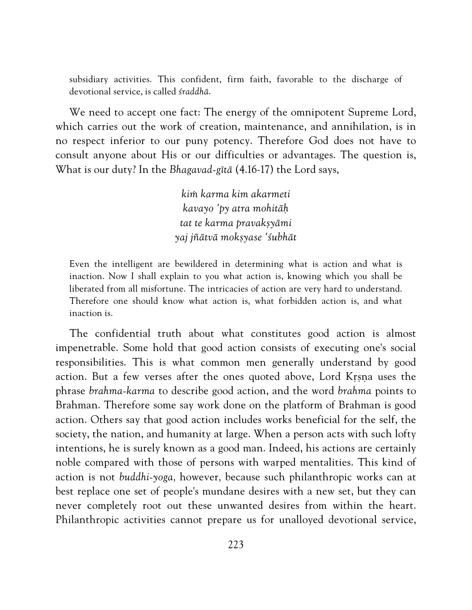subsidiary activities. This confident, firm faith, favorable to the discharge of devotional service, is called *çraddhä*.

We need to accept one fact: The energy of the omnipotent Supreme Lord, which carries out the work of creation, maintenance, and annihilation, is in no respect inferior to our puny potency. Therefore God does not have to consult anyone about His or our difficulties or advantages. The question is, What is our duty? In the *Bhagavad-gétä* (4.16-17) the Lord says,

> *kià karma kim akarmeti kavayo 'py atra mohitäù tat te karma pravaksvāmi yaj jïätvä mokñyase 'çubhät*

Even the intelligent are bewildered in determining what is action and what is inaction. Now I shall explain to you what action is, knowing which you shall be liberated from all misfortune. The intricacies of action are very hard to understand. Therefore one should know what action is, what forbidden action is, and what inaction is.

The confidential truth about what constitutes good action is almost impenetrable. Some hold that good action consists of executing one's social responsibilities. This is what common men generally understand by good action. But a few verses after the ones quoted above, Lord Krsna uses the phrase *brahma-karma* to describe good action, and the word *brahma* points to Brahman. Therefore some say work done on the platform of Brahman is good action. Others say that good action includes works beneficial for the self, the society, the nation, and humanity at large. When a person acts with such lofty intentions, he is surely known as a good man. Indeed, his actions are certainly noble compared with those of persons with warped mentalities. This kind of action is not *buddhi-yoga,* however*,* because such philanthropic works can at best replace one set of people's mundane desires with a new set, but they can never completely root out these unwanted desires from within the heart. Philanthropic activities cannot prepare us for unalloyed devotional service,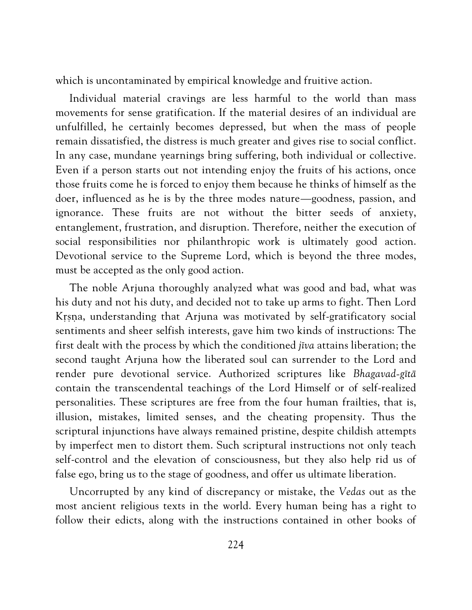which is uncontaminated by empirical knowledge and fruitive action.

Individual material cravings are less harmful to the world than mass movements for sense gratification. If the material desires of an individual are unfulfilled, he certainly becomes depressed, but when the mass of people remain dissatisfied, the distress is much greater and gives rise to social conflict. In any case, mundane yearnings bring suffering, both individual or collective. Even if a person starts out not intending enjoy the fruits of his actions, once those fruits come he is forced to enjoy them because he thinks of himself as the doer, influenced as he is by the three modes nature—goodness, passion, and ignorance. These fruits are not without the bitter seeds of anxiety, entanglement, frustration, and disruption. Therefore, neither the execution of social responsibilities nor philanthropic work is ultimately good action. Devotional service to the Supreme Lord, which is beyond the three modes, must be accepted as the only good action.

The noble Arjuna thoroughly analyzed what was good and bad, what was his duty and not his duty, and decided not to take up arms to fight. Then Lord Krsna, understanding that Arjuna was motivated by self-gratificatory social sentiments and sheer selfish interests, gave him two kinds of instructions: The first dealt with the process by which the conditioned *jéva* attains liberation; the second taught Arjuna how the liberated soul can surrender to the Lord and render pure devotional service. Authorized scriptures like *Bhagavad-gétä* contain the transcendental teachings of the Lord Himself or of self-realized personalities. These scriptures are free from the four human frailties, that is, illusion, mistakes, limited senses, and the cheating propensity. Thus the scriptural injunctions have always remained pristine, despite childish attempts by imperfect men to distort them. Such scriptural instructions not only teach self-control and the elevation of consciousness, but they also help rid us of false ego, bring us to the stage of goodness, and offer us ultimate liberation.

Uncorrupted by any kind of discrepancy or mistake, the *Vedas* out as the most ancient religious texts in the world. Every human being has a right to follow their edicts, along with the instructions contained in other books of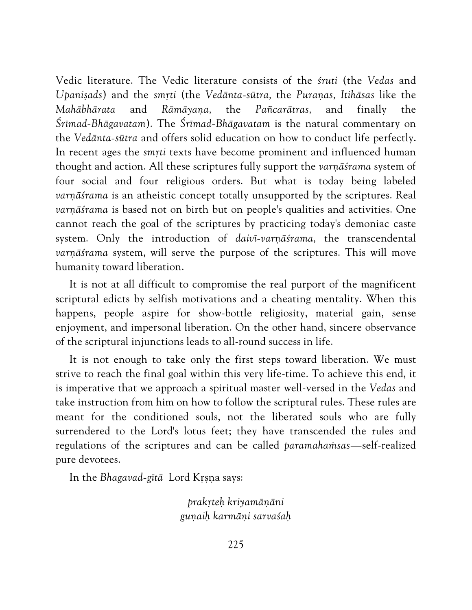Vedic literature. The Vedic literature consists of the *çruti* (the *Vedas* and *Upanisads*) and the *smrti* (the *Vedānta-sūtra,* the *Puranas, Itihāsas* like the *Mahābhārata* and *Rāmāyana*, the *Pañcarātras*, and finally the *Çrémad-Bhägavatam*). The *Çrémad-Bhägavatam* is the natural commentary on the *Vedänta-sütra* and offers solid education on how to conduct life perfectly. In recent ages the *smrti* texts have become prominent and influenced human thought and action. All these scriptures fully support the *varnāsrama* system of four social and four religious orders. But what is today being labeled *varnāśrama* is an atheistic concept totally unsupported by the scriptures. Real *varņāśrama* is based not on birth but on people's qualities and activities. One cannot reach the goal of the scriptures by practicing today's demoniac caste system. Only the introduction of *daivi-varnāśrama*, the transcendental *varnāśrama* system, will serve the purpose of the scriptures. This will move humanity toward liberation.

It is not at all difficult to compromise the real purport of the magnificent scriptural edicts by selfish motivations and a cheating mentality. When this happens, people aspire for show-bottle religiosity, material gain, sense enjoyment, and impersonal liberation. On the other hand, sincere observance of the scriptural injunctions leads to all-round success in life.

It is not enough to take only the first steps toward liberation. We must strive to reach the final goal within this very life-time. To achieve this end, it is imperative that we approach a spiritual master well-versed in the *Vedas* and take instruction from him on how to follow the scriptural rules. These rules are meant for the conditioned souls, not the liberated souls who are fully surrendered to the Lord's lotus feet; they have transcended the rules and regulations of the scriptures and can be called *paramahamsas*—self-realized pure devotees.

In the *Bhagavad-gītā* Lord Krsna says:

*prakåteù kriyamäëäni guëaiù karmäëi sarvaçaù*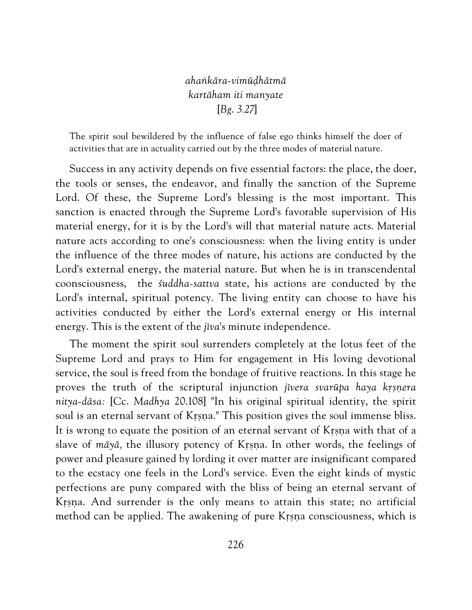*ahaìkära-vimüòhätmä kartäham iti manyate* [*Bg*. *3.27*]

The spirit soul bewildered by the influence of false ego thinks himself the doer of activities that are in actuality carried out by the three modes of material nature.

Success in any activity depends on five essential factors: the place, the doer, the tools or senses, the endeavor, and finally the sanction of the Supreme Lord. Of these, the Supreme Lord's blessing is the most important. This sanction is enacted through the Supreme Lord's favorable supervision of His material energy, for it is by the Lord's will that material nature acts. Material nature acts according to one's consciousness: when the living entity is under the influence of the three modes of nature, his actions are conducted by the Lord's external energy, the material nature. But when he is in transcendental coonsciousness, the *çuddha-sattva* state, his actions are conducted by the Lord's internal, spiritual potency. The living entity can choose to have his activities conducted by either the Lord's external energy or His internal energy. This is the extent of the *jīva's* minute independence.

The moment the spirit soul surrenders completely at the lotus feet of the Supreme Lord and prays to Him for engagement in His loving devotional service, the soul is freed from the bondage of fruitive reactions. In this stage he proves the truth of the scriptural injunction *jūvera svarūpa haya krsnera nitya-däsa:* [Cc. *Madhya* 20.108] "In his original spiritual identity, the spirit soul is an eternal servant of Krsna." This position gives the soul immense bliss. It is wrong to equate the position of an eternal servant of Krsna with that of a slave of *māyā*, the illusory potency of Krsna. In other words, the feelings of power and pleasure gained by lording it over matter are insignificant compared to the ecstacy one feels in the Lord's service. Even the eight kinds of mystic perfections are puny compared with the bliss of being an eternal servant of Krsna. And surrender is the only means to attain this state; no artificial method can be applied. The awakening of pure Krsna consciousness, which is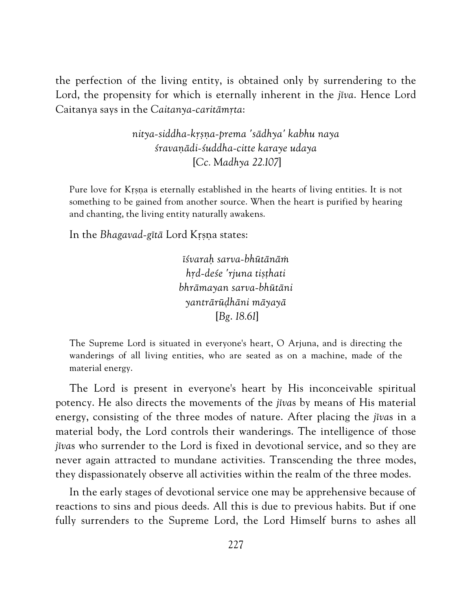the perfection of the living entity, is obtained only by surrendering to the Lord, the propensity for which is eternally inherent in the *jtva*. Hence Lord Caitanya says in the *Caitanya-caritāmrta*:

> *nitya-siddha-kåñëa-prema 'sädhya' kabhu naya çravaëädi-çuddha-citte karaye udaya* [*Cc.* M*adhya 22.107*]

Pure love for Krsna is eternally established in the hearts of living entities. It is not something to be gained from another source. When the heart is purified by hearing and chanting, the living entity naturally awakens.

In the *Bhagavad-gītā* Lord Krsna states:

*éçvaraù sarva-bhütänäà håd-deçe 'rjuna tiñöhati bhrämayan sarva-bhütäni yanträrüòhäni mäyayä* [*Bg*. *18.61*]

The Supreme Lord is situated in everyone's heart, O Arjuna, and is directing the wanderings of all living entities, who are seated as on a machine, made of the material energy.

The Lord is present in everyone's heart by His inconceivable spiritual potency. He also directs the movements of the *jéva*s by means of His material energy, consisting of the three modes of nature. After placing the *jéva*s in a material body, the Lord controls their wanderings. The intelligence of those *jt*was who surrender to the Lord is fixed in devotional service, and so they are never again attracted to mundane activities. Transcending the three modes, they dispassionately observe all activities within the realm of the three modes.

In the early stages of devotional service one may be apprehensive because of reactions to sins and pious deeds. All this is due to previous habits. But if one fully surrenders to the Supreme Lord, the Lord Himself burns to ashes all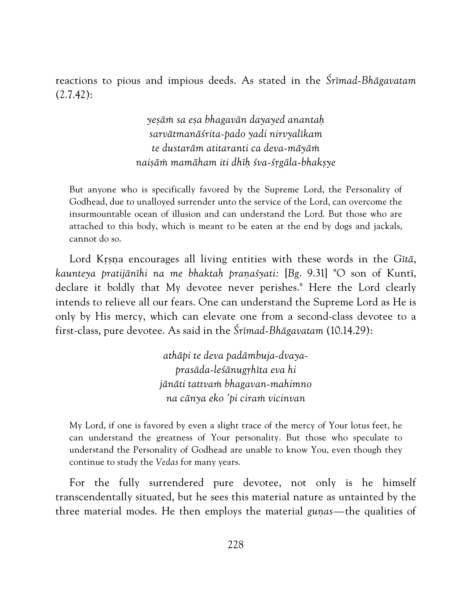reactions to pious and impious deeds. As stated in the *Çrémad-Bhägavatam* (2.7.42):

> *yeñäà sa eña bhagavän dayayed anantaù sarvätmanäçrita-pado yadi nirvyalékam te dustaräm atitaranti ca deva-mäyäà naiñäà mamäham iti dhéù çva-çågäla-bhakñye*

But anyone who is specifically favored by the Supreme Lord, the Personality of Godhead, due to unalloyed surrender unto the service of the Lord, can overcome the insurmountable ocean of illusion and can understand the Lord. But those who are attached to this body, which is meant to be eaten at the end by dogs and jackals, cannot do so.

Lord Krsna encourages all living entities with these words in the *G*ita, *kaunteya pratijānīhi na me bhaktah pranašyati:* [Bg. 9.31] "O son of Kuntī, declare it boldly that My devotee never perishes." Here the Lord clearly intends to relieve all our fears. One can understand the Supreme Lord as He is only by His mercy, which can elevate one from a second-class devotee to a first-class, pure devotee. As said in the *Çrémad-Bhägavatam* (10.14.29):

> *athäpi te deva padämbuja-dvayaprasäda-leçänugåhéta eva hi jänäti tattvaà bhagavan-mahimno na cänya eko 'pi ciraà vicinvan*

My Lord, if one is favored by even a slight trace of the mercy of Your lotus feet, he can understand the greatness of Your personality. But those who speculate to understand the Personality of Godhead are unable to know You, even though they continue to study the *Vedas* for many years.

For the fully surrendered pure devotee, not only is he himself transcendentally situated, but he sees this material nature as untainted by the three material modes. He then employs the material *gunas*—the qualities of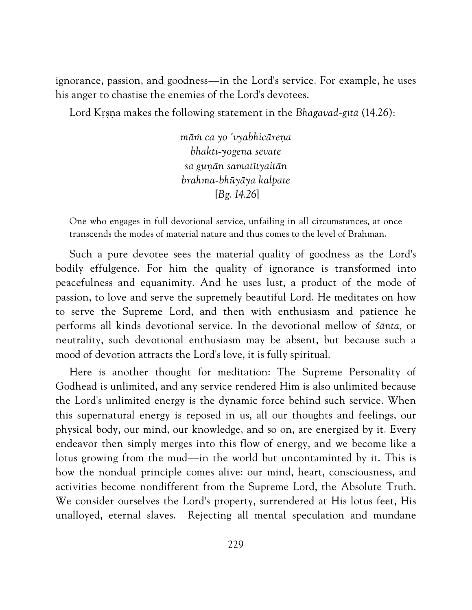ignorance, passion, and goodness—in the Lord's service. For example, he uses his anger to chastise the enemies of the Lord's devotees.

Lord Krsna makes the following statement in the *Bhagavad-gitā* (14.26):

*mām ca yo 'vyabhicārena bhakti-yogena sevate sa guëän samatétyaitän brahma-bhüyäya kalpate* [*Bg*. *14.26*]

One who engages in full devotional service, unfailing in all circumstances, at once transcends the modes of material nature and thus comes to the level of Brahman.

Such a pure devotee sees the material quality of goodness as the Lord's bodily effulgence. For him the quality of ignorance is transformed into peacefulness and equanimity. And he uses lust, a product of the mode of passion, to love and serve the supremely beautiful Lord. He meditates on how to serve the Supreme Lord, and then with enthusiasm and patience he performs all kinds devotional service. In the devotional mellow of *çänta,* or neutrality, such devotional enthusiasm may be absent, but because such a mood of devotion attracts the Lord's love, it is fully spiritual.

Here is another thought for meditation: The Supreme Personality of Godhead is unlimited, and any service rendered Him is also unlimited because the Lord's unlimited energy is the dynamic force behind such service. When this supernatural energy is reposed in us, all our thoughts and feelings, our physical body, our mind, our knowledge, and so on, are energized by it. Every endeavor then simply merges into this flow of energy, and we become like a lotus growing from the mud—in the world but uncontaminted by it. This is how the nondual principle comes alive: our mind, heart, consciousness, and activities become nondifferent from the Supreme Lord, the Absolute Truth. We consider ourselves the Lord's property, surrendered at His lotus feet, His unalloyed, eternal slaves. Rejecting all mental speculation and mundane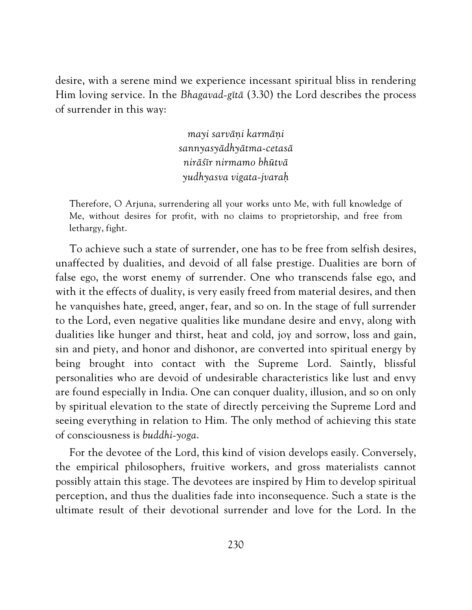desire, with a serene mind we experience incessant spiritual bliss in rendering Him loving service. In the *Bhagavad-gétä* (3.30) the Lord describes the process of surrender in this way:

> *mayi sarväëi karmäëi sannyasyädhyätma-cetasä niräçér nirmamo bhütvä yudhyasva vigata-jvaraù*

Therefore, O Arjuna, surrendering all your works unto Me, with full knowledge of Me, without desires for profit, with no claims to proprietorship, and free from lethargy, fight.

To achieve such a state of surrender, one has to be free from selfish desires, unaffected by dualities, and devoid of all false prestige. Dualities are born of false ego, the worst enemy of surrender. One who transcends false ego, and with it the effects of duality, is very easily freed from material desires, and then he vanquishes hate, greed, anger, fear, and so on. In the stage of full surrender to the Lord, even negative qualities like mundane desire and envy, along with dualities like hunger and thirst, heat and cold, joy and sorrow, loss and gain, sin and piety, and honor and dishonor, are converted into spiritual energy by being brought into contact with the Supreme Lord. Saintly, blissful personalities who are devoid of undesirable characteristics like lust and envy are found especially in India. One can conquer duality, illusion, and so on only by spiritual elevation to the state of directly perceiving the Supreme Lord and seeing everything in relation to Him. The only method of achieving this state of consciousness is *buddhi-yoga*.

For the devotee of the Lord, this kind of vision develops easily. Conversely, the empirical philosophers, fruitive workers, and gross materialists cannot possibly attain this stage. The devotees are inspired by Him to develop spiritual perception, and thus the dualities fade into inconsequence. Such a state is the ultimate result of their devotional surrender and love for the Lord. In the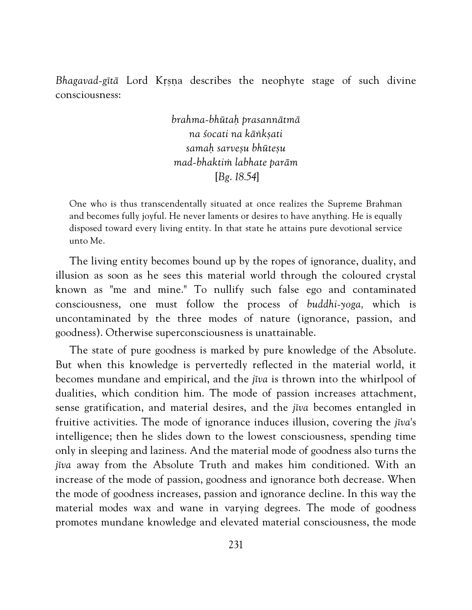Bhagavad-gītā Lord Krsna describes the neophyte stage of such divine consciousness:

> *brahma-bhütaù prasannätmä na çocati na käìkñati samaù sarveñu bhüteñu mad-bhaktià labhate paräm* [*Bg*. *18.54*]

One who is thus transcendentally situated at once realizes the Supreme Brahman and becomes fully joyful. He never laments or desires to have anything. He is equally disposed toward every living entity. In that state he attains pure devotional service unto Me.

The living entity becomes bound up by the ropes of ignorance, duality, and illusion as soon as he sees this material world through the coloured crystal known as "me and mine." To nullify such false ego and contaminated consciousness, one must follow the process of *buddhi-yoga,* which is uncontaminated by the three modes of nature (ignorance, passion, and goodness). Otherwise superconsciousness is unattainable.

The state of pure goodness is marked by pure knowledge of the Absolute. But when this knowledge is pervertedly reflected in the material world, it becomes mundane and empirical, and the *jéva* is thrown into the whirlpool of dualities, which condition him. The mode of passion increases attachment, sense gratification, and material desires, and the *jéva* becomes entangled in fruitive activities. The mode of ignorance induces illusion, covering the *jéva*'s intelligence; then he slides down to the lowest consciousness, spending time only in sleeping and laziness. And the material mode of goodness also turns the *jéva* away from the Absolute Truth and makes him conditioned. With an increase of the mode of passion, goodness and ignorance both decrease. When the mode of goodness increases, passion and ignorance decline. In this way the material modes wax and wane in varying degrees. The mode of goodness promotes mundane knowledge and elevated material consciousness, the mode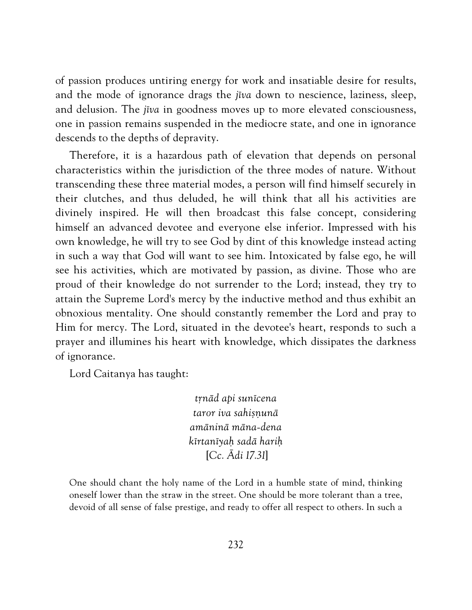of passion produces untiring energy for work and insatiable desire for results, and the mode of ignorance drags the *jtva* down to nescience, laziness, sleep, and delusion. The *jtva* in goodness moves up to more elevated consciousness, one in passion remains suspended in the mediocre state, and one in ignorance descends to the depths of depravity.

Therefore, it is a hazardous path of elevation that depends on personal characteristics within the jurisdiction of the three modes of nature. Without transcending these three material modes, a person will find himself securely in their clutches, and thus deluded, he will think that all his activities are divinely inspired. He will then broadcast this false concept, considering himself an advanced devotee and everyone else inferior. Impressed with his own knowledge, he will try to see God by dint of this knowledge instead acting in such a way that God will want to see him. Intoxicated by false ego, he will see his activities, which are motivated by passion, as divine. Those who are proud of their knowledge do not surrender to the Lord; instead, they try to attain the Supreme Lord's mercy by the inductive method and thus exhibit an obnoxious mentality. One should constantly remember the Lord and pray to Him for mercy. The Lord, situated in the devotee's heart, responds to such a prayer and illumines his heart with knowledge, which dissipates the darkness of ignorance.

Lord Caitanya has taught:

*tånäd api sunécena taror iva sahiñëunä amäninä mäna-dena kértanéyaù sadä hariù* [*Cc. Ädi 17.31*]

One should chant the holy name of the Lord in a humble state of mind, thinking oneself lower than the straw in the street. One should be more tolerant than a tree, devoid of all sense of false prestige, and ready to offer all respect to others. In such a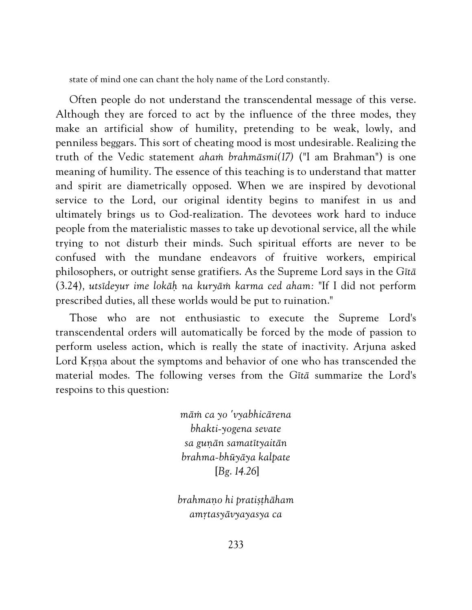state of mind one can chant the holy name of the Lord constantly.

Often people do not understand the transcendental message of this verse. Although they are forced to act by the influence of the three modes, they make an artificial show of humility, pretending to be weak, lowly, and penniless beggars. This sort of cheating mood is most undesirable. Realizing the truth of the Vedic statement *ahaà brahmäsmi(17)* ("I am Brahman") is one meaning of humility. The essence of this teaching is to understand that matter and spirit are diametrically opposed. When we are inspired by devotional service to the Lord, our original identity begins to manifest in us and ultimately brings us to God-realization. The devotees work hard to induce people from the materialistic masses to take up devotional service, all the while trying to not disturb their minds. Such spiritual efforts are never to be confused with the mundane endeavors of fruitive workers, empirical philosophers, or outright sense gratifiers. As the Supreme Lord says in the *Gétä* (3.24)*, utsédeyur ime lokäù na kuryäà karma ced aham:* "If I did not perform prescribed duties, all these worlds would be put to ruination."

Those who are not enthusiastic to execute the Supreme Lord's transcendental orders will automatically be forced by the mode of passion to perform useless action, which is really the state of inactivity. Arjuna asked Lord Krsna about the symptoms and behavior of one who has transcended the material modes. The following verses from the *Gétä* summarize the Lord's respoins to this question:

> *mäà ca yo 'vyabhicärena bhakti-yogena sevate sa guëän samatétyaitän brahma-bhüyäya kalpate* [*Bg*. *14.26*]

*brahmaëo hi pratiñöhäham amåtasyävyayasya ca*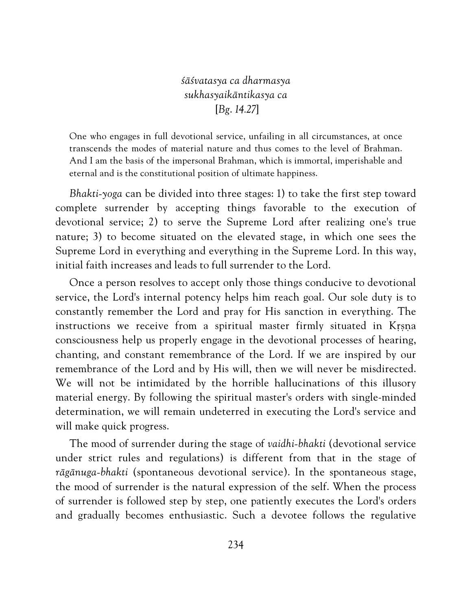*çäçvatasya ca dharmasya sukhasyaikäntikasya ca* [*Bg*. *14.27*]

One who engages in full devotional service, unfailing in all circumstances, at once transcends the modes of material nature and thus comes to the level of Brahman. And I am the basis of the impersonal Brahman, which is immortal, imperishable and eternal and is the constitutional position of ultimate happiness.

*Bhakti-yoga* can be divided into three stages: 1) to take the first step toward complete surrender by accepting things favorable to the execution of devotional service; 2) to serve the Supreme Lord after realizing one's true nature; 3) to become situated on the elevated stage, in which one sees the Supreme Lord in everything and everything in the Supreme Lord. In this way, initial faith increases and leads to full surrender to the Lord.

Once a person resolves to accept only those things conducive to devotional service, the Lord's internal potency helps him reach goal. Our sole duty is to constantly remember the Lord and pray for His sanction in everything. The instructions we receive from a spiritual master firmly situated in Krsna consciousness help us properly engage in the devotional processes of hearing, chanting, and constant remembrance of the Lord. If we are inspired by our remembrance of the Lord and by His will, then we will never be misdirected. We will not be intimidated by the horrible hallucinations of this illusory material energy. By following the spiritual master's orders with single-minded determination, we will remain undeterred in executing the Lord's service and will make quick progress.

The mood of surrender during the stage of *vaidhi-bhakti* (devotional service under strict rules and regulations) is different from that in the stage of *rägänuga-bhakti* (spontaneous devotional service). In the spontaneous stage, the mood of surrender is the natural expression of the self. When the process of surrender is followed step by step, one patiently executes the Lord's orders and gradually becomes enthusiastic. Such a devotee follows the regulative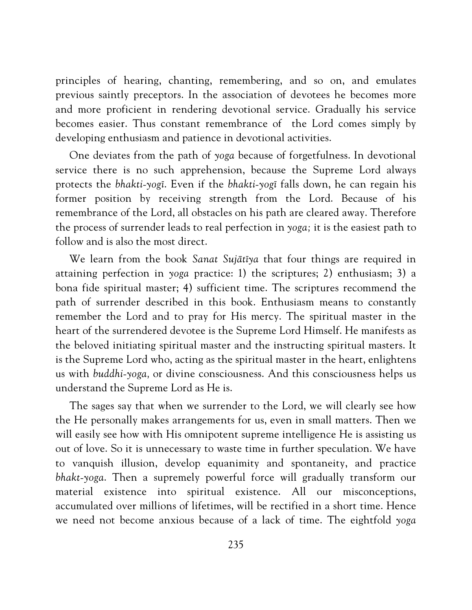principles of hearing, chanting, remembering, and so on, and emulates previous saintly preceptors. In the association of devotees he becomes more and more proficient in rendering devotional service. Gradually his service becomes easier. Thus constant remembrance of the Lord comes simply by developing enthusiasm and patience in devotional activities.

One deviates from the path of *yoga* because of forgetfulness. In devotional service there is no such apprehension, because the Supreme Lord always protects the *bhakti-yogé*. Even if the *bhakti-yogé* falls down, he can regain his former position by receiving strength from the Lord. Because of his remembrance of the Lord, all obstacles on his path are cleared away. Therefore the process of surrender leads to real perfection in *yoga;* it is the easiest path to follow and is also the most direct.

We learn from the book *Sanat Sujätéya* that four things are required in attaining perfection in *yoga* practice: 1) the scriptures; 2) enthusiasm; 3) a bona fide spiritual master; 4) sufficient time. The scriptures recommend the path of surrender described in this book. Enthusiasm means to constantly remember the Lord and to pray for His mercy. The spiritual master in the heart of the surrendered devotee is the Supreme Lord Himself. He manifests as the beloved initiating spiritual master and the instructing spiritual masters. It is the Supreme Lord who, acting as the spiritual master in the heart, enlightens us with *buddhi-yoga,* or divine consciousness. And this consciousness helps us understand the Supreme Lord as He is.

The sages say that when we surrender to the Lord, we will clearly see how the He personally makes arrangements for us, even in small matters. Then we will easily see how with His omnipotent supreme intelligence He is assisting us out of love. So it is unnecessary to waste time in further speculation. We have to vanquish illusion, develop equanimity and spontaneity, and practice *bhakt-yoga*. Then a supremely powerful force will gradually transform our material existence into spiritual existence. All our misconceptions, accumulated over millions of lifetimes, will be rectified in a short time. Hence we need not become anxious because of a lack of time. The eightfold *yoga*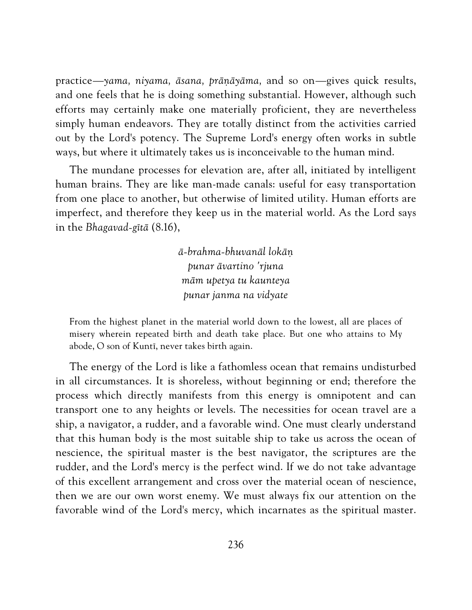practice—*yama, niyama, äsana, präëäyäma,* and so on—gives quick results, and one feels that he is doing something substantial. However, although such efforts may certainly make one materially proficient, they are nevertheless simply human endeavors. They are totally distinct from the activities carried out by the Lord's potency. The Supreme Lord's energy often works in subtle ways, but where it ultimately takes us is inconceivable to the human mind.

The mundane processes for elevation are, after all, initiated by intelligent human brains. They are like man-made canals: useful for easy transportation from one place to another, but otherwise of limited utility. Human efforts are imperfect, and therefore they keep us in the material world. As the Lord says in the *Bhagavad-gétä* (8.16),

> *ä-brahma-bhuvanäl lokäë punar ävartino 'rjuna mäm upetya tu kaunteya punar janma na vidyate*

From the highest planet in the material world down to the lowest, all are places of misery wherein repeated birth and death take place. But one who attains to My abode, O son of Kunti, never takes birth again.

The energy of the Lord is like a fathomless ocean that remains undisturbed in all circumstances. It is shoreless, without beginning or end; therefore the process which directly manifests from this energy is omnipotent and can transport one to any heights or levels. The necessities for ocean travel are a ship, a navigator, a rudder, and a favorable wind. One must clearly understand that this human body is the most suitable ship to take us across the ocean of nescience, the spiritual master is the best navigator, the scriptures are the rudder, and the Lord's mercy is the perfect wind. If we do not take advantage of this excellent arrangement and cross over the material ocean of nescience, then we are our own worst enemy. We must always fix our attention on the favorable wind of the Lord's mercy, which incarnates as the spiritual master.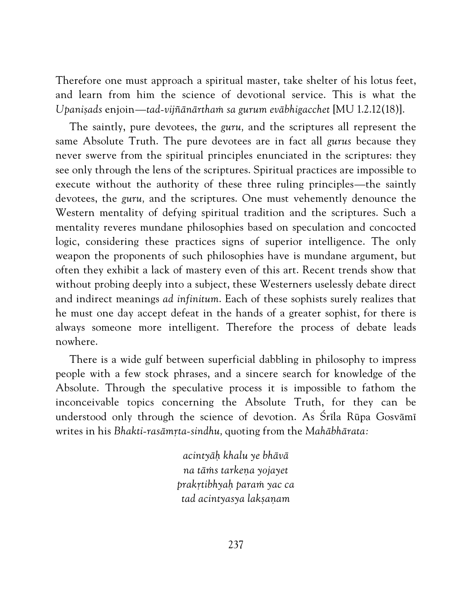Therefore one must approach a spiritual master, take shelter of his lotus feet, and learn from him the science of devotional service. This is what the *Upanisads* enjoin—*tad-vijñānārtham sa gurum evābhigacchet* [MU 1.2.12(18)].

The saintly, pure devotees, the *guru,* and the scriptures all represent the same Absolute Truth. The pure devotees are in fact all *gurus* because they never swerve from the spiritual principles enunciated in the scriptures: they see only through the lens of the scriptures. Spiritual practices are impossible to execute without the authority of these three ruling principles—the saintly devotees, the *guru,* and the scriptures. One must vehemently denounce the Western mentality of defying spiritual tradition and the scriptures. Such a mentality reveres mundane philosophies based on speculation and concocted logic, considering these practices signs of superior intelligence. The only weapon the proponents of such philosophies have is mundane argument, but often they exhibit a lack of mastery even of this art. Recent trends show that without probing deeply into a subject, these Westerners uselessly debate direct and indirect meanings *ad infinitum*. Each of these sophists surely realizes that he must one day accept defeat in the hands of a greater sophist, for there is always someone more intelligent. Therefore the process of debate leads nowhere.

There is a wide gulf between superficial dabbling in philosophy to impress people with a few stock phrases, and a sincere search for knowledge of the Absolute. Through the speculative process it is impossible to fathom the inconceivable topics concerning the Absolute Truth, for they can be understood only through the science of devotion. As Śrīla Rūpa Gosvāmī writes in his *Bhakti-rasāmrta-sindhu*, quoting from the *Mahābhārata*:

> *acintyäù khalu ye bhävä na täàs tarkeëa yojayet prakåtibhyaù paraà yac ca tad acintyasya lakñaëam*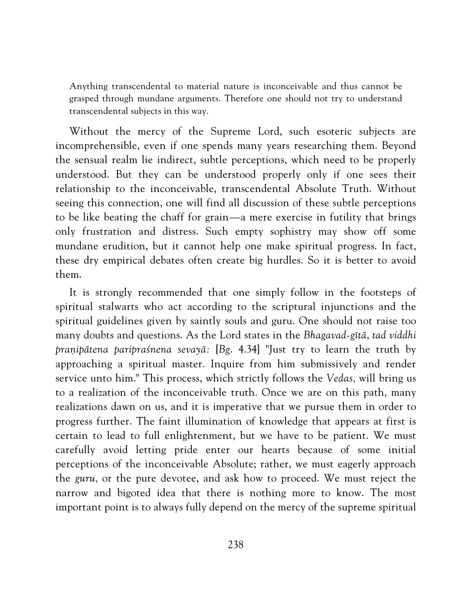Anything transcendental to material nature is inconceivable and thus cannot be grasped through mundane arguments. Therefore one should not try to understand transcendental subjects in this way.

Without the mercy of the Supreme Lord, such esoteric subjects are incomprehensible, even if one spends many years researching them. Beyond the sensual realm lie indirect, subtle perceptions, which need to be properly understood. But they can be understood properly only if one sees their relationship to the inconceivable, transcendental Absolute Truth. Without seeing this connection, one will find all discussion of these subtle perceptions to be like beating the chaff for grain—a mere exercise in futility that brings only frustration and distress. Such empty sophistry may show off some mundane erudition, but it cannot help one make spiritual progress. In fact, these dry empirical debates often create big hurdles. So it is better to avoid them.

It is strongly recommended that one simply follow in the footsteps of spiritual stalwarts who act according to the scriptural injunctions and the spiritual guidelines given by saintly souls and guru. One should not raise too many doubts and questions. As the Lord states in the *Bhagavad-gétä*, *tad viddhi pranipātena paripraśnena sevayā:* [Bg. 4.34] "Just try to learn the truth by approaching a spiritual master. Inquire from him submissively and render service unto him." This process, which strictly follows the *Vedas,* will bring us to a realization of the inconceivable truth. Once we are on this path, many realizations dawn on us, and it is imperative that we pursue them in order to progress further. The faint illumination of knowledge that appears at first is certain to lead to full enlightenment, but we have to be patient. We must carefully avoid letting pride enter our hearts because of some initial perceptions of the inconceivable Absolute; rather, we must eagerly approach the *guru,* or the pure devotee, and ask how to proceed. We must reject the narrow and bigoted idea that there is nothing more to know. The most important point is to always fully depend on the mercy of the supreme spiritual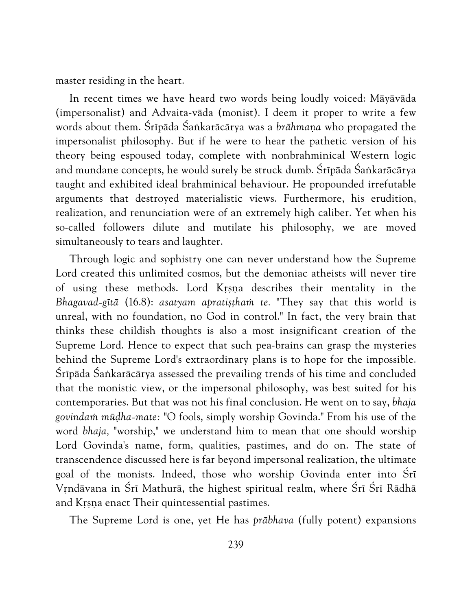master residing in the heart.

In recent times we have heard two words being loudly voiced: Mäyäväda (impersonalist) and Advaita-väda (monist). I deem it proper to write a few words about them. Śrīpāda Śaṅkarācārya was a *brāhmana* who propagated the impersonalist philosophy. But if he were to hear the pathetic version of his theory being espoused today, complete with nonbrahminical Western logic and mundane concepts, he would surely be struck dumb. Śrīpāda Śaṅkarācārya taught and exhibited ideal brahminical behaviour. He propounded irrefutable arguments that destroyed materialistic views. Furthermore, his erudition, realization, and renunciation were of an extremely high caliber. Yet when his so-called followers dilute and mutilate his philosophy, we are moved simultaneously to tears and laughter.

Through logic and sophistry one can never understand how the Supreme Lord created this unlimited cosmos, but the demoniac atheists will never tire of using these methods. Lord Krsna describes their mentality in the *Bhagavad-gītā* (16.8): *asatyam apratistham te.* "They say that this world is unreal, with no foundation, no God in control." In fact, the very brain that thinks these childish thoughts is also a most insignificant creation of the Supreme Lord. Hence to expect that such pea-brains can grasp the mysteries behind the Supreme Lord's extraordinary plans is to hope for the impossible. Śrīpāda Śaṅkarācārya assessed the prevailing trends of his time and concluded that the monistic view, or the impersonal philosophy, was best suited for his contemporaries. But that was not his final conclusion. He went on to say, *bhaja govindaà müòha-mate:* "O fools, simply worship Govinda." From his use of the word *bhaja,* "worship," we understand him to mean that one should worship Lord Govinda's name, form, qualities, pastimes, and do on. The state of transcendence discussed here is far beyond impersonal realization, the ultimate goal of the monists. Indeed, those who worship Govinda enter into Sri Vrndāvana in Śrī Mathurā, the highest spiritual realm, where Śrī Śrī Rādhā and Krsna enact Their quintessential pastimes.

The Supreme Lord is one, yet He has *präbhava* (fully potent) expansions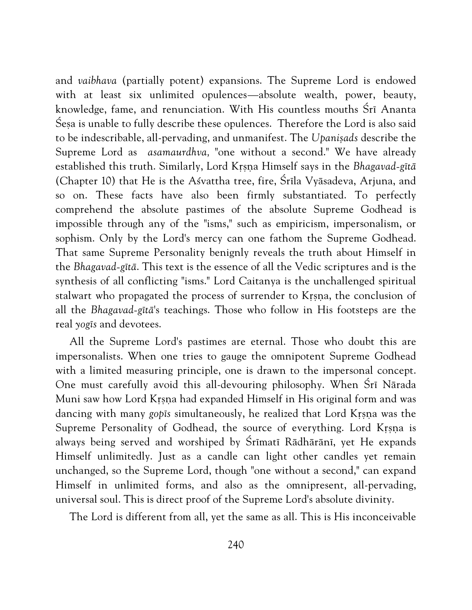and *vaibhava* (partially potent) expansions. The Supreme Lord is endowed with at least six unlimited opulences—absolute wealth, power, beauty, knowledge, fame, and renunciation. With His countless mouths Sri Ananta Sesa is unable to fully describe these opulences. Therefore the Lord is also said to be indescribable, all-pervading, and unmanifest. The *Upanisads* describe the Supreme Lord as *asamaurdhva,* "one without a second." We have already established this truth. Similarly, Lord Krsna Himself says in the *Bhagavad-gītā* (Chapter 10) that He is the Asvattha tree, fire, Śrīla Vyāsadeva, Arjuna, and so on. These facts have also been firmly substantiated. To perfectly comprehend the absolute pastimes of the absolute Supreme Godhead is impossible through any of the "isms," such as empiricism, impersonalism, or sophism. Only by the Lord's mercy can one fathom the Supreme Godhead. That same Supreme Personality benignly reveals the truth about Himself in the *Bhagavad-gétä*. This text is the essence of all the Vedic scriptures and is the synthesis of all conflicting "isms." Lord Caitanya is the unchallenged spiritual stalwart who propagated the process of surrender to Krsna, the conclusion of all the *Bhagavad-gétä*'s teachings. Those who follow in His footsteps are the real *yogés* and devotees.

All the Supreme Lord's pastimes are eternal. Those who doubt this are impersonalists. When one tries to gauge the omnipotent Supreme Godhead with a limited measuring principle, one is drawn to the impersonal concept. One must carefully avoid this all-devouring philosophy. When Śrī Nārada Muni saw how Lord Krsna had expanded Himself in His original form and was dancing with many *gopts* simultaneously, he realized that Lord Krsna was the Supreme Personality of Godhead, the source of everything. Lord Krsna is always being served and worshiped by Śrīmatī Rādhārānī, yet He expands Himself unlimitedly. Just as a candle can light other candles yet remain unchanged, so the Supreme Lord, though "one without a second," can expand Himself in unlimited forms, and also as the omnipresent, all-pervading, universal soul. This is direct proof of the Supreme Lord's absolute divinity.

The Lord is different from all, yet the same as all. This is His inconceivable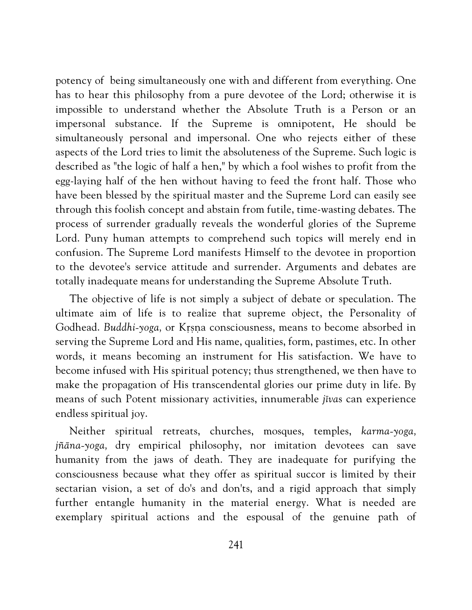potency of being simultaneously one with and different from everything. One has to hear this philosophy from a pure devotee of the Lord; otherwise it is impossible to understand whether the Absolute Truth is a Person or an impersonal substance. If the Supreme is omnipotent, He should be simultaneously personal and impersonal. One who rejects either of these aspects of the Lord tries to limit the absoluteness of the Supreme. Such logic is described as "the logic of half a hen," by which a fool wishes to profit from the egg-laying half of the hen without having to feed the front half. Those who have been blessed by the spiritual master and the Supreme Lord can easily see through this foolish concept and abstain from futile, time-wasting debates. The process of surrender gradually reveals the wonderful glories of the Supreme Lord. Puny human attempts to comprehend such topics will merely end in confusion. The Supreme Lord manifests Himself to the devotee in proportion to the devotee's service attitude and surrender. Arguments and debates are totally inadequate means for understanding the Supreme Absolute Truth.

The objective of life is not simply a subject of debate or speculation. The ultimate aim of life is to realize that supreme object, the Personality of Godhead. *Buddhi-yoga*, or Krsna consciousness, means to become absorbed in serving the Supreme Lord and His name, qualities, form, pastimes, etc. In other words, it means becoming an instrument for His satisfaction. We have to become infused with His spiritual potency; thus strengthened, we then have to make the propagation of His transcendental glories our prime duty in life. By means of such Potent missionary activities, innumerable *jéva*s can experience endless spiritual joy.

Neither spiritual retreats, churches, mosques, temples, *karma-yoga, jïäna-yoga,* dry empirical philosophy, nor imitation devotees can save humanity from the jaws of death. They are inadequate for purifying the consciousness because what they offer as spiritual succor is limited by their sectarian vision, a set of do's and don'ts, and a rigid approach that simply further entangle humanity in the material energy. What is needed are exemplary spiritual actions and the espousal of the genuine path of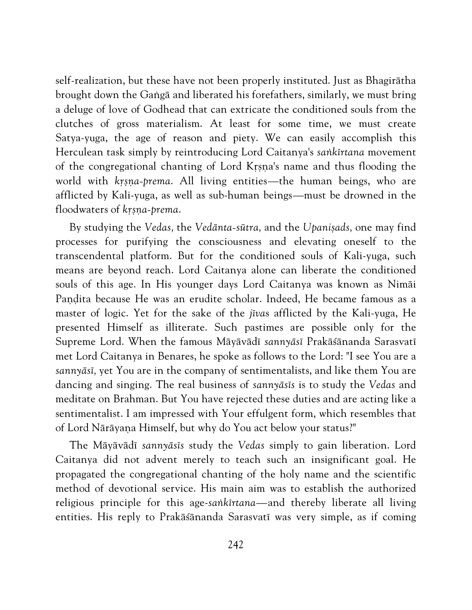self-realization, but these have not been properly instituted. Just as Bhagirätha brought down the Gaìgä and liberated his forefathers, similarly, we must bring a deluge of love of Godhead that can extricate the conditioned souls from the clutches of gross materialism. At least for some time, we must create Satya-yuga, the age of reason and piety. We can easily accomplish this Herculean task simply by reintroducing Lord Caitanya's *saìkértana* movement of the congregational chanting of Lord Krsna's name and thus flooding the world with *krsna-prema*. All living entities—the human beings, who are afflicted by Kali-yuga, as well as sub-human beings—must be drowned in the floodwaters of *krsna-prema*.

By studying the *Vedas*, the *Vedānta-sūtra*, and the *Upanisads*, one may find processes for purifying the consciousness and elevating oneself to the transcendental platform. But for the conditioned souls of Kali-yuga, such means are beyond reach. Lord Caitanya alone can liberate the conditioned souls of this age. In His younger days Lord Caitanya was known as Nimäi Pandita because He was an erudite scholar. Indeed, He became famous as a master of logic. Yet for the sake of the *jéva*s afflicted by the Kali-yuga, He presented Himself as illiterate. Such pastimes are possible only for the Supreme Lord. When the famous Mäyävädé *sannyäsé* Prakäçänanda Sarasvaté met Lord Caitanya in Benares, he spoke as follows to the Lord: "I see You are a *sannyäsé,* yet You are in the company of sentimentalists, and like them You are dancing and singing. The real business of *sannyäsés* is to study the *Vedas* and meditate on Brahman. But You have rejected these duties and are acting like a sentimentalist. I am impressed with Your effulgent form, which resembles that of Lord Nārāyana Himself, but why do You act below your status?"

The Mäyävädé *sannyäsés* study the *Vedas* simply to gain liberation. Lord Caitanya did not advent merely to teach such an insignificant goal. He propagated the congregational chanting of the holy name and the scientific method of devotional service. His main aim was to establish the authorized religious principle for this age-*saìkértana—*and thereby liberate all living entities. His reply to Prakāsānanda Sarasvatī was very simple, as if coming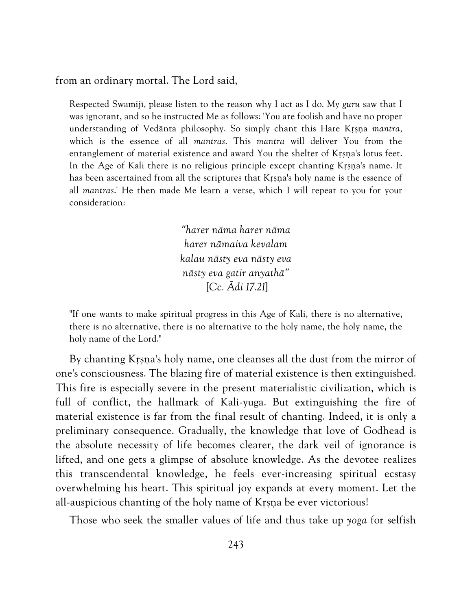from an ordinary mortal. The Lord said,

Respected Swamijé, please listen to the reason why I act as I do. My *guru* saw that I was ignorant, and so he instructed Me as follows: 'You are foolish and have no proper understanding of Vedānta philosophy. So simply chant this Hare Krsna *mantra*, which is the essence of all *mantras*. This *mantra* will deliver You from the entanglement of material existence and award You the shelter of Krsna's lotus feet. In the Age of Kali there is no religious principle except chanting Krsna's name. It has been ascertained from all the scriptures that Krsna's holy name is the essence of all *mantras*.' He then made Me learn a verse, which I will repeat to you for your consideration:

> *"harer näma harer näma harer nämaiva kevalam kalau nästy eva nästy eva nästy eva gatir anyathä"* [*Cc. Ädi 17.21*]

"If one wants to make spiritual progress in this Age of Kali, there is no alternative, there is no alternative, there is no alternative to the holy name, the holy name, the holy name of the Lord."

By chanting Krsna's holy name, one cleanses all the dust from the mirror of one's consciousness. The blazing fire of material existence is then extinguished. This fire is especially severe in the present materialistic civilization, which is full of conflict, the hallmark of Kali-yuga. But extinguishing the fire of material existence is far from the final result of chanting. Indeed, it is only a preliminary consequence. Gradually, the knowledge that love of Godhead is the absolute necessity of life becomes clearer, the dark veil of ignorance is lifted, and one gets a glimpse of absolute knowledge. As the devotee realizes this transcendental knowledge, he feels ever-increasing spiritual ecstasy overwhelming his heart. This spiritual joy expands at every moment. Let the all-auspicious chanting of the holy name of Krsna be ever victorious!

Those who seek the smaller values of life and thus take up *yoga* for selfish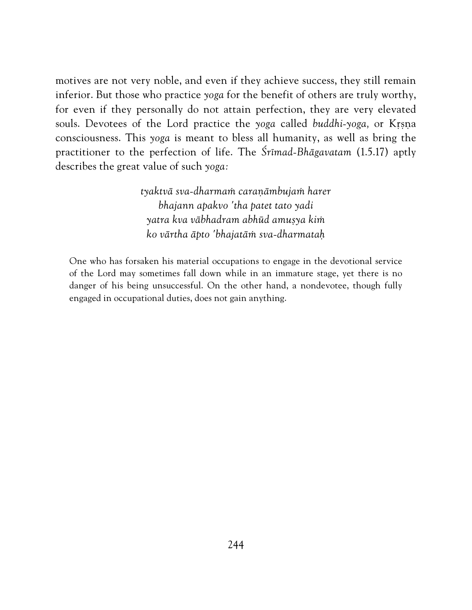motives are not very noble, and even if they achieve success, they still remain inferior. But those who practice *yoga* for the benefit of others are truly worthy, for even if they personally do not attain perfection, they are very elevated souls. Devotees of the Lord practice the yoga called *buddhi-yoga*, or Krsna consciousness. This *yoga* is meant to bless all humanity, as well as bring the practitioner to the perfection of life. The *Çrémad-Bhägavatam* (1.5.17) aptly describes the great value of such *yoga:*

> *tyaktvä sva-dharmaà caraëämbujaà harer bhajann apakvo 'tha patet tato yadi yatra kva väbhadram abhüd amuñya kià ko värtha äpto 'bhajatäà sva-dharmataù*

One who has forsaken his material occupations to engage in the devotional service of the Lord may sometimes fall down while in an immature stage, yet there is no danger of his being unsuccessful. On the other hand, a nondevotee, though fully engaged in occupational duties, does not gain anything.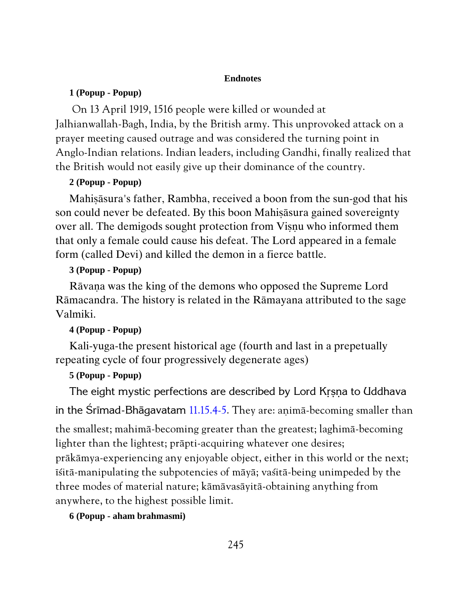## **Endnotes**

## **1 (Popup - Popup)**

 On 13 April 1919, 1516 people were killed or wounded at Jalhianwallah-Bagh, India, by the British army. This unprovoked attack on a prayer meeting caused outrage and was considered the turning point in Anglo-Indian relations. Indian leaders, including Gandhi, finally realized that the British would not easily give up their dominance of the country.

# **2 (Popup - Popup)**

Mahisāsura's father, Rambha, received a boon from the sun-god that his son could never be defeated. By this boon Mahisasura gained sovereignty over all. The demigods sought protection from Visnu who informed them that only a female could cause his defeat. The Lord appeared in a female form (called Devi) and killed the demon in a fierce battle.

# **3 (Popup - Popup)**

Rāvana was the king of the demons who opposed the Supreme Lord Rämacandra. The history is related in the Rämayana attributed to the sage Valmiki.

# **4 (Popup - Popup)**

Kali-yuga-the present historical age (fourth and last in a prepetually repeating cycle of four progressively degenerate ages)

## **5 (Popup - Popup)**

The eight mystic perfections are described by Lord Krsna to Uddhava in the Śrīmad-Bhāgavatam 11.15.4-5. They are: animā-becoming smaller than

the smallest; mahimä-becoming greater than the greatest; laghimä-becoming lighter than the lightest; präpti-acquiring whatever one desires; präkämya-experiencing any enjoyable object, either in this world or the next; éçitä-manipulating the subpotencies of mäyä; vaçitä-being unimpeded by the three modes of material nature; kämävasäyitä-obtaining anything from anywhere, to the highest possible limit.

# **6 (Popup - aham brahmasmi)**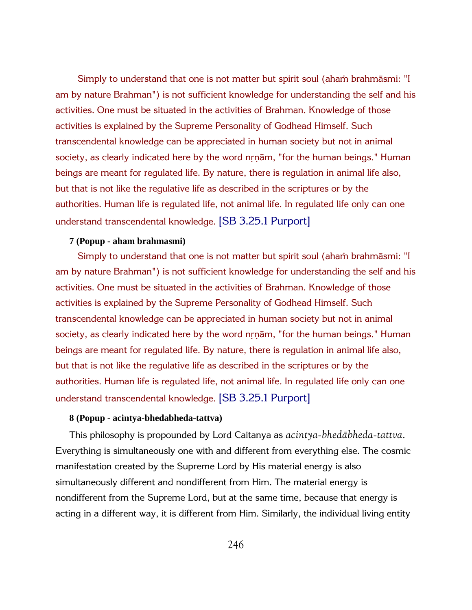Simply to understand that one is not matter but spirit soul (aham brahmāsmi: "I am by nature Brahman") is not sufficient knowledge for understanding the self and his activities. One must be situated in the activities of Brahman. Knowledge of those activities is explained by the Supreme Personality of Godhead Himself. Such transcendental knowledge can be appreciated in human society but not in animal society, as clearly indicated here by the word nrnām, "for the human beings." Human beings are meant for regulated life. By nature, there is regulation in animal life also, but that is not like the regulative life as described in the scriptures or by the authorities. Human life is regulated life, not animal life. In regulated life only can one understand transcendental knowledge. [SB 3.25.1 Purport]

#### **7 (Popup - aham brahmasmi)**

Simply to understand that one is not matter but spirit soul (aham brahmāsmi: "I am by nature Brahman") is not sufficient knowledge for understanding the self and his activities. One must be situated in the activities of Brahman. Knowledge of those activities is explained by the Supreme Personality of Godhead Himself. Such transcendental knowledge can be appreciated in human society but not in animal society, as clearly indicated here by the word nrnām, "for the human beings." Human beings are meant for regulated life. By nature, there is regulation in animal life also, but that is not like the regulative life as described in the scriptures or by the authorities. Human life is regulated life, not animal life. In regulated life only can one understand transcendental knowledge. [SB 3.25.1 Purport]

#### **8 (Popup - acintya-bhedabheda-tattva)**

This philosophy is propounded by Lord Caitanya as *acintya-bhedäbheda-tattva*. Everything is simultaneously one with and different from everything else. The cosmic manifestation created by the Supreme Lord by His material energy is also simultaneously different and nondifferent from Him. The material energy is nondifferent from the Supreme Lord, but at the same time, because that energy is acting in a different way, it is different from Him. Similarly, the individual living entity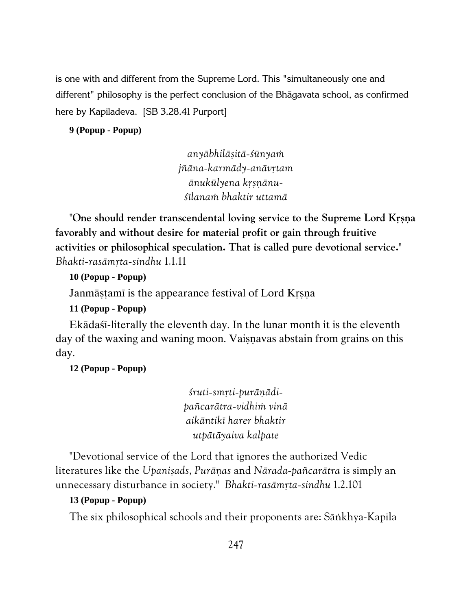is one with and different from the Supreme Lord. This "simultaneously one and different" philosophy is the perfect conclusion of the Bhägavata school, as confirmed here by Kapiladeva. [SB 3.28.41 Purport]

## **9 (Popup - Popup)**

*anyäbhiläñitä-çünyaà jñāna-karmādy-anāvrtam änukülyena kåñëänuçélanaà bhaktir uttamä*

"One should render transcendental loving service to the Supreme Lord Krsna **favorably and without desire for material profit or gain through fruitive activities or philosophical speculation. That is called pure devotional service.**" *Bhakti-rasämåta-sindhu* 1.1.11

## **10 (Popup - Popup)**

Janmästami is the appearance festival of Lord Krsna

### **11 (Popup - Popup)**

Ekādaśī-literally the eleventh day. In the lunar month it is the eleventh day of the waxing and waning moon. Vaisnavas abstain from grains on this day.

## **12 (Popup - Popup)**

*çruti-småti-puräëädipaïcarätra-vidhià vinä aikäntiké harer bhaktir utpätäyaiva kalpate*

"Devotional service of the Lord that ignores the authorized Vedic literatures like the *Upanisads, Purānas* and *Nārada-pañcarātra* is simply an unnecessary disturbance in society." Bhakti-rasāmrta-sindhu 1.2.101

### **13 (Popup - Popup)**

The six philosophical schools and their proponents are: Säìkhya-Kapila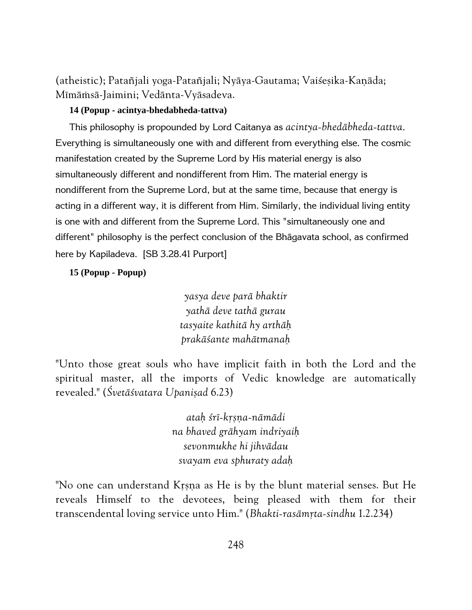(atheistic); Patañiali yoga-Patañiali; Nyāya-Gautama; Vaisesika-Kanāda; Mīmāmsā-Jaimini; Vedānta-Vyāsadeva.

#### **14 (Popup - acintya-bhedabheda-tattva)**

This philosophy is propounded by Lord Caitanya as *acintya-bhedäbheda-tattva*. Everything is simultaneously one with and different from everything else. The cosmic manifestation created by the Supreme Lord by His material energy is also simultaneously different and nondifferent from Him. The material energy is nondifferent from the Supreme Lord, but at the same time, because that energy is acting in a different way, it is different from Him. Similarly, the individual living entity is one with and different from the Supreme Lord. This "simultaneously one and different" philosophy is the perfect conclusion of the Bhägavata school, as confirmed here by Kapiladeva. [SB 3.28.41 Purport]

**15 (Popup - Popup)**

*yasya deve parä bhaktir yathä deve tathä gurau tasyaite kathitä hy arthäù prakäçante mahätmanaù*

"Unto those great souls who have implicit faith in both the Lord and the spiritual master, all the imports of Vedic knowledge are automatically revealed." (*Śvetāśvatara Upanișad* 6.23)

> *ataù çré-kåñëa-nämädi na bhaved grähyam indriyaiù sevonmukhe hi jihvädau svayam eva sphuraty adaù*

"No one can understand Krsna as He is by the blunt material senses. But He reveals Himself to the devotees, being pleased with them for their transcendental loving service unto Him." (*Bhakti-rasāmrta-sindhu* 1.2.234)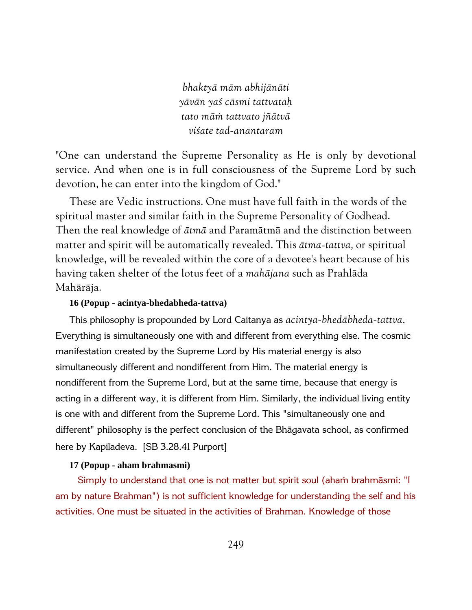*bhaktyä mäm abhijänäti yävän yaç cäsmi tattvataù tato mäà tattvato jïätvä viçate tad-anantaram*

"One can understand the Supreme Personality as He is only by devotional service. And when one is in full consciousness of the Supreme Lord by such devotion, he can enter into the kingdom of God."

These are Vedic instructions. One must have full faith in the words of the spiritual master and similar faith in the Supreme Personality of Godhead. Then the real knowledge of *ätmä* and Paramätmä and the distinction between matter and spirit will be automatically revealed. This *ätma-tattva,* or spiritual knowledge, will be revealed within the core of a devotee's heart because of his having taken shelter of the lotus feet of a *mahäjana* such as Prahläda Mahäräja.

#### **16 (Popup - acintya-bhedabheda-tattva)**

This philosophy is propounded by Lord Caitanya as *acintya-bhedäbheda-tattva*. Everything is simultaneously one with and different from everything else. The cosmic manifestation created by the Supreme Lord by His material energy is also simultaneously different and nondifferent from Him. The material energy is nondifferent from the Supreme Lord, but at the same time, because that energy is acting in a different way, it is different from Him. Similarly, the individual living entity is one with and different from the Supreme Lord. This "simultaneously one and different" philosophy is the perfect conclusion of the Bhägavata school, as confirmed here by Kapiladeva. [SB 3.28.41 Purport]

#### **17 (Popup - aham brahmasmi)**

Simply to understand that one is not matter but spirit soul (aham brahmāsmi: "I am by nature Brahman") is not sufficient knowledge for understanding the self and his activities. One must be situated in the activities of Brahman. Knowledge of those